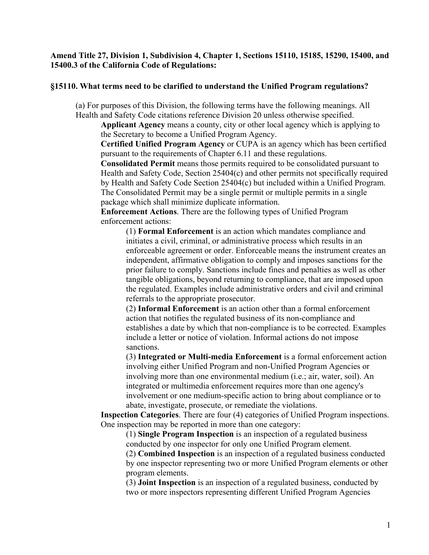## **Amend Title 27, Division 1, Subdivision 4, Chapter 1, Sections 15110, 15185, 15290, 15400, and 15400.3 of the California Code of Regulations:**

# **§15110. What terms need to be clarified to understand the Unified Program regulations?**

(a) For purposes of this Division, the following terms have the following meanings. All Health and Safety Code citations reference Division 20 unless otherwise specified.

**Applicant Agency** means a county, city or other local agency which is applying to the Secretary to become a Unified Program Agency.

**Certified Unified Program Agency** or CUPA is an agency which has been certified pursuant to the requirements of Chapter 6.11 and these regulations.

**Consolidated Permit** means those permits required to be consolidated pursuant to Health and Safety Code, Section 25404(c) and other permits not specifically required by Health and Safety Code Section 25404(c) but included within a Unified Program. The Consolidated Permit may be a single permit or multiple permits in a single package which shall minimize duplicate information.

**Enforcement Actions**. There are the following types of Unified Program enforcement actions:

(1) **Formal Enforcement** is an action which mandates compliance and initiates a civil, criminal, or administrative process which results in an enforceable agreement or order. Enforceable means the instrument creates an independent, affirmative obligation to comply and imposes sanctions for the prior failure to comply. Sanctions include fines and penalties as well as other tangible obligations, beyond returning to compliance, that are imposed upon the regulated. Examples include administrative orders and civil and criminal referrals to the appropriate prosecutor.

(2) **Informal Enforcement** is an action other than a formal enforcement action that notifies the regulated business of its non-compliance and establishes a date by which that non-compliance is to be corrected. Examples include a letter or notice of violation. Informal actions do not impose sanctions.

(3) **Integrated or Multi-media Enforcement** is a formal enforcement action involving either Unified Program and non-Unified Program Agencies or involving more than one environmental medium (i.e.; air, water, soil). An integrated or multimedia enforcement requires more than one agency's involvement or one medium-specific action to bring about compliance or to abate, investigate, prosecute, or remediate the violations.

**Inspection Categories**. There are four (4) categories of Unified Program inspections. One inspection may be reported in more than one category:

(1) **Single Program Inspection** is an inspection of a regulated business conducted by one inspector for only one Unified Program element.

(2) **Combined Inspection** is an inspection of a regulated business conducted by one inspector representing two or more Unified Program elements or other program elements.

(3) **Joint Inspection** is an inspection of a regulated business, conducted by two or more inspectors representing different Unified Program Agencies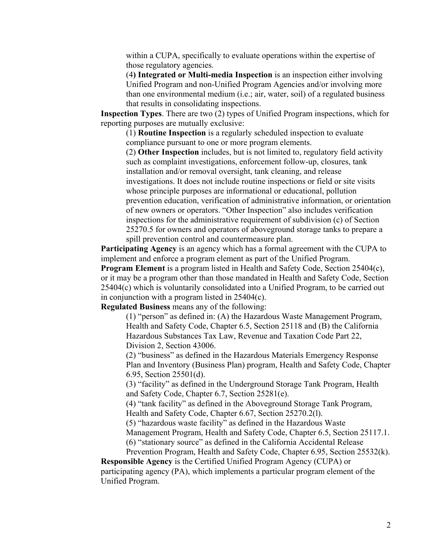within a CUPA, specifically to evaluate operations within the expertise of those regulatory agencies.

(4**) Integrated or Multi-media Inspection** is an inspection either involving Unified Program and non-Unified Program Agencies and/or involving more than one environmental medium (i.e.; air, water, soil) of a regulated business that results in consolidating inspections.

**Inspection Types**. There are two (2) types of Unified Program inspections, which for reporting purposes are mutually exclusive:

(1) **Routine Inspection** is a regularly scheduled inspection to evaluate compliance pursuant to one or more program elements.

(2) **Other Inspection** includes, but is not limited to, regulatory field activity such as complaint investigations, enforcement follow-up, closures, tank installation and/or removal oversight, tank cleaning, and release investigations. It does not include routine inspections or field or site visits whose principle purposes are informational or educational, pollution prevention education, verification of administrative information, or orientation of new owners or operators. "Other Inspection" also includes verification inspections for the administrative requirement of subdivision (c) of Section 25270.5 for owners and operators of aboveground storage tanks to prepare a spill prevention control and countermeasure plan.

**Participating Agency** is an agency which has a formal agreement with the CUPA to implement and enforce a program element as part of the Unified Program.

**Program Element** is a program listed in Health and Safety Code, Section 25404(c), or it may be a program other than those mandated in Health and Safety Code, Section 25404(c) which is voluntarily consolidated into a Unified Program, to be carried out in conjunction with a program listed in 25404(c).

**Regulated Business** means any of the following:

(1) "person" as defined in: (A) the Hazardous Waste Management Program, Health and Safety Code, Chapter 6.5, Section 25118 and (B) the California Hazardous Substances Tax Law, Revenue and Taxation Code Part 22, Division 2, Section 43006.

(2) "business" as defined in the Hazardous Materials Emergency Response Plan and Inventory (Business Plan) program, Health and Safety Code, Chapter 6.95, Section 25501(d).

(3) "facility" as defined in the Underground Storage Tank Program, Health and Safety Code, Chapter 6.7, Section 25281(e).

(4) "tank facility" as defined in the Aboveground Storage Tank Program, Health and Safety Code, Chapter 6.67, Section 25270.2(l).

(5) "hazardous waste facility" as defined in the Hazardous Waste

Management Program, Health and Safety Code, Chapter 6.5, Section 25117.1. (6) "stationary source" as defined in the California Accidental Release

Prevention Program, Health and Safety Code, Chapter 6.95, Section 25532(k).

**Responsible Agency** is the Certified Unified Program Agency (CUPA) or participating agency (PA), which implements a particular program element of the Unified Program.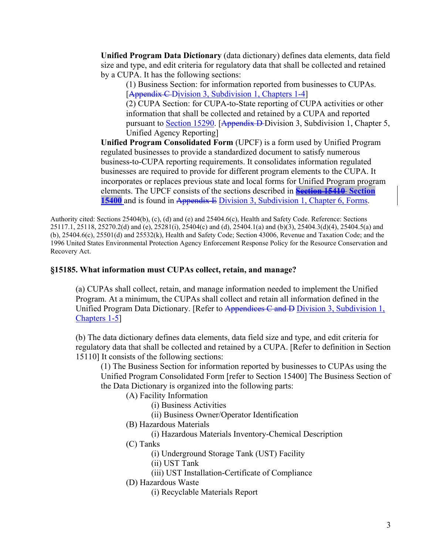**Unified Program Data Dictionary** (data dictionary) defines data elements, data field size and type, and edit criteria for regulatory data that shall be collected and retained by a CUPA. It has the following sections:

(1) Business Section: for information reported from businesses to CUPAs. [Appendix C Division 3, Subdivision 1, Chapters 1-4]

(2) CUPA Section: for CUPA-to-State reporting of CUPA activities or other information that shall be collected and retained by a CUPA and reported pursuant to [Section 15290.](http://www.calregs.com/cgi-bin/om_isapi.dll?clientID=205898&infobase=ccr&jump=27%3a15290&softpage=Document42#JUMPDEST_27:15290) [Appendix D-Division 3, Subdivision 1, Chapter 5, Unified Agency Reporting]

**Unified Program Consolidated Form** (UPCF) is a form used by Unified Program regulated businesses to provide a standardized document to satisfy numerous business-to-CUPA reporting requirements. It consolidates information regulated businesses are required to provide for different program elements to the CUPA. It incorporates or replaces previous state and local forms for Unified Program program elements. The UPCF consists of the sections described in **[Section 15410](http://www.calregs.com/cgi-bin/om_isapi.dll?clientID=205898&infobase=ccr&jump=27%3a15410&softpage=Document42#JUMPDEST_27:15410) Section 15400** and is found in Appendix E Division 3, Subdivision 1, Chapter 6, Forms.

Authority cited: Sections 25404(b), (c), (d) and (e) and 25404.6(c), Health and Safety Code. Reference: Sections 25117.1, 25118, 25270.2(d) and (e), 25281(i), 25404(c) and (d), 25404.1(a) and (b)(3), 25404.3(d)(4), 25404.5(a) and (b), 25404.6(c), 25501(d) and 25532(k), Health and Safety Code; Section 43006, Revenue and Taxation Code; and the 1996 United States Environmental Protection Agency Enforcement Response Policy for the Resource Conservation and Recovery Act.

# **§15185. What information must CUPAs collect, retain, and manage?**

(a) CUPAs shall collect, retain, and manage information needed to implement the Unified Program. At a minimum, the CUPAs shall collect and retain all information defined in the Unified Program Data Dictionary. [Refer to Appendices C and D Division 3, Subdivision 1, Chapters 1-5]

(b) The data dictionary defines data elements, data field size and type, and edit criteria for regulatory data that shall be collected and retained by a CUPA. [Refer to definition in Section 15110] It consists of the following sections:

(1) The Business Section for information reported by businesses to CUPAs using the Unified Program Consolidated Form [refer to Section 15400] The Business Section of the Data Dictionary is organized into the following parts:

(A) Facility Information

(i) Business Activities

(ii) Business Owner/Operator Identification

(B) Hazardous Materials

(i) Hazardous Materials Inventory-Chemical Description

(C) Tanks

(i) Underground Storage Tank (UST) Facility

(ii) UST Tank

(iii) UST Installation-Certificate of Compliance

(D) Hazardous Waste

(i) Recyclable Materials Report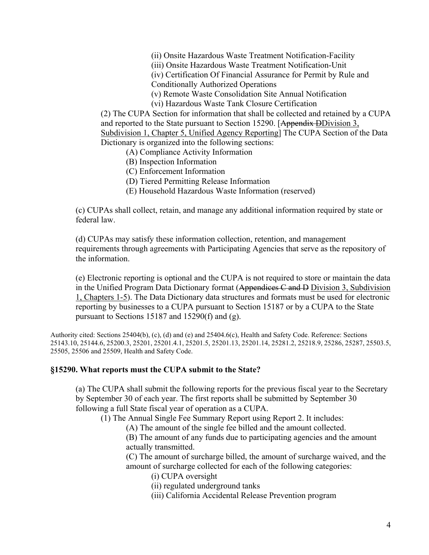(ii) Onsite Hazardous Waste Treatment Notification-Facility

(iii) Onsite Hazardous Waste Treatment Notification-Unit

(iv) Certification Of Financial Assurance for Permit by Rule and Conditionally Authorized Operations

(v) Remote Waste Consolidation Site Annual Notification

(vi) Hazardous Waste Tank Closure Certification

(2) The CUPA Section for information that shall be collected and retained by a CUPA and reported to the State pursuant to Section 15290. [Appendix DDivision 3, Subdivision 1, Chapter 5, Unified Agency Reporting] The CUPA Section of the Data Dictionary is organized into the following sections:

(A) Compliance Activity Information

(B) Inspection Information

(C) Enforcement Information

(D) Tiered Permitting Release Information

(E) Household Hazardous Waste Information (reserved)

(c) CUPAs shall collect, retain, and manage any additional information required by state or federal law.

(d) CUPAs may satisfy these information collection, retention, and management requirements through agreements with Participating Agencies that serve as the repository of the information.

(e) Electronic reporting is optional and the CUPA is not required to store or maintain the data in the Unified Program Data Dictionary format (Appendices C and D Division 3, Subdivision 1, Chapters 1-5). The Data Dictionary data structures and formats must be used for electronic reporting by businesses to a CUPA pursuant to Section 15187 or by a CUPA to the State pursuant to Sections 15187 and 15290(f) and (g).

Authority cited: Sections 25404(b), (c), (d) and (e) and 25404.6(c), Health and Safety Code. Reference: Sections 25143.10, 25144.6, 25200.3, 25201, 25201.4.1, 25201.5, 25201.13, 25201.14, 25281.2, 25218.9, 25286, 25287, 25503.5, 25505, 25506 and 25509, Health and Safety Code.

## **§15290. What reports must the CUPA submit to the State?**

(a) The CUPA shall submit the following reports for the previous fiscal year to the Secretary by September 30 of each year. The first reports shall be submitted by September 30 following a full State fiscal year of operation as a CUPA.

(1) The Annual Single Fee Summary Report using Report 2. It includes:

(A) The amount of the single fee billed and the amount collected.

(B) The amount of any funds due to participating agencies and the amount actually transmitted.

(C) The amount of surcharge billed, the amount of surcharge waived, and the amount of surcharge collected for each of the following categories:

- (i) CUPA oversight
- (ii) regulated underground tanks
- (iii) California Accidental Release Prevention program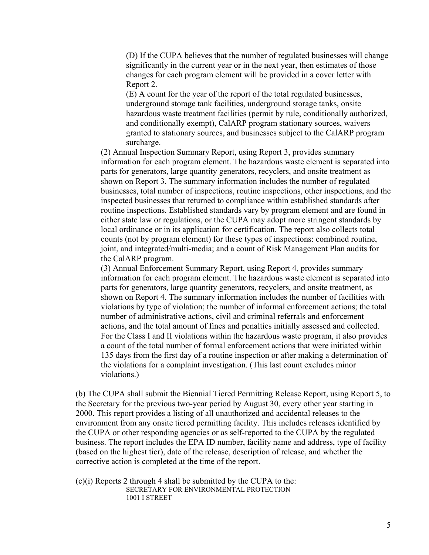(D) If the CUPA believes that the number of regulated businesses will change significantly in the current year or in the next year, then estimates of those changes for each program element will be provided in a cover letter with Report 2.

(E) A count for the year of the report of the total regulated businesses, underground storage tank facilities, underground storage tanks, onsite hazardous waste treatment facilities (permit by rule, conditionally authorized, and conditionally exempt), CalARP program stationary sources, waivers granted to stationary sources, and businesses subject to the CalARP program surcharge.

(2) Annual Inspection Summary Report, using Report 3, provides summary information for each program element. The hazardous waste element is separated into parts for generators, large quantity generators, recyclers, and onsite treatment as shown on Report 3. The summary information includes the number of regulated businesses, total number of inspections, routine inspections, other inspections, and the inspected businesses that returned to compliance within established standards after routine inspections. Established standards vary by program element and are found in either state law or regulations, or the CUPA may adopt more stringent standards by local ordinance or in its application for certification. The report also collects total counts (not by program element) for these types of inspections: combined routine, joint, and integrated/multi-media; and a count of Risk Management Plan audits for the CalARP program.

(3) Annual Enforcement Summary Report, using Report 4, provides summary information for each program element. The hazardous waste element is separated into parts for generators, large quantity generators, recyclers, and onsite treatment, as shown on Report 4. The summary information includes the number of facilities with violations by type of violation; the number of informal enforcement actions; the total number of administrative actions, civil and criminal referrals and enforcement actions, and the total amount of fines and penalties initially assessed and collected. For the Class I and II violations within the hazardous waste program, it also provides a count of the total number of formal enforcement actions that were initiated within 135 days from the first day of a routine inspection or after making a determination of the violations for a complaint investigation. (This last count excludes minor violations.)

(b) The CUPA shall submit the Biennial Tiered Permitting Release Report, using Report 5, to the Secretary for the previous two-year period by August 30, every other year starting in 2000. This report provides a listing of all unauthorized and accidental releases to the environment from any onsite tiered permitting facility. This includes releases identified by the CUPA or other responding agencies or as self-reported to the CUPA by the regulated business. The report includes the EPA ID number, facility name and address, type of facility (based on the highest tier), date of the release, description of release, and whether the corrective action is completed at the time of the report.

(c)(i) Reports 2 through 4 shall be submitted by the CUPA to the: SECRETARY FOR ENVIRONMENTAL PROTECTION 1001 I STREET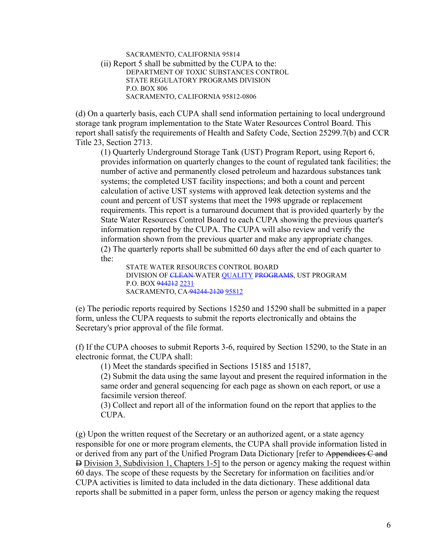SACRAMENTO, CALIFORNIA 95814 (ii) Report 5 shall be submitted by the CUPA to the: DEPARTMENT OF TOXIC SUBSTANCES CONTROL STATE REGULATORY PROGRAMS DIVISION P.O. BOX 806 SACRAMENTO, CALIFORNIA 95812-0806

(d) On a quarterly basis, each CUPA shall send information pertaining to local underground storage tank program implementation to the State Water Resources Control Board. This report shall satisfy the requirements of Health and Safety Code, Section 25299.7(b) and CCR Title 23, Section 2713.

(1) Quarterly Underground Storage Tank (UST) Program Report, using Report 6, provides information on quarterly changes to the count of regulated tank facilities; the number of active and permanently closed petroleum and hazardous substances tank systems; the completed UST facility inspections; and both a count and percent calculation of active UST systems with approved leak detection systems and the count and percent of UST systems that meet the 1998 upgrade or replacement requirements. This report is a turnaround document that is provided quarterly by the State Water Resources Control Board to each CUPA showing the previous quarter's information reported by the CUPA. The CUPA will also review and verify the information shown from the previous quarter and make any appropriate changes. (2) The quarterly reports shall be submitted 60 days after the end of each quarter to the:

STATE WATER RESOURCES CONTROL BOARD DIVISION OF CLEAN WATER QUALITY PROGRAMS, UST PROGRAM P.O. BOX 944212 2231 SACRAMENTO, CA 94244-2120 95812

(e) The periodic reports required by Sections 15250 and 15290 shall be submitted in a paper form, unless the CUPA requests to submit the reports electronically and obtains the Secretary's prior approval of the file format.

(f) If the CUPA chooses to submit Reports 3-6, required by Section 15290, to the State in an electronic format, the CUPA shall:

(1) Meet the standards specified in Sections 15185 and 15187,

(2) Submit the data using the same layout and present the required information in the same order and general sequencing for each page as shown on each report, or use a facsimile version thereof.

(3) Collect and report all of the information found on the report that applies to the CUPA.

(g) Upon the written request of the Secretary or an authorized agent, or a state agency responsible for one or more program elements, the CUPA shall provide information listed in or derived from any part of the Unified Program Data Dictionary [refer to Appendices C and D Division 3, Subdivision 1, Chapters 1-5] to the person or agency making the request within 60 days. The scope of these requests by the Secretary for information on facilities and/or CUPA activities is limited to data included in the data dictionary. These additional data reports shall be submitted in a paper form, unless the person or agency making the request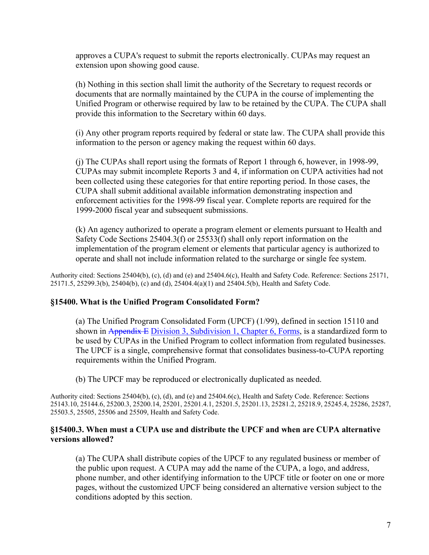approves a CUPA's request to submit the reports electronically. CUPAs may request an extension upon showing good cause.

(h) Nothing in this section shall limit the authority of the Secretary to request records or documents that are normally maintained by the CUPA in the course of implementing the Unified Program or otherwise required by law to be retained by the CUPA. The CUPA shall provide this information to the Secretary within 60 days.

(i) Any other program reports required by federal or state law. The CUPA shall provide this information to the person or agency making the request within 60 days.

(j) The CUPAs shall report using the formats of Report 1 through 6, however, in 1998-99, CUPAs may submit incomplete Reports 3 and 4, if information on CUPA activities had not been collected using these categories for that entire reporting period. In those cases, the CUPA shall submit additional available information demonstrating inspection and enforcement activities for the 1998-99 fiscal year. Complete reports are required for the 1999-2000 fiscal year and subsequent submissions.

(k) An agency authorized to operate a program element or elements pursuant to Health and Safety Code Sections 25404.3(f) or 25533(f) shall only report information on the implementation of the program element or elements that particular agency is authorized to operate and shall not include information related to the surcharge or single fee system.

Authority cited: Sections 25404(b), (c), (d) and (e) and 25404.6(c), Health and Safety Code. Reference: Sections 25171, 25171.5, 25299.3(b), 25404(b), (c) and (d), 25404.4(a)(1) and 25404.5(b), Health and Safety Code.

# **§15400. What is the Unified Program Consolidated Form?**

(a) The Unified Program Consolidated Form (UPCF) (1/99), defined in section 15110 and shown in Appendix E Division 3, Subdivision 1, Chapter 6, Forms, is a standardized form to be used by CUPAs in the Unified Program to collect information from regulated businesses. The UPCF is a single, comprehensive format that consolidates business-to-CUPA reporting requirements within the Unified Program.

(b) The UPCF may be reproduced or electronically duplicated as needed.

Authority cited: Sections 25404(b), (c), (d), and (e) and 25404.6(c), Health and Safety Code. Reference: Sections 25143.10, 25144.6, 25200.3, 25200.14, 25201, 25201.4.1, 25201.5, 25201.13, 25281.2, 25218.9, 25245.4, 25286, 25287, 25503.5, 25505, 25506 and 25509, Health and Safety Code.

# **§15400.3. When must a CUPA use and distribute the UPCF and when are CUPA alternative versions allowed?**

(a) The CUPA shall distribute copies of the UPCF to any regulated business or member of the public upon request. A CUPA may add the name of the CUPA, a logo, and address, phone number, and other identifying information to the UPCF title or footer on one or more pages, without the customized UPCF being considered an alternative version subject to the conditions adopted by this section.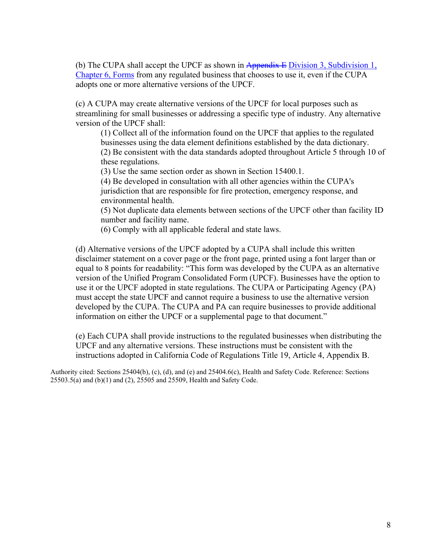(b) The CUPA shall accept the UPCF as shown in Appendix E Division 3, Subdivision 1, Chapter 6, Forms from any regulated business that chooses to use it, even if the CUPA adopts one or more alternative versions of the UPCF.

(c) A CUPA may create alternative versions of the UPCF for local purposes such as streamlining for small businesses or addressing a specific type of industry. Any alternative version of the UPCF shall:

(1) Collect all of the information found on the UPCF that applies to the regulated businesses using the data element definitions established by the data dictionary. (2) Be consistent with the data standards adopted throughout Article 5 through 10 of these regulations.

(3) Use the same section order as shown in Section 15400.1.

(4) Be developed in consultation with all other agencies within the CUPA's jurisdiction that are responsible for fire protection, emergency response, and environmental health.

(5) Not duplicate data elements between sections of the UPCF other than facility ID number and facility name.

(6) Comply with all applicable federal and state laws.

(d) Alternative versions of the UPCF adopted by a CUPA shall include this written disclaimer statement on a cover page or the front page, printed using a font larger than or equal to 8 points for readability: "This form was developed by the CUPA as an alternative version of the Unified Program Consolidated Form (UPCF). Businesses have the option to use it or the UPCF adopted in state regulations. The CUPA or Participating Agency (PA) must accept the state UPCF and cannot require a business to use the alternative version developed by the CUPA. The CUPA and PA can require businesses to provide additional information on either the UPCF or a supplemental page to that document."

(e) Each CUPA shall provide instructions to the regulated businesses when distributing the UPCF and any alternative versions. These instructions must be consistent with the instructions adopted in California Code of Regulations Title 19, Article 4, Appendix B.

Authority cited: Sections 25404(b), (c), (d), and (e) and 25404.6(c), Health and Safety Code. Reference: Sections 25503.5(a) and (b)(1) and (2), 25505 and 25509, Health and Safety Code.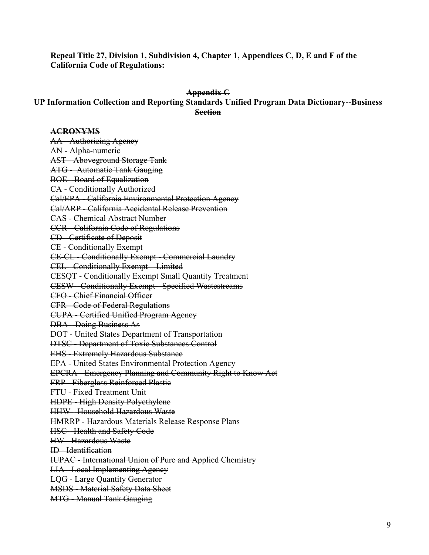**Repeal Title 27, Division 1, Subdivision 4, Chapter 1, Appendices C, D, E and F of the California Code of Regulations:** 

### **Appendix C**

# **UP Information Collection and Reporting Standards Unified Program Data Dictionary--Business Section**

### **ACRONYMS**

AA - Authorizing Agency AN - Alpha-numeric AST - Aboveground Storage Tank ATG - Automatic Tank Gauging BOE - Board of Equalization CA - Conditionally Authorized Cal/EPA - California Environmental Protection Agency Cal/ARP - California Accidental Release Prevention CAS - Chemical Abstract Number CCR - California Code of Regulations CD - Certificate of Deposit CE - Conditionally Exempt CE-CL - Conditionally Exempt - Commercial Laundry CEL - Conditionally Exempt – Limited CESQT - Conditionally Exempt Small Quantity Treatment CESW - Conditionally Exempt - Specified Wastestreams CFO - Chief Financial Officer CFR - Code of Federal Regulations CUPA - Certified Unified Program Agency DBA - Doing Business As DOT - United States Department of Transportation DTSC - Department of Toxic Substances Control EHS - Extremely Hazardous Substance EPA - United States Environmental Protection Agency EPCRA - Emergency Planning and Community Right to Know Act FRP - Fiberglass Reinforced Plastic FTU - Fixed Treatment Unit HDPE - High Density Polyethylene HHW - Household Hazardous Waste HMRRP - Hazardous Materials Release Response Plans HSC - Health and Safety Code HW - Hazardous Waste ID - Identification IUPAC - International Union of Pure and Applied Chemistry LIA - Local Implementing Agency LQG - Large Quantity Generator MSDS - Material Safety Data Sheet MTG - Manual Tank Gauging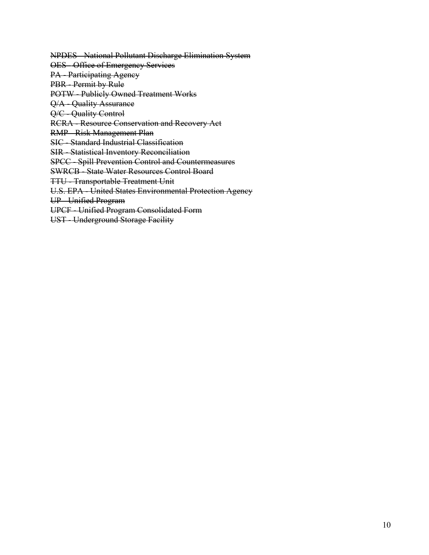NPDES - National Pollutant Discharge Elimination System

OES - Office of Emergency Services

PA - Participating Agency

PBR - Permit by Rule

POTW - Publicly Owned Treatment Works

Q/A - Quality Assurance

Q/C - Quality Control

RCRA - Resource Conservation and Recovery Act

RMP - Risk Management Plan

SIC - Standard Industrial Classification

SIR - Statistical Inventory Reconciliation

SPCC - Spill Prevention Control and Countermeasures

SWRCB - State Water Resources Control Board

TTU - Transportable Treatment Unit

U.S. EPA - United States Environmental Protection Agency

UP - Unified Program

UPCF - Unified Program Consolidated Form

UST - Underground Storage Facility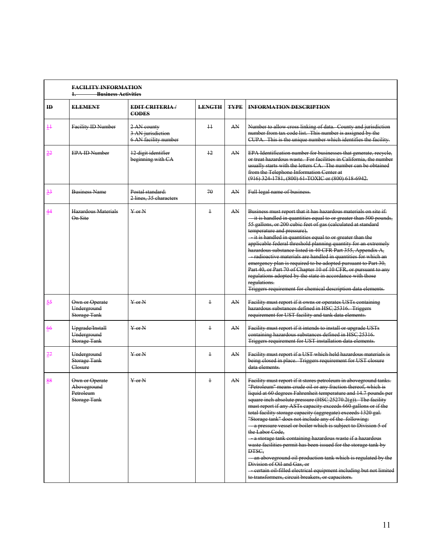|                | <b>FACILITY INFORMATION</b><br><b>Business Activities</b>  |                                                          |                 |             |                                                                                                                                                                                                                                                                                                                                                                                                                                                                                                                                                                                                                                                                                                                                                                                                                                                                                                                            |
|----------------|------------------------------------------------------------|----------------------------------------------------------|-----------------|-------------|----------------------------------------------------------------------------------------------------------------------------------------------------------------------------------------------------------------------------------------------------------------------------------------------------------------------------------------------------------------------------------------------------------------------------------------------------------------------------------------------------------------------------------------------------------------------------------------------------------------------------------------------------------------------------------------------------------------------------------------------------------------------------------------------------------------------------------------------------------------------------------------------------------------------------|
| ID             | <b>ELEMENT</b>                                             | <b>EDIT CRITERIA/</b><br><b>CODES</b>                    | <b>LENGTH</b>   | <b>TYPE</b> | <b>INFORMATION DESCRIPTION</b>                                                                                                                                                                                                                                                                                                                                                                                                                                                                                                                                                                                                                                                                                                                                                                                                                                                                                             |
| $\ddagger$     | Facility ID Number                                         | 2 AN county<br>3 AN jurisdiction<br>6 AN facility number | $\overline{11}$ | AN          | Number to allow cross linking of data. County and jurisdiction<br>number from tax code list. This number is assigned by the<br>CUPA. This is the unique number which identifies the facility.                                                                                                                                                                                                                                                                                                                                                                                                                                                                                                                                                                                                                                                                                                                              |
| 22             | <b>EPA ID Number</b>                                       | 12 digit identifier<br>beginning with CA                 | 12              | AN          | EPA Identification number for businesses that generate, recycle,<br>or treat hazardous waste. For facilities in California, the number<br>usually starts with the letters CA. The number can be obtained<br>from the Telephone Information Center at<br>(916) 324 1781, (800) 61 TOXIC or (800) 618 6942.                                                                                                                                                                                                                                                                                                                                                                                                                                                                                                                                                                                                                  |
| $\frac{33}{5}$ | <b>Business Name</b>                                       | Postal standard:<br>2 lines, 35 characters               | 70              | AN          | Full legal name of business.                                                                                                                                                                                                                                                                                                                                                                                                                                                                                                                                                                                                                                                                                                                                                                                                                                                                                               |
| 44             | Hazardous Materials<br>On Site                             | $Y$ or $N$                                               | $\ddagger$      | AN          | Business must report that it has hazardous materials on site if:<br>-it is handled in quantities equal to or greater than 500 pounds,<br>55 gallons, or 200 cubic feet of gas (calculated at standard<br>temperature and pressure),<br>it is handled in quantities equal to or greater than the<br>applicable federal threshold planning quantity for an extremely<br>hazardous substance listed in 40 CFR Part 355, Appendix A,<br>- radioactive materials are handled in quantities for which an<br>emergency plan is required to be adopted pursuant to Part 30,<br>Part 40, or Part 70 of Chapter 10 of 10 CFR, or pursuant to any<br>regulations adopted by the state in accordance with those<br>regulations.<br>Triggers requirement for chemical description data elements.                                                                                                                                        |
| $\frac{55}{5}$ | Own or Operate<br>Underground<br><b>Storage Tank</b>       | $Y$ or $N$                                               | $\overline{1}$  | AN          | Facility must report if it owns or operates USTs containing<br>hazardous substances defined in HSC 25316. Triggers<br>requirement for UST facility and tank data elements.                                                                                                                                                                                                                                                                                                                                                                                                                                                                                                                                                                                                                                                                                                                                                 |
| 66             | Upgrade/Install<br>Underground<br><b>Storage Tank</b>      | $Y$ or N                                                 | $\ddagger$      | AN          | Facility must report if it intends to install or upgrade USTs<br>containing hazardous substances defined in HSC 25316.<br>Triggers requirement for UST installation data elements.                                                                                                                                                                                                                                                                                                                                                                                                                                                                                                                                                                                                                                                                                                                                         |
| 77             | Underground<br><b>Storage Tank</b><br>Closure              | $Y$ or $N$                                               | $\ddagger$      | AN          | Facility must report if a UST which held hazardous materials is<br>being closed in place. Triggers requirement for UST closure<br>data elements.                                                                                                                                                                                                                                                                                                                                                                                                                                                                                                                                                                                                                                                                                                                                                                           |
| 88             | Own or Operate<br>Aboveground<br>Petroleum<br>Storage Tank | $Y$ or $N$                                               | $\overline{1}$  | AN          | Facility must report if it stores petroleum in aboveground tanks.<br>"Petroleum" means crude oil or any fraction thereof, which is<br>liquid at 60 degrees Fahrenheit temperature and 14.7 pounds per<br>square inch absolute pressure (HSC 25270.2(g)). The facility<br>must report if any ASTs capacity exceeds 660 gallons or if the<br>total facility storage capacity (aggregate) exceeds 1320 gal.<br>"Storage tank" does not include any of the following:<br>a pressure vessel or boiler which is subject to Division 5 of<br>the Labor Code,<br>a storage tank containing hazardous waste if a hazardous<br>waste facilities permit has been issued for the storage tank by<br>DTSC.<br>- an aboveground oil production tank which is regulated by the<br>Division of Oil and Gas, or<br>- certain oil filled electrical equipment including but not limited<br>to transformers, circuit breakers, or capacitors. |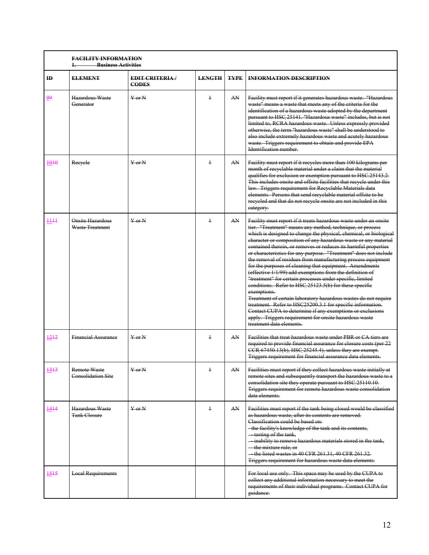|      | <b>FACILITY INFORMATION</b><br><b>Business Activities</b><br>1. |                                      |               |             |                                                                                                                                                                                                                                                                                                                                                                                                                                                                                                                                                                                                                                                                                                                                                                                                                                                                                                                                                                                                                                |
|------|-----------------------------------------------------------------|--------------------------------------|---------------|-------------|--------------------------------------------------------------------------------------------------------------------------------------------------------------------------------------------------------------------------------------------------------------------------------------------------------------------------------------------------------------------------------------------------------------------------------------------------------------------------------------------------------------------------------------------------------------------------------------------------------------------------------------------------------------------------------------------------------------------------------------------------------------------------------------------------------------------------------------------------------------------------------------------------------------------------------------------------------------------------------------------------------------------------------|
| ID   | <b>ELEMENT</b>                                                  | <b>EDIT CRITERIA</b><br><b>CODES</b> | <b>LENGTH</b> | <b>TYPE</b> | <b>INFORMATION DESCRIPTION</b>                                                                                                                                                                                                                                                                                                                                                                                                                                                                                                                                                                                                                                                                                                                                                                                                                                                                                                                                                                                                 |
| 99   | Hazardous Waste<br>Generator                                    | $Y$ or $N$                           | $\ddagger$    | AN          | Facility must report if it generates hazardous waste. "Hazardous<br>waste" means a waste that meets any of the criteria for the<br>identification of a hazardous waste adopted by the department<br>pursuant to HSC 25141. "Hazardous waste" includes, but is not<br>limited to, RCRA hazardous waste. Unless expressly provided<br>otherwise, the term "hazardous waste" shall be understood to<br>also include extremely hazardous waste and acutely hazardous<br>waste. Triggers requirement to obtain and provide EPA<br>Identification number.                                                                                                                                                                                                                                                                                                                                                                                                                                                                            |
| 4010 | Reeyele                                                         | $Y$ or $N$                           | $\ddagger$    | AN.         | Facility must report if it recycles more than 100 kilograms per<br>month of recyclable material under a claim that the material<br>qualifies for exclusion or exemption pursuant to HSC.25143.2.<br>This includes onsite and offsite facilities that recycle under this<br>law. Triggers requirement for Recyclable Materials data<br>elements. Persons that send recyclable material offsite to be<br>recycled and that do not recycle onsite are not included in this<br>eategory.                                                                                                                                                                                                                                                                                                                                                                                                                                                                                                                                           |
| H    | Onsite Hazardous<br>Waste Treatment                             | $\frac{V}{V}$ or N                   | $\ddagger$    | AN          | Facility must report if it treats hazardous waste under an onsite<br>tier. "Treatment" means any method, technique, or process<br>which is designed to change the physical, chemical, or biological<br>character or composition of any hazardous waste or any material<br>contained therein, or removes or reduces its harmful properties<br>or characteristics for any purpose. "Treatment" does not include<br>the removal of residues from manufacturing process equipment<br>for the purposes of cleaning that equipment. Amendments<br>(effective 1/1/99) add exemptions from the definition of<br>"treatment" for certain processes under specific, limited<br>eonditions. Refer to HSC 25123.5(b) for these specific<br>exemptions.<br>Treatment of certain laboratory hazardous wastes do not require<br>treatment. Refer to HSC25200.3.1 for specific information.<br>Contact CUPA to determine if any exemptions or exclusions<br>apply. Triggers requirement for onsite hazardous waste<br>treatment data elements. |
| 1212 | <b>Financial Assurance</b>                                      | $Y$ or N                             | $\ddagger$    | AN          | Facilities that treat hazardous waste under PBR or CA tiers are<br>required to provide financial assurance for closure costs (per 22<br>CCR 67450.13(b), HSC 25245.4), unless they are exempt.<br>Triggers requirement for financial assurance data elements.                                                                                                                                                                                                                                                                                                                                                                                                                                                                                                                                                                                                                                                                                                                                                                  |
| 1313 | <b>Remote Waste</b><br><b>Consolidation Site</b>                | $Y$ or $N$                           | ł             | AN          | Facilities must report if they collect hazardous waste initially at<br>remote sites and subsequently transport the hazardous waste to a<br>consolidation site they operate pursuant to HSC 25110.10.<br>Triggers requirement for remote hazardous waste consolidation<br>data elements.                                                                                                                                                                                                                                                                                                                                                                                                                                                                                                                                                                                                                                                                                                                                        |
| 4444 | Hazardous Waste<br><b>Tank Closure</b>                          | $Y$ or N                             | $\ddagger$    | AN.         | Facilities must report if the tank being closed would be classified<br>as hazardous waste, after its contents are removed.<br>Classification could be based on:<br>- the facility's knowledge of the tank and its contents,<br>-testing of the tank,<br>inability to remove hazardous materials stored in the tank,<br>the mixture rule, or<br>the listed wastes in 40 CFR 261.31, 40 CFR 261.32.<br>Triggers requirement for hazardous waste data elements.                                                                                                                                                                                                                                                                                                                                                                                                                                                                                                                                                                   |
| 1515 | <b>Local Requirements</b>                                       |                                      |               |             | For local use only. This space may be used by the CUPA to<br>collect any additional information necessary to meet the<br>requirements of their individual programs. Contact CUPA for<br>guidance.                                                                                                                                                                                                                                                                                                                                                                                                                                                                                                                                                                                                                                                                                                                                                                                                                              |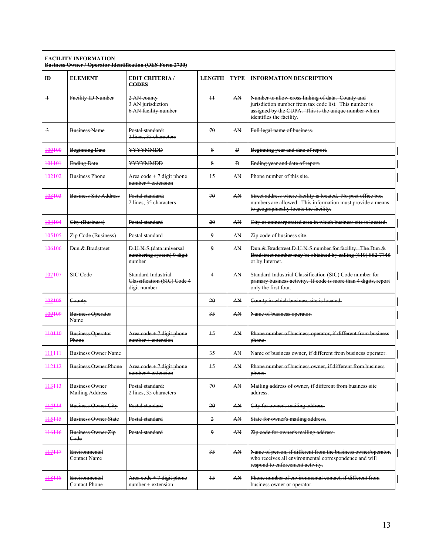### **FACILITY INFORMATION Business Owner / Operator Identification (OES Form 2730)**

|                          |                                                 | <del>pasmess Owner / Operator racmmeation (OLS 1 01m 2700)</del>      |               |             |                                                                                                                                                                                                  |
|--------------------------|-------------------------------------------------|-----------------------------------------------------------------------|---------------|-------------|--------------------------------------------------------------------------------------------------------------------------------------------------------------------------------------------------|
| ID                       | <b>ELEMENT</b>                                  | <b>EDIT CRITERIA/</b><br><b>CODES</b>                                 | <b>LENGTH</b> | <b>TYPE</b> | <b>INFORMATION DESCRIPTION</b>                                                                                                                                                                   |
| $\overline{\phantom{0}}$ | Facility ID Number                              | 2 AN county<br>3 AN jurisdiction<br>6 AN facility number              | $\pm$         | AN          | Number to allow cross linking of data. County and<br>jurisdiction number from tax code list. This number is<br>assigned by the CUPA. This is the unique number which<br>identifies the facility. |
| -3                       | <b>Business Name</b>                            | Postal standard:<br>2 lines, 35 characters                            | 70            | AN          | Full legal name of business.                                                                                                                                                                     |
| 100100                   | <b>Beginning Date</b>                           | YYYYMMDD                                                              | 8             | Đ           | Beginning year and date of report.                                                                                                                                                               |
| 101101                   | <b>Ending Date</b>                              | YYYYMMDD                                                              | 8             | Đ           | Ending year and date of report.                                                                                                                                                                  |
| 102102                   | <b>Business Phone</b>                           | Area $\text{code} + 7$ digit phone<br>$number + extension$            | 15            | AN          | Phone number of this site.                                                                                                                                                                       |
| 103103                   | <b>Business Site Address</b>                    | Postal standard:<br>2 lines, 35 characters                            | 70            | AN          | Street address where facility is located. No post office box<br>numbers are allowed. This information must provide a means<br>to geographically locate the facility.                             |
| 104104                   | City (Business)                                 | Postal standard                                                       | 20            | AN          | City or unincorporated area in which business site is located.                                                                                                                                   |
| 105105                   | Zip Code (Business)                             | Postal standard                                                       | 9             | AN          | Zip code of business site.                                                                                                                                                                       |
| 106106                   | Dun & Bradstreet                                | <b>D U N S (data universal</b><br>numbering system) 9 digit<br>number | 9             | AN          | Dun & Bradstreet D U N S number for facility. The Dun &<br>Bradstreet number may be obtained by calling (610) 882-7748<br>or by Internet.                                                        |
| 107107                   | SIC Code                                        | Standard Industrial<br>Classification (SIC) Code 4<br>digit number    | 4             | AN          | Standard Industrial Classification (SIC) Code number for<br>primary business activity. If code is more than 4 digits, report<br>only the first four.                                             |
| 108108                   | County                                          |                                                                       | 20            | AN          | County in which business site is located.                                                                                                                                                        |
| 109109                   | <b>Business Operator</b><br>Name                |                                                                       | 35            | AN          | Name of business operator.                                                                                                                                                                       |
| 110110                   | <b>Business Operator</b><br>Phone               | Area $\text{code} + 7$ digit phone<br>$number + extension$            | 15            | AN          | Phone number of business operator, if different from business<br>phone.                                                                                                                          |
| ++++++                   | <b>Business Owner Name</b>                      |                                                                       | 35            | AN          | Name of business owner, if different from business operator.                                                                                                                                     |
| 112112                   | <b>Business Owner Phone</b>                     | Area code $+7$ digit phone<br>$number + extension$                    | 15            | AN          | Phone number of business owner, if different from business<br>phone.                                                                                                                             |
| 113113                   | <b>Business Owner</b><br><b>Mailing Address</b> | Postal standard:<br>2 lines, 35 characters                            | 70            | AN          | Mailing address of owner, if different from business site<br>address.                                                                                                                            |
| 114114                   | <b>Business Owner City</b>                      | Postal standard                                                       | 20            | AN          | City for owner's mailing address.                                                                                                                                                                |
| 115115                   | <b>Business Owner State</b>                     | Postal standard                                                       | 2             | AN          | State for owner's mailing address.                                                                                                                                                               |
| 116116                   | <b>Business Owner Zip</b><br>Code               | Postal standard                                                       | 9             | AN          | Zip code for owner's mailing address.                                                                                                                                                            |
| 117117                   | Environmental<br>Contact Name                   |                                                                       | 35            | AN          | Name of person, if different from the business owner/operator,<br>who receives all environmental correspondence and will<br>respond to enforcement activity.                                     |
| 118118                   | Environmental<br><b>Contact Phone</b>           | Area $\text{code} + 7$ digit phone<br>$number + extension$            | 15            | AN          | Phone number of environmental contact, if different from<br>business owner or operator.                                                                                                          |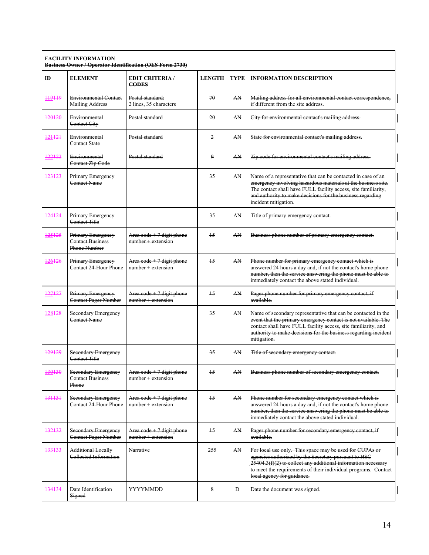### **FACILITY INFORMATION Business Owner / Operator Identification (OES Form 2730)**

| $\mathbf{H}$ | <b>ELEMENT</b>                                                 | <b>EDIT CRITERIA/</b><br><b>CODES</b>                      | <b>LENGTH</b>   | <b>TYPE</b> | <b>INFORMATION DESCRIPTION</b>                                                                                                                                                                                                                                                        |
|--------------|----------------------------------------------------------------|------------------------------------------------------------|-----------------|-------------|---------------------------------------------------------------------------------------------------------------------------------------------------------------------------------------------------------------------------------------------------------------------------------------|
| 119119       | <b>Environmental Contact</b><br><b>Mailing Address</b>         | Postal standard:<br>2 lines, 35 characters                 | 70              | AN          | Mailing address for all environmental contact correspondence,<br>if different from the site address.                                                                                                                                                                                  |
| 120120       | Environmental<br>Contact City                                  | Postal standard                                            | 20              | AN          | City for environmental contact's mailing address.                                                                                                                                                                                                                                     |
| 121121       | Environmental<br>Contact State                                 | Postal standard                                            | 2               | AN          | State for environmental contact's mailing address.                                                                                                                                                                                                                                    |
| 122122       | Environmental<br>Contact Zip Code                              | Postal standard                                            | $\mathbf Q$     | AN          | Zip code for environmental contact's mailing address.                                                                                                                                                                                                                                 |
| 123123       | Primary Emergency<br>Contact Name                              |                                                            | 35              | AN          | Name of a representative that can be contacted in case of an<br>emergency involving hazardous materials at the business site.<br>The contact shall have FULL facility access, site familiarity,<br>and authority to make decisions for the business regarding<br>incident mitigation. |
| 124124       | Primary Emergency<br>Contact Title                             |                                                            | 35              | AN          | Title of primary emergency contact.                                                                                                                                                                                                                                                   |
| 125125       | Primary Emergency<br><b>Contact Business</b><br>Phone Number   | Area $\cot$ + 7 digit phone<br>$number + extension$        | 15              | AN          | Business phone number of primary emergency contact.                                                                                                                                                                                                                                   |
| 126126       | Primary Emergency<br>Contact 24 Hour Phone                     | Area $\text{code} + 7$ digit phone<br>$number + extension$ | $\overline{15}$ | AN          | Phone number for primary emergency contact which is<br>answered 24 hours a day and, if not the contact's home phone<br>number, then the service answering the phone must be able to<br>immediately contact the above stated individual.                                               |
| 127127       | Primary Emergency<br><b>Contact Pager Number</b>               | Area $\text{code} + 7$ digit phone<br>$number + extension$ | $\overline{15}$ | AN          | Pager phone number for primary emergency contact, if<br>available.                                                                                                                                                                                                                    |
| 128128       | Secondary Emergency<br>Contact Name                            |                                                            | 35              | AN          | Name of secondary representative that can be contacted in the<br>event that the primary emergency contact is not available. The<br>contact shall have FULL facility access, site familiarity, and<br>authority to make decisions for the business regarding incident<br>mitigation.   |
| 129129       | <b>Secondary Emergency</b><br>Contact Title                    |                                                            | 35              | AN          | Title of secondary emergency contact.                                                                                                                                                                                                                                                 |
| 130130       | <b>Secondary Emergency</b><br><b>Contact Business</b><br>Phone | Area code + 7 digit phone<br>$number + extension$          | $\overline{15}$ | AN          | Business phone number of secondary emergency contact.                                                                                                                                                                                                                                 |
| 131131       | <b>Secondary Emergency</b><br>Contact 24-Hour Phone            | Area $\text{code} + 7$ digit phone<br>$number + extension$ | $\overline{15}$ | AN          | Phone number for secondary emergency contact which is<br>answered 24 hours a day and, if not the contact's home phone<br>number, then the service answering the phone must be able to<br>immediately contact the above stated individual.                                             |
| 132132       | <b>Secondary Emergency</b><br>Contact Pager Number             | Area code + 7 digit phone<br>$number + extension$          | $\overline{15}$ | AN          | Pager phone number for secondary emergency contact, if<br>available.                                                                                                                                                                                                                  |
| 133133       | <b>Additional Locally</b><br>Collected Information             | Narrative                                                  | 255             | AN          | For local use only. This space may be used for CUPAs or<br>agencies authorized by the Secretary pursuant to HSC<br>$25404.3(f)(2)$ to collect any additional information necessary<br>to meet the requirements of their individual programs. Contact<br>local agency for guidance.    |
| 134134       | Date Identification<br>Signed                                  | YYYYMMDD                                                   | 8               | Đ           | Date the document was signed.                                                                                                                                                                                                                                                         |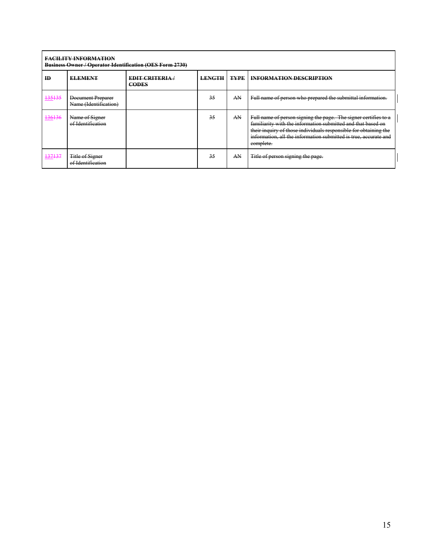### **FACILITY INFORMATION Business Owner / Operator Identification (OES Form 2730)**

| $Pu$ , $Pu$ , $Pu$ , $Pu$ , $Pu$ , $Pu$ , $Pu$ , $Pu$ , $Pu$ , $Pu$ , $Pu$ , $Pu$ , $Pu$ , $Pu$ , $Pu$ , $Pu$ , $Pu$ , $Pu$ , $P$ |                                            |                                      |               |             |                                                                                                                                                                                                                                                                                      |  |  |  |
|-----------------------------------------------------------------------------------------------------------------------------------|--------------------------------------------|--------------------------------------|---------------|-------------|--------------------------------------------------------------------------------------------------------------------------------------------------------------------------------------------------------------------------------------------------------------------------------------|--|--|--|
| <b>ID</b>                                                                                                                         | <b>ELEMENT</b>                             | <b>EDIT CRITERIA</b><br><b>CODES</b> | <b>LENGTH</b> | <b>TYPE</b> | <b>INFORMATION DESCRIPTION</b>                                                                                                                                                                                                                                                       |  |  |  |
| 135135                                                                                                                            | Document Preparer<br>Name (Identification) |                                      | 35            | AN          | Full name of person who prepared the submittal information.                                                                                                                                                                                                                          |  |  |  |
| 136136                                                                                                                            | Name of Signer<br>of Identification        |                                      | 35            | AN          | Full name of person signing the page. The signer certifies to a<br>familiarity with the information submitted and that based on<br>their inquiry of those individuals responsible for obtaining the<br>information, all the information submitted is true, accurate and<br>complete. |  |  |  |
| 137137                                                                                                                            | Title of Signer<br>of Identification       |                                      | 35            | AN          | Title of person signing the page.                                                                                                                                                                                                                                                    |  |  |  |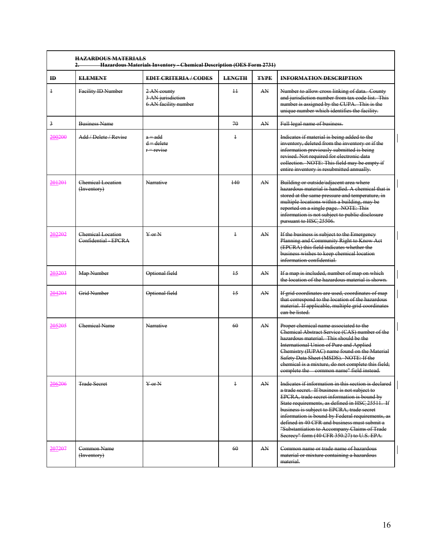| ID.                     | <b>ELEMENT</b>                                 | <b>EDIT CRITERIA/CODES</b>                               | <b>LENGTH</b>  | <b>TYPE</b> | <b>INFORMATION DESCRIPTION</b>                                                                                                                                                                                                                                                                                                                                                                                                                          |
|-------------------------|------------------------------------------------|----------------------------------------------------------|----------------|-------------|---------------------------------------------------------------------------------------------------------------------------------------------------------------------------------------------------------------------------------------------------------------------------------------------------------------------------------------------------------------------------------------------------------------------------------------------------------|
| $\ddagger$              | Facility ID Number                             | 2 AN county<br>3 AN jurisdiction<br>6 AN facility number | $\pm$          | AN          | Number to allow cross linking of data. County<br>and jurisdiction number from tax code list. This<br>number is assigned by the CUPA. This is the<br>unique number which identifies the facility.                                                                                                                                                                                                                                                        |
| $\overline{\mathbf{3}}$ | <b>Business Name</b>                           |                                                          | 70             | AN          | Full legal name of business.                                                                                                                                                                                                                                                                                                                                                                                                                            |
| 200200                  | Add / Delete / Revise                          | $a = add$<br>$d =$ delete<br>$r = revise$                | $\ddagger$     |             | Indicates if material is being added to the<br>inventory, deleted from the inventory or if the<br>information previously submitted is being<br>revised. Not required for electronic data<br>collection. NOTE: This field may be empty if<br>entire inventory is resubmitted annually.                                                                                                                                                                   |
| 201201                  | Chemical Location<br>$(H$ nventory $)$         | Narrative                                                | 140            | AN          | Building or outside/adjacent area where<br>hazardous material is handled. A chemical that is<br>stored at the same pressure and temperature, in<br>multiple locations within a building, may be<br>reported on a single page. NOTE: This<br>information is not subject to public disclosure<br>pursuant to HSC 25506.                                                                                                                                   |
| 202202                  | <b>Chemical Location</b><br>Confidential EPCRA | $Y$ or $N$                                               | $\overline{1}$ | AN          | If the business is subject to the Emergency<br>Planning and Community Right to Know Act<br>(EPCRA) this field indicates whether the<br>business wishes to keep chemical location<br>information confidential.                                                                                                                                                                                                                                           |
| 203203                  | Map Number                                     | Optional field                                           | 15             | AN          | If a map is included, number of map on which<br>the location of the hazardous material is shown.                                                                                                                                                                                                                                                                                                                                                        |
| 204204                  | <b>Grid Number</b>                             | Optional field                                           | 15             | AN          | If grid coordinates are used, coordinates of map<br>that correspond to the location of the hazardous<br>material. If applicable, multiple grid coordinates<br>ean be listed.                                                                                                                                                                                                                                                                            |
| 205205                  | Chemical Name                                  | Narrative                                                | 60             | AN          | Proper chemical name associated to the<br>Chemical Abstract Service (CAS) number of the<br>hazardous material. This should be the<br><b>International Union of Pure and Applied</b><br>Chemistry (IUPAC) name found on the Material<br>Safety Data Sheet (MSDS). NOTE: If the<br>chemical is a mixture, do not complete this field;<br>complete the common name" field instead.                                                                         |
| 206206                  | <b>Trade Secret</b>                            | $Y$ or N                                                 | $\ddagger$     | AN          | Indicates if information in this section is declared<br>a trade secret. If business is not subject to<br>EPCRA, trade secret information is bound by<br>State requirements, as defined in HSC 25511. If<br>business is subject to EPCRA, trade secret<br>information is bound by Federal requirements, as<br>defined in 40 CFR and business must submit a<br>"Substantiation to Accompany Claims of Trade<br>Secrecy" form (40 CFR 350.27) to U.S. EPA. |
| 207207                  | Common Name<br>(Inventory)                     |                                                          | 60             | AN          | Common name or trade name of hazardous<br>material or mixture containing a hazardous<br>material.                                                                                                                                                                                                                                                                                                                                                       |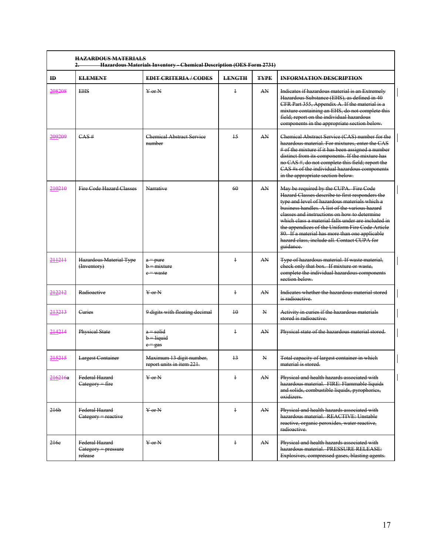| ID               | <b>ELEMENT</b>                                   | <b>EDIT CRITERIA/CODES</b>                            | <b>LENGTH</b>   | <b>TYPE</b>  | <b>INFORMATION DESCRIPTION</b>                                                                                                                                                                                                                                                                                                                                                                                                                                      |
|------------------|--------------------------------------------------|-------------------------------------------------------|-----------------|--------------|---------------------------------------------------------------------------------------------------------------------------------------------------------------------------------------------------------------------------------------------------------------------------------------------------------------------------------------------------------------------------------------------------------------------------------------------------------------------|
| 208208           | <b>EHS</b>                                       | $Y$ or $N$                                            | $\ddagger$      | AN           | Indicates if hazardous material is an Extremely<br>Hazardous Substance (EHS), as defined in 40<br>CFR Part 355, Appendix A. If the material is a<br>mixture containing an EHS, do not complete this<br>field; report on the individual hazardous<br>components in the appropriate section below.                                                                                                                                                                    |
| 209209           | CAS#                                             | <b>Chemical Abstract Service</b><br>number            | $\overline{15}$ | AN           | Chemical Abstract Service (CAS) number for the<br>hazardous material. For mixtures, enter the CAS<br># of the mixture if it has been assigned a number<br>distinct from its components. If the mixture has<br>no CAS #, do not complete this field; report the<br>CAS #s of the individual hazardous components<br>in the appropriate section below.                                                                                                                |
| 210210           | Fire Code Hazard Classes                         | Narrative                                             | 60              | AN           | May be required by the CUPA. Fire Code<br>Hazard Classes describe to first responders the<br>type and level of hazardous materials which a<br>business handles. A list of the various hazard<br>classes and instructions on how to determine<br>which class a material falls under are included in<br>the appendices of the Uniform Fire Code Article<br>80. If a material has more than one applicable<br>hazard class, include all. Contact CUPA for<br>guidance. |
| 211211           | Hazardous Material Type<br>(Inventory)           | $a = pure$<br>$b =$ mixture<br>$e$ = waste            | $\overline{1}$  | AN           | Type of hazardous material. If waste material,<br>check only that box. If mixture or waste,<br>complete the individual hazardous components<br>section below-                                                                                                                                                                                                                                                                                                       |
| 212212           | Radioactive                                      | $Y$ or $N$                                            | $\ddagger$      | AN           | Indicates whether the hazardous material stored<br>is radioactive.                                                                                                                                                                                                                                                                                                                                                                                                  |
| 213213           | Curies                                           | 9 digits with floating decimal                        | 10              | N            | Activity in curies if the hazardous materials<br>stored is radioactive.                                                                                                                                                                                                                                                                                                                                                                                             |
| 214214           | Physical State                                   | $a = solid$<br>$b =$ liquid<br>$c = gas$              | $\ddagger$      | AN           | Physical state of the hazardous material stored.                                                                                                                                                                                                                                                                                                                                                                                                                    |
| 215215           | <b>Largest Container</b>                         | Maximum 13 digit number,<br>report units in item 221. | 13              | $\mathbf{N}$ | Total capacity of largest container in which<br>material is stored.                                                                                                                                                                                                                                                                                                                                                                                                 |
| 216216a          | Federal Hazard<br>Category = fire                | $Y$ or $N$                                            | $\ddagger$      | AN           | Physical and health hazards associated with<br>hazardous material. FIRE: Flammable liquids<br>and solids, combustible liquids, pyrophorics,<br>oxidizers.                                                                                                                                                                                                                                                                                                           |
| 216 <sub>b</sub> | Federal Hazard<br>Category = reactive            | $Y$ or $N$                                            | $\ddagger$      | AN           | Physical and health hazards associated with<br>hazardous material. REACTIVE: Unstable<br>reactive, organic peroxides, water reactive,<br>radioactive.                                                                                                                                                                                                                                                                                                               |
| 216e             | Federal Hazard<br>Category = pressure<br>release | $Y$ or $N$                                            | $\ddagger$      | AN           | Physical and health hazards associated with<br>hazardous material. PRESSURE RELEASE:<br>Explosives, compressed gases, blasting agents.                                                                                                                                                                                                                                                                                                                              |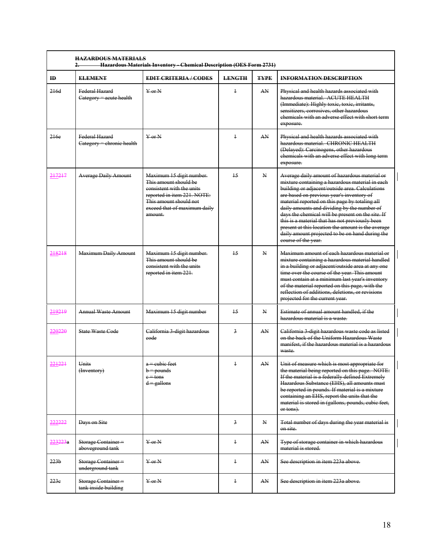| $\mathbf{m}$     | <b>ELEMENT</b>                                   | <b>EDIT CRITERIA/CODES</b>                                                                                                                                                        | <b>LENGTH</b>   | <b>TYPE</b>  | <b>INFORMATION DESCRIPTION</b>                                                                                                                                                                                                                                                                                                                                                                                                                                                                                                            |
|------------------|--------------------------------------------------|-----------------------------------------------------------------------------------------------------------------------------------------------------------------------------------|-----------------|--------------|-------------------------------------------------------------------------------------------------------------------------------------------------------------------------------------------------------------------------------------------------------------------------------------------------------------------------------------------------------------------------------------------------------------------------------------------------------------------------------------------------------------------------------------------|
| 216d             | <b>Federal Hazard</b><br>Category = acute health | $Y$ or $N$                                                                                                                                                                        | $\ddagger$      | AN           | Physical and health hazards associated with<br>hazardous material ACUTE HEALTH<br>(Immediate): Highly toxic, toxic, irritants,<br>sensitizers, corrosives, other hazardous<br>chemicals with an adverse effect with short term<br>exposure.                                                                                                                                                                                                                                                                                               |
| 216e             | Federal Hazard<br>Category = chronic health      | $\frac{V}{V}$ or N                                                                                                                                                                | $\ddagger$      | AN           | Physical and health hazards associated with<br>hazardous material. CHRONIC HEALTH<br>(Delayed): Carcinogens, other hazardous<br>chemicals with an adverse effect with long term<br>exposure.                                                                                                                                                                                                                                                                                                                                              |
| 217217           | <b>Average Daily Amount</b>                      | Maximum 15 digit number.<br>This amount should be<br>consistent with the units<br>reported in item 221. NOTE:<br>This amount should not<br>exceed that of maximum daily<br>amount | 15              | N            | Average daily amount of hazardous material or<br>mixture containing a hazardous material in each<br>building or adjacent/outside area. Calculations<br>are based on previous year's inventory of<br>material reported on this page by totaling all<br>daily amounts and dividing by the number of<br>days the chemical will be present on the site. If<br>this is a material that has not previously been<br>present at this location the amount is the average<br>daily amount projected to be on hand during the<br>course of the year. |
| 218218           | <b>Maximum Daily Amount</b>                      | Maximum 15 digit number.<br>This amount should be<br>consistent with the units<br>reported in item 221.                                                                           | 15              | $\mathbf{N}$ | Maximum amount of each hazardous material or<br>mixture containing a hazardous material handled<br>in a building or adjacent/outside area at any one<br>time over the course of the year. This amount<br>must contain at a minimum last year's inventory<br>of the material reported on this page, with the<br>reflection of additions, deletions, or revisions<br>projected for the current year.                                                                                                                                        |
| 219219           | <b>Annual Waste Amount</b>                       | Maximum 15 digit number                                                                                                                                                           | $\overline{15}$ | $\mathbf{N}$ | Estimate of annual amount handled, if the<br>hazardous material is a waste.                                                                                                                                                                                                                                                                                                                                                                                                                                                               |
| 220220           | State Waste Code                                 | California 3 digit hazardous<br>eode                                                                                                                                              | $\overline{a}$  | AN           | California 3 digit hazardous waste code as listed<br>on the back of the Uniform Hazardous Waste<br>manifest, if the hazardous material is a hazardous<br>waste.                                                                                                                                                                                                                                                                                                                                                                           |
|                  | Units<br>(Inventory)                             | a – cubie feet<br>$b =$ pounds<br>$e =$ tons<br>$d =$ gallons                                                                                                                     |                 | AN           | Unit of measure which is most appropriate for<br>the material being reported on this page. NOTE:<br>If the material is a federally defined Extremely<br>Hazardous Substance (EHS), all amounts must<br>be reported in pounds. If material is a mixture<br>containing an EHS, report the units that the<br>material is stored in (gallons, pounds, cubic feet,<br>or tons).                                                                                                                                                                |
| 222222           | Days on Site                                     |                                                                                                                                                                                   | 3               | N            | Total number of days during the year material is<br>on site.                                                                                                                                                                                                                                                                                                                                                                                                                                                                              |
| 223223a          | Storage Container =<br>aboveground tank          | $\overline{Y}$ or $\overline{N}$                                                                                                                                                  | $\ddagger$      | AN           | Type of storage container in which hazardous<br>material is stored.                                                                                                                                                                                                                                                                                                                                                                                                                                                                       |
| 223 <sub>b</sub> | Storage Container=<br>underground tank           | $\frac{V}{V}$ or $N$                                                                                                                                                              | $\ddagger$      | AN           | See description in item 223a above.                                                                                                                                                                                                                                                                                                                                                                                                                                                                                                       |
| 223c             | Storage Container=<br>tank inside building       | $Y$ or $N$                                                                                                                                                                        | $\ddagger$      | AN           | See description in item 223a above.                                                                                                                                                                                                                                                                                                                                                                                                                                                                                                       |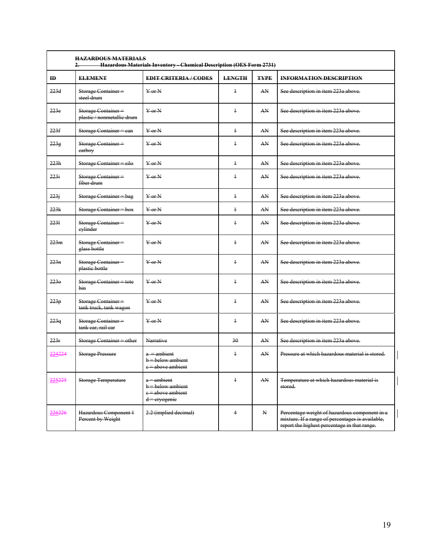| <b>HAZARDOUS MATERIALS</b><br>Hazardous Materials Inventory - Chemical Description (OES Form 2731) |                                                  |                                                                              |                |             |                                                                                                                                                   |  |  |  |
|----------------------------------------------------------------------------------------------------|--------------------------------------------------|------------------------------------------------------------------------------|----------------|-------------|---------------------------------------------------------------------------------------------------------------------------------------------------|--|--|--|
| $\mathbf{H}$                                                                                       | <b>ELEMENT</b>                                   | <b>EDIT CRITERIA/CODES</b>                                                   | <b>LENGTH</b>  | <b>TYPE</b> | <b>INFORMATION DESCRIPTION</b>                                                                                                                    |  |  |  |
| 223d                                                                                               | Storage Container=<br>steel drum                 | $Y$ or $N$                                                                   | $\ddagger$     | AN          | See description in item 223a above.                                                                                                               |  |  |  |
| 223e                                                                                               | Storage Container-<br>plastic / nonmetallic drum | $Y$ or $N$                                                                   | $\ddagger$     | AN          | See description in item 223a above.                                                                                                               |  |  |  |
| 223f                                                                                               | Storage Container = can                          | $Y$ or $N$                                                                   | $\ddagger$     | AN          | See description in item 223a above.                                                                                                               |  |  |  |
| 223g                                                                                               | Storage Container=<br>earboy                     | $Y$ or $N$                                                                   | $\overline{1}$ | AN          | See description in item 223a above.                                                                                                               |  |  |  |
| 223h                                                                                               | Storage Container = silo                         | $Y$ or $N$                                                                   | $\ddagger$     | AN          | See description in item 223a above.                                                                                                               |  |  |  |
| 223i                                                                                               | Storage Container=<br>fiber drum                 | $Y$ or $N$                                                                   | $\overline{1}$ | AN          | See description in item 223a above.                                                                                                               |  |  |  |
| 2231                                                                                               | Storage Container = bag                          | $Y$ or $N$                                                                   | $\ddagger$     | AN          | See description in item 223a above.                                                                                                               |  |  |  |
| 223k                                                                                               | Storage Container = box                          | $Y$ or $N$                                                                   | $\ddagger$     | AN          | See description in item 223a above.                                                                                                               |  |  |  |
| 2231                                                                                               | Storage Container=<br>eylinder                   | $Y$ or $N$                                                                   | $\ddagger$     | AN          | See description in item 223a above.                                                                                                               |  |  |  |
| 223m                                                                                               | Storage Container=<br>glass bottle               | $Y$ or $N$                                                                   | $\ddagger$     | AN          | See description in item 223a above.                                                                                                               |  |  |  |
| 223n                                                                                               | Storage Container=<br>plastic bottle             | $\frac{1}{2}$ or $\frac{1}{2}$                                               | $\overline{1}$ | AN          | See description in item 223a above.                                                                                                               |  |  |  |
| 223e                                                                                               | Storage Container = tote<br>hin.                 | $Y$ or $N$                                                                   | $\ddagger$     | AN          | See description in item 223a above.                                                                                                               |  |  |  |
| 223p                                                                                               | Storage Container=<br>tank truck, tank wagon     | $Y$ or $N$                                                                   | $\ddagger$     | AN          | See description in item 223a above.                                                                                                               |  |  |  |
| <del>223q</del>                                                                                    | Storage Container =<br>tank car, rail car        | $Y$ or $N$                                                                   | $\ddagger$     | AN          | See description in item 223a above.                                                                                                               |  |  |  |
| 223r                                                                                               | Storage Container = other                        | Narrative                                                                    | 30             | AN          | See description in item 223a above.                                                                                                               |  |  |  |
| 224224                                                                                             | <b>Storage Pressure</b>                          | $a =$ ambient<br>b = below ambient<br>e = above ambient                      | $\ddagger$     | AN          | Pressure at which hazardous material is stored.                                                                                                   |  |  |  |
| 225225                                                                                             | <b>Storage Temperature</b>                       | $a =$ ambient<br>$b$ = below ambient<br>e = above ambient<br>$d =$ ervogenie | $\ddagger$     | AN          | Temperature at which hazardous material is<br>stored.                                                                                             |  |  |  |
| 226226                                                                                             | Hazardous Component 1<br>Percent by Weight       | 2.2 (implied decimal)                                                        | $\overline{4}$ | N           | Percentage weight of hazardous component in a<br>mixture. If a range of percentages is available,<br>report the highest percentage in that range. |  |  |  |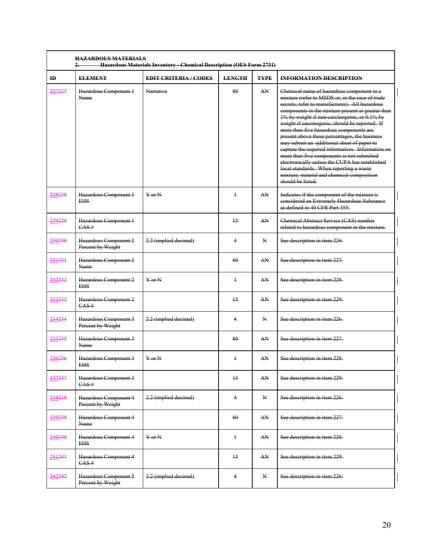| $\mathbf{H}$ | <b>ELEMENT</b>                             | <b>EDIT CRITERIA/CODES</b> | <b>LENGTH</b>   | <b>TYPE</b> | <b>INFORMATION DESCRIPTION</b>                                                                                                                                                                                                                                                                                                                                                                                                                                                                                                                                                                                                                                                                                   |
|--------------|--------------------------------------------|----------------------------|-----------------|-------------|------------------------------------------------------------------------------------------------------------------------------------------------------------------------------------------------------------------------------------------------------------------------------------------------------------------------------------------------------------------------------------------------------------------------------------------------------------------------------------------------------------------------------------------------------------------------------------------------------------------------------------------------------------------------------------------------------------------|
| 227227       | Hazardous Component 1<br>Name              | Narrative                  | 80              | AN          | Chemical name of hazardous component in a<br>mixture (refer to MSDS or, in the case of trade<br>secrets, refer to manufacturer). All hazardous<br>components in the mixture present at greater than<br>1% by weight if non-carcinogenic, or 0.1% by<br>weight if carcinogenic, should be reported. If<br>more than five hazardous components are<br>present above these percentages, the business<br>may submit an additional sheet of paper to<br>capture the required information. Information on<br>more than five components is not submitted<br>electronically unless the CUPA has established<br>local standards. When reporting a waste<br>mixture, mineral and chemical composition<br>should be listed. |
| 228228       | Hazardous Component 1<br><b>EHS</b>        | $Y$ or $N$                 | $\ddagger$      | AN          | Indicates if the component of the mixture is<br>considered an Extremely Hazardous Substance<br>as defined in 40 CFR Part 355.                                                                                                                                                                                                                                                                                                                                                                                                                                                                                                                                                                                    |
| 229229       | Hazardous Component 1<br>CAS#              |                            | 15              | AN          | Chemical Abstract Service (CAS) number<br>related to hazardous component in the mixture.                                                                                                                                                                                                                                                                                                                                                                                                                                                                                                                                                                                                                         |
| 230230       | Hazardous Component 2<br>Percent by Weight | 2.2 (implied decimal)      | 4               | N           | See description in item 226.                                                                                                                                                                                                                                                                                                                                                                                                                                                                                                                                                                                                                                                                                     |
| 231231       | Hazardous Component 2<br>Name              |                            | 80              | AN          | See description in item 227.                                                                                                                                                                                                                                                                                                                                                                                                                                                                                                                                                                                                                                                                                     |
| 232232       | Hazardous Component 2<br><b>EHS</b>        | $Y$ or $N$                 | $\ddagger$      | AN          | See description in item 228.                                                                                                                                                                                                                                                                                                                                                                                                                                                                                                                                                                                                                                                                                     |
| 233233       | Hazardous Component 2<br>CAS#              |                            | 15              | AN          | See description in item 229.                                                                                                                                                                                                                                                                                                                                                                                                                                                                                                                                                                                                                                                                                     |
| 234234       | Hazardous Component 3<br>Percent by Weight | 2.2 (implied decimal)      | $\overline{4}$  | N           | See description in item 226.                                                                                                                                                                                                                                                                                                                                                                                                                                                                                                                                                                                                                                                                                     |
| 235235       | Hazardous Component 3<br>Name              |                            | 80              | AN          | See description in item 227.                                                                                                                                                                                                                                                                                                                                                                                                                                                                                                                                                                                                                                                                                     |
| 236236       | Hazardous Component 3<br><b>EHS</b>        | $\frac{1}{2}$ or N         | $\ddagger$      | AN          | See description in item 228.                                                                                                                                                                                                                                                                                                                                                                                                                                                                                                                                                                                                                                                                                     |
| 237237       | Hazardous Component 3<br>CAS#              |                            | $\overline{15}$ | AN          | See description in item 229.                                                                                                                                                                                                                                                                                                                                                                                                                                                                                                                                                                                                                                                                                     |
| 238238       | Hazardous Component 4<br>Percent by Weight | 2.2 (implied decimal)      | 4               | N           | See description in item 226.                                                                                                                                                                                                                                                                                                                                                                                                                                                                                                                                                                                                                                                                                     |
| 239239       | Hazardous Component 4<br>Name              |                            | 80              | AN          | See description in item 227.                                                                                                                                                                                                                                                                                                                                                                                                                                                                                                                                                                                                                                                                                     |
| 240240       | Hazardous Component 4<br><b>EHS</b>        | $\frac{1}{2}$ or N         | $\ddagger$      | AN          | See description in item 228.                                                                                                                                                                                                                                                                                                                                                                                                                                                                                                                                                                                                                                                                                     |
| 241241       | Hazardous Component 4<br>CAS#              |                            | 15              | AN.         | See description in item 229.                                                                                                                                                                                                                                                                                                                                                                                                                                                                                                                                                                                                                                                                                     |
| 242242       | Hazardous Component 5<br>Percent by Weight | 2.2 (implied decimal)      | $\overline{4}$  | N           | See description in item 226.                                                                                                                                                                                                                                                                                                                                                                                                                                                                                                                                                                                                                                                                                     |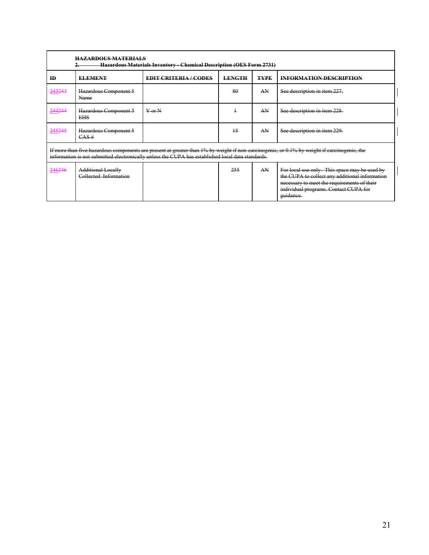| ID     | <b>ELEMENT</b>                                     | <b>EDIT CRITERIA / CODES</b>                                                                      | <b>LENGTH</b> | <b>TYPE</b> | <b>INFORMATION DESCRIPTION</b>                                                                                                                                                                       |
|--------|----------------------------------------------------|---------------------------------------------------------------------------------------------------|---------------|-------------|------------------------------------------------------------------------------------------------------------------------------------------------------------------------------------------------------|
| 243243 | Hazardous Component 5<br>Name                      |                                                                                                   | 80            | AN          | See description in item 227.                                                                                                                                                                         |
| 244244 | Hazardous Component 5<br><b>EHS</b>                | $Y$ or N                                                                                          | +             | AN          | See description in item 228.                                                                                                                                                                         |
| 245245 | Hazardous Component 5<br>CAS#                      |                                                                                                   | 15            | AN          | See description in item 229.                                                                                                                                                                         |
|        |                                                    | information is not submitted electronically unless the CUPA has established local data standards. |               |             | If more than five hazardous components are present at greater than 1% by weight if non-carcinogenic, or 0.1% by weight if carcinogenic, the                                                          |
| 246246 | <b>Additional Locally</b><br>Collected Information |                                                                                                   | 255           | AN          | For local use only. This space may be used by<br>the CUPA to collect any additional information<br>necessary to meet the requirements of their<br>individual programs. Contact CUPA for<br>guidance. |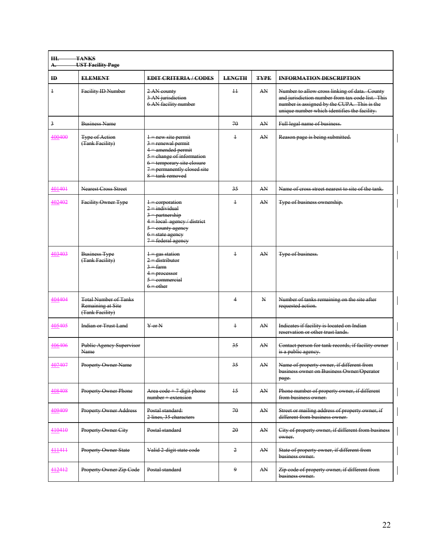| Ш.<br>А.       | <b>TANKS</b><br><b>UST Facility Page</b>                             |                                                                                                                                                                                         |               |             |                                                                                                                                                                                                  |
|----------------|----------------------------------------------------------------------|-----------------------------------------------------------------------------------------------------------------------------------------------------------------------------------------|---------------|-------------|--------------------------------------------------------------------------------------------------------------------------------------------------------------------------------------------------|
| ID             | <b>ELEMENT</b>                                                       | <b>EDIT CRITERIA / CODES</b>                                                                                                                                                            | <b>LENGTH</b> | <b>TYPE</b> | <b>INFORMATION DESCRIPTION</b>                                                                                                                                                                   |
| $\ddagger$     | <b>Facility ID Number</b>                                            | 2 AN county<br>3 AN jurisdiction<br>6 AN facility number                                                                                                                                | $\pm$         | AN          | Number to allow cross linking of data. County<br>and jurisdiction number from tax code list. This<br>number is assigned by the CUPA. This is the<br>unique number which identifies the facility. |
| $\overline{3}$ | <b>Business Name</b>                                                 |                                                                                                                                                                                         | 70            | AN          | Full legal name of business.                                                                                                                                                                     |
| 400400         | <b>Type of Action</b><br>(Tank Facility)                             | $1$ = new site permit<br>$3$ = renewal permit<br>$4$ = amended permit<br>$5$ = change of information<br>6 = temporary site closure<br>$7$ = permanently closed site<br>8 = tank removed | $\ddagger$    | AN          | Reason page is being submitted.                                                                                                                                                                  |
| 401401         | <b>Nearest Cross Street</b>                                          |                                                                                                                                                                                         | 35            | AN          | Name of cross street nearest to site of the tank.                                                                                                                                                |
| 402402         | Facility Owner Type                                                  | $1$ = corporation<br>$2$ = individual<br>$\frac{3}{2}$ = partnership<br>4 = local agency / district<br>$5 =$ county agency<br>$6$ = state agency<br>$7$ = federal agency                | $\ddagger$    | AN          | Type of business ownership.                                                                                                                                                                      |
| 403403         | <b>Business Type</b><br>(Tank Facility)                              | $1 - gas station$<br>$2 -$ distributor<br>$3 - farm$<br>$4$ = processor<br>$5$ = commercial<br>$6 =$ other                                                                              | $\ddagger$    | AN          | Type of business.                                                                                                                                                                                |
| 404404         | <b>Total Number of Tanks</b><br>Remaining at Site<br>(Tank Facility) |                                                                                                                                                                                         | 4             | N           | Number of tanks remaining on the site after<br>requested action.                                                                                                                                 |
| 405405         | <b>Indian or Trust Land</b>                                          | $Y$ or $N$                                                                                                                                                                              | $\ddagger$    | AN          | Indicates if facility is located on Indian<br>reservation or other trust lands.                                                                                                                  |
| 406406         | Public Agency Supervisor<br>Name                                     |                                                                                                                                                                                         | 35            | AN          | Contact person for tank records, if facility owner<br>is a public agency.                                                                                                                        |
| 107107         | Property Owner Name                                                  |                                                                                                                                                                                         | 25            | AN          | Name of property owner, if different from<br>business owner on Business Owner/Operator<br>page.                                                                                                  |
| 408408         | <b>Property Owner Phone</b>                                          | Area $\text{code} + 7$ digit phone<br>$number + extension$                                                                                                                              | 15            | AN          | Phone number of property owner, if different<br>from business owner.                                                                                                                             |
| 409409         | <b>Property Owner Address</b>                                        | Postal standard:<br>2 lines, 35 characters                                                                                                                                              | 70            | AN          | Street or mailing address of property owner, if<br>different from business owner.                                                                                                                |
| 410410         | Property Owner City                                                  | Postal standard                                                                                                                                                                         | 20            | AN          | City of property owner, if different from business<br>owner.                                                                                                                                     |
| 411411         | <b>Property Owner State</b>                                          | Valid 2 digit state code                                                                                                                                                                | 2             | AN          | State of property owner, if different from<br>business owner.                                                                                                                                    |
| 412412         | Property Owner Zip Code                                              | Postal standard                                                                                                                                                                         | 9             | AN          | Zip code of property owner, if different from<br>business owner.                                                                                                                                 |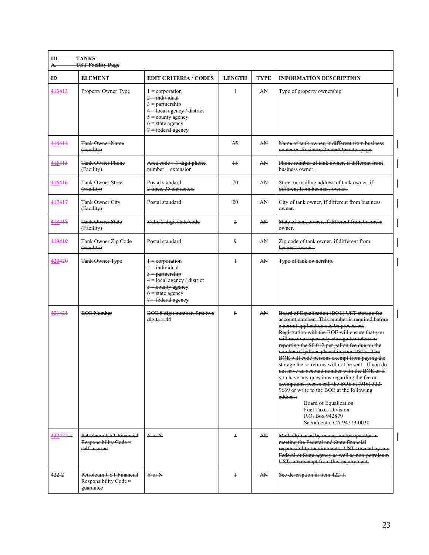| Ш.<br>А.     | <b>TANKS</b><br><b>UST Facility Page</b>                        |                                                                                                                                                                                 |                 |             |                                                                                                                                                                                                                                                                                                                                                                                                                                                                                                                                                                                                                                                                                                                                                                            |
|--------------|-----------------------------------------------------------------|---------------------------------------------------------------------------------------------------------------------------------------------------------------------------------|-----------------|-------------|----------------------------------------------------------------------------------------------------------------------------------------------------------------------------------------------------------------------------------------------------------------------------------------------------------------------------------------------------------------------------------------------------------------------------------------------------------------------------------------------------------------------------------------------------------------------------------------------------------------------------------------------------------------------------------------------------------------------------------------------------------------------------|
| $\mathbf{H}$ | <b>ELEMENT</b>                                                  | <b>EDIT CRITERIA / CODES</b>                                                                                                                                                    | <b>LENGTH</b>   | <b>TYPE</b> | <b>INFORMATION DESCRIPTION</b>                                                                                                                                                                                                                                                                                                                                                                                                                                                                                                                                                                                                                                                                                                                                             |
| 413413       | Property Owner Type                                             | $1$ = corporation<br>$2 =$ individual<br>$\frac{3 - \text{partnership}}{2}$<br>4 = local agency / district<br>$5$ = county agency<br>$6$ = state agency<br>$7$ = federal agency | $\ddagger$      | AN          | Type of property ownership.                                                                                                                                                                                                                                                                                                                                                                                                                                                                                                                                                                                                                                                                                                                                                |
| 414414       | <b>Tank Owner Name</b><br>(Facility)                            |                                                                                                                                                                                 | 35              | AN          | Name of tank owner, if different from business<br>owner on Business Owner/Operator page.                                                                                                                                                                                                                                                                                                                                                                                                                                                                                                                                                                                                                                                                                   |
| 415415       | <b>Tank Owner Phone</b><br>(Facility)                           | Area $\text{code} + 7$ digit phone<br>$number + extension$                                                                                                                      | $\overline{15}$ | AN          | Phone number of tank owner, if different from<br>business owner.                                                                                                                                                                                                                                                                                                                                                                                                                                                                                                                                                                                                                                                                                                           |
| 416416       | <b>Tank Owner Street</b><br>(Facility)                          | Postal standard:<br>2 lines, 35 characters                                                                                                                                      | 70              | AN          | Street or mailing address of tank owner, if<br>different from business owner.                                                                                                                                                                                                                                                                                                                                                                                                                                                                                                                                                                                                                                                                                              |
| 417417       | <b>Tank Owner City</b><br>(Facility)                            | Postal standard                                                                                                                                                                 | 20              | AN          | City of tank owner, if different from business<br>owner.                                                                                                                                                                                                                                                                                                                                                                                                                                                                                                                                                                                                                                                                                                                   |
| 418418       | <b>Tank Owner State</b><br>(Facility)                           | Valid 2 digit state code                                                                                                                                                        | 2               | AN          | State of tank owner, if different from business<br>owner.                                                                                                                                                                                                                                                                                                                                                                                                                                                                                                                                                                                                                                                                                                                  |
| 419419       | <b>Tank Owner Zip Code</b><br>(Facility)                        | Postal standard                                                                                                                                                                 | 9               | AN          | Zip code of tank owner, if different from<br>business owner.                                                                                                                                                                                                                                                                                                                                                                                                                                                                                                                                                                                                                                                                                                               |
| 420420       | <b>Tank Owner Type</b>                                          | $1$ = corporation<br>$2 =$ individual<br>$\frac{3 - \text{partnership}}{2}$<br>4 = local agency / district<br>$5$ = county agency<br>$6$ = state agency<br>$7$ = federal agency | $\ddagger$      | AN          | Type of tank ownership.                                                                                                                                                                                                                                                                                                                                                                                                                                                                                                                                                                                                                                                                                                                                                    |
| 421421       | <b>BOE Number</b>                                               | BOE 8 digit number, first two<br>$digits = 44$                                                                                                                                  | 8               | AN          | Board of Equalization (BOE) UST storage fee<br>account number. This number is required before<br>a permit application can be processed.<br>Registration with the BOE will ensure that you<br>will receive a quarterly storage fee return in<br>reporting the \$0.012 per gallon fee due on the<br>number of gallons placed in your USTs. The<br>BOE will code persons exempt from paying the<br>storage fee so returns will not be sent. If you do<br>not have an account number with the BOE or if<br>you have any questions regarding the fee or<br>exemptions, please call the BOE at (916) 322-<br>9669 or write to the BOE at the following<br>address:<br><b>Board of Equalization</b><br><b>Fuel Taxes Division</b><br>P.O. Box 942879<br>Sacramento, CA 94279 0030 |
| 422422-1     | Petroleum UST Financial<br>Responsibility Code=<br>self insured | $Y$ or $N$                                                                                                                                                                      | $\ddagger$      | AN          | Method(s) used by owner and/or operator in<br>meeting the Federal and State financial<br>responsibility requirements. USTs owned by any<br>Federal or State agency as well as non-petroleum<br>USTs are exempt from this requirement.                                                                                                                                                                                                                                                                                                                                                                                                                                                                                                                                      |
| $422 - 2$    | Petroleum UST Financial<br>Responsibility Code=<br>guarantee    | $Y$ or $N$                                                                                                                                                                      | $\ddagger$      | AN          | See description in item 422 1.                                                                                                                                                                                                                                                                                                                                                                                                                                                                                                                                                                                                                                                                                                                                             |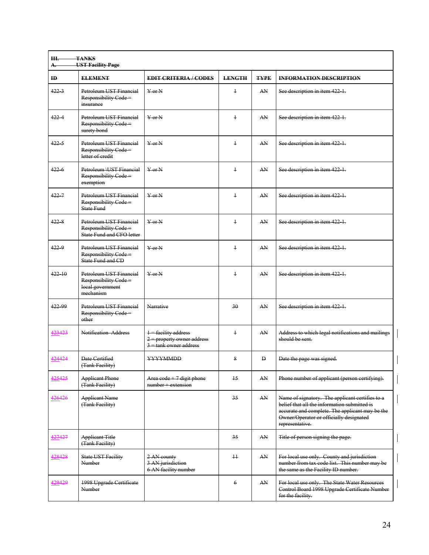| Ш.<br>А.     | <b>TANKS</b><br><b>UST Facility Page</b>                                         |                                                                                                                                                                                     |                 |             |                                                                                                                                                                                                                  |
|--------------|----------------------------------------------------------------------------------|-------------------------------------------------------------------------------------------------------------------------------------------------------------------------------------|-----------------|-------------|------------------------------------------------------------------------------------------------------------------------------------------------------------------------------------------------------------------|
| $\mathbf{H}$ | <b>ELEMENT</b>                                                                   | <b>EDIT CRITERIA/CODES</b>                                                                                                                                                          | <b>LENGTH</b>   | <b>TYPE</b> | <b>INFORMATION DESCRIPTION</b>                                                                                                                                                                                   |
| 4223         | Petroleum UST Financial<br>Responsibility Code=<br>insurance                     | $Y$ or $N$                                                                                                                                                                          | $\overline{1}$  | AN          | See description in item 422 1.                                                                                                                                                                                   |
| $422 - 4$    | Petroleum UST Financial<br>Responsibility Code=<br>surety bond                   | $Y$ or $N$                                                                                                                                                                          | $\overline{1}$  | AN          | See description in item 422 1.                                                                                                                                                                                   |
| $422 - 5$    | Petroleum UST Financial<br>Responsibility Code=<br>letter of credit              | $Y$ or $N$                                                                                                                                                                          | $\ddagger$      | AN          | See description in item 422 1.                                                                                                                                                                                   |
| $422 - 6$    | Petroleum \UST Financial<br>Responsibility Code=<br>exemption                    | $Y$ or $N$                                                                                                                                                                          | $\ddagger$      | AN          | See description in item 422-1.                                                                                                                                                                                   |
| $422 - 7$    | Petroleum UST Financial<br>Responsibility Code=<br>State Fund                    | $Y$ or $N$                                                                                                                                                                          | $\ddagger$      | AN          | See description in item 422 1.                                                                                                                                                                                   |
| 4228         | Petroleum UST Financial<br>Responsibility Code=<br>State Fund and CFO letter     | $Y$ or $N$                                                                                                                                                                          | $\ddagger$      | AN          | See description in item 422-1.                                                                                                                                                                                   |
| $422 - 9$    | Petroleum UST Financial<br>Responsibility Code =<br>State Fund and CD            | $\frac{V}{V}$ or N                                                                                                                                                                  | $\ddagger$      | AN          | See description in item 422-1.                                                                                                                                                                                   |
| $422 - 10$   | Petroleum UST Financial<br>Responsibility Code=<br>local government<br>mechanism | $Y$ or $N$                                                                                                                                                                          | $\ddagger$      | AN          | See description in item 422 1.                                                                                                                                                                                   |
| 422 99       | Petroleum UST Financial<br>Responsibility Code=<br>other                         | Narrative                                                                                                                                                                           | 30              | AN          | See description in item 422 1.                                                                                                                                                                                   |
| 423423       | Notification Address                                                             | $1$ = facility address<br>$2$ = property owner address<br>$\frac{3 - \text{rank} \cdot \text{owner} \cdot \text{address}}{3 - \text{rank} \cdot \text{owner} \cdot \text{address}}$ | $\ddagger$      | AN          | Address to which legal notifications and mailings<br>should be sent.                                                                                                                                             |
| 424424       | Date Certified<br>(Tank Facility)                                                | <b>YYYYMMDD</b>                                                                                                                                                                     | 8               | Đ           | Date the page was signed.                                                                                                                                                                                        |
| 425425       | <b>Applicant Phone</b><br>(Tank Facility)                                        | Area $\text{code} + 7$ digit phone<br>$number + extension$                                                                                                                          | 15              | AN          | Phone number of applicant (person certifying).                                                                                                                                                                   |
| 426426       | <b>Applicant Name</b><br>(Tank Facility)                                         |                                                                                                                                                                                     | 35              | AN          | Name of signatory. The applicant certifies to a<br>belief that all the information submitted is<br>accurate and complete. The applicant may be the<br>Owner/Operator or officially designated<br>representative. |
| 427427       | <b>Applicant Title</b><br>(Tank Facility)                                        |                                                                                                                                                                                     | 35              | AN          | Title of person signing the page.                                                                                                                                                                                |
| 428428       | <b>State UST Facility</b><br>Number                                              | 2 AN county<br>3 AN jurisdiction<br>6 AN facility number                                                                                                                            | $\overline{11}$ | AN          | For local use only. County and jurisdiction<br>number from tax code list. This number may be<br>the same as the Facility ID number.                                                                              |
| 429429       | 1998 Upgrade Certificate<br>Number                                               |                                                                                                                                                                                     | $\epsilon$      | AN          | For local use only. The State Water Resources<br>Control Board 1998 Upgrade Certificate Number<br>for the facility.                                                                                              |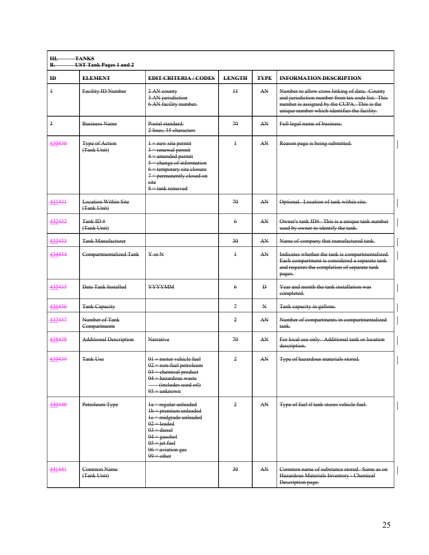| Ш.<br><b>B.</b> | <b>TANKS</b><br><b>UST Tank Pages 1 and 2</b> |                                                                                                                                                                                                 |                |              |                                                                                                                                                                                                  |
|-----------------|-----------------------------------------------|-------------------------------------------------------------------------------------------------------------------------------------------------------------------------------------------------|----------------|--------------|--------------------------------------------------------------------------------------------------------------------------------------------------------------------------------------------------|
| $\mathbf{H}$    | <b>ELEMENT</b>                                | <b>EDIT CRITERIA / CODES</b>                                                                                                                                                                    | <b>LENGTH</b>  | <b>TYPE</b>  | <b>INFORMATION DESCRIPTION</b>                                                                                                                                                                   |
| $\ddagger$      | Facility ID Number                            | 2 AN county<br>3 AN jurisdiction<br>6 AN facility number.                                                                                                                                       | 11             | AN           | Number to allow cross linking of data. County<br>and jurisdiction number from tax code list. This<br>number is assigned by the CUPA. This is the<br>unique number which identifies the facility. |
| $\overline{3}$  | <b>Business Name</b>                          | Postal standard:<br>2 lines, 35 characters                                                                                                                                                      | 70             | AN           | Full legal name of business.                                                                                                                                                                     |
| 430430          | <b>Type of Action</b><br>(Tank Unit)          | $1$ = new site permit<br>$3$ = renewal permit<br>$4$ = amended permit<br>$5$ = change of information<br>6 = temporary site closure<br>$7$ = permanently closed on<br>site<br>$8$ = tank removed | $\ddagger$     | AN           | Reason page is being submitted.                                                                                                                                                                  |
| 431431          | <b>Location Within Site</b><br>(Tank Unit)    |                                                                                                                                                                                                 | 70             | AN           | Optional. Location of tank within site.                                                                                                                                                          |
| 432432          | Tank ID#<br>(Tank Unit)                       |                                                                                                                                                                                                 | 6              | AN           | Owner's tank ID#. This is a unique tank number<br>used by owner to identify the tank.                                                                                                            |
| 433433          | <b>Tank Manufacturer</b>                      |                                                                                                                                                                                                 | 30             | AN           | Name of company that manufactured tank.                                                                                                                                                          |
| 434434          | Compartmentalized Tank                        | $Y$ or $N$                                                                                                                                                                                      | $\ddagger$     | AN           | Indicates whether the tank is compartmentalized.<br>Each compartment is considered a separate tank<br>and requires the completion of separate tank<br>pages.                                     |
| 435435          | Date Tank Installed                           | <b>YYYYMM</b>                                                                                                                                                                                   | 6              | $\mathbf{D}$ | Year and month the tank installation was<br>completed.                                                                                                                                           |
| 436436          | <b>Tank Capacity</b>                          |                                                                                                                                                                                                 | $\tau$         | N            | Tank capacity in gallons.                                                                                                                                                                        |
| 437437          | Number of Tank<br>Compartments                |                                                                                                                                                                                                 | $\overline{2}$ | AN           | Number of compartments in compartmentalized<br>tank-                                                                                                                                             |
| 438438          | <b>Additional Description</b>                 | Narrative                                                                                                                                                                                       | 70             | AN           | For local use only. Additional tank or location<br>description.                                                                                                                                  |
| 439439          | Tank Use                                      | $01$ = motor vehicle fuel<br>02 = non fuel petroleum<br>$03$ = chemical product<br>$04$ = hazardous waste<br>(includes used oil)<br>$95 =$ unknown                                              | 2              | AN           | Type of hazardous materials stored.                                                                                                                                                              |
| 440440          | Petroleum Type                                | $1a = regular unleaded$<br>$1b =$ premium unleaded<br>1e = midgrade unleaded<br>$02$ = leaded<br>$03 = diesel$<br>$04$ = gasohol<br>$05$ = jet fuel<br>$06$ = aviation gas<br>$99$ = other      | 2              | AN           | Type of fuel if tank stores vehicle fuel.                                                                                                                                                        |
| 441441          | Common Name<br>(Tank Unit)                    |                                                                                                                                                                                                 | 30             | AN           | Common name of substance stored. Same as on<br>Hazardous Materials Inventory - Chemical<br>Description page.                                                                                     |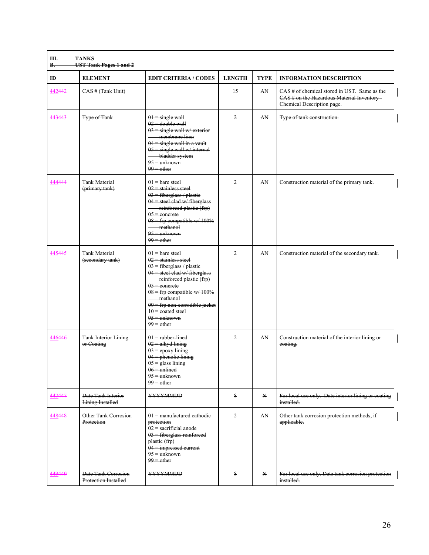| Ш.<br><b>B.</b> | <b>TANKS</b><br><b>UST Tank Pages 1 and 2</b>      |                                                                                                                                                                                                                                                                                                            |                |              |                                                                                                                          |  |  |  |  |
|-----------------|----------------------------------------------------|------------------------------------------------------------------------------------------------------------------------------------------------------------------------------------------------------------------------------------------------------------------------------------------------------------|----------------|--------------|--------------------------------------------------------------------------------------------------------------------------|--|--|--|--|
| $\mathbf{H}$    | <b>ELEMENT</b>                                     | <b>EDIT CRITERIA/CODES</b>                                                                                                                                                                                                                                                                                 | <b>LENGTH</b>  | <b>TYPE</b>  | <b>INFORMATION DESCRIPTION</b>                                                                                           |  |  |  |  |
| 442442          | CAS # (Tank Unit)                                  |                                                                                                                                                                                                                                                                                                            | 15             | AN           | CAS # of chemical stored in UST. Same as the<br>CAS # on the Hazardous Material Inventory-<br>Chemical Description page. |  |  |  |  |
| 443443          | <b>Type of Tank</b>                                | $01$ = single wall<br>$02 =$ double wall<br>$03$ = single wall w/ exterior<br>- membrane liner<br>$04$ = single wall in a vault<br>$05 = \text{single wall w/internal}$<br>bladder system<br>$95 =$ unknown<br>$99 =$ other                                                                                | $\overline{2}$ | AN           | Type of tank construction.                                                                                               |  |  |  |  |
| 444444          | <b>Tank Material</b><br>(primary tank)             | $01$ – bare steel<br>$02$ = stainless steel<br>$03$ = fiberglass / plastic<br>$04$ = steel clad w/ fiberglass<br>reinforced plastic (frp)<br>$05$ = concrete<br>$08$ = frp compatible w/ 100%<br>methanol<br>$95 =$ unknown<br>$99 -$ other                                                                | $\overline{2}$ | AN           | Construction material of the primary tank.                                                                               |  |  |  |  |
| 445445          | <b>Tank Material</b><br>(secondary tank)           | $01$ = bare steel<br>$02$ = stainless steel<br>$03$ = fiberglass / plastic<br>$04$ = steel clad w/fiberglass<br>reinforced plastic (frp)<br>$05$ = concrete<br>08 = frp compatible w/ 100%<br>methanol<br>$09$ = frp non-corrodible jacket<br>$10 = \text{coated steel}$<br>$95 =$ unknown<br>$99 -$ other | $\overline{2}$ | AN           | Construction material of the secondary tank.                                                                             |  |  |  |  |
| 446446          | <b>Tank Interior Lining</b><br>or Coating          | $01$ = rubber lined<br>$02$ = alkyd lining<br>$03 =$ epoxy lining<br>$04$ = phenolic lining<br>$05$ = glass lining<br>$06 =$ unlined<br>$95 =$ unknown<br>$99 =$ other                                                                                                                                     | $\overline{2}$ | AN           | Construction material of the interior lining or<br>coating.                                                              |  |  |  |  |
| 447447          | Date Tank Interior<br><b>Lining Installed</b>      | <b>YYYYMMDD</b>                                                                                                                                                                                                                                                                                            | 8              | $\mathbf{N}$ | For local use only. Date interior lining or coating<br>installed.                                                        |  |  |  |  |
| 448448          | Other Tank Corrosion<br>Protection                 | 01 = manufactured cathodie<br>protection<br>$02$ = sacrificial anode<br>$03$ = fiberglass reinforced<br>plastic (frp)<br>04 = impressed current<br>$95 =$ unknown<br>$99$ = other                                                                                                                          | $\overline{2}$ | AN           | Other tank corrosion protection methods, if<br>applicable.                                                               |  |  |  |  |
| 449449          | Date Tank Corrosion<br><b>Protection Installed</b> | YYYYMMDD                                                                                                                                                                                                                                                                                                   | 8              | $\mathbf{N}$ | For local use only. Date tank corrosion protection<br>installed.                                                         |  |  |  |  |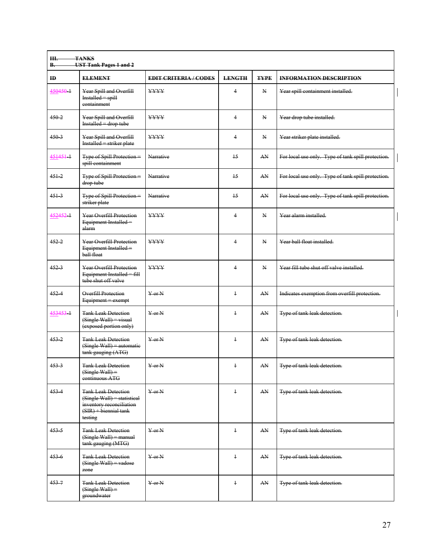| $\mathbf{H}$ | <b>ELEMENT</b>                                                                                                              | <b>EDIT CRITERIA/CODES</b> | <b>LENGTH</b>           | <b>TYPE</b> | <b>INFORMATION DESCRIPTION</b>                     |
|--------------|-----------------------------------------------------------------------------------------------------------------------------|----------------------------|-------------------------|-------------|----------------------------------------------------|
| 450450 1     | Year Spill and Overfill<br>$Insteadled = spill$<br>eontainment                                                              | <b>YYYY</b>                | $\overline{4}$          | N           | Year spill containment installed.                  |
| $450 - 2$    | Year Spill and Overfill<br>$Instead let = drop tube$                                                                        | <b>YYYY</b>                | $\overline{4}$          | N           | Year drop tube installed.                          |
| $450-3$      | Year Spill and Overfill<br>Installed = striker plate                                                                        | <b>YYYY</b>                | 4                       | N           | Year striker plate installed.                      |
| 451451-1     | Type of Spill Protection =<br>spill containment                                                                             | <b>Narrative</b>           | $\overline{15}$         | AN          | For local use only. Type of tank spill protection. |
| $451 - 2$    | Type of Spill Protection =<br>drop tube                                                                                     | <b>Narrative</b>           | $\overline{15}$         | AN          | For local use only. Type of tank spill protection. |
| $451 - 3$    | Type of Spill Protection =<br>striker plate                                                                                 | Narrative                  | $\overline{15}$         | AN.         | For local use only. Type of tank spill protection. |
| 452452-1     | Year Overfill Protection<br>Equipment Installed=<br>alarm                                                                   | <b>YYYY</b>                | 4                       | N           | Year alarm installed                               |
| $452 - 2$    | Year Overfill Protection<br>Equipment Installed=<br>ball float                                                              | <b>YYYY</b>                | $\overline{4}$          | N           | Year ball float installed.                         |
| 4523         | Year Overfill Protection<br>Equipment Installed = $fi\mu$<br>tube shut off valve                                            | <b>YYYY</b>                | $\overline{\mathbf{4}}$ | N           | Year fill tube shut off valve installed.           |
| $452 - 4$    | <b>Overfill Protection</b><br>Equipment = exempt                                                                            | $Y$ or $N$                 | $\ddagger$              | AN          | Indicates exemption from overfill protection.      |
| 453453 1     | <b>Tank Leak Detection</b><br>$(Single Wall) = visual$<br>(exposed portion only)                                            | $Y$ or $N$                 | $\ddagger$              | AN.         | Type of tank leak detection.                       |
| $453 - 2$    | <b>Tank Leak Detection</b><br>$(Single Wall) = automatic$<br>tank gauging (ATG)                                             | $Y$ or $N$                 | $\ddagger$              | AN          | Type of tank leak detection.                       |
| $453 - 3$    | <b>Tank Leak Detection</b><br>$(Single Wall) =$<br>continuous ATG                                                           | $Y$ or $N$                 | $\ddagger$              | AN          | Type of tank leak detection.                       |
| $453 - 4$    | <b>Tank Leak Detection</b><br>(Single Wall) = statistical<br>inventory reconciliation<br>$(SIR) + biennial tank$<br>testing | $Y$ or $N$                 | $\ddagger$              | AN          | Type of tank leak detection.                       |
| $453 - 5$    | <b>Tank Leak Detection</b><br>$(Single Wall) = manual$<br>tank gauging (MTG)                                                | $Y$ or $N$                 | $\ddagger$              | AN          | Type of tank leak detection.                       |
| 4536         | <b>Tank Leak Detection</b><br>(Single Wall) = vadose<br>zone                                                                | $Y$ or $N$                 | $\ddagger$              | AN          | Type of tank leak detection.                       |
| $453 - 7$    | <b>Tank Leak Detection</b><br>$(Single Wall) =$<br>groundwater                                                              | $Y$ or $N$                 | $\ddagger$              | AN          | Type of tank leak detection.                       |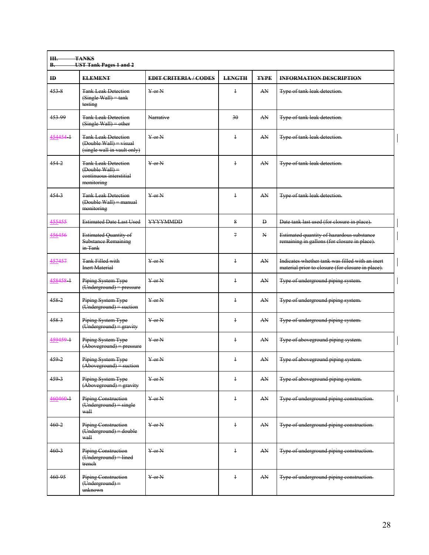| ID        | <b>ELEMENT</b>                                                                           | <b>EDIT CRITERIA/CODES</b> | <b>LENGTH</b> | <b>TYPE</b> | <b>INFORMATION DESCRIPTION</b>                                                                       |
|-----------|------------------------------------------------------------------------------------------|----------------------------|---------------|-------------|------------------------------------------------------------------------------------------------------|
| 4538      | <b>Tank Leak Detection</b><br>$(Single Wall) = tank$<br>testing                          | $Y$ or $N$                 | $\ddagger$    | AN          | Type of tank leak detection.                                                                         |
| 453 99    | <b>Tank Leak Detection</b><br>$(Single Wall) = other$                                    | Narrative                  | 30            | AN          | Type of tank leak detection.                                                                         |
| 454454-1  | <b>Tank Leak Detection</b><br>(Double Wall) = visual<br>(single wall in vault only)      | $Y$ or $N$                 | $\ddagger$    | AN          | Type of tank leak detection.                                                                         |
| $454 - 2$ | <b>Tank Leak Detection</b><br>$(Double Wall) =$<br>continuous interstitial<br>monitoring | $Y$ or $N$                 | $\ddagger$    | AN          | Type of tank leak detection.                                                                         |
| 4543      | <b>Tank Leak Detection</b><br>(Double Wall) = manual<br>monitoring                       | $Y$ or $N$                 | $\ddagger$    | AN          | Type of tank leak detection.                                                                         |
| 455455    | <b>Estimated Date Last Used</b>                                                          | YYYYMMDD                   | 8             | Đ           | Date tank last used (for closure in place).                                                          |
| 456456    | Estimated Quantity of<br><b>Substance Remaining</b><br>in Tank                           |                            | $\tau$        | N           | Estimated quantity of hazardous substance<br>remaining in gallons (for closure in place).            |
| 457457    | <b>Tank Filled with</b><br><b>Inert Material</b>                                         | $Y$ or $N$                 | $\ddagger$    | AN          | Indicates whether tank was filled with an inert<br>material prior to closure (for closure in place). |
| 458458 1  | Piping System Type<br>(Underground) = pressure                                           | $Y$ or $N$                 | $\ddagger$    | AN          | Type of underground piping system.                                                                   |
| 4582      | Piping System Type<br>(Underground) = suction                                            | $Y$ or $N$                 | $\ddagger$    | AN          | Type of underground piping system.                                                                   |
| 4583      | Piping System Type<br>$(Underground) = gravity$                                          | $Y$ or $N$                 | $\ddagger$    | AN          | Type of underground piping system.                                                                   |
| 459459 1  | Piping System Type<br>$(Aboveground)$ = pressure                                         | $Y$ or $N$                 | $\ddagger$    | AN          | Type of aboveground piping system.                                                                   |
| $459 - 2$ | Piping System Type<br>$(Aboveground) = 1$ suction                                        | $Y$ or $N$                 | $\ddagger$    | AN          | Type of aboveground piping system.                                                                   |
| 459-3     | Piping System Type<br>$(Aboveground) = gravity$                                          | $Y$ or $N$                 | $\ddagger$    | AN          | Type of aboveground piping system.                                                                   |
| 460460 1  | <b>Piping Construction</b><br>$(Underground) = single$<br>wall                           | $Y$ or $N$                 | $\ddagger$    | AN          | Type of underground piping construction.                                                             |
| $460-2$   | <b>Piping Construction</b><br>(Underground) = double<br>wall                             | $Y$ or $N$                 | $\ddagger$    | AN          | Type of underground piping construction.                                                             |
| $460-3$   | <b>Piping Construction</b><br>(Underground) = lined<br>trench                            | $Y$ or $N$                 | $\ddagger$    | AN          | Type of underground piping construction.                                                             |
| 460 95    | <b>Piping Construction</b><br>$(\overline{U}$ nderground) =<br>unknown                   | $Y$ or $N$                 | $\ddagger$    | AN          | Type of underground piping construction.                                                             |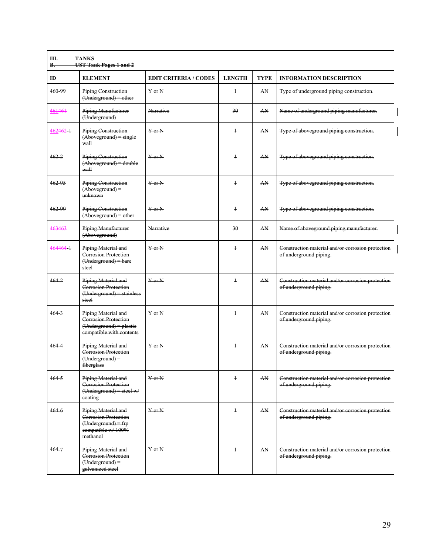| Ш.<br><b>B.</b> | <b>TANKS</b><br><b>UST Tank Pages 1 and 2</b>                                                         |                              |                |             |                                                                             |
|-----------------|-------------------------------------------------------------------------------------------------------|------------------------------|----------------|-------------|-----------------------------------------------------------------------------|
| $\mathbf{H}$    | <b>ELEMENT</b>                                                                                        | <b>EDIT CRITERIA / CODES</b> | <b>LENGTH</b>  | <b>TYPE</b> | <b>INFORMATION DESCRIPTION</b>                                              |
| 460 99          | <b>Piping Construction</b><br>$(Underground) = other$                                                 | $Y$ or $N$                   | $\ddagger$     | AN.         | Type of underground piping construction.                                    |
| 461461          | Piping Manufacturer<br>(Underground)                                                                  | <b>Narrative</b>             | 30             | AN          | Name of underground piping manufacturer.                                    |
| 462462-1        | <b>Piping Construction</b><br>$(Aboveground) = single$<br>wall                                        | $Y$ or $N$                   | $\ddagger$     | AN          | Type of aboveground piping construction.                                    |
| $462 - 2$       | Piping Construction<br>(Aboveground) = double<br>wall                                                 | $Y$ or $N$                   | $\ddagger$     | AN          | Type of aboveground piping construction.                                    |
| 462.95          | Piping Construction<br>$(Aboveground) =$<br>unknown                                                   | $Y$ or $N$                   | $\ddagger$     | AN          | Type of aboveground piping construction.                                    |
| 462 99          | <b>Piping Construction</b><br>$(Aboveground) = other$                                                 | $Y$ or $N$                   | $\ddagger$     | AN          | Type of aboveground piping construction.                                    |
| 463463          | <b>Piping Manufacturer</b><br>(Aboveground)                                                           | Narrative                    | 30             | AN          | Name of aboveground piping manufacturer.                                    |
| 464464 1        | Piping Material and<br>Corrosion Protection<br>$(Underground) = bare$<br>steel                        | $Y$ or $N$                   | $\ddagger$     | AN          | Construction material and/or corrosion protection<br>of underground piping. |
| $464 - 2$       | Piping Material and<br><b>Corrosion Protection</b><br>$(Underground) = stainless$<br>steel            | $Y$ or $N$                   | $\ddagger$     | AN          | Construction material and/or corrosion protection<br>of underground piping. |
| $464-3$         | Piping Material and<br>Corrosion Protection<br>$(Underground) = plastic$<br>compatible with contents  | $Y$ or $N$                   | $\ddagger$     | AN          | Construction material and/or corrosion protection<br>of underground piping. |
| $464 - 4$       | Piping Material and<br><b>Corrosion Protection</b><br>(Underground) =<br>fiberglass                   | $\frac{V}{V}$ or N           | $\overline{1}$ | AN          | Construction material and/or corrosion protection<br>of underground piping. |
| $464 - 5$       | Piping Material and<br><b>Corrosion Protection</b><br>(Underground) = steel w/<br>coating             | $Y$ or $N$                   | $\ddagger$     | AN          | Construction material and/or corrosion protection<br>of underground piping. |
| 4646            | Piping Material and<br>Corrosion Protection<br>$(Underground) = frp$<br>compatible w/100%<br>methanol | $Y$ or $N$                   | $\ddagger$     | AN          | Construction material and/or corrosion protection<br>of underground piping. |
| $464 - 7$       | Piping Material and<br>Corrosion Protection<br>(Underground) =<br>galvanized steel                    | $Y$ or $N$                   | $\ddagger$     | AN.         | Construction material and/or corrosion protection<br>of underground piping. |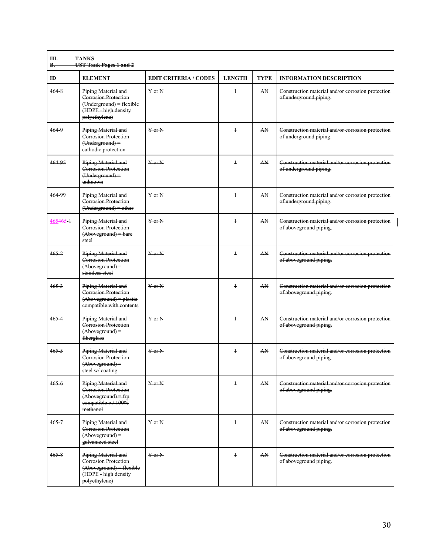| <b>B.</b>    | <b>UST Tank Pages 1 and 2</b>                                                                                           |                              |               |             |                                                                             |
|--------------|-------------------------------------------------------------------------------------------------------------------------|------------------------------|---------------|-------------|-----------------------------------------------------------------------------|
| $\mathbf{H}$ | <b>ELEMENT</b>                                                                                                          | <b>EDIT CRITERIA / CODES</b> | <b>LENGTH</b> | <b>TYPE</b> | <b>INFORMATION DESCRIPTION</b>                                              |
| 4648         | Piping Material and<br><b>Corrosion Protection</b><br>$(Underground) = flexible$<br>(HDPE high density<br>polyethylene) | $Y$ or $N$                   | $\ddagger$    | AN          | Construction material and/or corrosion protection<br>of underground piping. |
| $464 - 9$    | Piping Material and<br><b>Corrosion Protection</b><br>$(Underground) =$<br>eathodic protection                          | $V$ or $N$                   | $\ddagger$    | AN          | Construction material and/or corrosion protection<br>of underground piping. |
| 464 95       | Piping Material and<br>Corrosion Protection<br>$(Underground) =$<br>unknown                                             | $\frac{V}{V}$ or N           | $\ddagger$    | AN          | Construction material and/or corrosion protection<br>of underground piping. |
| 464 99       | Piping Material and<br>Corrosion Protection<br>(Underground) = other                                                    | $Y$ or $N$                   | $\ddagger$    | AN          | Construction material and/or corrosion protection<br>of underground piping. |
| 465465 1     | Piping Material and<br>Corrosion Protection<br>$(Aboveground) = bare$<br>steel                                          | $\frac{V}{V}$ or N           | $\ddagger$    | AN          | Construction material and/or corrosion protection<br>of aboveground piping. |
| $465 - 2$    | Piping Material and<br>Corrosion Protection<br>$(Aboveground) =$<br>stainless steel                                     | $Y$ or $N$                   | $\ddagger$    | AN          | Construction material and/or corrosion protection<br>of aboveground piping. |
| $465 - 3$    | Piping Material and<br><b>Corrosion Protection</b><br>(Aboveground) = plastie<br>compatible with contents               | $Y$ or $N$                   | $\ddagger$    | AN          | Construction material and/or corrosion protection<br>of aboveground piping. |
| 4654         | Piping Material and<br>Corrosion Protection<br>$(Aboveround) =$<br>fiberglass                                           | $Y$ or $N$                   | $\ddagger$    | AN          | Construction material and/or corrosion protection<br>of aboveground piping. |
| $465 - 5$    | Piping Material and<br><b>Corrosion Protection</b><br>$(Aboveground) =$<br>steel w/ coating                             | $Y$ or $N$                   | $\ddagger$    | AN          | Construction material and/or corrosion protection<br>of aboveground piping. |
| 4656         | Piping Material and<br><b>Corrosion Protection</b><br>$(Aboveground)$ = frp<br>compatible w/100%<br>methanol            | $Y$ or $N$                   | $\ddagger$    | AN          | Construction material and/or corrosion protection<br>of aboveground piping. |
| $465 - 7$    | Piping Material and<br><b>Corrosion Protection</b><br>$(Aboveground) =$<br>galvanized steel                             | $Y$ or $N$                   | $\ddagger$    | AN          | Construction material and/or corrosion protection<br>of aboveground piping. |
| $465 - 8$    | Piping Material and<br><b>Corrosion Protection</b><br>(Aboveground) = flexible<br>(HDPE high density<br>polyethylene)   | $Y$ or N                     | $\ddagger$    | AN          | Construction material and/or corrosion protection<br>of aboveground piping. |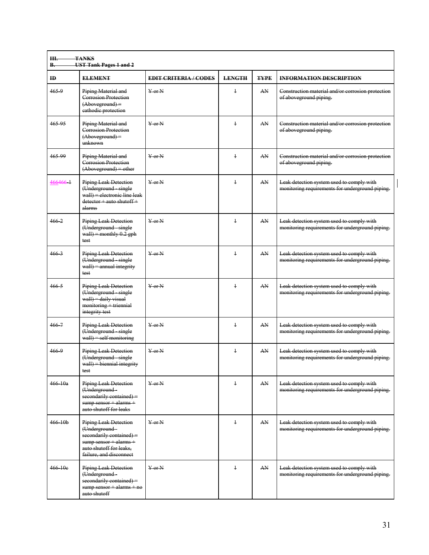| $\mathbf{H}$ | <b>ELEMENT</b>                                                                                                                                            | <b>EDIT CRITERIA/CODES</b> | <b>LENGTH</b> | <b>TYPE</b> | <b>INFORMATION DESCRIPTION</b>                                                               |
|--------------|-----------------------------------------------------------------------------------------------------------------------------------------------------------|----------------------------|---------------|-------------|----------------------------------------------------------------------------------------------|
| 465.9        | Piping Material and<br>Corrosion Protection<br>$(Aboveground) =$<br>eathodic protection                                                                   | $Y$ or $N$                 | $\ddagger$    | AN          | Construction material and/or corrosion protection<br>of aboveground piping.                  |
| 465.95       | Piping Material and<br>Corrosion Protection<br>$(Aboveground) =$<br>unknown                                                                               | $Y$ or $N$                 | $\ddagger$    | AN          | Construction material and/or corrosion protection<br>of aboveground piping.                  |
| 465-99       | Piping Material and<br><b>Corrosion Protection</b><br>$(Aboverround) = other$                                                                             | $Y$ or $N$                 | $\ddagger$    | AN          | Construction material and/or corrosion protection<br>of aboveground piping.                  |
| 466466-1     | Piping Leak Detection<br>(Underground single<br>wall) = electronic line leak<br>$detection + auto shutoff +$<br>alarms                                    | $Y$ or $N$                 | $\ddagger$    | AN          | Leak detection system used to comply with<br>monitoring requirements for underground piping. |
| $466 - 2$    | Piping Leak Detection<br>(Underground single<br>wall) = monthly $0.2$ gph<br>test                                                                         | $Y$ or $N$                 | $\ddagger$    | AN          | Leak detection system used to comply with<br>monitoring requirements for underground piping. |
| $466-3$      | Piping Leak Detection<br>(Underground single<br>$wall$ = annual integrity<br>test                                                                         | $Y$ or $N$                 | $\ddagger$    | AN          | Leak detection system used to comply with<br>monitoring requirements for underground piping. |
| $466 - 5$    | <b>Piping Leak Detection</b><br>(Underground single<br>$wall$ = daily visual<br>$momentoring + triennial$<br>integrity test                               | $Y$ or $N$                 | $\ddagger$    | AN          | Leak detection system used to comply with<br>monitoring requirements for underground piping. |
| $466 - 7$    | <b>Piping Leak Detection</b><br>(Underground - single<br>$wall) = self$ monitoring                                                                        | $Y$ or $N$                 | $\ddagger$    | AN          | Leak detection system used to comply with<br>monitoring requirements for underground piping. |
| 4669         | <b>Piping Leak Detection</b><br>(Underground single<br>$wall) = biennial$ integrity<br>test                                                               | $Y$ or $N$                 | $\ddagger$    | AN          | Leak detection system used to comply with<br>monitoring requirements for underground piping. |
| $466 - 10a$  | <b>Piping Leak Detection</b><br>(Underground-<br>secondarily contained) =<br>$sump$ sensor $+$ alarms $+$<br>auto shutoff for leaks                       | $\frac{1}{2}$ or N         | $\ddagger$    | AN          | Leak detection system used to comply with<br>monitoring requirements for underground piping. |
| $466 - 10b$  | <b>Piping Leak Detection</b><br>(Underground-<br>secondarily contained) =<br>sump sensor + alarms +<br>auto shutoff for leaks,<br>failure, and disconnect | $\frac{1}{2}$ or N         | $\ddagger$    | AN.         | Leak detection system used to comply with<br>monitoring requirements for underground piping. |
| $466 - 10e$  | Piping Leak Detection<br>(Underground-<br>secondarily contained) =<br>$sump$ sensor + alarms + no<br>auto shutoff                                         | $\frac{1}{2}$ or N         | $\ddagger$    | AN          | Leak detection system used to comply with<br>monitoring requirements for underground piping. |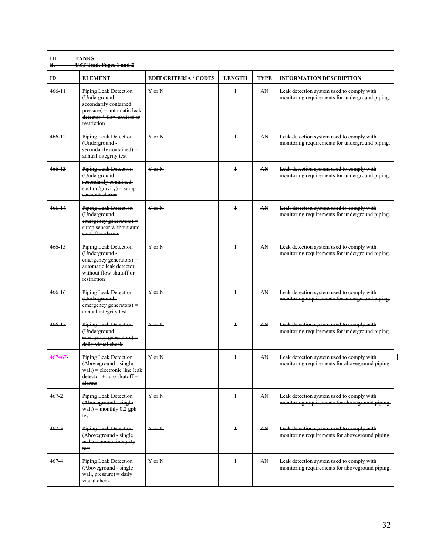| Ш.<br><b>B.</b> | <b>TANKS</b><br><b>UST Tank Pages 1 and 2</b>                                                                                                      |                                  |               |             |                                                                                              |  |  |  |
|-----------------|----------------------------------------------------------------------------------------------------------------------------------------------------|----------------------------------|---------------|-------------|----------------------------------------------------------------------------------------------|--|--|--|
| $\mathbf{H}$    | <b>ELEMENT</b>                                                                                                                                     | <b>EDIT CRITERIA/CODES</b>       | <b>LENGTH</b> | <b>TYPE</b> | <b>INFORMATION DESCRIPTION</b>                                                               |  |  |  |
| $466 + 11$      | <b>Piping Leak Detection</b><br>(Underground-<br>secondarily contained,<br>pressure) = automatic leak<br>detector + flow shutoff or<br>restriction | $Y$ or $N$                       | $\ddagger$    | AN          | Leak detection system used to comply with<br>monitoring requirements for underground piping. |  |  |  |
| $466 - 12$      | <b>Piping Leak Detection</b><br>(Underground-<br>$secondarily contained) =$<br>annual integrity test                                               | $Y$ or $N$                       | $\ddagger$    | AN          | Leak detection system used to comply with<br>monitoring requirements for underground piping. |  |  |  |
| $466 - 13$      | Piping Leak Detection<br>(Underground-<br>secondarily contained.<br>$suction/gravity) = sump$<br>sensor + alarms                                   | $Y$ or $N$                       | $\ddagger$    | AN          | Leak detection system used to comply with<br>monitoring requirements for underground piping. |  |  |  |
| 466 14          | <b>Piping Leak Detection</b><br>(Underground-<br>emergency generators) =<br>sump sensor without auto<br>shutoff + alarms                           | $Y$ or $N$                       | $\ddagger$    | AN.         | Leak detection system used to comply with<br>monitoring requirements for underground piping. |  |  |  |
| $466 - 15$      | <b>Piping Leak Detection</b><br>(Underground-<br>emergency generators) =<br>automatic leak detector<br>without flow shutoff or<br>restriction      | $\frac{1}{2}$ or N               | $\ddagger$    | AN          | Leak detection system used to comply with<br>monitoring requirements for underground piping. |  |  |  |
| 466 16          | <b>Piping Leak Detection</b><br>(Underground-<br>$emergency generators) =$<br>annual integrity test                                                | $Y$ or $N$                       | $\ddagger$    | AN          | Leak detection system used to comply with<br>monitoring requirements for underground piping. |  |  |  |
| $466 - 17$      | <b>Piping Leak Detection</b><br>(Underground-<br>emergency generators) =<br>daily visual check                                                     | $Y$ or $N$                       | $\ddagger$    | AN          | Leak detection system used to comply with<br>monitoring requirements for underground piping. |  |  |  |
| 467467 1        | Piping Leak Detection<br>(Aboveground single<br>$wall) = electric line$ leak<br>detector + auto shutoff +<br>alarms                                | $Y$ or $N$                       | $\ddagger$    | AN.         | Leak detection system used to comply with<br>monitoring requirements for aboveground piping. |  |  |  |
| $467 - 2$       | <b>Piping Leak Detection</b><br>(Aboveground single<br>wall) = monthly $0.2$ gph<br>test                                                           | $\overline{Y}$ or $\overline{N}$ | $\ddagger$    | AN          | Leak detection system used to comply with<br>monitoring requirements for aboveground piping. |  |  |  |
| $467-3$         | <b>Piping Leak Detection</b><br>(Aboveground single<br>$wall$ = annual integrity<br>test                                                           | $\overline{Y}$ or $\overline{N}$ | $\ddagger$    | AN.         | Leak detection system used to comply with<br>monitoring requirements for aboveground piping. |  |  |  |
| $467 - 4$       | <b>Piping Leak Detection</b><br>(Aboveground single<br>wall, pressure) = daily<br>visual check                                                     | $\overline{Y}$ or $\overline{N}$ | $\ddagger$    | AN.         | Leak detection system used to comply with<br>monitoring requirements for aboveground piping. |  |  |  |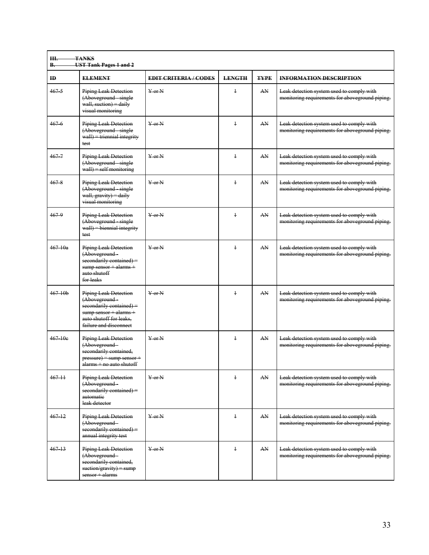| $\bf{ID}$   | <b>ELEMENT</b>                                                                                                                                             | <b>EDIT CRITERIA/CODES</b>     | <b>LENGTH</b>  | <b>TYPE</b> | <b>INFORMATION DESCRIPTION</b>                                                               |
|-------------|------------------------------------------------------------------------------------------------------------------------------------------------------------|--------------------------------|----------------|-------------|----------------------------------------------------------------------------------------------|
| $467 - 5$   | <b>Piping Leak Detection</b><br>(Aboveground single<br>wall, suction) $=$ daily<br>visual monitoring                                                       | $Y$ or $N$                     | $\ddagger$     | AN          | Leak detection system used to comply with<br>monitoring requirements for aboveground piping. |
| $467 - 6$   | <b>Piping Leak Detection</b><br>(Aboveground single<br>$wall)$ = triennial integrity<br>test                                                               | $\frac{V}{V}$ or N             | $\overline{1}$ | AN          | Leak detection system used to comply with<br>monitoring requirements for aboveground piping. |
| $467 - 7$   | <b>Piping Leak Detection</b><br>(Aboveground single<br>$wall) = self$ monitoring                                                                           | $Y$ or N                       | $\ddagger$     | AN          | Leak detection system used to comply with<br>monitoring requirements for aboveground piping. |
| 4678        | <b>Piping Leak Detection</b><br>(Aboveground single<br>wall, gravity) = daily<br>visual monitoring                                                         | $Y$ or $N$                     | $\ddagger$     | AN          | Leak detection system used to comply with<br>monitoring requirements for aboveground piping. |
| $467 - 9$   | Piping Leak Detection<br>(Aboveground single<br>$wall$ = biennial integrity<br>test                                                                        | $Y$ or $N$                     | $\overline{1}$ | AN          | Leak detection system used to comply with<br>monitoring requirements for aboveground piping. |
| $467 - 10a$ | <b>Piping Leak Detection</b><br>(Aboveground-<br>$secondarily contained) =$<br>$sump$ sensor + alarms +<br>auto shutoff<br>for leaks                       | $Y$ or $N$                     | $\ddagger$     | AN          | Leak detection system used to comply with<br>monitoring requirements for aboveground piping. |
| $467 + 0h$  | <b>Piping Leak Detection</b><br>(Aboveground-<br>secondarily contained) =<br>$sump$ sensor + alarms +<br>auto shutoff for leaks.<br>failure and disconnect | $Y$ or $N$                     | $\overline{1}$ | AN          | Leak detection system used to comply with<br>monitoring requirements for aboveground piping. |
| 467 10e     | <b>Piping Leak Detection</b><br>(Aboveground-<br>secondarily contained,<br>$pressure$ = sump sensor +<br>alarms + no auto shutoff                          | $Y$ or $N$                     | $\ddagger$     | AN          | Leak detection system used to comply with<br>monitoring requirements for aboveground piping. |
| $467 + 1$   | Piping Leak Detection<br>(Aboveground-<br>$secondarily contained) =$<br>automatie<br>leak detector                                                         | $Y$ or $N$                     | $\ddagger$     | AN.         | Leak detection system used to comply with<br>monitoring requirements for aboveground piping. |
| $467 + 2$   | <b>Piping Leak Detection</b><br>(Aboveground-<br>secondarily contained) =<br>annual integrity test                                                         | $\frac{1}{2}$ or N             | $\ddagger$     | AN          | Leak detection system used to comply with<br>monitoring requirements for aboveground piping. |
| 46713       | <b>Piping Leak Detection</b><br>(Aboveground-<br>secondarily contained,<br>$suction/gravity) = sump$<br>sensor + alarms                                    | $\frac{1}{2}$ or $\frac{1}{2}$ | $\ddagger$     | AN          | Leak detection system used to comply with<br>monitoring requirements for aboveground piping. |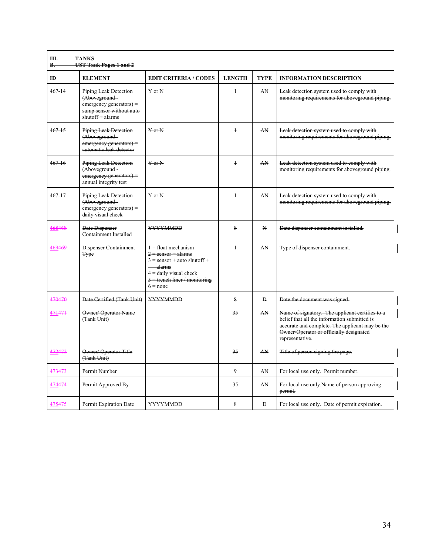| Ш.<br>В.     | <b>TANKS</b><br><b>UST Tank Pages 1 and 2</b>                                                                              |                                                                                                                                                                                                                             |               |                |                                                                                                                                                                                                                  |
|--------------|----------------------------------------------------------------------------------------------------------------------------|-----------------------------------------------------------------------------------------------------------------------------------------------------------------------------------------------------------------------------|---------------|----------------|------------------------------------------------------------------------------------------------------------------------------------------------------------------------------------------------------------------|
| $\mathbf{H}$ | <b>ELEMENT</b>                                                                                                             | <b>EDIT CRITERIA / CODES</b>                                                                                                                                                                                                | <b>LENGTH</b> | <b>TYPE</b>    | <b>INFORMATION DESCRIPTION</b>                                                                                                                                                                                   |
| 467 14       | <b>Piping Leak Detection</b><br>(Aboveground-<br>emergency generators) =<br>sump sensor without auto<br>$shutoff + alarms$ | $Y$ or $N$                                                                                                                                                                                                                  | $\ddagger$    | AN             | Leak detection system used to comply with<br>monitoring requirements for aboveground piping.                                                                                                                     |
| $467 - 15$   | <b>Piping Leak Detection</b><br>(Aboveground-<br>emergency generators) =<br>automatic leak detector                        | $Y$ or $N$                                                                                                                                                                                                                  | $\ddagger$    | AN             | Leak detection system used to comply with<br>monitoring requirements for aboveground piping.                                                                                                                     |
| 467 16       | <b>Piping Leak Detection</b><br>(Aboveground-<br>emergency generators) =<br>annual integrity test                          | $Y$ or $N$                                                                                                                                                                                                                  | $\ddagger$    | AN             | Leak detection system used to comply with<br>monitoring requirements for aboveground piping.                                                                                                                     |
| 467 17       | <b>Piping Leak Detection</b><br>(Aboveground-<br>emergency generators) =<br>daily visual check                             | $Y$ or $N$                                                                                                                                                                                                                  | $\ddagger$    | AN             | Leak detection system used to comply with<br>monitoring requirements for aboveground piping.                                                                                                                     |
| 468468       | Date Dispenser<br><b>Containment Installed</b>                                                                             | <b>YYYYMMDD</b>                                                                                                                                                                                                             | Ջ             | N              | Date dispenser containment installed.                                                                                                                                                                            |
| 469469       | Dispenser Containment<br><b>Type</b>                                                                                       | $\frac{1 - \text{float mechanism}}{\text{float} + \text{model}}$<br>$2$ = sensor + alarms<br>$3$ = sensor + auto shutoff +<br>$-\alpha$ alarms<br>$4$ = daily visual check<br>$5$ = trench liner / monitoring<br>$6 = none$ | $\ddagger$    | AN             | Type of dispenser containment.                                                                                                                                                                                   |
| 470470       | Date Certified (Tank Unit)                                                                                                 | <b>YYYYMMDD</b>                                                                                                                                                                                                             | 8             | $\overline{D}$ | Date the document was signed.                                                                                                                                                                                    |
| 471471       | <b>Owner/ Operator Name</b><br>(Tank Unit)                                                                                 |                                                                                                                                                                                                                             | 35            | AN             | Name of signatory. The applicant certifies to a<br>belief that all the information submitted is<br>accurate and complete. The applicant may be the<br>Owner/Operator or officially designated<br>representative. |
| 472472       | Owner/Operator-Title<br>(Tank Unit)                                                                                        |                                                                                                                                                                                                                             | 35            | AN             | Title of person signing the page.                                                                                                                                                                                |
| 473473       | Permit Number                                                                                                              |                                                                                                                                                                                                                             | $\mathbf{Q}$  | AN             | For local use only. Permit number.                                                                                                                                                                               |
| 474474       | Permit Approved By                                                                                                         |                                                                                                                                                                                                                             | 35            | AN             | For local use only.Name of person approving<br>permit.                                                                                                                                                           |
| 475475       | <b>Permit Expiration Date</b>                                                                                              | <b>YYYYMMDD</b>                                                                                                                                                                                                             | $\mathbf{R}$  | $\overline{D}$ | For local use only. Date of permit expiration.                                                                                                                                                                   |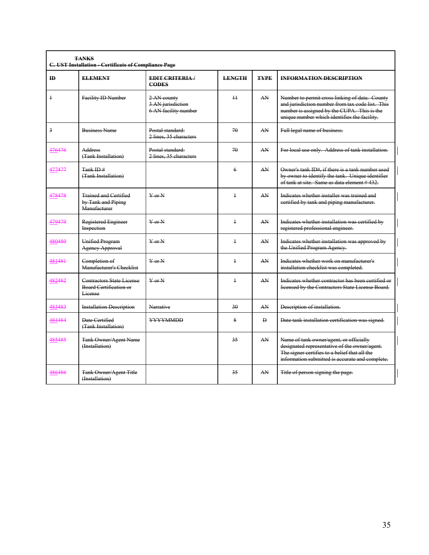| <b>TANKS</b><br>C. UST Installation - Certificate of Compliance Page |                                                                    |                                                          |                 |                |                                                                                                                                                                                                   |  |  |  |
|----------------------------------------------------------------------|--------------------------------------------------------------------|----------------------------------------------------------|-----------------|----------------|---------------------------------------------------------------------------------------------------------------------------------------------------------------------------------------------------|--|--|--|
| ID                                                                   | <b>ELEMENT</b>                                                     | <b>EDIT CRITERIA/</b><br><b>CODES</b>                    | <b>LENGTH</b>   | <b>TYPE</b>    | <b>INFORMATION DESCRIPTION</b>                                                                                                                                                                    |  |  |  |
| $\ddagger$                                                           | Facility ID Number                                                 | 2 AN county<br>3 AN jurisdiction<br>6 AN facility number | $\overline{11}$ | AN             | Number to permit cross linking of data. County<br>and jurisdiction number from tax code list. This<br>number is assigned by the CUPA. This is the<br>unique number which identifies the facility. |  |  |  |
| $\overline{3}$                                                       | <b>Business Name</b>                                               | Postal standard:<br>2 lines, 35 characters               | 70              | AN             | Full legal name of business.                                                                                                                                                                      |  |  |  |
| 476476                                                               | Address<br>(Tank Installation)                                     | Postal standard:<br>2 lines, 35 characters               | 70              | AN             | For local use only. Address of tank installation.                                                                                                                                                 |  |  |  |
| 477477                                                               | Tank ID $#$<br>(Tank Installation)                                 |                                                          | 6               | AN             | Owner's tank ID#, if there is a tank number used<br>by owner to identify the tank. Unique identifier<br>of tank at site. Same as data element #432.                                               |  |  |  |
| 478478                                                               | <b>Trained and Certified</b><br>by Tank and Piping<br>Manufacturer | VarN                                                     | $\ddagger$      | AN             | Indicates whether installer was trained and<br>certified by tank and piping manufacturer.                                                                                                         |  |  |  |
| 479479                                                               | Registered Engineer<br>Inspection                                  | $\operatorname{Var} N$                                   | $\ddagger$      | AN             | Indicates whether installation was certified by<br>registered professional engineer.                                                                                                              |  |  |  |
| 480480                                                               | Unified Program<br><b>Agency Approval</b>                          | $Y$ or $N$                                               | $\ddagger$      | AN             | Indicates whether installation was approved by<br>the Unified Program Agency.                                                                                                                     |  |  |  |
| 481481                                                               | Completion of<br>Manufacturer's Checklist                          | $Y$ or $N$                                               | $\ddagger$      | AN             | Indicates whether work on manufacturer's<br>installation checklist was completed.                                                                                                                 |  |  |  |
| 482482                                                               | Contractors State License<br>Board Certification or<br>License     | $\frac{V}{V}$ or $\frac{N}{V}$                           | $\ddagger$      | AN             | Indicates whether contractor has been certified or<br>licensed by the Contractors State License Board.                                                                                            |  |  |  |
| 483483                                                               | <b>Installation Description</b>                                    | Narrative                                                | $30^{\circ}$    | AN             | Description of installation.                                                                                                                                                                      |  |  |  |
| 484484                                                               | Date Certified<br>(Tank Installation)                              | <b>YYYYMMDD</b>                                          | 8               | $\overline{D}$ | Date tank installation certification was signed.                                                                                                                                                  |  |  |  |
| 485485                                                               | <b>Tank Owner/Agent Name</b><br>(Installation)                     |                                                          | 35              | AN             | Name of tank owner/agent, or officially<br>designated representative of the owner/agent.<br>The signer certifies to a belief that all the<br>information submitted is accurate and complete.      |  |  |  |
| 486486                                                               | <b>Tank Owner/Agent Title</b><br>(Installation)                    |                                                          | 35              | AN             | Title of person signing the page.                                                                                                                                                                 |  |  |  |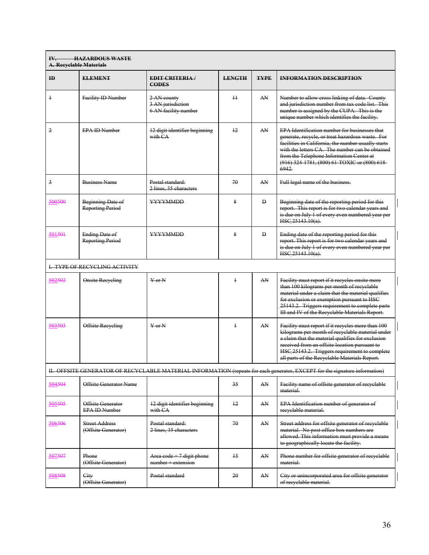| <b>HAZARDOUS WASTE</b><br>IV.<br><b>A. Recyclable Materials</b>                                                             |                                                     |                                                            |               |              |                                                                                                                                                                                                                                                                                                                        |  |  |  |
|-----------------------------------------------------------------------------------------------------------------------------|-----------------------------------------------------|------------------------------------------------------------|---------------|--------------|------------------------------------------------------------------------------------------------------------------------------------------------------------------------------------------------------------------------------------------------------------------------------------------------------------------------|--|--|--|
| ID                                                                                                                          | <b>ELEMENT</b>                                      | <b>EDIT CRITERIA</b> /<br><b>CODES</b>                     | <b>LENGTH</b> | <b>TYPE</b>  | <b>INFORMATION DESCRIPTION</b>                                                                                                                                                                                                                                                                                         |  |  |  |
| $\ddagger$                                                                                                                  | Facility ID Number                                  | 2 AN county<br>3 AN jurisdiction<br>6 AN facility number   | $\pm$         | AN           | Number to allow cross linking of data. County<br>and jurisdiction number from tax code list. This<br>number is assigned by the CUPA. This is the<br>unique number which identifies the facility.                                                                                                                       |  |  |  |
| $\overline{2}$                                                                                                              | <b>EPA ID Number</b>                                | 12 digit identifier beginning<br>with CA                   | $+2$          | AN           | <b>EPA Identification number for businesses that</b><br>generate, recycle, or treat hazardous waste. For<br>facilities in California, the number usually starts<br>with the letters CA. The number can be obtained<br>from the Telephone Information Center at<br>(916) 324 1781, (800) 61 TOXIC or (800) 618-<br>6942 |  |  |  |
| $\overline{3}$                                                                                                              | <b>Business Name</b>                                | Postal standard:<br>2 lines, 35 characters                 | 70            | AN           | Full legal name of the business.                                                                                                                                                                                                                                                                                       |  |  |  |
| 500500                                                                                                                      | <b>Beginning Date of</b><br><b>Reporting Period</b> | <b>YYYYMMDD</b>                                            | 8             | Đ            | Beginning date of the reporting period for this<br>report. This report is for two calendar years and<br>is due on July 1 of every even numbered year per<br>HSC 25143.10(a).                                                                                                                                           |  |  |  |
| 501501                                                                                                                      | <b>Ending Date of</b><br><b>Reporting Period</b>    | <b>YYYYMMDD</b>                                            | 8             | $\mathbf{D}$ | Ending date of the reporting period for this<br>report. This report is for two calendar years and<br>is due on July 1 of every even numbered year per<br>HSC 25143.10(a).                                                                                                                                              |  |  |  |
| <b>L. TYPE OF RECYCLING ACTIVITY</b>                                                                                        |                                                     |                                                            |               |              |                                                                                                                                                                                                                                                                                                                        |  |  |  |
| 502502                                                                                                                      | <b>Onsite Recycling</b>                             | $Y$ or $N$                                                 | $\ddagger$    | AN           | Facility must report if it recycles onsite more<br>than 100 kilograms per month of recyclable<br>material under a claim that the material qualifies<br>for exclusion or exemption pursuant to HSC<br>25143.2. Triggers requirement to complete parts<br>III and IV of the Recyclable Materials Report.                 |  |  |  |
| 503503                                                                                                                      | Offsite Recycling                                   | $Y$ or $N$                                                 | $\ddagger$    | AN           | Facility must report if it recycles more than 100<br>kilograms per month of recyclable material under<br>a claim that the material qualifies for exclusion<br>received from an offsite location pursuant to<br>HSC 25143.2. Triggers requirement to complete<br>all parts of the Recyclable Materials Report.          |  |  |  |
| II. OFFSITE GENERATOR OF RECYCLABLE MATERIAL INFORMATION (repeats for each generator, EXCEPT for the signature information) |                                                     |                                                            |               |              |                                                                                                                                                                                                                                                                                                                        |  |  |  |
| 504504                                                                                                                      | <b>Offsite Generator Name</b>                       |                                                            | 35            | AN           | Facility name of offsite generator of recyclable<br>material.                                                                                                                                                                                                                                                          |  |  |  |
| 505505                                                                                                                      | Offsite Generator<br><b>EPA ID Number</b>           | 12 digit identifier beginning<br>with CA                   | 12            | AN           | EPA Identification number of generator of<br>recyclable material.                                                                                                                                                                                                                                                      |  |  |  |
| 506506                                                                                                                      | <b>Street Address</b><br>(Offsite Generator)        | Postal standard:<br>2 lines, 35 characters                 | 70            | AN           | Street address for offsite generator of recyclable<br>material. No post office box numbers are<br>allowed. This information must provide a means<br>to geographically locate the facility.                                                                                                                             |  |  |  |
| 507507                                                                                                                      | Phone<br>(Offsite Generator)                        | Area $\text{code} + 7$ digit phone<br>$number + extension$ | 15            | AN           | Phone number for offsite generator of recyclable<br>material.                                                                                                                                                                                                                                                          |  |  |  |
| 508508                                                                                                                      | City<br>(Offsite Generator)                         | Postal standard                                            | 20            | AN           | City or unincorporated area for offsite generator<br>of recyclable material.                                                                                                                                                                                                                                           |  |  |  |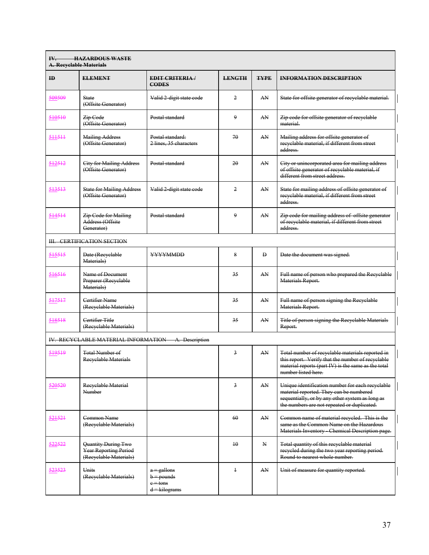| <b>HAZARDOUS WASTE</b><br>IV.<br><b>A. Recyclable Materials</b> |                                                                               |                                                                 |                |              |                                                                                                                                                                                               |  |
|-----------------------------------------------------------------|-------------------------------------------------------------------------------|-----------------------------------------------------------------|----------------|--------------|-----------------------------------------------------------------------------------------------------------------------------------------------------------------------------------------------|--|
| $\mathbf{ID}$                                                   | <b>ELEMENT</b>                                                                | <b>EDIT CRITERIA/</b><br><b>CODES</b>                           | <b>LENGTH</b>  | <b>TYPE</b>  | <b>INFORMATION DESCRIPTION</b>                                                                                                                                                                |  |
| 509509                                                          | <b>State</b><br>(Offsite Generator)                                           | Valid 2 digit state code                                        | 2              | AN           | State for offsite generator of recyclable material.                                                                                                                                           |  |
| 510510                                                          | <del>Zip Code</del><br>(Offsite Generator)                                    | Postal standard                                                 | 9              | AN           | Zip code for offsite generator of recyclable<br>material                                                                                                                                      |  |
| 511511                                                          | <b>Mailing Address</b><br>(Offsite Generator)                                 | Postal standard:<br>2 lines, 35 characters                      | 70             | AN           | Mailing address for offsite generator of<br>recyclable material, if different from street<br>address-                                                                                         |  |
| 512512                                                          | <b>City for Mailing Address</b><br>(Offsite Generator)                        | Postal standard                                                 | 20             | AN           | City or unincorporated area for mailing address<br>of offsite generator of recyclable material, if<br>different from street address.                                                          |  |
| 513513                                                          | <b>State for Mailing Address</b><br>(Offsite Generator)                       | Valid 2 digit state code                                        | $\overline{2}$ | AN           | State for mailing address of offsite generator of<br>recyclable material, if different from street<br>address.                                                                                |  |
| 514514                                                          | <b>Zip Code for Mailing</b><br>Address (Offsite<br>Generator)                 | Postal standard                                                 | 9              | AN           | Zip code for mailing address of offsite generator<br>of recyclable material, if different from street<br>address-                                                                             |  |
|                                                                 | <b>III. CERTIFICATION SECTION</b>                                             |                                                                 |                |              |                                                                                                                                                                                               |  |
| 515515                                                          | Date (Recyclable<br>Materials)                                                | <b>YYYYMMDD</b>                                                 | 8              | $\mathbf{D}$ | Date the document was signed.                                                                                                                                                                 |  |
| 516516                                                          | Name of Document<br>Preparer (Recyclable<br>Materials)                        |                                                                 | 35             | AN           | Full name of person who prepared the Recyclable<br>Materials Report.                                                                                                                          |  |
| 517517                                                          | Certifier Name<br>(Recyclable Materials)                                      |                                                                 | 35             | AN           | Full name of person signing the Recyclable<br>Materials Report.                                                                                                                               |  |
| 518518                                                          | Certifier Title<br>(Recyclable Materials)                                     |                                                                 | 35             | AN           | Title of person signing the Recyclable Materials<br>Report.                                                                                                                                   |  |
|                                                                 | IV. RECYCLABLE MATERIAL INFORMATION                                           | A. Description                                                  |                |              |                                                                                                                                                                                               |  |
| 519519                                                          | <b>Total Number of</b><br>Recyclable Materials                                |                                                                 | 3              | AN           | Total number of recyclable materials reported in<br>this report. Verify that the number of recyclable<br>material reports (part IV) is the same as the total<br>number listed here.           |  |
| 520520                                                          | Recyclable Material<br>Number                                                 |                                                                 | 3              | AN           | Unique identification number for each recyclable<br>material reported. They can be numbered<br>sequentially, or by any other system as long as<br>the numbers are not repeated or duplicated. |  |
| 521521                                                          | Common Name<br>(Recyclable Materials)                                         |                                                                 | 60             | AN.          | Common name of material recycled. This is the<br>same as the Common Name on the Hazardous<br>Materials Inventory Chemical Description page.                                                   |  |
| 522522                                                          | Quantity During Two<br><b>Year Reporting Period</b><br>(Recyclable Materials) |                                                                 | 10             | N            | Total quantity of this recyclable material<br>recycled during the two year reporting period.<br>Round to nearest whole number.                                                                |  |
| 523523                                                          | <b>Units</b><br>(Recyclable Materials)                                        | $a =$ gallons<br>$b =$ pounds<br>$e = t$ ons<br>$d = kilograms$ | $\overline{1}$ | AN           | Unit of measure for quantity reported.                                                                                                                                                        |  |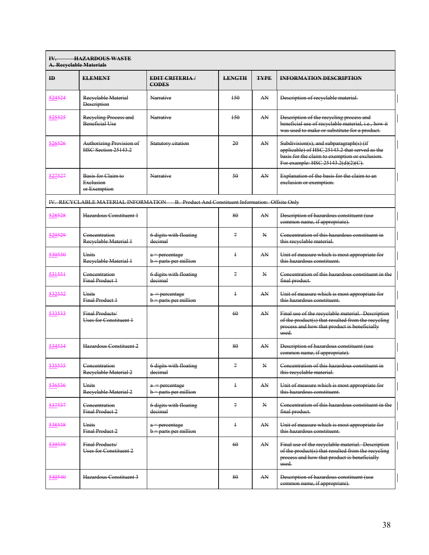| <b>HAZARDOUS WASTE</b><br>$W_{-}$<br><b>A. Recyclable Materials</b> |                                                               |                                                                                          |                |             |                                                                                                                                                                                  |  |  |
|---------------------------------------------------------------------|---------------------------------------------------------------|------------------------------------------------------------------------------------------|----------------|-------------|----------------------------------------------------------------------------------------------------------------------------------------------------------------------------------|--|--|
| ID                                                                  | <b>ELEMENT</b>                                                | <b>EDIT CRITERIA</b> /<br><b>CODES</b>                                                   | <b>LENGTH</b>  | <b>TYPE</b> | <b>INFORMATION DESCRIPTION</b>                                                                                                                                                   |  |  |
| 524524                                                              | Recyclable Material<br><b>Description</b>                     | Narrative                                                                                | 150            | AN          | Description of recyclable material.                                                                                                                                              |  |  |
| <u>525525</u>                                                       | Recycling Process and<br><b>Beneficial Use</b>                | Narrative                                                                                | 150            | AN          | Description of the recycling process and<br>beneficial use of recyclable material, i.e., how it<br>was used to make or substitute for a product.                                 |  |  |
| 526526                                                              | <b>Authorizing Provision of</b><br><b>HSC Section 25143.2</b> | <b>Statutory citation</b>                                                                | 20             | AN          | Subdivision(s), and subparagraph(s) (if<br>applicable) of HSC 25143.2 that served as the<br>basis for the claim to exemption or exclusion.<br>For example: HSC 25143.2(d)(2)(C). |  |  |
| 527527                                                              | Basis for Claim to<br>Exelusion<br>or Exemption               | Narrative                                                                                | 50             | AN          | Explanation of the basis for the claim to an<br>exclusion or exemption.                                                                                                          |  |  |
|                                                                     |                                                               | IV. RECYCLABLE MATERIAL INFORMATION B. Product And Constituent Information: Offsite Only |                |             |                                                                                                                                                                                  |  |  |
| 528528                                                              | Hazardous Constituent 1                                       |                                                                                          | 80             | AN          | Description of hazardous constituent (use<br>common name, if appropriate).                                                                                                       |  |  |
| 529529                                                              | Concentration<br>Recyclable Material 1                        | 6 digits with floating<br>decimal                                                        | $\mathcal{I}$  | N           | Concentration of this hazardous constituent in<br>this recyclable material.                                                                                                      |  |  |
| 530530                                                              | Units<br>Recyclable Material 1                                | a = percentage<br>b = parts per million                                                  | $\ddagger$     | AN          | Unit of measure which is most appropriate for<br>this hazardous constituent.                                                                                                     |  |  |
| 531531                                                              | Concentration<br><b>Final Product 1</b>                       | 6 digits with floating<br>decimal                                                        | $\overline{z}$ | N           | Concentration of this hazardous constituent in the<br>final product.                                                                                                             |  |  |
| 532532                                                              | <b>Units</b><br><b>Final Product 1</b>                        | a - percentage<br>b = parts per million                                                  | $\ddagger$     | AN          | Unit of measure which is most appropriate for<br>this hazardous constituent.                                                                                                     |  |  |
| ;33533                                                              | Final Products/<br>Uses for Constituent 1                     |                                                                                          | 60             | AN          | Final use of the recyclable material. Description<br>of the product(s) that resulted from the recycling<br>process and how that product is beneficially<br>used.                 |  |  |
| 534534                                                              | Hazardous Constituent 2                                       |                                                                                          | 80             | AN          | Description of hazardous constituent (use<br>common name, if appropriate).                                                                                                       |  |  |
|                                                                     | Concentration<br>Recyclable Material 2                        | 6 digits with floating<br>decimal                                                        | $\mathbf{r}$   | ${\bf N}$   | Concentration of this hazardous constituent in<br>this recyclable material.                                                                                                      |  |  |
| 536536                                                              | <b>Units</b><br>Recyclable Material 2                         | a - percentage<br>b = parts per million                                                  | $\ddagger$     | AN          | Unit of measure which is most appropriate for<br>this hazardous constituent.                                                                                                     |  |  |
| <del>37537</del>                                                    | Concentration<br>Final Product 2                              | 6 digits with floating<br>decimal                                                        | 7              | N           | Concentration of this hazardous constituent in the<br>final product.                                                                                                             |  |  |
| 538538                                                              | Units<br>Final Product 2                                      | a = percentage<br>b = parts per million                                                  | $\ddagger$     | AN          | Unit of measure which is most appropriate for<br>this hazardous constituent.                                                                                                     |  |  |
| 539539                                                              | Final Products/<br>Uses for Constituent 2                     |                                                                                          | 60             | AN          | Final use of the recyclable material. Description<br>of the product(s) that resulted from the recycling<br>process and how that product is beneficially<br>used.                 |  |  |
| 540540                                                              | Hazardous Constituent 3                                       |                                                                                          | 80             | AN          | Description of hazardous constituent (use<br>common name, if appropriate).                                                                                                       |  |  |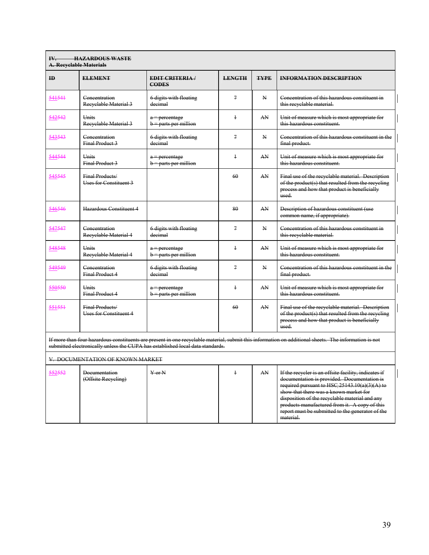| <b>HAZARDOUS WASTE</b><br>$W_{-}$<br><b>A. Recyclable Materials</b> |                                           |                                                                                |                |              |                                                                                                                                                                                                                                                                                                     |  |
|---------------------------------------------------------------------|-------------------------------------------|--------------------------------------------------------------------------------|----------------|--------------|-----------------------------------------------------------------------------------------------------------------------------------------------------------------------------------------------------------------------------------------------------------------------------------------------------|--|
| $\mathbf{ID}$                                                       | <b>ELEMENT</b>                            | <b>EDIT CRITERIA/</b><br><b>CODES</b>                                          | <b>LENGTH</b>  | <b>TYPE</b>  | <b>INFORMATION DESCRIPTION</b>                                                                                                                                                                                                                                                                      |  |
| 541541                                                              | Concentration<br>Reevelable Material 3    | 6 digits with floating<br>decimal                                              | $\overline{7}$ | $\mathbf{N}$ | Concentration of this hazardous constituent in<br>this recyclable material.                                                                                                                                                                                                                         |  |
| 542542                                                              | <b>Units</b><br>Recyclable Material 3     | $a$ = percentage<br>$b =$ parts per million                                    | $\ddagger$     | AN           | Unit of measure which is most appropriate for<br>this hazardous constituent.                                                                                                                                                                                                                        |  |
| 543543                                                              | Concentration<br><b>Final Product 3</b>   | 6 digits with floating<br>decimal                                              | 7              | $\mathbf{N}$ | Concentration of this hazardous constituent in the<br>final product.                                                                                                                                                                                                                                |  |
| 544544                                                              | <b>Units</b><br><b>Final Product 3</b>    | $a$ = percentage<br>b = parts per million                                      | $\ddagger$     | AN           | Unit of measure which is most appropriate for<br>this hazardous constituent.                                                                                                                                                                                                                        |  |
| 545545                                                              | Final Products/<br>Uses for Constituent 3 |                                                                                | 60             | AN           | Final use of the recyclable material. Description<br>of the product(s) that resulted from the recycling<br>process and how that product is beneficially<br>used.                                                                                                                                    |  |
| 546546                                                              | Hazardous Constituent 4                   |                                                                                | 80             | AN           | Description of hazardous constituent (use<br>common name, if appropriate).                                                                                                                                                                                                                          |  |
| 547547                                                              | Concentration<br>Recyclable Material 4    | 6 digits with floating<br>decimal                                              | $\overline{7}$ | $\mathbf{N}$ | Concentration of this hazardous constituent in<br>this recyclable material.                                                                                                                                                                                                                         |  |
| 548548                                                              | <b>Units</b><br>Recyclable Material 4     | a = percentage<br>b = parts per million                                        | $\ddagger$     | AN           | Unit of measure which is most appropriate for<br>this hazardous constituent.                                                                                                                                                                                                                        |  |
| 549549                                                              | Concentration<br><b>Final Product 4</b>   | 6 digits with floating<br>decimal                                              | $\mathcal{I}$  | $\mathbf{N}$ | Concentration of this hazardous constituent in the<br>final product.                                                                                                                                                                                                                                |  |
| 550550                                                              | <b>Units</b><br><b>Final Product 4</b>    | a = percentage<br>b = parts per million                                        | $\ddagger$     | AN           | Unit of measure which is most appropriate for<br>this hazardous constituent.                                                                                                                                                                                                                        |  |
| 551551                                                              | Final Products/<br>Uses for Constituent 4 |                                                                                | 60             | AN           | Final use of the recyclable material. Description<br>of the product(s) that resulted from the recycling<br>process and how that product is beneficially<br>used                                                                                                                                     |  |
|                                                                     |                                           | submitted electronically unless the CUPA has established local data standards. |                |              | If more than four hazardous constituents are present in one recyclable material, submit this information on additional sheets. The information is not                                                                                                                                               |  |
|                                                                     | V. DOCUMENTATION OF KNOWN MARKET          |                                                                                |                |              |                                                                                                                                                                                                                                                                                                     |  |
| 552552                                                              | Documentation<br>(Offsite Recycling)      | $Y$ or $N$                                                                     | $\ddagger$     | AN           | If the recycler is an offsite facility, indicates if<br>documentation is provided. Documentation is<br>required pursuant to HSC $25143.10(a)(3)(A)$ to<br>show that there was a known market for<br>disposition of the recyclable material and any<br>products manufactured from it. A copy of this |  |

report must be submitted to the generator of the

material.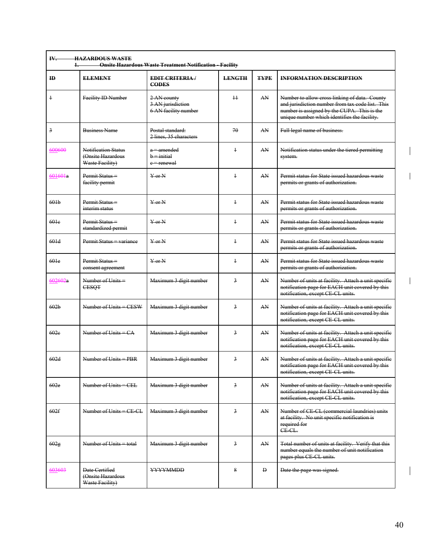| ID                | <b>ELEMENT</b>                                                     | <b>EDIT CRITERIA/</b><br><b>CODES</b>                    | <b>LENGTH</b>           | <b>TYPE</b> | <b>INFORMATION DESCRIPTION</b>                                                                                                                                                                   |
|-------------------|--------------------------------------------------------------------|----------------------------------------------------------|-------------------------|-------------|--------------------------------------------------------------------------------------------------------------------------------------------------------------------------------------------------|
| $\ddagger$        | Facility ID Number                                                 | 2 AN county<br>3 AN jurisdiction<br>6 AN facility number | $\pm$                   | AN          | Number to allow cross linking of data. County<br>and jurisdiction number from tax code list. This<br>number is assigned by the CUPA. This is the<br>unique number which identifies the facility. |
| $\overline{3}$    | <b>Business Name</b>                                               | Postal standard:<br>2 lines, 35 characters               | 70                      | AN          | Full legal name of business.                                                                                                                                                                     |
| 600600            | <b>Notification Status</b><br>(Onsite Hazardous<br>Waste Facility) | a = amended<br>$b = initial$<br>e = renewal              | $\ddagger$              | AN          | Notification status under the tiered permitting<br>system.                                                                                                                                       |
| 601601a           | Permit Status =<br>facility permit                                 | $Y$ or $N$                                               | $\ddagger$              | AN          | Permit status for State issued hazardous waste<br>permits or grants of authorization.                                                                                                            |
| 601 <sub>b</sub>  | Permit Status =<br>interim status                                  | $Y$ or $N$                                               | $\ddagger$              | AN          | Permit status for State issued hazardous waste<br>permits or grants of authorization.                                                                                                            |
| 601 <sub>e</sub>  | Permit Status-<br>standardized permit                              | $Y$ or $N$                                               | $\ddagger$              | AN          | Permit status for State issued hazardous waste<br>permits or grants of authorization.                                                                                                            |
| 601d              | Permit Status = variance                                           | $Y$ or $N$                                               | $\ddagger$              | AN          | Permit status for State issued hazardous waste<br>permits or grants of authorization.                                                                                                            |
| 60 <sub>1</sub> e | Permit Status =<br>consent agreement                               | $Y$ or $N$                                               | $\ddagger$              | AN          | Permit status for State issued hazardous waste<br>permits or grants of authorization.                                                                                                            |
| 602602a           | Number of Units =<br><b>CESQT</b>                                  | Maximum 3 digit number                                   | 3                       | AN          | Number of units at facility. Attach a unit specific<br>notification page for EACH unit covered by this<br>notification, except CE CL units.                                                      |
| 602 <sub>b</sub>  | Number of Units = CESW                                             | Maximum 3 digit number                                   | 3                       | AN          | Number of units at facility. Attach a unit specific<br>notification page for EACH unit covered by this<br>notification, except CE CL units.                                                      |
| 60 <sub>2</sub> e | Number of Units $= CA$                                             | Maximum 3 digit number                                   | 3                       | AN          | Number of units at facility. Attach a unit specific<br>notification page for EACH unit covered by this<br>notification, except CE CL units.                                                      |
| 602d              | Number of Units = $PRR$                                            | Maximum 3 digit number                                   | $\overline{3}$          | AN          | Number of units at facility. Attach a unit specific<br>notification page for EACH unit covered by this<br>notification, except CE CL units.                                                      |
| 602e              | Number of Units = CEL                                              | Maximum 3 digit number                                   | $\overline{\mathbf{3}}$ | AN          | Number of units at facility. Attach a unit specific<br>notification page for EACH unit covered by this<br>notification, except CE CL units.                                                      |
| 602f              | Number of Units = CE-CL                                            | Maximum 3 digit number                                   | 3                       | AN          | Number of CE CL (commercial laundries) units<br>at facility. No unit specific notification is<br>required for<br>CE CL.                                                                          |
| 602g              | Number of Units = total                                            | Maximum 3 digit number                                   | $\overline{3}$          | AN          | Total number of units at facility. Verify that this<br>number equals the number of unit notification<br>pages plus CE CL units.                                                                  |
| 603603            | Date Certified<br>(Onsite Hazardous<br>Waste Facility)             | <b>YYYYMMDD</b>                                          | 8                       | Đ           | Date the page was signed.                                                                                                                                                                        |

 $\mathbf I$ 

 $\begin{array}{c} \hline \end{array}$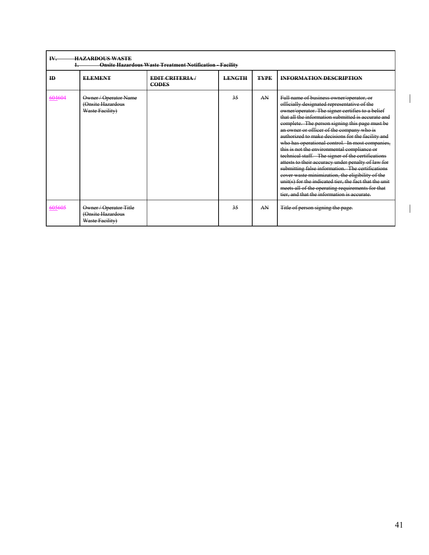| IV.       | <b>HAZARDOUS WASTE</b><br><b>Onsite Hazardous Waste Treatment Notification - Facility</b> |                                        |               |             |                                                                                                                                                                                                                                                                                                                                                                                                                                                                                                                                                                                                                                                                                                                                                                                                                                         |  |  |  |  |
|-----------|-------------------------------------------------------------------------------------------|----------------------------------------|---------------|-------------|-----------------------------------------------------------------------------------------------------------------------------------------------------------------------------------------------------------------------------------------------------------------------------------------------------------------------------------------------------------------------------------------------------------------------------------------------------------------------------------------------------------------------------------------------------------------------------------------------------------------------------------------------------------------------------------------------------------------------------------------------------------------------------------------------------------------------------------------|--|--|--|--|
| <b>ID</b> | <b>ELEMENT</b>                                                                            | <b>EDIT CRITERIA</b> /<br><b>CODES</b> | <b>LENGTH</b> | <b>TYPE</b> | <b>INFORMATION DESCRIPTION</b>                                                                                                                                                                                                                                                                                                                                                                                                                                                                                                                                                                                                                                                                                                                                                                                                          |  |  |  |  |
| 604604    | Owner / Operator Name<br>(Onsite Hazardous<br>Waste Facility)                             |                                        | 35            | AN          | Full name of business owner/operator, or<br>officially designated representative of the<br>owner/operator. The signer certifies to a belief<br>that all the information submitted is accurate and<br>complete. The person signing this page must be<br>an owner or officer of the company who is<br>authorized to make decisions for the facility and<br>who has operational control. In most companies,<br>this is not the environmental compliance or<br>technical staff. The signer of the certifications<br>attests to their accuracy under penalty of law for<br>submitting false information. The certifications<br>cover waste minimization, the eligibility of the<br>unit(s) for the indicated tier, the fact that the unit<br>meets all of the operating requirements for that<br>tier, and that the information is accurate. |  |  |  |  |
| 605605    | Owner / Operator Title<br>(Onsite Hazardous<br>Waste Facility)                            |                                        | 35            | AN          | Title of person signing the page.                                                                                                                                                                                                                                                                                                                                                                                                                                                                                                                                                                                                                                                                                                                                                                                                       |  |  |  |  |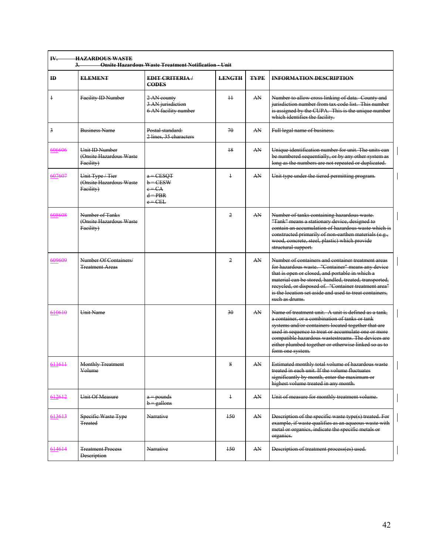| ID             | <b>ELEMENT</b>                                                | <b>EDIT CRITERIA</b> /<br><b>CODES</b>                          | <b>LENGTH</b>  | <b>TYPE</b> | <b>INFORMATION DESCRIPTION</b>                                                                                                                                                                                                                                                                                                                            |
|----------------|---------------------------------------------------------------|-----------------------------------------------------------------|----------------|-------------|-----------------------------------------------------------------------------------------------------------------------------------------------------------------------------------------------------------------------------------------------------------------------------------------------------------------------------------------------------------|
| $\ddagger$     | Facility ID Number                                            | 2 AN county<br>3 AN jurisdiction<br>6 AN facility number        | $\pm$          | AN          | Number to allow cross linking of data. County and<br>jurisdiction number from tax code list. This number<br>is assigned by the CUPA. This is the unique number<br>which identifies the facility.                                                                                                                                                          |
| $\overline{3}$ | <b>Business Name</b>                                          | Postal standard:<br>2 lines, 35 characters                      | 70             | AN          | Full legal name of business.                                                                                                                                                                                                                                                                                                                              |
| 606606         | <b>Unit ID Number</b><br>(Onsite Hazardous Waste<br>Facility) |                                                                 | 18             | AN.         | Unique identification number for unit. The units can<br>be numbered sequentially, or by any other system as<br>long as the numbers are not repeated or duplicated.                                                                                                                                                                                        |
| 607607         | Unit Type / Tier<br>(Onsite Hazardous Waste<br>Facility)      | $a = CESQT$<br>$b = CESW$<br>$e = CA$<br>$d = PBR$<br>$e = CEL$ | $\ddagger$     | AN          | Unit type under the tiered permitting program.                                                                                                                                                                                                                                                                                                            |
| 608608         | Number of Tanks<br>(Onsite Hazardous Waste<br>Facility)       |                                                                 | $\overline{2}$ | AN          | Number of tanks containing hazardous waste.<br>"Tank" means a stationary device, designed to<br>contain an accumulation of hazardous waste which is<br>constructed primarily of non-earthen materials (e.g.,<br>wood, concrete, steel, plastic) which provide<br>structural support.                                                                      |
| 609609         | Number Of Containers/<br><b>Treatment Areas</b>               |                                                                 | 2              | AN          | Number of containers and container treatment areas<br>for hazardous waste. "Container" means any device<br>that is open or closed, and portable in which a<br>material can be stored, handled, treated, transported,<br>recycled, or disposed of. "Container treatment area"<br>is the location set aside and used to treat containers,<br>such as drums. |
| 610610         | <b>Unit Name</b>                                              |                                                                 | 30             | AN          | Name of treatment unit. A unit is defined as a tank.<br>a container, or a combination of tanks or tank<br>systems and/or containers located together that are<br>used in sequence to treat or accumulate one or more<br>compatible hazardous wastestreams. The devices are<br>either plumbed together or otherwise linked so as to<br>form one system.    |
| <u>611</u> 611 | <del>Monthly Treatment</del><br>Volume                        |                                                                 | 8              | AN          | Estimated monthly total volume of hazardous waste<br>treated in each unit. If the volume fluctuates<br>significantly by month, enter the maximum or<br>highest volume treated in any month.                                                                                                                                                               |
| 612612         | Unit Of Measure                                               | $a =$ pounds<br>$b =$ gallons                                   | $\ddagger$     | AN          | Unit of measure for monthly treatment volume.                                                                                                                                                                                                                                                                                                             |
| 613613         | Specific Waste Type<br><b>Treated</b>                         | Narrative                                                       | 150            | AN.         | Description of the specific waste type(s) treated. For<br>example, if waste qualifies as an aqueous waste with<br>metal or organics, indicate the specific metals or<br>organics.                                                                                                                                                                         |
| 614614         | <b>Treatment Process</b><br><b>Description</b>                | Narrative                                                       | 150            | AN          | Description of treatment process(es) used.                                                                                                                                                                                                                                                                                                                |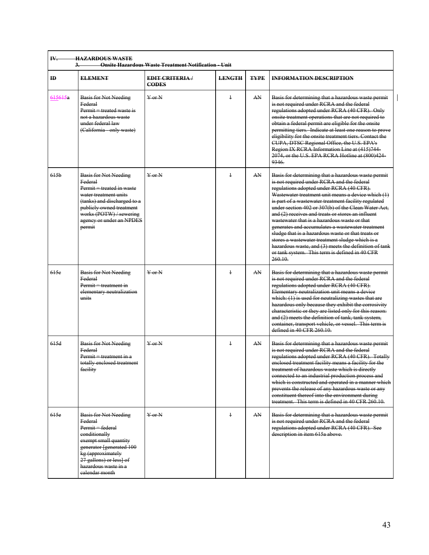| <b>IV.</b>       | <b>HAZARDOUS WASTE</b><br><b>Onsite Hazardous Waste Treatment Notification - Unit</b>                                                                                                                                       |                                      |               |             |                                                                                                                                                                                                                                                                                                                                                                                                                                                                                                                                                                                                                                                                                                           |  |  |  |
|------------------|-----------------------------------------------------------------------------------------------------------------------------------------------------------------------------------------------------------------------------|--------------------------------------|---------------|-------------|-----------------------------------------------------------------------------------------------------------------------------------------------------------------------------------------------------------------------------------------------------------------------------------------------------------------------------------------------------------------------------------------------------------------------------------------------------------------------------------------------------------------------------------------------------------------------------------------------------------------------------------------------------------------------------------------------------------|--|--|--|
| $\mathbf{H}$     | <b>ELEMENT</b>                                                                                                                                                                                                              | <b>EDIT CRITERIA</b><br><b>CODES</b> | <b>LENGTH</b> | <b>TYPE</b> | <b>INFORMATION DESCRIPTION</b>                                                                                                                                                                                                                                                                                                                                                                                                                                                                                                                                                                                                                                                                            |  |  |  |
| 615615a          | <b>Basis for Not Needing</b><br>Federal<br>$Permit = treated$ waste is<br>not a hazardous waste<br>under federal law<br>(California - only waste)                                                                           | $Y$ or N                             | $\ddagger$    | AN          | Basis for determining that a hazardous waste permit<br>is not required under RCRA and the federal<br>regulations adopted under RCRA (40 CFR). Only<br>onsite treatment operations that are not required to<br>obtain a federal permit are eligible for the onsite<br>permitting tiers. Indicate at least one reason to prove<br>eligibility for the onsite treatment tiers. Contact the<br>CUPA, DTSC Regional Office, the U.S. EPA's<br>Region IX RCRA Information Line at (415)744-<br>2074, or the U.S. EPA RCRA Hotline at (800)424-<br>9346.                                                                                                                                                         |  |  |  |
| 615 <sub>b</sub> | Basis for Not Needing<br>Federal<br>Permit = treated in waste<br>water treatment units<br>(tanks) and discharged to a<br>publicly owned treatment<br>works (POTW) / sewering<br>agency or under an NPDES<br>permit          | $Y$ or $N$                           | $\ddagger$    | AN          | Basis for determining that a hazardous waste permit<br>is not required under RCRA and the federal<br>regulations adopted under RCRA (40 CFR).<br>Wastewater treatment unit means a device which (1)<br>is part of a wastewater treatment facility regulated<br>under section 402 or 307(b) of the Clean Water Act,<br>and (2) receives and treats or stores an influent<br>wastewater that is a hazardous waste or that<br>generates and accumulates a wastewater treatment<br>sludge that is a hazardous waste or that treats or<br>stores a wastewater treatment sludge which is a<br>hazardous waste, and (3) meets the definition of tank<br>or tank system. This term is defined in 40 CFR<br>260.10 |  |  |  |
| 615e             | <b>Basis for Not Needing</b><br>Federal<br>Permit = treatment in<br>elementary neutralization<br>units                                                                                                                      | $Y$ or $N$                           | $\ddagger$    | AN          | Basis for determining that a hazardous waste permit<br>is not required under RCRA and the federal<br>regulations adopted under RCRA (40 CFR).<br>Elementary neutralization unit means a device<br>which: $(1)$ is used for neutralizing wastes that are<br>hazardous only because they exhibit the corrosivity<br>characteristic or they are listed only for this reason:<br>and (2) meets the definition of tank, tank system,<br>container, transport vehicle, or vessel. This term is<br>defined in 40 CFR 260.10.                                                                                                                                                                                     |  |  |  |
| 615d             | <b>Basis for Not Needing</b><br>Federal<br>Permit = treatment in a<br>totally enelosed treatme<br>facility                                                                                                                  | $Y$ or $N$                           | $\ddagger$    | AN.         | Basis for determining that a hazardous waste permit<br>is not required under RCRA and the federal<br>regulations adopted under RCRA (40 CFR). Totally<br>enclosed treatment facility means a facility for the<br>treatment of hazardous waste which is directly<br>connected to an industrial production process and<br>which is constructed and operated in a manner which<br>prevents the release of any hazardous waste or any<br>constituent thereof into the environment during<br>treatment. This term is defined in 40 CFR 260.10.                                                                                                                                                                 |  |  |  |
| 615e             | <b>Basis for Not Needing</b><br>Federal<br>Permit = federal<br>eonditionally<br>exempt small quantity<br>generator [generated 100<br>kg (approximately<br>27 gallons) or less] of<br>hazardous waste in a<br>calendar month | $\frac{1}{2}$ or $\frac{1}{2}$       | $\ddagger$    | AN.         | Basis for determining that a hazardous waste permit<br>is not required under RCRA and the federal<br>regulations adopted under RCRA (40 CFR). See<br>description in item 615a above.                                                                                                                                                                                                                                                                                                                                                                                                                                                                                                                      |  |  |  |

 $\mathbf{I}$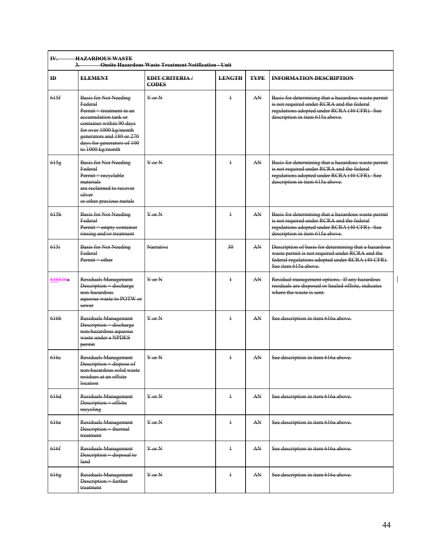| $\mathbf{H}$     | <b>ELEMENT</b>                                                                                                                                                                                                                   | <b>EDIT CRITERIA</b><br><b>CODES</b> | <b>LENGTH</b> | <b>TYPE</b> | <b>INFORMATION DESCRIPTION</b>                                                                                                                                                       |
|------------------|----------------------------------------------------------------------------------------------------------------------------------------------------------------------------------------------------------------------------------|--------------------------------------|---------------|-------------|--------------------------------------------------------------------------------------------------------------------------------------------------------------------------------------|
| 615f             | <b>Basis for Not Needing</b><br>Federal<br>Permit = treatment in an<br>accumulation tank or<br>container within 90 days<br>for over 1000 kg/month<br>generators and 180 or 270<br>days for generators of 100<br>to 1000 kg/month | $Y$ or $N$                           | $\ddagger$    | AN          | Basis for determining that a hazardous waste permit<br>is not required under RCRA and the federal<br>regulations adopted under RCRA (40 CFR). See<br>description in item 615a above. |
| 615g             | <b>Basis for Not Needing</b><br>Federal<br>Permit = recyclable<br>materials<br>are reclaimed to recover<br>silver<br>or other precious metals                                                                                    | $Y$ or $N$                           | $\ddagger$    | AN          | Basis for determining that a hazardous waste permit<br>is not required under RCRA and the federal<br>regulations adopted under RCRA (40 CFR). See<br>description in item 615a above. |
| 615h             | <b>Basis for Not Needing</b><br><b>Federal</b><br>Permit = empty container<br>rinsing and/or treatment                                                                                                                           | $Y$ or $N$                           | $\ddagger$    | AN          | Basis for determining that a hazardous waste permit<br>is not required under RCRA and the federal<br>regulations adopted under RCRA (40 CFR). See<br>description in item 615a above. |
| 615i             | <b>Basis for Not Needing</b><br><b>Federal</b><br>$Permit - other$                                                                                                                                                               | Narrative                            | 30            | AN          | Description of basis for determining that a hazardous<br>waste permit is not required under RCRA and the<br>federal regulations adopted under RCRA (40 CFR).<br>See item 615a above. |
| 616616a          | Residuals Management<br>Description = discharge<br>non hazardous<br>aqueous waste to POTW or<br>sewer                                                                                                                            | $\frac{V}{V}$ or N                   | $\ddagger$    | AN          | Residual management options. If any hazardous<br>residuals are disposed or hauled offsite, indicates<br>where the waste is sent-                                                     |
| 616 <sub>b</sub> | Residuals Management<br>Description = discharge<br>non hazardous aqueous<br>waste under a NPDES<br>permit                                                                                                                        | $Y$ or $N$                           | $\ddagger$    | AN          | See description in item 616a above.                                                                                                                                                  |
| 616e             | Residuals Management<br>Description = dispose of<br>non hazardous solid waste<br>residues at an offsite<br>location                                                                                                              | $Y$ or $N$                           | $\ddagger$    | AN          | See description in item 616a above.                                                                                                                                                  |
| 616d             | Residuals Management<br>Description = offsite<br>reeyeling                                                                                                                                                                       | $\frac{V}{V}$ or $\frac{N}{V}$       | $\ddagger$    | AN          | See description in item 616a above.                                                                                                                                                  |
| 616e             | Residuals Management<br>Description = thermal<br>treatment                                                                                                                                                                       | $\frac{1}{2}$ or N                   | $\ddagger$    | AN.         | See description in item 616a above.                                                                                                                                                  |
| 616f             | Residuals Management<br>Description = disposal to<br>land                                                                                                                                                                        | $\frac{1}{2}$ or N                   | $\ddagger$    | AN.         | See description in item 616a above.                                                                                                                                                  |
| 616g             | Residuals Management<br>Description = further<br>treatment                                                                                                                                                                       | $Y$ or $N$                           | $\ddagger$    | AN          | See description in item 616a above.                                                                                                                                                  |

 $\begin{array}{c} \hline \end{array}$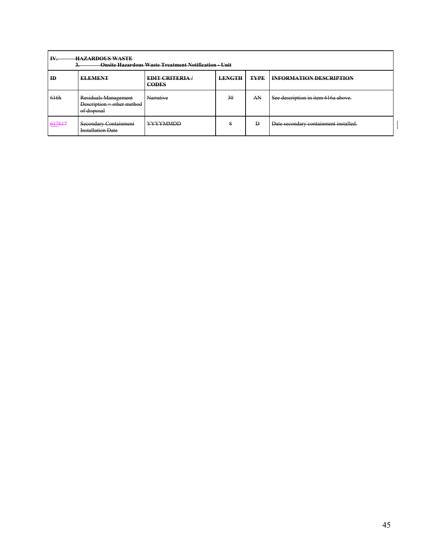| IV.<br><b>HAZARDOUS WASTE</b><br><b>Onsite Hazardous Waste Treatment Notification - Unit</b> |                                                                   |                                      |               |             |                                       |  |
|----------------------------------------------------------------------------------------------|-------------------------------------------------------------------|--------------------------------------|---------------|-------------|---------------------------------------|--|
| ID.                                                                                          | <b>ELEMENT</b>                                                    | <b>EDIT CRITERIA</b><br><b>CODES</b> | <b>LENGTH</b> | <b>TYPE</b> | <b>INFORMATION DESCRIPTION</b>        |  |
| 616h                                                                                         | Residuals Management<br>Description = other method<br>of disposal | Narrative                            | 30            | AN          | See description in item 616a above.   |  |
| 617617                                                                                       | Secondary Containment<br><b>Installation Date</b>                 | <b>YYYYMMDD</b>                      | 8             | Ð           | Date secondary containment installed. |  |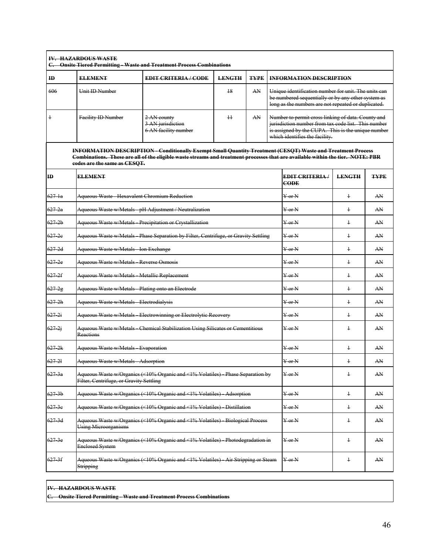|                   | <b>IV. HAZARDOUS WASTE</b>                                                                                                                                                                                                                                                            | C. Onsite Tiered Permitting - Waste and Treatment Process Combinations             |                 |             |  |                                                                                                                                                                                                   |                |             |  |  |
|-------------------|---------------------------------------------------------------------------------------------------------------------------------------------------------------------------------------------------------------------------------------------------------------------------------------|------------------------------------------------------------------------------------|-----------------|-------------|--|---------------------------------------------------------------------------------------------------------------------------------------------------------------------------------------------------|----------------|-------------|--|--|
| $\bf{H}$          | <b>ELEMENT</b>                                                                                                                                                                                                                                                                        | <b>EDIT CRITERIA/CODE</b>                                                          | <b>LENGTH</b>   | <b>TYPE</b> |  | <b>INFORMATION DESCRIPTION</b>                                                                                                                                                                    |                |             |  |  |
| 606               | Unit ID Number                                                                                                                                                                                                                                                                        |                                                                                    | 18              | AN          |  | Unique identification number for unit. The units can<br>be numbered sequentially or by any other system as<br>long as the numbers are not repeated or duplicated.                                 |                |             |  |  |
| $\overline{1}$    | Facility ID Number                                                                                                                                                                                                                                                                    | 2 AN county<br>3 AN jurisdiction<br>6 AN facility number                           | $\overline{11}$ | AN          |  | Number to permit cross linking of data. County and<br>jurisdiction number from tax code list. This number<br>is assigned by the CUPA. This is the unique number<br>which identifies the facility. |                |             |  |  |
|                   | <b>INFORMATION DESCRIPTION - Conditionally Exempt Small Quantity Treatment (CESQT) Waste and Treatment Process</b><br>Combinations. These are all of the eligible waste streams and treatment processes that are available within the tier. NOTE: PBR<br>codes are the same as CESQT. |                                                                                    |                 |             |  |                                                                                                                                                                                                   |                |             |  |  |
| $\mathbf{H}$      | <b>ELEMENT</b>                                                                                                                                                                                                                                                                        |                                                                                    |                 |             |  | <b>EDIT CRITERIA/</b><br><b>CODE</b>                                                                                                                                                              | <b>LENGTH</b>  | <b>TYPE</b> |  |  |
| $627 - 1a$        | Aqueous Waste Hexavalent Chromium Reduction                                                                                                                                                                                                                                           |                                                                                    |                 |             |  | $\frac{V}{V}$ or $\frac{N}{V}$                                                                                                                                                                    | $\overline{1}$ | AN          |  |  |
| $627 - 2a$        |                                                                                                                                                                                                                                                                                       | Aqueous Waste w/Metals pH Adjustment / Neutralization                              |                 |             |  | $Y$ or $N$                                                                                                                                                                                        | $\overline{1}$ | AN          |  |  |
| $627 - 2b$        |                                                                                                                                                                                                                                                                                       | Aqueous Waste w/Metals - Precipitation or Crystallization                          |                 |             |  | $Y$ or $N$                                                                                                                                                                                        | $\overline{1}$ | AN          |  |  |
| $627 - 2e$        |                                                                                                                                                                                                                                                                                       | Aqueous Waste w/Metals Phase Separation by Filter, Centrifuge, or Gravity Settling |                 |             |  | VarN                                                                                                                                                                                              | $\ddagger$     | AN          |  |  |
| $627 - 2d$        | Aqueous Waste w/Metals Ion Exchange                                                                                                                                                                                                                                                   |                                                                                    |                 |             |  | $Y$ or $N$                                                                                                                                                                                        | $\ddagger$     | AN          |  |  |
| $627 - 2e$        | Aqueous Waste w/Metals Reverse Osmosis                                                                                                                                                                                                                                                |                                                                                    |                 |             |  | $Y$ or $N$                                                                                                                                                                                        | $\overline{1}$ | AN          |  |  |
| $627-2f$          | Aqueous Waste w/Metals Metallic Replacement                                                                                                                                                                                                                                           |                                                                                    |                 |             |  | $Y$ or $N$                                                                                                                                                                                        | $\ddagger$     | AN          |  |  |
| $627 - 2g$        | Aqueous Waste w/Metals Plating onto an Electrode                                                                                                                                                                                                                                      |                                                                                    |                 |             |  | $\frac{1}{2}$ or N                                                                                                                                                                                | $\ddagger$     | AN          |  |  |
| 6272h             | Aqueous Waste w/Metals Electrodialysis                                                                                                                                                                                                                                                |                                                                                    |                 |             |  | $Y$ or $N$                                                                                                                                                                                        | $\overline{1}$ | AN          |  |  |
| $627 - 2i$        |                                                                                                                                                                                                                                                                                       | Aqueous Waste w/Metals Electrowinning or Electrolytic Recovery                     |                 |             |  | Y or N                                                                                                                                                                                            | $\ddagger$     | AN          |  |  |
| $627 - 2i$        | <b>Reactions</b>                                                                                                                                                                                                                                                                      | Aqueous Waste w/Metals - Chemical Stabilization Using Silicates or Cementitious    |                 |             |  | $Y$ or $N$                                                                                                                                                                                        | $\ddagger$     | AN          |  |  |
| $627 - 2k$        | Aqueous Waste w/Metals Evaporation                                                                                                                                                                                                                                                    |                                                                                    |                 |             |  | $\frac{1}{2}$ or N                                                                                                                                                                                | $\ddagger$     | AN          |  |  |
| $627 - 21$        | Aqueous Waste w/Metals - Adsorption                                                                                                                                                                                                                                                   |                                                                                    |                 |             |  | $Y$ or $N$                                                                                                                                                                                        | $\ddagger$     | AN          |  |  |
| $627 - 3a$        | Filter, Centrifuge, or Gravity Settling                                                                                                                                                                                                                                               | Aqueous Waste w/Organics (<10% Organic and <1% Volatiles) Phase Separation by      |                 |             |  | $_{\rm Y-0r}$ N                                                                                                                                                                                   | $\ddagger$     | AN          |  |  |
| $627-3b$          |                                                                                                                                                                                                                                                                                       | Aqueous Waste w/Organics (<10% Organic and <1% Volatiles) Adsorption               |                 |             |  | $_{\rm Y~or~N}$                                                                                                                                                                                   | $\frac{1}{2}$  | AN          |  |  |
| 627.3e            | Aqueous Waste w/Organics (<10% Organic and <1% Volatiles) Distillation                                                                                                                                                                                                                | Y or N                                                                             | $\ddagger$      | AN          |  |                                                                                                                                                                                                   |                |             |  |  |
| $627-3d$          | Aqueous Waste w/Organics (<10% Organic and <1% Volatiles) Biological Process<br><b>Using Microorganisms</b>                                                                                                                                                                           | $\frac{1}{2}$ or $\frac{1}{2}$                                                     | $\ddagger$      | AN          |  |                                                                                                                                                                                                   |                |             |  |  |
| <del>627 3e</del> | <b>Enclosed System</b>                                                                                                                                                                                                                                                                | Aqueous Waste w/Organics (<10% Organic and <1% Volatiles) Photodegradation in      |                 |             |  | Y or N                                                                                                                                                                                            | $\ddagger$     | AN          |  |  |
| $627-3f$          | <b>Stripping</b>                                                                                                                                                                                                                                                                      | Aqueous Waste w/Organics (<10% Organic and <1% Volatiles) Air Stripping or Steam   |                 |             |  | $Y$ or $N$                                                                                                                                                                                        | $\ddagger$     | AN          |  |  |

## **IV. HAZARDOUS WASTE**

**C. Onsite Tiered Permitting - Waste and Treatment Process Combinations**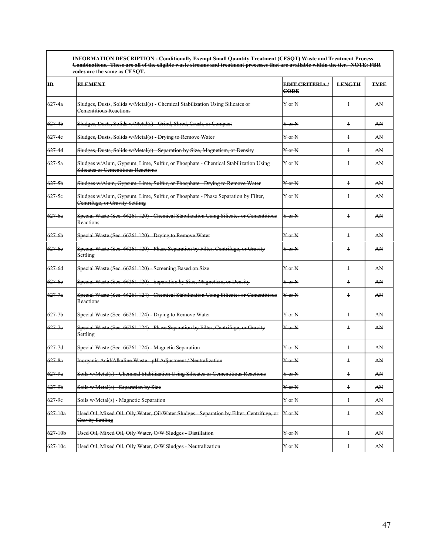| $\mathbf{H}$ | eodes are the same as CESQT.<br><b>ELEMENT</b>                                                                         | <b>EDIT CRITERIA</b>           | <b>LENGTH</b>  | <b>TYPE</b> |
|--------------|------------------------------------------------------------------------------------------------------------------------|--------------------------------|----------------|-------------|
|              |                                                                                                                        | <b>CODE</b>                    |                |             |
| $627 - 4a$   | Sludges, Dusts, Solids w/Metal(s) Chemical Stabilization Using Silicates or<br>Cementitious Reactions                  | $Y$ or $N$                     | $\ddagger$     | AN          |
| $627 - 4b$   | Sludges, Dusts, Solids w/Metal(s) - Grind, Shred, Crush, or Compact                                                    | $V$ or $N$                     | $\ddagger$     | AN          |
| 627 4e       | Sludges, Dusts, Solids w/Metal(s) Drying to Remove Water                                                               | $Y$ or $N$                     | $\ddagger$     | AN          |
| 627 4d       | Sludges, Dusts, Solids w/Metal(s) Separation by Size, Magnetism, or Density                                            | $Y$ or $N$                     | $\ddagger$     | AN          |
| 627.5a       | Sludges w/Alum, Gypsum, Lime, Sulfur, or Phosphate Chemical Stabilization Using<br>Silicates or Cementitious Reactions | $Y$ or $N$                     | $\ddagger$     | AN          |
| $627-5b$     | Sludges w/Alum, Gypsum, Lime, Sulfur, or Phosphate Drying to Remove Water                                              | $Y$ or $N$                     | $\overline{1}$ | AN          |
| $627-5e$     | Sludges w/Alum, Gypsum, Lime, Sulfur, or Phosphate Phase Separation by Filter,<br>Centrifuge, or Gravity Settling      | $Y$ or $N$                     | $\ddagger$     | AN          |
| 6276a        | Special Waste (Sec. 66261.120) Chemical Stabilization Using Silicates or Cementitious<br>Reactions                     | $Y$ or $N$                     | $\ddagger$     | AN          |
| 6276b        | Special Waste (Sec. 66261.120) Drying to Remove Water                                                                  | $Y$ or $N$                     | $\overline{1}$ | AN          |
| 627 6e       | Special Waste (Sec. 66261.120) Phase Separation by Filter, Centrifuge, or Gravity<br>Settling                          | $Y$ or $N$                     | $\ddagger$     | AN          |
| 627-6d       | Special Waste (Sec. 66261.120) Screening Based on Size                                                                 | $Y$ or $N$                     | $\overline{1}$ | AN          |
| 6276e        | Special Waste (Sec. 66261.120) Separation by Size, Magnetism, or Density                                               | $Y$ or $N$                     | $\ddagger$     | AN          |
| $627 - 7a$   | Special Waste (Sec. 66261.124) - Chemical Stabilization Using Silicates or Cementitious<br><b>Reactions</b>            | $Y$ or $N$                     | $\overline{1}$ | AN          |
| $627 - 7b$   | Special Waste (Sec. 66261.124) Drying to Remove Water                                                                  | $Y$ or $N$                     | $\ddagger$     | AN          |
| $627 - 7e$   | Special Waste (Sec. 66261.124) - Phase Separation by Filter, Centrifuge, or Gravity<br>Settling                        | $Y$ or $N$                     | $\overline{1}$ | AN          |
| $627 - 7d$   | Special Waste (Sec. 66261.124) Magnetic Separation                                                                     | $Y$ or $N$                     | $\ddagger$     | AN          |
| $627 - 8a$   | Inorganic Acid/Alkaline Waste pH Adjustment / Neutralization                                                           | $Y$ or $N$                     | $\ddagger$     | AN          |
| 6279a        | Soils w/Metal(s) Chemical Stabilization Using Silicates or Cementitious Reactions                                      | $Y$ or $N$                     | $\ddagger$     | AN          |
| 6279b        | Soils w/Metal(s) Separation by Size                                                                                    | <del>Y or N</del>              | $\ddagger$     | AN          |
| 627.9e       | Soils w/Metal(s) Magnetic Separation                                                                                   | $\frac{1}{2}$ Or $\frac{1}{2}$ | $\ddagger$     | AN          |
| $627 - 10a$  | Used Oil, Mixed Oil, Oily Water, Oil/Water Sludges - Separation by Filter, Centrifuge, or<br><b>Gravity Settling</b>   | Y or N                         | $\ddagger$     | AN          |
| 627 10b      | Used Oil, Mixed Oil, Oily Water, O/W Sludges Distillation                                                              | $Y$ or $N$                     | $\ddagger$     | AN          |
| 627 10e      | Used Oil, Mixed Oil, Oily Water, O/W Sludges Neutralization                                                            | $Y$ or $N$                     | $\ddagger$     | AN          |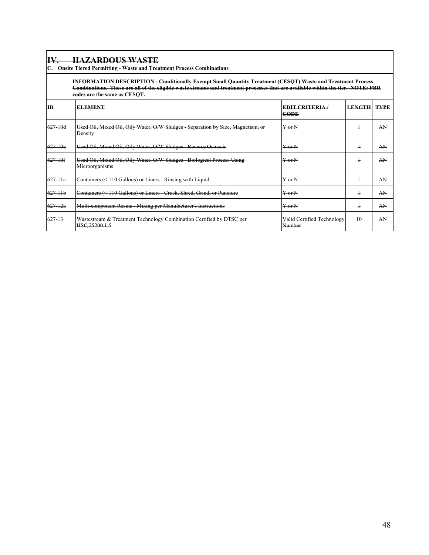| IV          | <b>HAZARDOUS WASTE</b><br>C. Onsite Tiered Permitting - Waste and Treatment Process Combinations                                                                                                                                                                                      |                                      |               |             |  |  |  |  |  |  |
|-------------|---------------------------------------------------------------------------------------------------------------------------------------------------------------------------------------------------------------------------------------------------------------------------------------|--------------------------------------|---------------|-------------|--|--|--|--|--|--|
|             | <b>INFORMATION DESCRIPTION - Conditionally Exempt Small Quantity Treatment (CESQT) Waste and Treatment Process</b><br>Combinations. These are all of the eligible waste streams and treatment processes that are available within the tier. NOTE: PBR<br>codes are the same as CESOT. |                                      |               |             |  |  |  |  |  |  |
| <b>ID</b>   | <b>ELEMENT</b>                                                                                                                                                                                                                                                                        | <b>EDIT CRITERIA</b><br><b>CODE</b>  | <b>LENGTH</b> | <b>TYPE</b> |  |  |  |  |  |  |
| $627 - 10d$ | Used Oil, Mixed Oil, Oily Water, O/W Sludges Separation by Size, Magnetism, or<br><b>Density</b>                                                                                                                                                                                      | $Y$ or $N$                           | $\ddagger$    | AN          |  |  |  |  |  |  |
| $627 - 10e$ | Used Oil, Mixed Oil, Oily Water, O/W Sludges - Reverse Osmosis                                                                                                                                                                                                                        | $\frac{V}{V}$ or $\frac{V}{V}$       | $\ddagger$    | AN          |  |  |  |  |  |  |
| $627 - 10f$ | Used Oil, Mixed Oil, Oily Water, O/W Sludges Biological Process Using<br>Microorganisms                                                                                                                                                                                               | $Y$ or $N$                           | $\ddagger$    | AN          |  |  |  |  |  |  |
| $627 - 11a$ | Containers (< 110 Gallons) or Liners - Rinsing with Liquid                                                                                                                                                                                                                            | $\frac{V}{V}$ or $\frac{V}{V}$       | $\ddagger$    | AN          |  |  |  |  |  |  |
| $627 + 11h$ | Containers (< 110 Gallons) or Liners Crush, Shred, Grind, or Puncture                                                                                                                                                                                                                 | $Y$ or $N$                           | $\ddagger$    | AN          |  |  |  |  |  |  |
| $627 - 12a$ | Multi component Resins Mixing per Manufacturer's Instructions                                                                                                                                                                                                                         | $Y$ or $N$                           | $\ddagger$    | AN          |  |  |  |  |  |  |
| 627 13      | Wastestream & Treatment Technology Combination Certified by DTSC per<br>HSC 25200.1.5                                                                                                                                                                                                 | Valid Certified Technology<br>Number | 10            | AN          |  |  |  |  |  |  |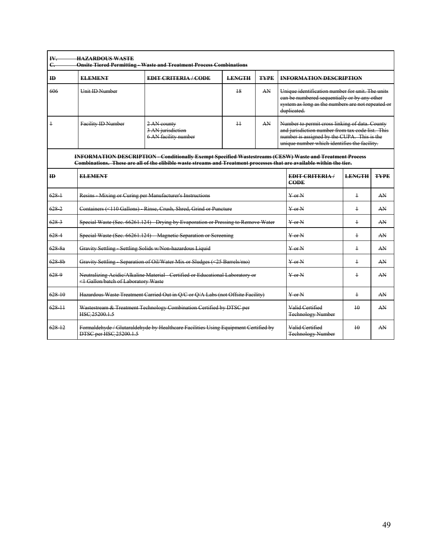| $C_{\bullet}$  |                                                                                                                       | <b>Onsite Tiered Permitting - Waste and Treatment Process Combinations</b>                                                                                                                                                               |               |             |                                                                                                                                                                                                   |                                                                                                                                                       |             |  |
|----------------|-----------------------------------------------------------------------------------------------------------------------|------------------------------------------------------------------------------------------------------------------------------------------------------------------------------------------------------------------------------------------|---------------|-------------|---------------------------------------------------------------------------------------------------------------------------------------------------------------------------------------------------|-------------------------------------------------------------------------------------------------------------------------------------------------------|-------------|--|
| ID             | <b>ELEMENT</b>                                                                                                        | <b>EDIT CRITERIA/CODE</b>                                                                                                                                                                                                                | <b>LENGTH</b> | <b>TYPE</b> | <b>INFORMATION DESCRIPTION</b>                                                                                                                                                                    |                                                                                                                                                       |             |  |
| 606            | <b>Unit ID Number</b>                                                                                                 |                                                                                                                                                                                                                                          | 18            | AN          | duplicated.                                                                                                                                                                                       | Unique identification number for unit. The units<br>ean be numbered sequentially or by any other<br>system as long as the numbers are not repeated or |             |  |
| $\overline{1}$ | <b>Facility ID Number</b>                                                                                             | $\overline{11}$<br>AN<br>2 AN county<br>3 AN jurisdiction<br>6 AN facility number                                                                                                                                                        |               |             | Number to permit cross linking of data. County<br>and jurisdiction number from tax code list. This<br>number is assigned by the CUPA. This is the<br>unique number which identifies the facility. |                                                                                                                                                       |             |  |
|                |                                                                                                                       | <b>INFORMATION DESCRIPTION - Conditionally Exempt Specified Wastestreams (CESW) Waste and Treatment Process</b><br>Combinations. These are all of the elibible waste streams and Treatment processes that are available within the tier. |               |             |                                                                                                                                                                                                   |                                                                                                                                                       |             |  |
| $\mathbf{m}$   | <b>ELEMENT</b>                                                                                                        |                                                                                                                                                                                                                                          |               |             | EDIT CRITERIA/<br>CODE                                                                                                                                                                            | <b>LENGTH</b>                                                                                                                                         | <b>TYPE</b> |  |
| $628 +$        | Resins Mixing or Curing per Manufacturer's Instructions                                                               |                                                                                                                                                                                                                                          |               |             | $\operatorname{Var} N$                                                                                                                                                                            | $\ddagger$                                                                                                                                            | AN          |  |
| 6282           |                                                                                                                       | Containers (<110 Gallons) Rinse, Crush, Shred, Grind or Puncture                                                                                                                                                                         |               |             | $Y$ or $N$                                                                                                                                                                                        | $\overline{1}$                                                                                                                                        | AN          |  |
| 6283           |                                                                                                                       | Special Waste (Sec. 66261.124) Drying by Evaporation or Pressing to Remove Water                                                                                                                                                         |               |             | $Y$ or $N$                                                                                                                                                                                        | $\ddagger$                                                                                                                                            | AN          |  |
| $628 - 4$      |                                                                                                                       | Special Waste (Sec. 66261.124) Magnetic Separation or Screening                                                                                                                                                                          |               |             | $Y$ or $N$                                                                                                                                                                                        | $\ddagger$                                                                                                                                            | AN          |  |
| 628.8a         |                                                                                                                       | Gravity Settling Settling Solids w/Non hazardous Liquid                                                                                                                                                                                  |               |             | $Y$ or $N$                                                                                                                                                                                        | $\overline{1}$                                                                                                                                        | AN          |  |
| 628B           |                                                                                                                       | Gravity Settling Separation of Oil/Water Mix or Sludges (<25 Barrels/mo)                                                                                                                                                                 |               |             | $Y$ or $N$                                                                                                                                                                                        | $\ddagger$                                                                                                                                            | AN          |  |
| $628 - 9$      | Neutralizing Acidic/Alkaline Material - Certified or Educational Laboratory or<br><1 Gallon/batch of Laboratory Waste |                                                                                                                                                                                                                                          |               |             | $Y$ or $N$                                                                                                                                                                                        | $\ddagger$                                                                                                                                            | AN          |  |
| 628-10         | Hazardous Waste Treatment Carried Out in Q/C or Q/A Labs (not Offsite Facility)                                       |                                                                                                                                                                                                                                          |               |             | $Y$ or $N$                                                                                                                                                                                        | $\overline{1}$                                                                                                                                        | AN          |  |
| $628 - 11$     | Wastestream & Treatment Technology Combination Certified by DTSC per<br>HSC 25200.1.5                                 |                                                                                                                                                                                                                                          |               |             | Valid Certified<br><b>Technology Number</b>                                                                                                                                                       | $\overline{10}$                                                                                                                                       | AN          |  |
| $628 + 2$      | Formaldehyde / Glutaraldehyde by Healthcare Facilities Using Equipment Certified by<br>DTSC per HSC 25200.1.5         | Valid Certified<br><b>Technology Number</b>                                                                                                                                                                                              | 10            | AN          |                                                                                                                                                                                                   |                                                                                                                                                       |             |  |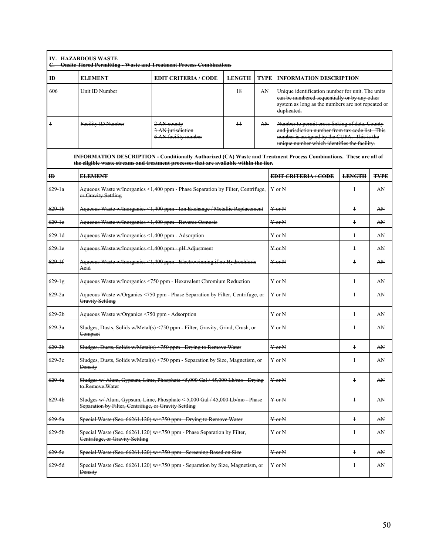| ID                 | <b>ELEMENT</b>                                                                  | <b>EDIT CRITERIA/CODE</b>                                                                                                                                                                                    | <b>LENGTH</b>   | <b>TYPE</b> | <b>INFORMATION DESCRIPTION</b>                                                                                                                                                                    |                |             |
|--------------------|---------------------------------------------------------------------------------|--------------------------------------------------------------------------------------------------------------------------------------------------------------------------------------------------------------|-----------------|-------------|---------------------------------------------------------------------------------------------------------------------------------------------------------------------------------------------------|----------------|-------------|
| 606                | Unit ID Number                                                                  |                                                                                                                                                                                                              | 18              | AN          | Unique identification number for unit. The units<br>ean be numbered sequentially or by any other<br>system as long as the numbers are not repeated or<br>duplicated.                              |                |             |
| $\ddagger$         | <b>Facility ID Number</b>                                                       | 2 AN county<br>3 AN jurisdiction<br>6 AN facility number                                                                                                                                                     | $\overline{11}$ | AN          | Number to permit cross linking of data. County<br>and jurisdiction number from tax code list. This<br>number is assigned by the CUPA. This is the<br>unique number which identifies the facility. |                |             |
|                    |                                                                                 | INFORMATION DESCRIPTION - Conditionally Authorized (CA) Waste and Treatment Process Combinations. These are all of<br>the eligible waste streams and treatment processes that are available within the tier. |                 |             |                                                                                                                                                                                                   |                |             |
| $\mathbf{D}$       | <b>ELEMENT</b>                                                                  |                                                                                                                                                                                                              |                 |             | <b>EDIT CRITERIA/CODE</b>                                                                                                                                                                         | <b>LENGTH</b>  | <b>TYPE</b> |
| $629 - 1a$         | or Gravity Settling                                                             | Aqueous Waste w/Inorganics <1,400 ppm Phase Separation by Filter, Centrifuge,                                                                                                                                |                 |             | $Y$ or $N$                                                                                                                                                                                        | $\ddagger$     | AN          |
| $629 - 1b$         |                                                                                 | Aqueous Waste w/Inorganics <1,400 ppm Ion Exchange / Metallic Replacement                                                                                                                                    |                 |             | $Y$ or $N$                                                                                                                                                                                        | $\ddagger$     | AN          |
| $629 - 1e$         |                                                                                 | Aqueous Waste w/Inorganics <1,400 ppm Reverse Osmosis                                                                                                                                                        |                 |             | $\frac{1}{2}$ or N                                                                                                                                                                                | $\ddagger$     | AN          |
| $629 - 1d$         | Aqueous Waste w/Inorganics <1,400 ppm Adsorption<br>$Y$ or N                    |                                                                                                                                                                                                              |                 |             |                                                                                                                                                                                                   | $\ddagger$     | AN          |
| $629 - 1e$         | Aqueous Waste w/Inorganics <1,400 ppm pH Adjustment                             |                                                                                                                                                                                                              |                 |             | $Y$ or N                                                                                                                                                                                          | $\ddagger$     | AN          |
| $629 - 1f$         | Aqueous Waste w/Inorganics <1,400 ppm Electrowinning if no Hydrochloric<br>Aeid |                                                                                                                                                                                                              |                 |             | $\frac{1}{2}$ or N                                                                                                                                                                                | $\ddagger$     | AN          |
| $629 - 18$         | Aqueous Waste w/Inorganies <750 ppm Hexavalent Chromium Reduction               |                                                                                                                                                                                                              |                 |             | $Y$ or $N$                                                                                                                                                                                        | $\ddagger$     | AN          |
| $629 - 2a$         | <b>Gravity Settling</b>                                                         | Aqueous Waste w/Organics <750 ppm Phase Separation by Filter, Centrifuge, or                                                                                                                                 |                 |             | $Y$ or $N$                                                                                                                                                                                        | $\ddagger$     | AN          |
| 6292b              | Aqueous Waste w/Organics <750 ppm Adsorption                                    |                                                                                                                                                                                                              |                 |             | $Y$ or $N$                                                                                                                                                                                        | $\ddagger$     | AN          |
| 629.3a             | Compact                                                                         | Sludges, Dusts, Solids w/Metal(s) <750 ppm Filter, Gravity, Grind, Crush, or                                                                                                                                 |                 |             | $Y$ or $N$                                                                                                                                                                                        | $\ddagger$     | AN          |
| 629.3 <sub>b</sub> |                                                                                 | Sludges, Dusts, Solids w/Metal(s) <750 ppm Drying to Remove Water                                                                                                                                            |                 |             | $\frac{1}{2}$ or N                                                                                                                                                                                | $\ddagger$     | AN          |
| 629.30             | Density                                                                         | Sludges, Dusts, Solids w/Metal(s) <750 ppm Separation by Size, Magnetism, or                                                                                                                                 |                 |             | $Y$ or $N$                                                                                                                                                                                        | $\overline{1}$ | AN          |
| 629.4a             | to Remove Water                                                                 | Sludges w/ Alum, Gypsum, Lime, Phosphate <5,000 Gal / 45,000 Lb/mo Drying                                                                                                                                    |                 |             | $Y$ or $N$                                                                                                                                                                                        | $\ddagger$     | AN          |
| $629 - 4b$         | Separation by Filter, Centrifuge, or Gravity Settling                           | Sludges w/ Alum, Gypsum, Lime, Phosphate < 5,000 Gal / 45,000 Lb/mo Phase                                                                                                                                    |                 |             | $\frac{1}{2}$ or $\frac{1}{2}$                                                                                                                                                                    | $\ddagger$     | AN          |
| $629 - 5a$         |                                                                                 | Special Waste (Sec. 66261.120) w/ < 750 ppm Drying to Remove Water                                                                                                                                           |                 |             | $\rm Y\,or\,N$                                                                                                                                                                                    | $\ddagger$     | AN          |
| $629-5b$           | Centrifuge, or Gravity Settling                                                 | Special Waste (Sec. 66261.120) w/ < 750 ppm Phase Separation by Filter,                                                                                                                                      |                 |             | $\frac{1}{2}$ or $\frac{1}{2}$                                                                                                                                                                    | $\ddagger$     | AN          |
| $629 - 5e$         |                                                                                 | Special Waste (Sec. 66261.120) w/ < 750 ppm Screening Based on Size                                                                                                                                          |                 |             | $\rm Y\,or\,N$                                                                                                                                                                                    | $\ddagger$     | AN          |
| $629 - 5d$         | Density                                                                         | Special Waste (Sec. 66261.120) w/ <750 ppm Separation by Size, Magnetism, or                                                                                                                                 |                 |             | $Y$ or $N$                                                                                                                                                                                        | $\ddagger$     | AN          |
|                    |                                                                                 |                                                                                                                                                                                                              |                 |             |                                                                                                                                                                                                   |                |             |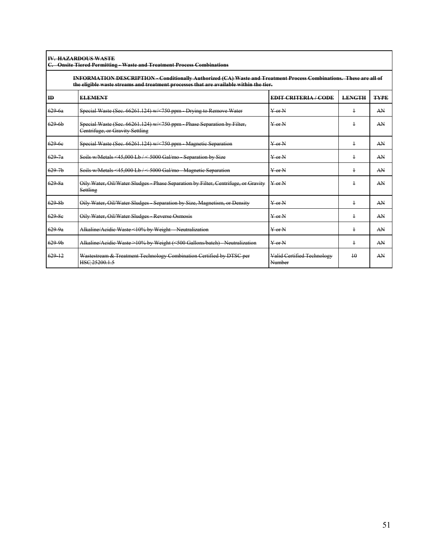**IV. HAZARDOUS WASTE**

|                    | C. Onsite Tiered Permitting - Waste and Treatment Process Combinations                                                                                                                                       |                                      |               |             |  |  |  |  |
|--------------------|--------------------------------------------------------------------------------------------------------------------------------------------------------------------------------------------------------------|--------------------------------------|---------------|-------------|--|--|--|--|
|                    | INFORMATION DESCRIPTION - Conditionally Authorized (CA) Waste and Treatment Process Combinations. These are all of<br>the eligible waste streams and treatment processes that are available within the tier. |                                      |               |             |  |  |  |  |
| ID                 | <b>ELEMENT</b>                                                                                                                                                                                               | <b>EDIT CRITERIA/CODE</b>            | <b>LENGTH</b> | <b>TYPE</b> |  |  |  |  |
| 6296a              | Special Waste (Sec. 66261.124) w/ < 750 ppm Drying to Remove Water                                                                                                                                           | $Y$ or $N$                           | $\ddagger$    | AN          |  |  |  |  |
| 6296b              | Special Waste (Sec. 66261.124) w/<750 ppm Phase Separation by Filter,<br>Centrifuge, or Gravity Settling                                                                                                     | $Y$ or $N$                           | $\ddagger$    | AN          |  |  |  |  |
| $629 - 6c$         | Special Waste (Sec. 66261.124) w/ < 750 ppm - Magnetic Separation                                                                                                                                            | $Y$ or $N$                           | $\ddagger$    | AN          |  |  |  |  |
| $629 - 7a$         | Soils w/Metals <45,000 Lb/ < 5000 Gal/mo Separation by Size                                                                                                                                                  | $Y$ or $N$                           | $\ddagger$    | AN          |  |  |  |  |
| $629 - 7b$         | Soils w/Metals <45,000 Lb/ < 5000 Gal/mo Magnetic Separation                                                                                                                                                 | $Y$ or $N$                           | $\ddagger$    | AN          |  |  |  |  |
| 629.8a             | Oily Water, Oil/Water Sludges Phase Separation by Filter, Centrifuge, or Gravity<br>Settling                                                                                                                 | $Y$ or $N$                           | $\ddagger$    | AN          |  |  |  |  |
| 629.8 <sub>b</sub> | Oily Water, Oil/Water Sludges Separation by Size, Magnetism, or Density                                                                                                                                      | $Y$ or $N$                           | $\ddagger$    | AN          |  |  |  |  |
| 629 8e             | Oily Water, Oil/Water Sludges Reverse Osmosis                                                                                                                                                                | $Y$ or $N$                           | $\ddagger$    | AN          |  |  |  |  |
| $629 - 9a$         | Alkaline/Acidic Waste <10% by Weight - Neutralization                                                                                                                                                        | $Y$ or $N$                           | $\ddagger$    | AN          |  |  |  |  |
| $629-9b$           | Alkaline/Acidic Waste >10% by Weight (<500 Gallons/batch) Neutralization                                                                                                                                     | $Y$ or $N$                           | $\ddagger$    | AN          |  |  |  |  |
| 629 12             | Wastestream & Treatment Technology Combination Certified by DTSC per<br>HSC 25200.1.5                                                                                                                        | Valid Certified Technology<br>Number | 10            | AN          |  |  |  |  |

1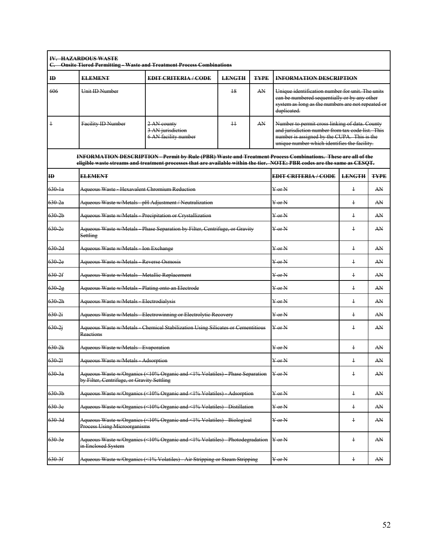| $\mathbf{H}$      | <b>ELEMENT</b>                                                                                       | <b>EDIT CRITERIA/CODE</b>                                                                                                                                                                                                                | <b>LENGTH</b>    | <b>TYPE</b> | <b>INFORMATION DESCRIPTION</b>                                                                                                                                       |               |             |
|-------------------|------------------------------------------------------------------------------------------------------|------------------------------------------------------------------------------------------------------------------------------------------------------------------------------------------------------------------------------------------|------------------|-------------|----------------------------------------------------------------------------------------------------------------------------------------------------------------------|---------------|-------------|
| 606               | Unit ID Number                                                                                       |                                                                                                                                                                                                                                          | 18               | AN          | Unique identification number for unit. The units<br>ean be numbered sequentially or by any other<br>system as long as the numbers are not repeated or<br>duplicated. |               |             |
| $\ddagger$        | Facility ID Number                                                                                   | Number to permit cross linking of data. County<br>and jurisdiction number from tax code list. This<br>number is assigned by the CUPA. This is the<br>unique number which identifies the facility.                                        |                  |             |                                                                                                                                                                      |               |             |
|                   |                                                                                                      | INFORMATION DESCRIPTION-Permit by Rule (PBR) Waste and Treatment Process Combinations. These are all of the<br>eligible waste streams and treatment processes that are available within the tier. NOTE: PBR codes are the same as CESQT. |                  |             |                                                                                                                                                                      |               |             |
| $\mathbf{D}$      | <b>ELEMENT</b>                                                                                       |                                                                                                                                                                                                                                          |                  |             | <b>EDIT CRITERIA/CODE</b>                                                                                                                                            | <b>LENGTH</b> | <b>TYPE</b> |
| 6301a             |                                                                                                      | Aqueous Waste Hexavalent Chromium Reduction                                                                                                                                                                                              |                  |             | Y <sub>or N</sub>                                                                                                                                                    | $\ddagger$    | AN          |
| $630 - 2a$        |                                                                                                      | Aqueous Waste w/Metals pH Adjustment / Neutralization                                                                                                                                                                                    |                  |             | $Y$ or $N$                                                                                                                                                           | $\ddagger$    | AN          |
| 6302 <sub>b</sub> | Aqueous Waste w/Metals Precipitation or Crystallization                                              |                                                                                                                                                                                                                                          |                  |             | $Y$ or $N$                                                                                                                                                           | $\ddagger$    | AN          |
| 630 2e            | Aqueous Waste w/Metals Phase Separation by Filter, Centrifuge, or Gravity<br>Settling                |                                                                                                                                                                                                                                          |                  |             | $Y$ or $N$                                                                                                                                                           | $\ddagger$    | AN          |
| $630 - 2d$        | Aqueous Waste w/Metals Ion Exchange                                                                  |                                                                                                                                                                                                                                          |                  |             | $Y$ or $N$                                                                                                                                                           | $\ddagger$    | AN          |
| 630 2e            | Aqueous Waste w/Metals Reverse Osmosis                                                               |                                                                                                                                                                                                                                          |                  |             | $Y$ or $N$                                                                                                                                                           | $\ddagger$    | AN          |
| $630 - 2f$        | Aqueous Waste w/Metals - Metallic Replacement                                                        |                                                                                                                                                                                                                                          |                  |             | $Y$ or $N$                                                                                                                                                           | $\ddagger$    | AN          |
| 630 2g            |                                                                                                      | Aqueous Waste w/Metals Plating onto an Electrode                                                                                                                                                                                         |                  |             | $Y$ or $N$                                                                                                                                                           | $\ddagger$    | AN          |
| 6302h             | Aqueous Waste w/Metals Electrodialysis                                                               |                                                                                                                                                                                                                                          |                  |             | $Y$ or $N$                                                                                                                                                           | $\ddagger$    | AN          |
| 6302i             |                                                                                                      | Aqueous Waste w/Metals Electrowinning or Electrolytic Recovery                                                                                                                                                                           |                  |             | $Y$ or $N$                                                                                                                                                           | $\ddagger$    | AN          |
| $630 - 2i$        | Reactions                                                                                            | Aqueous Waste w/Metals - Chemical Stabilization Using Silicates or Cementitious                                                                                                                                                          |                  |             | $Y$ or $N$                                                                                                                                                           | $\ddagger$    | AN          |
| 630.2k            | Aqueous Waste w/Metals Evaporation                                                                   |                                                                                                                                                                                                                                          |                  |             | $Y$ or $N$                                                                                                                                                           | $\ddagger$    | AN          |
| 630-21            | Aqueous Waste w/Metals Adsorption                                                                    |                                                                                                                                                                                                                                          |                  |             | Y or N                                                                                                                                                               | $\ddag$       | AN          |
| 630.3a            | by Filter, Centrifuge, or Gravity Settling                                                           | Aqueous Waste w/Organics (<10% Organic and <1% Volatiles)                                                                                                                                                                                | Phase Separation |             | $\frac{1}{2}$ or N                                                                                                                                                   | $\ddagger$    | AN          |
| $630 - 3b$        |                                                                                                      | Aqueous Waste w/Organics (<10% Organic and <1% Volatiles) - Adsorption                                                                                                                                                                   |                  |             |                                                                                                                                                                      | $\ddagger$    | AN          |
| 630.3e            |                                                                                                      | Aqueous Waste w/Organics (<10% Organic and <1% Volatiles) Distillation                                                                                                                                                                   |                  |             | Y or N                                                                                                                                                               | $\ddagger$    | AN          |
| $630 - 3d$        | Aqueous Waste w/Organics (<10% Organic and <1% Volatiles) Biological<br>Process Using Microorganisms |                                                                                                                                                                                                                                          |                  | Y or N      | $\ddagger$                                                                                                                                                           | AN            |             |
| 630.3e            | in Enclosed System                                                                                   | Aqueous Waste w/Organics (<10% Organic and <1% Volatiles) Photodegradation                                                                                                                                                               |                  |             | $Y$ or $N$                                                                                                                                                           | $\ddagger$    | AN          |
| $630 - 3f$        | Aqueous Waste w/Organics (<1% Volatiles) Air Stripping or Steam Stripping                            |                                                                                                                                                                                                                                          |                  |             | Y or N                                                                                                                                                               | $\ddagger$    | AN          |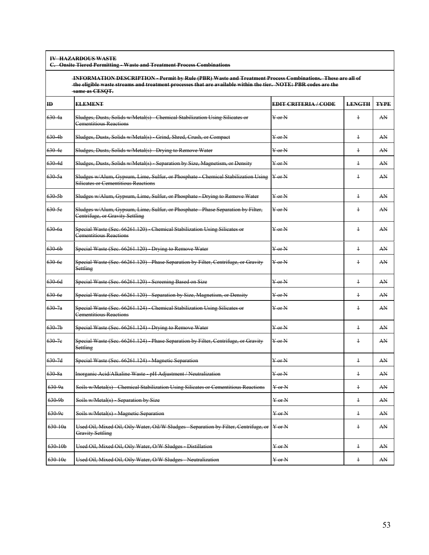**IV HAZARDOUS WASTE**

**C. Onsite Tiered Permitting - Waste and Treatment Process Combinations**

 **INFORMATION DESCRIPTION - Permit by Rule (PBR) Waste and Treatment Process Combinations. These are all of the eligible waste streams and treatment processes that are available within the tier. NOTE: PBR codes are the same as CESQT.**

| ID                | <b>ELEMENT</b>                                                                                                                  | <b>EDIT CRITERIA/CODE</b>      | <b>LENGTH</b> | <b>TYPE</b> |
|-------------------|---------------------------------------------------------------------------------------------------------------------------------|--------------------------------|---------------|-------------|
| 630.4a            | Sludges, Dusts, Solids w/Metal(s) Chemical Stabilization Using Silicates or<br><b>Cementitious Reactions</b>                    | $Y$ or $N$                     | $\ddagger$    | AN          |
| $630-4b$          | Sludges, Dusts, Solids w/Metal(s) Grind, Shred, Crush, or Compact                                                               | Y <sub>or N</sub>              | $\ddagger$    | AN          |
| 630 4e            | Sludges, Dusts, Solids w/Metal(s) Drying to Remove Water                                                                        | Y <sub>or N</sub>              | $\ddagger$    | AN          |
| 630 4d            | Sludges, Dusts, Solids w/Metal(s) Separation by Size, Magnetism, or Density                                                     | $Y$ or $N$                     | $\ddagger$    | AN          |
| 630.5a            | Sludges w/Alum, Gypsum, Lime, Sulfur, or Phosphate - Chemical Stabilization Using<br><b>Silicates or Cementitious Reactions</b> | $Y$ or N                       | $\ddagger$    | AN          |
| $630-5b$          | Sludges w/Alum, Gypsum, Lime, Sulfur, or Phosphate Drying to Remove Water                                                       | $Y$ or $N$                     | $\ddagger$    | AN          |
| $630 - 5c$        | Sludges w/Alum, Gypsum, Lime, Sulfur, or Phosphate - Phase Separation by Filter,<br>Centrifuge, or Gravity Settling             | $\frac{Y}{Y}$ or N             | $\ddagger$    | AN          |
| 630 6a            | Special Waste (Sec. 66261.120) Chemical Stabilization Using Silicates or<br>Cementitious Reactions                              | $Y$ or $N$                     | $\ddagger$    | AN          |
| 6306b             | Special Waste (Sec. 66261.120) Drying to Remove Water                                                                           | $\frac{V}{V}$ or $\frac{N}{V}$ | $\ddagger$    | AN          |
| 630 <sub>6e</sub> | Special Waste (Sec. 66261.120) Phase Separation by Filter, Centrifuge, or Gravity<br>Settling                                   | $Y$ or $N$                     | $\ddagger$    | AN          |
| 630 6d            | Special Waste (Sec. 66261.120) Screening Based on Size                                                                          | $Y$ or $N$                     | $\ddagger$    | AN          |
| $630 - 6e$        | Special Waste (Sec. 66261.120) - Separation by Size, Magnetism, or Density                                                      | $Y$ or $N$                     | $\ddagger$    | AN          |
| $630 - 7a$        | Special Waste (Sec. 66261.124) Chemical Stabilization Using Silicates or<br>Cementitious Reactions                              | $Y$ or $N$                     | $\ddagger$    | AN          |
| $630 - 7b$        | Special Waste (Sec. 66261.124) - Drying to Remove Water                                                                         | $\frac{V}{V}$ or N             | $\ddagger$    | AN          |
| 630 7e            | Special Waste (Sec. 66261.124) Phase Separation by Filter, Centrifuge, or Gravity<br><b>Settling</b>                            | $Y$ or $N$                     | $\ddagger$    | AN          |
| 630 7d            | Special Waste (Sec. 66261.124) Magnetic Separation                                                                              | $Y$ or $N$                     | $\ddagger$    | AN          |
| 630.8a            | Inorganic Acid/Alkaline Waste pH Adjustment / Neutralization                                                                    | $Y$ or $N$                     | $\ddagger$    | AN          |
| 630.9a            | Soils w/Metal(s) Chemical Stabilization Using Silicates or Cementitious Reactions                                               | $Y$ or $N$                     | $\ddagger$    | AN          |
| 630 9b            | Soils w/Metal(s) Separation by Size                                                                                             | $Y$ or $N$                     | $\ddagger$    | AN          |
| 630.9e            | Soils w/Metal(s) Magnetic Separation                                                                                            | $Y$ or $N$                     | $\ddagger$    | AN          |
| $630 - 10a$       | Used Oil, Mixed Oil, Oily Water, Oil/W Sludges Separation by Filter, Centrifuge, or   Y or N<br><b>Gravity Settling</b>         |                                | $\ddagger$    | AN          |
| $630 - 10b$       | Used Oil, Mixed Oil, Oily Water, O/W Sludges Distillation                                                                       | $\rm Y$ or $\rm N$             | $\ddagger$    | AN          |
| 630 10e           | Used Oil, Mixed Oil, Oily Water, O/W Sludges Neutralization                                                                     | $\frac{1}{2}$ or N             | $\ddagger$    | AN          |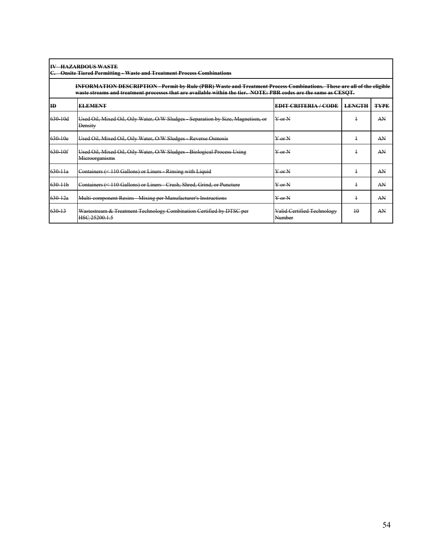| <b>IV HAZARDOUS WASTE</b> |
|---------------------------|
|                           |

## **C. Onsite Tiered Permitting - Waste and Treatment Process Combinations**

**INFORMATION DESCRIPTION - Permit by Rule (PBR) Waste and Treatment Process Combinations. These are all of the eligible waste streams and treatment processes that are available within the tier. NOTE: PBR codes are the same as CESQT.**

| ID          | <b>ELEMENT</b>                                                                            | <b>EDIT CRITERIA/CODE</b>            | <b>LENGTH</b>   | <b>TYPE</b> |
|-------------|-------------------------------------------------------------------------------------------|--------------------------------------|-----------------|-------------|
| $630 - 10d$ | Used Oil, Mixed Oil, Oily Water, O/W Sludges Separation by Size, Magnetism, or<br>Density | $\frac{1}{2}$ or $\frac{1}{2}$       | ٠               | AN          |
| $630 - 10e$ | Used Oil, Mixed Oil, Oily Water, O/W Sludges Reverse Osmosis                              | $Y$ or $N$                           | ۰               | AN          |
| 630-10f     | Used Oil, Mixed Oil, Oily Water, O/W Sludges Biological Process Using<br>Microorganisms   | $\frac{Y}{Y}$ or $\frac{N}{Y}$       | ÷               | AN          |
| $630 - 11a$ | Containers (< 110 Gallons) or Liners Rinsing with Liquid                                  | $Y$ or $N$                           | 4               | AN          |
| $630 - 11b$ | Containers (< 110 Gallons) or Liners Crush, Shred, Grind, or Puncture                     | $Y$ or $N$                           | ÷               | AN          |
| $630 - 12a$ | Multi component Resins Mixing per Manufacturer's Instructions                             | $Y$ or $N$                           | ٠               | AN          |
| 630 13      | Wastestream & Treatment Technology Combination Certified by DTSC per<br>HSC 25200.1.5     | Valid Certified Technology<br>Number | $\overline{10}$ | AN          |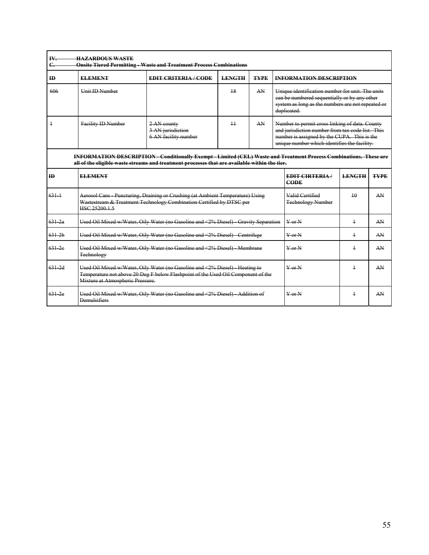| ID             | <b>ELEMENT</b>                                                                                                                                                                                       | <b>EDIT CRITERIA / CODE</b>                                                                                                                                                                                                | <b>LENGTH</b> | <b>TYPE</b> |  | <b>INFORMATION DESCRIPTION</b>                                                                                                                                                                    |                         |             |
|----------------|------------------------------------------------------------------------------------------------------------------------------------------------------------------------------------------------------|----------------------------------------------------------------------------------------------------------------------------------------------------------------------------------------------------------------------------|---------------|-------------|--|---------------------------------------------------------------------------------------------------------------------------------------------------------------------------------------------------|-------------------------|-------------|
| 606            | <b>Unit ID Number</b>                                                                                                                                                                                |                                                                                                                                                                                                                            | 18            | AN          |  | Unique identification number for unit. The units<br>can be numbered sequentially or by any other<br>system as long as the numbers are not repeated or<br>duplicated.                              |                         |             |
| $\overline{1}$ | <b>Facility ID Number</b>                                                                                                                                                                            | 2 AN county<br>3 AN jurisdiction<br>6 AN facility number                                                                                                                                                                   | 11            | AN          |  | Number to permit cross linking of data. County<br>and jurisdiction number from tax code list. This<br>number is assigned by the CUPA. This is the<br>unique number which identifies the facility. |                         |             |
|                |                                                                                                                                                                                                      | <b>INFORMATION DESCRIPTION - Conditionally Exempt - Limited (CEL) Waste and Treatment Process Combinations. These are</b><br>all of the cligible waste streams and treatment processes that are available within the tier. |               |             |  |                                                                                                                                                                                                   |                         |             |
| ID             | <b>ELEMENT</b>                                                                                                                                                                                       |                                                                                                                                                                                                                            |               |             |  | <b>EDIT CIRTERIA/</b><br>CODE                                                                                                                                                                     | <b>LENGTH</b>           | <b>TYPE</b> |
| $631 +$        | HSC 25200.1.5                                                                                                                                                                                        | Aerosol Cans Puncturing, Draining or Crushing (at Ambient Temperature) Using<br>Wastestream & Treatment Technology Combination Certified by DTSC per                                                                       |               |             |  | Valid Certified<br><b>Technology Number</b>                                                                                                                                                       | 10                      | AN          |
| $631 - 2a$     |                                                                                                                                                                                                      | Used Oil Mixed w/Water, Oily Water (no Gasoline and <2% Diesel) Gravity Separation                                                                                                                                         |               |             |  | $Y$ or $N$                                                                                                                                                                                        | $\ddagger$              | AN          |
| $631 - 2h$     |                                                                                                                                                                                                      | Used Oil Mixed w/Water, Oily Water (no Gasoline and <2% Diesel) - Centrifuge                                                                                                                                               |               |             |  | $Y$ or $N$                                                                                                                                                                                        | $\ddagger$              | AN          |
| $631 - 2e$     | Used Oil Mixed w/Water, Oily Water (no Gasoline and <2% Diesel) Membrane<br>Technology                                                                                                               |                                                                                                                                                                                                                            |               |             |  | $\frac{V}{V}$ or N                                                                                                                                                                                | $\ddagger$              | AN          |
| $631 - 2d$     | Used Oil Mixed w/Water, Oily Water (no Gasoline and <2% Diesel) - Heating to<br>Temperature not above 20 Deg F below Flashpoint of the Used Oil Component of the<br>Mixture at Atmospheric Pressure. |                                                                                                                                                                                                                            |               |             |  | $Y$ or $N$                                                                                                                                                                                        | $\overline{\mathbf{1}}$ | AN          |
| $631 - 2e$     | Used Oil Mixed w/Water, Oily Water (no Gasoline and <2% Diesel) Addition of<br><b>Demulsifiers</b>                                                                                                   |                                                                                                                                                                                                                            |               |             |  | $Y$ or $N$                                                                                                                                                                                        | 1                       | AN          |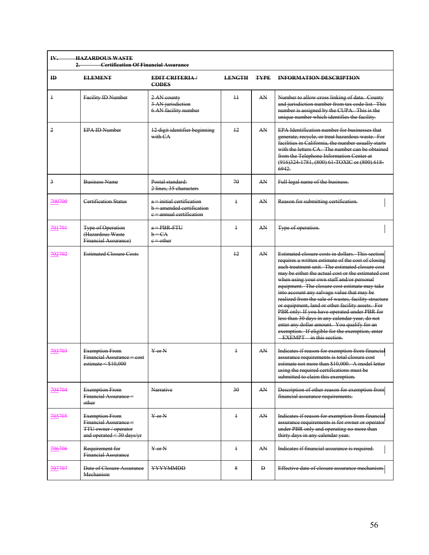| ID         | <b>ELEMENT</b>                                                                                      | <b>EDIT CRITERIA</b><br><b>CODES</b>                                                   | <b>LENGTH</b>   | <b>TYPE</b> | <b>INFORMATION DESCRIPTION</b>                                                                                                                                                                                                                                                                                                                                                                                                                                                                                                                                                                                                                                                                          |
|------------|-----------------------------------------------------------------------------------------------------|----------------------------------------------------------------------------------------|-----------------|-------------|---------------------------------------------------------------------------------------------------------------------------------------------------------------------------------------------------------------------------------------------------------------------------------------------------------------------------------------------------------------------------------------------------------------------------------------------------------------------------------------------------------------------------------------------------------------------------------------------------------------------------------------------------------------------------------------------------------|
| $\ddagger$ | Facility ID Number                                                                                  | 2 AN county<br>3 AN jurisdiction<br>6 AN facility number                               | $\overline{11}$ | AN          | Number to allow cross linking of data. County<br>and jurisdiction number from tax code list. This<br>number is assigned by the CUPA. This is the<br>unique number which identifies the facility.                                                                                                                                                                                                                                                                                                                                                                                                                                                                                                        |
| 2          | <b>EPA ID Number</b>                                                                                | 12 digit identifier beginning<br>with CA                                               | 12              | AN          | <b>EPA</b> Identification number for businesses that<br>generate, recycle, or treat hazardous waste. For<br>facilities in California, the number usually starts<br>with the letters CA. The number can be obtained<br>from the Telephone Information Center at<br>(916)324 1781, (800) 61 TOXIC or (800) 618<br>6942.                                                                                                                                                                                                                                                                                                                                                                                   |
| 3          | <b>Business Name</b>                                                                                | Postal standard:<br>2 lines, 35 characters                                             | 70              | AN          | Full legal name of the business.                                                                                                                                                                                                                                                                                                                                                                                                                                                                                                                                                                                                                                                                        |
| 700700     | <b>Certification Status</b>                                                                         | a = initial certification<br>$b =$ amended certification<br>$e$ = annual certification | $\overline{1}$  | AN          | Reason for submitting certification.                                                                                                                                                                                                                                                                                                                                                                                                                                                                                                                                                                                                                                                                    |
| 701701     | <b>Type of Operation</b><br>(Hazardous Waste<br><b>Financial Assurance)</b>                         | $a = PBR$ FTU<br>$b = CA$<br>$e$ $=$ $o$ ther                                          | $\ddagger$      | AN          | Type of operation.                                                                                                                                                                                                                                                                                                                                                                                                                                                                                                                                                                                                                                                                                      |
| 702702     | <b>Estimated Closure Costs</b>                                                                      |                                                                                        | $+2$            | AN          | Estimated closure costs in dollars. This section<br>requires a written estimate of the cost of closing<br>each treatment unit. The estimated closure cost<br>may be either the actual cost or the estimated cost<br>when using your own staff and/or personal<br>equipment. The closure cost estimate may take<br>into account any salvage value that may be<br>realized from the sale of wastes, facility structure<br>or equipment, land or other facility assets. For<br>PBR only: If you have operated under PBR for<br>less than 30 days in any calendar year, do not<br>enter any dollar amount. You qualify for an<br>exemption. If eligible for the exemption, enter<br>EXEMPT in this section. |
| 703703     | <b>Exemption From</b><br>Financial Assurance = cost<br>estimate $\le$ \$10,000                      | $Y$ or $N$                                                                             | $\ddagger$      | AN          | Indicates if reason for exemption from financial<br>assurance requirements is total closure cost<br>estimate not more than \$10,000. A model letter<br>using the required certifications must be<br>submitted to claim this exemption.                                                                                                                                                                                                                                                                                                                                                                                                                                                                  |
| 704704     | <b>Exemption From</b><br><b>Financial Assurance =</b><br>other                                      | Narrative                                                                              | 30              | AN          | Description of other reason for exemption from<br>financial assurance requirements.                                                                                                                                                                                                                                                                                                                                                                                                                                                                                                                                                                                                                     |
| 705705     | <b>Exemption From</b><br>Financial Assurance =<br>TTU owner / operator<br>and operated < 30 days/yr | $Y$ or $N$                                                                             | $\ddagger$      | AN          | Indicates if reason for exemption from financial<br>assurance requirements is for owner or operator<br>under PBR only and operating no more than<br>thirty days in any calendar year.                                                                                                                                                                                                                                                                                                                                                                                                                                                                                                                   |
| 706706     | Requirement for<br><b>Financial Assurance</b>                                                       | $Y$ or $N$                                                                             | $\ddagger$      | AN          | Indicates if financial assurance is required.                                                                                                                                                                                                                                                                                                                                                                                                                                                                                                                                                                                                                                                           |
| 707707     | Date of Closure Assurance<br>Mechanism                                                              | <b>YYYYMMDD</b>                                                                        | 8               | Đ           | Effective date of closure assurance mechanism.                                                                                                                                                                                                                                                                                                                                                                                                                                                                                                                                                                                                                                                          |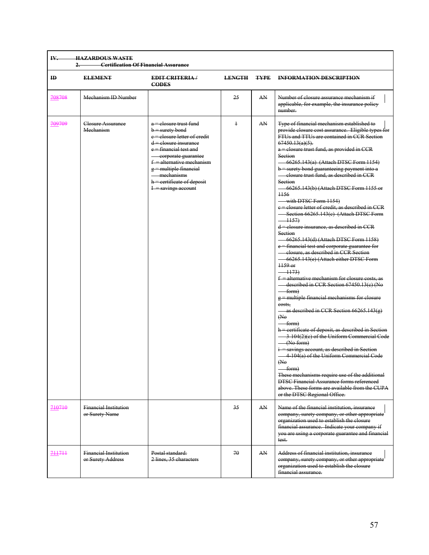| ш | <b>HAZADDOUS WASTE</b><br>------------------------- |
|---|-----------------------------------------------------|
|   | Cortification Of Financial Assurance                |

| ID     | <b>ELEMENT</b>                                    | <b>EDIT CRITERIA</b> /<br><b>CODES</b>                                                                                                                                                                                                                                                  | <b>LENGTH</b> | <b>TYPE</b> | <b>INFORMATION DESCRIPTION</b>                                                                                                                                                                                                                                                                                                                                                                                                                                                                                                                                                                                                                                                                                                                                                                                                                                                                                                                                                                                                                                                                                                                                                                                                                                                                                                                                                                                                                                                                                                    |
|--------|---------------------------------------------------|-----------------------------------------------------------------------------------------------------------------------------------------------------------------------------------------------------------------------------------------------------------------------------------------|---------------|-------------|-----------------------------------------------------------------------------------------------------------------------------------------------------------------------------------------------------------------------------------------------------------------------------------------------------------------------------------------------------------------------------------------------------------------------------------------------------------------------------------------------------------------------------------------------------------------------------------------------------------------------------------------------------------------------------------------------------------------------------------------------------------------------------------------------------------------------------------------------------------------------------------------------------------------------------------------------------------------------------------------------------------------------------------------------------------------------------------------------------------------------------------------------------------------------------------------------------------------------------------------------------------------------------------------------------------------------------------------------------------------------------------------------------------------------------------------------------------------------------------------------------------------------------------|
| 708708 | Mechanism ID Number                               |                                                                                                                                                                                                                                                                                         | 25            | AN          | Number of closure assurance mechanism if<br>applicable, for example, the insurance policy<br>number.                                                                                                                                                                                                                                                                                                                                                                                                                                                                                                                                                                                                                                                                                                                                                                                                                                                                                                                                                                                                                                                                                                                                                                                                                                                                                                                                                                                                                              |
| 709709 | Closure Assurance<br>Mechanism                    | a = elosure trust fund<br>$b$ = surety bond<br>e = elosure letter of credit<br>d = elosure insurance<br>e = financial test and<br>corporate guarantee<br>$f =$ alternative mechanism<br>$g =$ multiple financial<br>mechanisms<br>$h =$ certificate of deposit<br>$I$ = savings account | $\ddagger$    | AN          | Type of financial mechanism established to<br>provide closure cost assurance. Eligible types for<br>FTUs and TTUs are contained in CCR Section<br>$67450.13(a)(5)$ .<br>a = elosure trust fund, as provided in CCR<br>Section<br>$-66265.143(a)$ (Attach DTSC Form 1154)<br>$b$ = surety bond guaranteeing payment into a<br>elosure trust fund, as described in CCR<br>Section<br>-66265.143(b) (Attach DTSC Form 1155 or<br>1156<br>$\longrightarrow$ with DTSC Form 1154)<br>e = elosure letter of credit, as described in CCR<br>-Section 66265.143(c) (Attach DTSC Form<br>$-1157$<br>$d$ = elosure insurance, as described in CCR<br>Section<br>-66265.143(d) (Attach DTSC Form 1158)<br>e = financial test and corporate guarantee for<br>elosure, as described in CCR Section<br>-66265.143(e) (Attach either DTSC Form<br>$1159$ or<br>$-1173$<br>$f =$ alternative mechanism for closure costs, as<br>described in CCR Section 67450.13(e) (No<br>$-$ form $)$<br>$g$ = multiple financial mechanisms for closure<br>costs,<br>as described in CCR Section $66265.143(g)$<br>(No)<br>— form)<br>h = certificate of deposit, as described in Section<br>3 104(2)(e) of the Uniform Commercial Code<br>(No form)<br>$i$ = savings account, as described in Section<br>4 104(a) of the Uniform Commercial Code<br>(A)<br>$-$ form)<br>These mechanisms require use of the additional<br><b>DTSC Financial Assurance forms referenced</b><br>above. These forms are available from the CUPA<br>or the DTSC Regional Office. |
| 710710 | <b>Financial Institution</b><br>or Surety Name    |                                                                                                                                                                                                                                                                                         | 35            | AN          | Name of the financial institution, insurance<br>company, surety company, or other appropriate<br>organization used to establish the closure<br>financial assurance. Indicate your company if<br>you are using a corporate guarantee and financial<br>test.                                                                                                                                                                                                                                                                                                                                                                                                                                                                                                                                                                                                                                                                                                                                                                                                                                                                                                                                                                                                                                                                                                                                                                                                                                                                        |
| 711711 | <b>Financial Institution</b><br>or Surety Address | Postal standard:<br>2 lines, 35 characters                                                                                                                                                                                                                                              | 70            | AN          | Address of financial institution, insurance<br>company, surety company, or other appropriate<br>organization used to establish the closure<br>financial assurance.                                                                                                                                                                                                                                                                                                                                                                                                                                                                                                                                                                                                                                                                                                                                                                                                                                                                                                                                                                                                                                                                                                                                                                                                                                                                                                                                                                |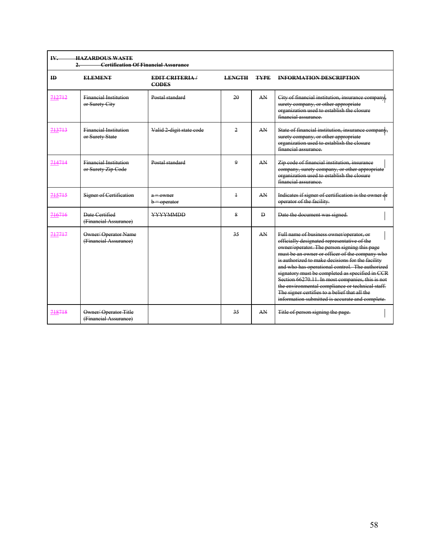| IV.          | <b>HAZARDOUS WASTE</b><br><b>Certification Of Financial Assurance</b><br>2 |                                      |               |              |                                                                                                                                                                                                                                                                                                                                                                                                                                                                                                                                                                 |  |  |  |
|--------------|----------------------------------------------------------------------------|--------------------------------------|---------------|--------------|-----------------------------------------------------------------------------------------------------------------------------------------------------------------------------------------------------------------------------------------------------------------------------------------------------------------------------------------------------------------------------------------------------------------------------------------------------------------------------------------------------------------------------------------------------------------|--|--|--|
| $\mathbf{H}$ | <b>ELEMENT</b>                                                             | <b>EDIT CRITERIA</b><br><b>CODES</b> | <b>LENGTH</b> | <b>TYPE</b>  | <b>INFORMATION DESCRIPTION</b>                                                                                                                                                                                                                                                                                                                                                                                                                                                                                                                                  |  |  |  |
| 712712       | <b>Financial Institution</b><br>or Surety City                             | Postal standard                      | 20            | AN           | City of financial institution, insurance company,<br>surety company, or other appropriate<br>organization used to establish the closure<br>financial assurance.                                                                                                                                                                                                                                                                                                                                                                                                 |  |  |  |
| 713713       | <b>Financial Institution</b><br>or Surety State                            | Valid 2 digit state code             | 2             | AN           | State of financial institution, insurance company,<br>surety company, or other appropriate<br>organization used to establish the closure<br>financial assurance.                                                                                                                                                                                                                                                                                                                                                                                                |  |  |  |
| 714714       | <b>Financial Institution</b><br>or Surety Zip Code                         | Postal standard                      | 9             | AN           | Zip code of financial institution, insurance<br>company, surety company, or other appropriate<br>organization used to establish the closure<br>financial assurance.                                                                                                                                                                                                                                                                                                                                                                                             |  |  |  |
| 715715       | <b>Signer of Certification</b>                                             | a = owner<br>$b =$ operator          | $\ddag$       | AN           | Indicates if signer of certification is the owner of<br>operator of the facility.                                                                                                                                                                                                                                                                                                                                                                                                                                                                               |  |  |  |
| 716716       | Date Certified<br>(Financial Assurance)                                    | <b>YYYYMMDD</b>                      | 8             | $\mathbf{D}$ | Date the document was signed.                                                                                                                                                                                                                                                                                                                                                                                                                                                                                                                                   |  |  |  |
| 717717       | <b>Owner/ Operator Name</b><br>(Financial Assurance)                       |                                      | 35            | AN           | Full name of business owner/operator, or<br>officially designated representative of the<br>owner/operator. The person signing this page<br>must be an owner or officer of the company who<br>is authorized to make decisions for the facility<br>and who has operational control. The authorized<br>signatory must be completed as specified in CCR<br>Section 66270.11. In most companies, this is not<br>the environmental compliance or technical staff.<br>The signer certifies to a belief that all the<br>information submitted is accurate and complete. |  |  |  |
| 718718       | Owner/Operator Title<br>(Financial Assurance)                              |                                      | 35            | AN           | Title of person signing the page.                                                                                                                                                                                                                                                                                                                                                                                                                                                                                                                               |  |  |  |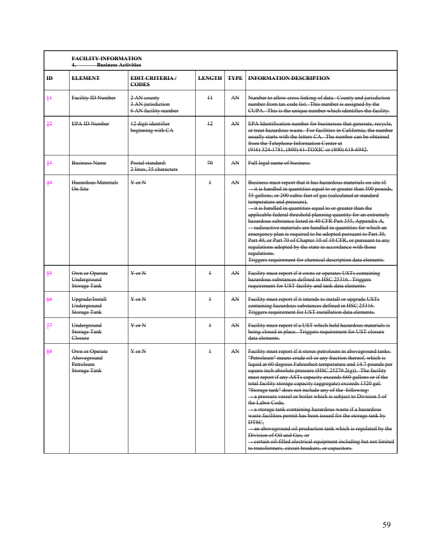|                | <b>FACILITY INFORMATION</b><br><b>Business Activities</b>  |                                                          |               |             |                                                                                                                                                                                                                                                                                                                                                                                                                                                                                                                                                                                                                                                                                                                                                                                                                                                                                                                    |
|----------------|------------------------------------------------------------|----------------------------------------------------------|---------------|-------------|--------------------------------------------------------------------------------------------------------------------------------------------------------------------------------------------------------------------------------------------------------------------------------------------------------------------------------------------------------------------------------------------------------------------------------------------------------------------------------------------------------------------------------------------------------------------------------------------------------------------------------------------------------------------------------------------------------------------------------------------------------------------------------------------------------------------------------------------------------------------------------------------------------------------|
| $\mathbf{H}$   | <b>ELEMENT</b>                                             | <b>EDIT CRITERIA</b><br><b>CODES</b>                     | <b>LENGTH</b> | <b>TYPE</b> | <b>INFORMATION DESCRIPTION</b>                                                                                                                                                                                                                                                                                                                                                                                                                                                                                                                                                                                                                                                                                                                                                                                                                                                                                     |
| $+$            | Facility ID Number                                         | 2 AN county<br>3 AN jurisdiction<br>6 AN facility number | $\pm$         | AN          | Number to allow cross linking of data. County and jurisdiction<br>number from tax code list. This number is assigned by the<br>CUPA. This is the unique number which identifies the facility.                                                                                                                                                                                                                                                                                                                                                                                                                                                                                                                                                                                                                                                                                                                      |
| $\frac{22}{5}$ | <b>EPA ID Number</b>                                       | 12 digit identifier<br>beginning with CA                 | 12            | AN          | EPA Identification number for businesses that generate, recycle,<br>or treat hazardous waste. For facilities in California, the number<br>usually starts with the letters CA. The number can be obtained<br>from the Telephone Information Center at<br>(916) 324-1781, (800) 61-TOXIC or (800) 618-6942.                                                                                                                                                                                                                                                                                                                                                                                                                                                                                                                                                                                                          |
| $\frac{33}{5}$ | <b>Business Name</b>                                       | Postal standard:<br>2 lines, 35 characters               | 70            | AN          | Full legal name of business.                                                                                                                                                                                                                                                                                                                                                                                                                                                                                                                                                                                                                                                                                                                                                                                                                                                                                       |
| 44             | Hazardous Materials<br>On Site                             | $Y$ or $N$                                               | $\ddagger$    | AN          | Business must report that it has hazardous materials on site if:<br>- it is handled in quantities equal to or greater than 500 pounds,<br>55 gallons, or 200 cubic feet of gas (calculated at standard<br>temperature and pressure),<br>- it is handled in quantities equal to or greater than the<br>applicable federal threshold planning quantity for an extremely<br>hazardous substance listed in 40 CFR Part 355, Appendix A,<br>- radioactive materials are handled in quantities for which an<br>emergency plan is required to be adopted pursuant to Part 30,<br>Part 40, or Part 70 of Chapter 10 of 10 CFR, or pursuant to any<br>regulations adopted by the state in accordance with those<br>regulations.<br>Triggers requirement for chemical description data elements.                                                                                                                             |
| $\frac{55}{2}$ | Own or Operate<br>Underground<br><b>Storage Tank</b>       | $Y$ or $N$                                               | $\ddagger$    | AN          | Facility must report if it owns or operates USTs containing<br>hazardous substances defined in HSC 25316. Triggers<br>requirement for UST facility and tank data elements.                                                                                                                                                                                                                                                                                                                                                                                                                                                                                                                                                                                                                                                                                                                                         |
| 66             | Upgrade/Install<br>Underground<br><b>Storage Tank</b>      | $Y$ or $N$                                               | $\ddagger$    | AN          | Facility must report if it intends to install or upgrade USTs<br>containing hazardous substances defined in HSC 25316.<br>Triggers requirement for UST installation data elements.                                                                                                                                                                                                                                                                                                                                                                                                                                                                                                                                                                                                                                                                                                                                 |
| 77             | Underground<br>Storage Tank<br>Closure                     | $Y$ or $N$                                               | $\ddagger$    | AN          | Facility must report if a UST which held hazardous materials is<br>being closed in place. Triggers requirement for UST closure<br>data elements.                                                                                                                                                                                                                                                                                                                                                                                                                                                                                                                                                                                                                                                                                                                                                                   |
| $\frac{88}{5}$ | Own or Operate<br>Aboveground<br>Petroleum<br>Storage Tank | $Y$ or $N$                                               | $\ddagger$    | AN          | Facility must report if it stores petroleum in aboveground tanks.<br>"Petroleum" means crude oil or any fraction thereof, which is<br>liquid at 60 degrees Fahrenheit temperature and 14.7 pounds<br>square inch absolute pressure (HSC 25270.2(g)). The facility<br>must report if any ASTs capacity exceeds 660 gallons or if the<br>total facility storage capacity (aggregate) exceeds 1320 gal.<br>"Storage tank" does not include any of the following:<br>a pressure vessel or boiler which is subject to Division 5 of<br>the Labor Code.<br>a storage tank containing hazardous waste if a hazardous<br>waste facilities permit has been issued for the storage tank by<br>DTSC.<br>an aboveground oil production tank which is regulated by the<br>Division of Oil and Gas, or<br>eertain oil filled electrical equipment including but not limited<br>to transformers, circuit breakers, or capacitors. |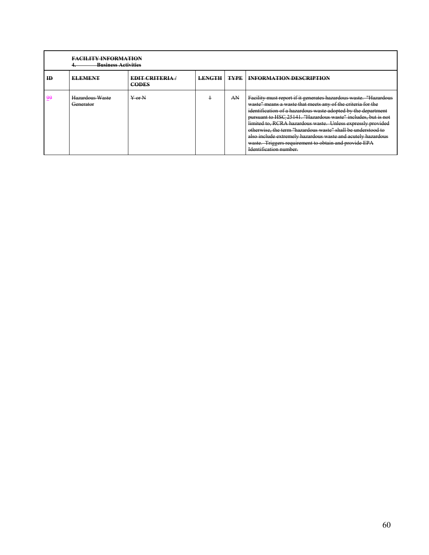|    | <b>FACILITY INFORMATION</b><br><b>Business Activities</b> |                                      |               |             |                                                                                                                                                                                                                                                                                                                                                                                                                                                                                                                                                     |  |  |  |  |  |  |
|----|-----------------------------------------------------------|--------------------------------------|---------------|-------------|-----------------------------------------------------------------------------------------------------------------------------------------------------------------------------------------------------------------------------------------------------------------------------------------------------------------------------------------------------------------------------------------------------------------------------------------------------------------------------------------------------------------------------------------------------|--|--|--|--|--|--|
| ID | <b>ELEMENT</b>                                            | <b>EDIT CRITERIA</b><br><b>CODES</b> | <b>LENGTH</b> | <b>TYPE</b> | <b>INFORMATION DESCRIPTION</b>                                                                                                                                                                                                                                                                                                                                                                                                                                                                                                                      |  |  |  |  |  |  |
| وو | Hazardous Waste<br>Generator                              | $Y_{\rm or}N$                        |               | AN          | Facility must report if it generates hazardous waste. "Hazardous<br>waste" means a waste that meets any of the criteria for the<br>identification of a hazardous waste adopted by the department<br>pursuant to HSC 25141. "Hazardous waste" includes, but is not<br>limited to, RCRA hazardous waste. Unless expressly provided<br>otherwise, the term "hazardous waste" shall be understood to<br>also include extremely hazardous waste and acutely hazardous<br>waste. Triggers requirement to obtain and provide EPA<br>Identification number. |  |  |  |  |  |  |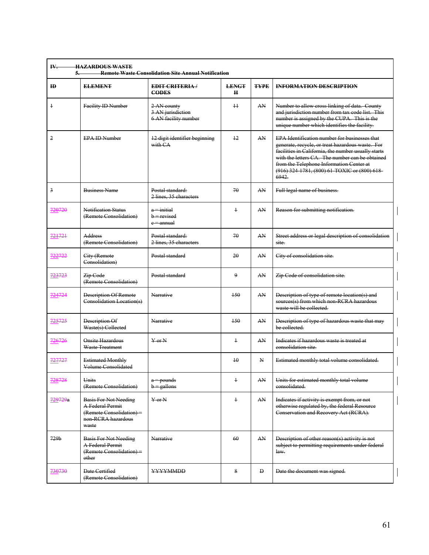| <b>HAZARDOUS WASTE</b><br>IV.<br><b>Remote Waste Consolidation Site Annual Notification</b><br>5. |                                                                                                             |                                                          |                   |              |                                                                                                                                                                                                                                                                                                                 |  |  |
|---------------------------------------------------------------------------------------------------|-------------------------------------------------------------------------------------------------------------|----------------------------------------------------------|-------------------|--------------|-----------------------------------------------------------------------------------------------------------------------------------------------------------------------------------------------------------------------------------------------------------------------------------------------------------------|--|--|
| ID                                                                                                | <b>ELEMENT</b>                                                                                              | <b>EDIT CRITERIA</b><br><b>CODES</b>                     | <b>LENGT</b><br>н | <b>TYPE</b>  | <b>INFORMATION DESCRIPTION</b>                                                                                                                                                                                                                                                                                  |  |  |
| $\ddagger$                                                                                        | Facility ID Number                                                                                          | 2 AN county<br>3 AN jurisdiction<br>6 AN facility number | $^{+}$            | AN           | Number to allow cross linking of data. County<br>and jurisdiction number from tax code list. This<br>number is assigned by the CUPA. This is the<br>unique number which identifies the facility.                                                                                                                |  |  |
| $\overline{2}$                                                                                    | <b>EPA ID Number</b>                                                                                        | 12 digit identifier beginning<br>with CA                 | 12                | AN           | EPA Identification number for businesses that<br>generate, recycle, or treat hazardous waste. For<br>facilities in California, the number usually starts<br>with the letters CA. The number can be obtained<br>from the Telephone Information Center at<br>(916) 324 1781, (800) 61 TOXIC or (800) 618-<br>6942 |  |  |
| $\overline{3}$                                                                                    | <b>Business Name</b>                                                                                        | Postal standard:<br>2 lines. 35 characters               | 70                | AN           | Full legal name of business.                                                                                                                                                                                                                                                                                    |  |  |
| 720720                                                                                            | Notification Status<br>(Remote Consolidation)                                                               | $a = initial$<br>$b = revised$<br>e = annual             | $\ddagger$        | AN           | Reason for submitting notification.                                                                                                                                                                                                                                                                             |  |  |
| 721721                                                                                            | Address<br>(Remote Consolidation)                                                                           | Postal standard:<br>2 lines, 35 characters               | 70                | AN           | Street address or legal description of consolidation<br>site.                                                                                                                                                                                                                                                   |  |  |
| 722722                                                                                            | City (Remote<br>Consolidation)                                                                              | Postal standard                                          | 20                | AN           | City of consolidation site.                                                                                                                                                                                                                                                                                     |  |  |
| 723723                                                                                            | Zip Code<br>(Remote Consolidation)                                                                          | Postal standard                                          | 9                 | AN           | Zip Code of consolidation site.                                                                                                                                                                                                                                                                                 |  |  |
| 724724                                                                                            | Description Of Remote<br>Consolidation Location(s)                                                          | Narrative                                                | 150               | AN           | Description of type of remote location(s) and<br>sources(s) from which non RCRA hazardous<br>waste will be collected.                                                                                                                                                                                           |  |  |
| 725725                                                                                            | Description Of<br>Waste(s) Collected                                                                        | Narrative                                                | $+50$             | AN           | Description of type of hazardous waste that may<br>be collected.                                                                                                                                                                                                                                                |  |  |
| 726726                                                                                            | <b>Onsite Hazardous</b><br>Waste Treatment                                                                  | $Y$ or $N$                                               | $\ddagger$        | AN           | Indicates if hazardous waste is treated at<br>eonsolidation site.                                                                                                                                                                                                                                               |  |  |
| 727727                                                                                            | <b>Estimated Monthly</b><br>Volume Consolidated                                                             |                                                          | $\overline{10}$   | $\mathbf{N}$ | Estimated monthly total volume consolidated.                                                                                                                                                                                                                                                                    |  |  |
| 728728                                                                                            | Units<br>(Remote Consolidation)                                                                             | a = pounds<br>$b =$ gallons                              | $\ddagger$        | AN           | Units for estimated monthly total volume<br>consolidated.                                                                                                                                                                                                                                                       |  |  |
| 729729a                                                                                           | <b>Basis For Not Needing</b><br>A Federal Permit<br>(Remote Consolidation) =<br>non RCRA hazardous<br>waste | $Y$ or $N$                                               | $\ddagger$        | AN           | Indicates if activity is exempt from, or not<br>otherwise regulated by, the federal Resource<br>Conservation and Recovery Act (RCRA).                                                                                                                                                                           |  |  |
| 729 <sub>b</sub>                                                                                  | <b>Basis For Not Needing</b><br>A Federal Permit<br>(Remote Consolidation) =<br>other                       | Narrative                                                | 60                | AN           | Description of other reason(s) activity is not<br>subject to permitting requirements under federal<br>law.                                                                                                                                                                                                      |  |  |
| 730730                                                                                            | Date Certified<br>(Remote Consolidation)                                                                    | YYYYMMDD                                                 | 8                 | Đ            | Date the document was signed.                                                                                                                                                                                                                                                                                   |  |  |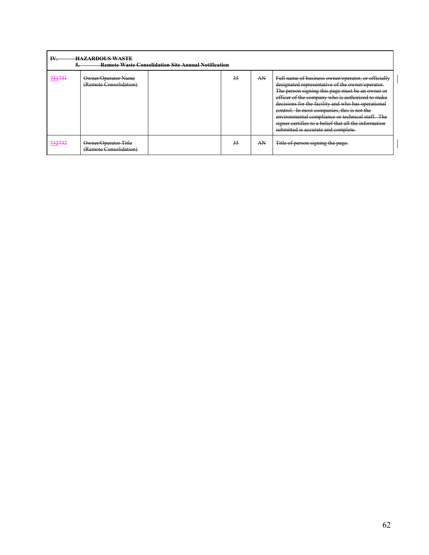|                                   | IV.<br><b>HAZARDOUS WASTE</b><br><b>Remote Waste Consolidation Site Annual Notification</b> |  |    |    |                                                                                                                                                                                                                                                                                                                                                                                                                                                                          |  |  |  |  |
|-----------------------------------|---------------------------------------------------------------------------------------------|--|----|----|--------------------------------------------------------------------------------------------------------------------------------------------------------------------------------------------------------------------------------------------------------------------------------------------------------------------------------------------------------------------------------------------------------------------------------------------------------------------------|--|--|--|--|
| 721721<br>771771                  | Owner/Operator Name<br>(Remote Consolidation)                                               |  | 35 | AN | Full name of business owner/operator, or officially<br>designated representative of the owner/operator.<br>The person signing this page must be an owner or<br>officer of the company who is authorized to make<br>decisions for the facility and who has operational<br>control. In most companies, this is not the<br>environmental compliance or technical staff. The<br>signer certifies to a belief that all the information<br>submitted is accurate and complete. |  |  |  |  |
| 722722<br>$1 - 1 - 1 - 1 - 1 - 1$ | Owner/Operator-Title<br>(Remote Consolidation)                                              |  | 35 | AN | Title of person signing the page.                                                                                                                                                                                                                                                                                                                                                                                                                                        |  |  |  |  |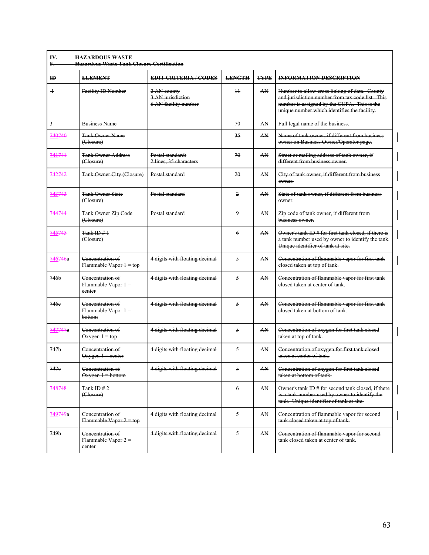| IV.<br>F.        | <b>HAZARDOUS WASTE</b><br><b>Hazardous Waste Tank Closure Certification</b> |                                                          |                |             |                                                                                                                                                                                                  |
|------------------|-----------------------------------------------------------------------------|----------------------------------------------------------|----------------|-------------|--------------------------------------------------------------------------------------------------------------------------------------------------------------------------------------------------|
| $\bf{H}$         | <b>ELEMENT</b>                                                              | <b>EDIT CRITERIA/CODES</b>                               | <b>LENGTH</b>  | <b>TYPE</b> | <b>INFORMATION DESCRIPTION</b>                                                                                                                                                                   |
| $\overline{+}$   | Facility ID Number                                                          | 2 AN county<br>3 AN jurisdiction<br>6 AN facility number | 11             | AN          | Number to allow cross linking of data. County<br>and jurisdiction number from tax code list. This<br>number is assigned by the CUPA. This is the<br>unique number which identifies the facility. |
| $\overline{3}$   | <b>Business Name</b>                                                        |                                                          | 70             | AN          | Full legal name of the business.                                                                                                                                                                 |
| 740740           | <b>Tank Owner Name</b><br>(Closure)                                         |                                                          | 35             | AN          | Name of tank owner, if different from business<br>owner on Business Owner/Operator page.                                                                                                         |
| 741741           | <b>Tank Owner Address</b><br>(Closure)                                      | Postal standard:<br>2 lines, 35 characters               | 70             | AN          | Street or mailing address of tank owner, if<br>different from business owner.                                                                                                                    |
| 742742           | <b>Tank Owner City (Closure)</b>                                            | Postal standard                                          | 20             | AN          | City of tank owner, if different from business<br>owner.                                                                                                                                         |
| 743743           | <b>Tank Owner State</b><br>(Closure)                                        | Postal standard                                          | $\overline{2}$ | AN          | State of tank owner, if different from business<br>owner.                                                                                                                                        |
| 744744           | <b>Tank Owner Zip Code</b><br>(Closure)                                     | Postal standard                                          | $\mathbf{Q}$   | AN          | Zip code of tank owner, if different from<br>business owner.                                                                                                                                     |
| 745745           | $Tank$ ID $#$ 1<br>(Closure)                                                |                                                          | 6              | AN          | Owner's tank ID # for first tank closed, if there is<br>a tank number used by owner to identify the tank.<br>Unique identifier of tank at site.                                                  |
| 746746a          | Concentration of<br>$Flammable Vapor 1 = top$                               | 4 digits with floating decimal                           | 5              | AN          | Concentration of flammable vapor for first tank<br>elosed taken at top of tank.                                                                                                                  |
| 746b             | Concentration of<br>Flammable Vapor 1=<br>center                            | 4 digits with floating decimal                           | 5              | AN          | Concentration of flammable vapor for first tank<br>elosed taken at center of tank-                                                                                                               |
| 746e             | Concentration of<br>Flammable Vapor 1 =<br>bottom                           | 4 digits with floating decimal                           | $\sim$         | AN          | Concentration of flammable vapor for first tank<br>elosed taken at bottom of tank.                                                                                                               |
| 747747a          | Concentration of<br>$Oxygen 1 = top$                                        | 4 digits with floating decimal                           | 5              | AN          | Concentration of oxygen for first tank closed<br>taken at top of tank.                                                                                                                           |
| 747 <sub>b</sub> | Concentration of<br>$Oxygen 1 = center$                                     | 4 digits with floating decimal                           | 5              | AN          | Concentration of oxygen for first tank closed<br>taken at center of tank.                                                                                                                        |
| 747e             | Concentration of<br>$Oxygen 1 = bottom$                                     | 4 digits with floating decimal                           | 5              | AN          | Concentration of oxygen for first tank closed<br>taken at bottom of tank.                                                                                                                        |
| 748748           | Tank ID $#2$<br>(Closure)                                                   |                                                          | 6              | AN          | Owner's tank ID # for second tank closed, if there<br>is a tank number used by owner to identify the<br>tank. Unique identifier of tank at site.                                                 |
| 749749a          | Concentration of<br>$F$ lammable Vapor $2 = top$                            | 4 digits with floating decimal                           | 5              | AN          | Concentration of flammable vapor for second<br>tank elosed taken at top of tank.                                                                                                                 |
| 749b             | Concentration of<br>Flammable Vapor 2=<br>eenter                            | 4 digits with floating decimal                           | 5              | AN          | Concentration of flammable vapor for second<br>tank elosed taken at center of tank.                                                                                                              |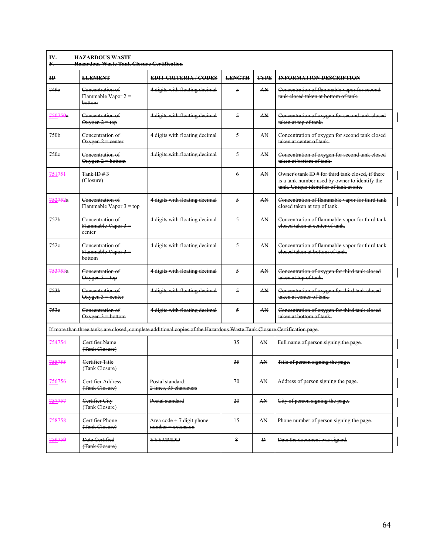| $\mathbf{H}$     | <b>ELEMENT</b>                                    | <b>EDIT CRITERIA/CODES</b>                                                                                              | <b>LENGTH</b> | <b>TYPE</b>  | <b>INFORMATION DESCRIPTION</b>                                                                                                                  |
|------------------|---------------------------------------------------|-------------------------------------------------------------------------------------------------------------------------|---------------|--------------|-------------------------------------------------------------------------------------------------------------------------------------------------|
| 749e             | Concentration of<br>Flammable Vapor 2 =<br>bottom | 4 digits with floating decimal                                                                                          | 5             | AN           | Concentration of flammable vapor for second<br>tank elosed taken at bottom of tank.                                                             |
| 750750a          | Concentration of<br>$Oxygen 2 = top$              | 4 digits with floating decimal                                                                                          | 5             | AN           | Concentration of oxygen for second tank closed<br>taken at top of tank.                                                                         |
| 750 <sub>b</sub> | Concentration of<br>$Oxygen 2 = center$           | 4 digits with floating decimal                                                                                          | 5             | AN           | Concentration of oxygen for second tank closed<br>taken at center of tank-                                                                      |
| 750e             | Concentration of<br>$Oxygen 2 = bottom$           | 4 digits with floating decimal                                                                                          | 5             | AN           | Concentration of oxygen for second tank closed<br>taken at bottom of tank.                                                                      |
| 751751           | Tank ID $#3$<br>(Closure)                         |                                                                                                                         | 6             | AN           | Owner's tank ID # for third tank closed, if there<br>is a tank number used by owner to identify the<br>tank. Unique identifier of tank at site. |
| 752752a          | Concentration of<br>Flammable Vapor 3 = top       | 4 digits with floating decimal                                                                                          | 5             | AN           | Concentration of flammable vapor for third tank<br>elosed taken at top of tank.                                                                 |
| 752 <sub>b</sub> | Concentration of<br>Flammable Vapor 3 =<br>center | 4 digits with floating decimal                                                                                          | 5             | AN           | Concentration of flammable vapor for third tank<br>elosed taken at center of tank-                                                              |
| 752e             | Concentration of<br>Flammable Vapor 3 =<br>bottom | 4 digits with floating decimal                                                                                          | 5             | AN           | Concentration of flammable vapor for third tank<br>elosed taken at bottom of tank.                                                              |
| 753753a          | Concentration of<br>$Oxygen-3 = top$              | 4 digits with floating decimal                                                                                          | 5             | AN           | Concentration of oxygen for third tank closed<br>taken at top of tank.                                                                          |
| 753 <sub>b</sub> | Concentration of<br>$Oxygen 3 = center$           | 4 digits with floating decimal                                                                                          | 5             | AN           | Concentration of oxygen for third tank closed<br>taken at center of tank.                                                                       |
| 753e             | Concentration of<br>$Oxygen 3 = bottom$           | 4 digits with floating decimal                                                                                          | 5             | AN           | Concentration of oxygen for third tank closed<br>taken at bottom of tank.                                                                       |
|                  |                                                   | If more than three tanks are closed, complete additional copies of the Hazardous Waste Tank Closure Certification page. |               |              |                                                                                                                                                 |
| 754754           | Certifier Name<br>(Tank Closure)                  |                                                                                                                         | 35            | AN           | Full name of person signing the page.                                                                                                           |
| 755755           | Certifier Title<br>(Tank Closure)                 |                                                                                                                         | 35            | AN           | Title of person signing the page.                                                                                                               |
| 756756           | Certifier Address<br>(Tank Closure)               | Postal standard:<br>2 lines, 35 characters                                                                              | 70            | AN           | Address of person signing the page.                                                                                                             |
| 757757           | Certifier City<br>(Tank Closure)                  | Postal standard                                                                                                         | 20            | AN           | City of person signing the page.                                                                                                                |
| 758758           | Certifier Phone<br>(Tank Closure)                 | Area $\text{code} + 7$ digit phone<br>number + extension                                                                | 15            | AN           | Phone number of person signing the page.                                                                                                        |
| 759759           | Date Certified<br>(Tank Closure)                  | YYYMMDD                                                                                                                 | 8             | $\mathbf{D}$ | Date the document was signed.                                                                                                                   |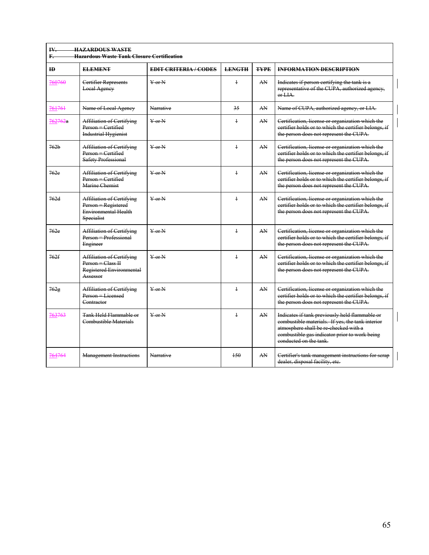| ID               | <b>ELEMENT</b>                                                                                              | <b>EDIT CRITERIA / CODES</b> | <b>LENGTH</b> | <b>TYPE</b> | <b>INFORMATION DESCRIPTION</b>                                                                                                                                                                                         |
|------------------|-------------------------------------------------------------------------------------------------------------|------------------------------|---------------|-------------|------------------------------------------------------------------------------------------------------------------------------------------------------------------------------------------------------------------------|
| 760760           | Certifier Represents<br><b>Local Ageney</b>                                                                 | $Y$ or $N$                   | $\ddagger$    | AN          | Indicates if person certifying the tank is a<br>representative of the CUPA, authorized agency,<br>0.144                                                                                                                |
| 761761           | Name of Local Agency                                                                                        | Narrative                    | 35            | AN          | Name of CUPA, authorized agency, or LIA.                                                                                                                                                                               |
| 762762a          | <b>Affiliation of Certifying</b><br>Person = Certified<br><b>Industrial Hygienist</b>                       | $Y$ or $N$                   | $\ddagger$    | AN          | Certification, license or organization which the<br>certifier holds or to which the certifier belongs, if<br>the person does not represent the CUPA.                                                                   |
| 762 <sub>b</sub> | <b>Affiliation of Certifying</b><br>Person = Certified<br><b>Safety Professional</b>                        | $Y$ or $N$                   | $\ddagger$    | AN          | Certification, license or organization which the<br>eertifier holds or to which the certifier belongs, if<br>the person does not represent the CUPA.                                                                   |
| 762e             | <b>Affiliation of Certifying</b><br>$Person = Centified$<br>Marine Chemist                                  | $Y$ or $N$                   | $\ddagger$    | AN          | Certification, license or organization which the<br>certifier holds or to which the certifier belongs, if<br>the person does not represent the CUPA.                                                                   |
| 762d             | <b>Affiliation of Certifying</b><br>Person = Registered<br><b>Environmental Health</b><br><b>Specialist</b> | $Y$ or $N$                   | $\ddagger$    | AN          | Certification, license or organization which the<br>eertifier holds or to which the certifier belongs, if<br>the person does not represent the CUPA.                                                                   |
| 762e             | Affiliation of Certifying<br>Person = Professional<br>Engineer                                              | $Y$ or $N$                   | $\ddagger$    | AN          | Certification, license or organization which the<br>eertifier holds or to which the certifier belongs, if<br>the person does not represent the CUPA.                                                                   |
| 762f             | <b>Affiliation of Certifying</b><br>$Person = Class II$<br>Registered Environmental<br>Assessor             | $Y$ or $N$                   | $\ddagger$    | AN          | Certification, license or organization which the<br>eertifier holds or to which the certifier belongs, if<br>the person does not represent the CUPA.                                                                   |
| 762g             | <b>Affiliation of Certifying</b><br>Person = Licensed<br>Contractor                                         | $Y$ or $N$                   | $\ddagger$    | AN          | Certification, license or organization which the<br>eertifier holds or to which the certifier belongs, if<br>the person does not represent the CUPA.                                                                   |
| 763763           | Tank Held Flammable or<br>Combustible Materials                                                             | $Y$ or $N$                   | $\mathbf{1}$  | AN          | Indicates if tank previously held flammable or<br>combustible materials. If yes, the tank interior<br>atmosphere shall be re-checked with a<br>combustible gas indicator prior to work being<br>conducted on the tank. |
| 764764           | <b>Management Instructions</b>                                                                              | Narrative                    | 150           | AN          | Certifier's tank management instructions for scrap<br>dealer, disposal facility, etc.                                                                                                                                  |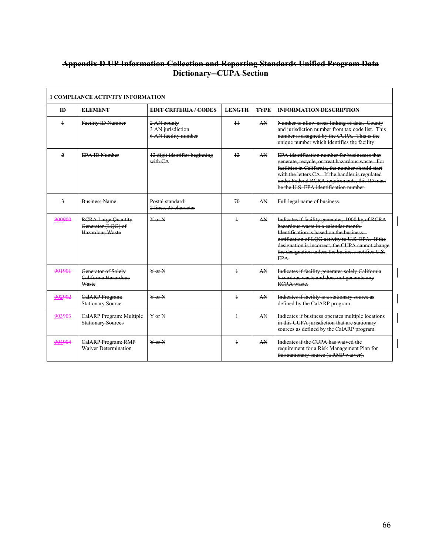## **Appendix D UP Information Collection and Reporting Standards Unified Program Data Dictionary--CUPA Section**

|                         | <b>1 COMPLIANCE ACTIVITY INFORMATION</b>                            |                                                          |               |             |                                                                                                                                                                                                                                                                                                         |  |  |  |  |
|-------------------------|---------------------------------------------------------------------|----------------------------------------------------------|---------------|-------------|---------------------------------------------------------------------------------------------------------------------------------------------------------------------------------------------------------------------------------------------------------------------------------------------------------|--|--|--|--|
| <b>ID</b>               | <b>ELEMENT</b>                                                      | <b>EDIT CRITERIA / CODES</b>                             | <b>LENGTH</b> | <b>TYPE</b> | <b>INFORMATION DESCRIPTION</b>                                                                                                                                                                                                                                                                          |  |  |  |  |
| $\ddagger$              | Facility ID Number                                                  | 2 AN county<br>3 AN jurisdiction<br>6 AN facility number | $+1$          | AN          | Number to allow cross linking of data. County<br>and jurisdiction number from tax code list. This<br>number is assigned by the CUPA. This is the<br>unique number which identifies the facility.                                                                                                        |  |  |  |  |
| $\overline{2}$          | <b>EPA ID Number</b>                                                | 12 digit identifier beginning<br>with CA                 | 12            | AN          | EPA identification number for businesses that<br>generate, recycle, or treat hazardous waste. For<br>facilities in California, the number should start<br>with the letters CA. If the handler is regulated<br>under Federal RCRA requirements, this ID must<br>be the U.S. EPA identification number.   |  |  |  |  |
| $\overline{\mathbf{3}}$ | <b>Business Name</b>                                                | Postal standard:<br>2 lines, 35 character                | 70            | AN          | Full legal name of business.                                                                                                                                                                                                                                                                            |  |  |  |  |
| 900900                  | <b>RCRA Large Quantity</b><br>Generator (LOG) of<br>Hazardous Waste | $Y$ or $N$                                               | $\ddagger$    | AN.         | Indicates if facility generates 1000 kg of RCRA<br>hazardous waste in a calendar month-<br>Identification is based on the business<br>notification of LQG activity to U.S. EPA. If the<br>designation is incorrect, the CUPA cannot change<br>the designation unless the business notifies U.S.<br>EPA- |  |  |  |  |
| 901901                  | Generator of Solely<br>California Hazardous<br>Waste                | $\frac{V}{V}$ or $\frac{V}{V}$                           | $\ddagger$    | AN          | Indicates if facility generates solely California<br>hazardous waste and does not generate any<br><b>RCRA</b> waste                                                                                                                                                                                     |  |  |  |  |
| 902902                  | CalARP Program:<br><b>Stationary Source</b>                         | $\frac{V}{V}$ or $\frac{N}{V}$                           | $\ddagger$    | AN          | Indicates if facility is a stationary source as<br>defined by the CalARP program.                                                                                                                                                                                                                       |  |  |  |  |
| 903903                  | CalARP Program: Multiple<br><b>Stationary Sources</b>               | $Y$ or $N$                                               | $\ddagger$    | AN          | Indicates if business operates multiple locations<br>in this CUPA jurisdiction that are stationary<br>sources as defined by the CalARP program.                                                                                                                                                         |  |  |  |  |
| 904904                  | CalARP Program: RMP<br><b>Waiver Determination</b>                  | $V$ or $N$                                               | $\mathbf{1}$  | AN          | Indicates if the CUPA has waived the<br>requirement for a Risk Management Plan for<br>this stationary source (a RMP waiver).                                                                                                                                                                            |  |  |  |  |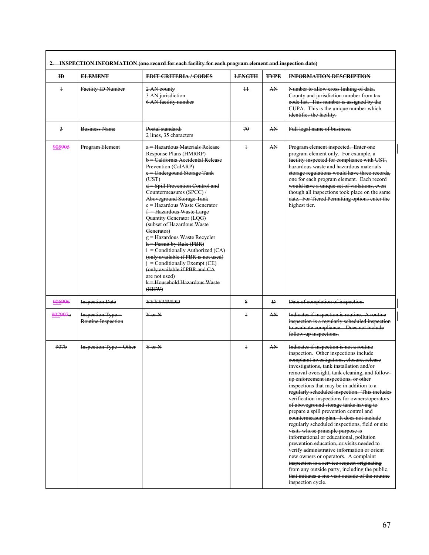|                  |                                         | 2. INSPECTION INFORMATION (one record for each facility for each program element and inspection date)                                                                                                                                                                                                                                                                                                                                                                                                                                                                                                                                                                             |                 |              |                                                                                                                                                                                                                                                                                                                                                                                                                                                                                                                                                                                                                                                                                                                                                                                                                                                                                                                                                                                                     |
|------------------|-----------------------------------------|-----------------------------------------------------------------------------------------------------------------------------------------------------------------------------------------------------------------------------------------------------------------------------------------------------------------------------------------------------------------------------------------------------------------------------------------------------------------------------------------------------------------------------------------------------------------------------------------------------------------------------------------------------------------------------------|-----------------|--------------|-----------------------------------------------------------------------------------------------------------------------------------------------------------------------------------------------------------------------------------------------------------------------------------------------------------------------------------------------------------------------------------------------------------------------------------------------------------------------------------------------------------------------------------------------------------------------------------------------------------------------------------------------------------------------------------------------------------------------------------------------------------------------------------------------------------------------------------------------------------------------------------------------------------------------------------------------------------------------------------------------------|
| ID               | <b>ELEMENT</b>                          | <b>EDIT CRITERIA / CODES</b>                                                                                                                                                                                                                                                                                                                                                                                                                                                                                                                                                                                                                                                      | <b>LENGTH</b>   | <b>TYPE</b>  | <b>INFORMATION DESCRIPTION</b>                                                                                                                                                                                                                                                                                                                                                                                                                                                                                                                                                                                                                                                                                                                                                                                                                                                                                                                                                                      |
| $\ddagger$       | Facility ID Number                      | 2 AN county<br>3 AN jurisdiction<br>6 AN facility number                                                                                                                                                                                                                                                                                                                                                                                                                                                                                                                                                                                                                          | $\overline{11}$ | AN           | Number to allow cross linking of data.<br>County and jurisdiction number from tax<br>eode list. This number is assigned by the<br>CUPA. This is the unique number which<br>identifies the facility.                                                                                                                                                                                                                                                                                                                                                                                                                                                                                                                                                                                                                                                                                                                                                                                                 |
| $\overline{3}$   | <b>Business Name</b>                    | Postal standard:<br>2 lines, 35 characters                                                                                                                                                                                                                                                                                                                                                                                                                                                                                                                                                                                                                                        | 70              | AN           | Full legal name of business.                                                                                                                                                                                                                                                                                                                                                                                                                                                                                                                                                                                                                                                                                                                                                                                                                                                                                                                                                                        |
| 905905           | Program Element                         | a = Hazardous Materials Release<br>Response Plans (HMRRP)<br>b = California Accidental Release<br>Prevention (CalARP)<br>e = Undergound Storage Tank<br>(UST)<br>$\dot{d}$ = Spill Prevention Control and<br>Countermeasures (SPCC)/<br>Aboveground Storage Tank<br>e = Hazardous Waste Generator<br>f = Hazardous Waste Large<br>Quantity Generator (LQG)<br>(subset of Hazardous Waste<br>Generator)<br>g = Hazardous Waste Recycler<br>$h =$ Permit by Rule (PBR)<br>$i =$ Conditionally Authorized (CA)<br>(only available if PBR is not used)<br>j = Conditionally Exempt (CE)<br>(only available if PBR and CA<br>are not used)<br>$k =$ Household Hazardous Waste<br>(HHW) | $\ddagger$      | AN           | Program element inspected. Enter one<br>program element only. For example, a<br>facility inspected for compliance with UST,<br>hazardous waste and hazardous materials<br>storage regulations would have three records,<br>one for each program element. Each record<br>would have a unique set of violations, even<br>though all inspections took place on the same<br>date. For Tiered Permitting options enter the<br>highest tier.                                                                                                                                                                                                                                                                                                                                                                                                                                                                                                                                                              |
| 906906           | <b>Inspection Date</b>                  | <b>YYYYMMDD</b>                                                                                                                                                                                                                                                                                                                                                                                                                                                                                                                                                                                                                                                                   | 8               | $\mathbf{D}$ | Date of completion of inspection.                                                                                                                                                                                                                                                                                                                                                                                                                                                                                                                                                                                                                                                                                                                                                                                                                                                                                                                                                                   |
| 907907a          | Inspection Type =<br>Routine Inspection | $Y$ or N                                                                                                                                                                                                                                                                                                                                                                                                                                                                                                                                                                                                                                                                          | $\ddagger$      | AN.          | Indicates if inspection is routine. A routine<br>inspection is a regularly scheduled inspection<br>to evaluate compliance. Does not include<br>follow up inspections.                                                                                                                                                                                                                                                                                                                                                                                                                                                                                                                                                                                                                                                                                                                                                                                                                               |
| 907 <sub>b</sub> | Inspection Type = Other                 | $Y$ or $N$                                                                                                                                                                                                                                                                                                                                                                                                                                                                                                                                                                                                                                                                        | $\ddagger$      | AN           | Indicates if inspection is not a routine<br>inspection. Other inspections include<br>complaint investigations, closure, release<br>investigations, tank installation and/or<br>removal oversight, tank cleaning, and follow-<br>up enforcement inspections, or other<br>inspections that may be in addition to a<br>regularly scheduled inspection. This includes<br>verification inspections for owners/operators<br>of aboveground storage tanks having to<br>prepare a spill prevention control and<br>countermeasure plan. It does not include<br>regularly scheduled inspections, field or site<br>visits whose principle purpose is<br>informational or educational, pollution<br>prevention education, or visits needed to<br>verify administrative information or orient<br>new owners or operators. A complaint<br>inspection is a service request originating<br>from any outside party, including the public,<br>that initiates a site visit outside of the routine<br>inspection eyele. |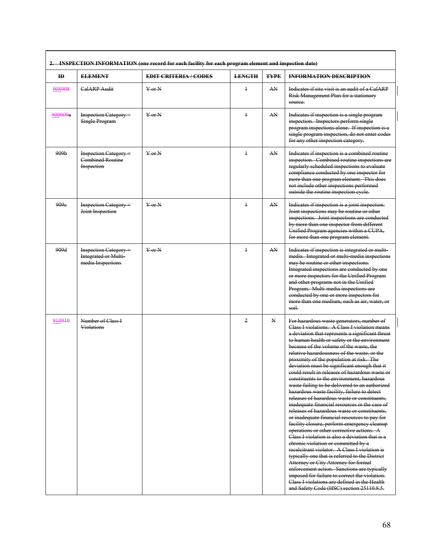| 2. INSPECTION INFORMATION (one record for each facility for each program element and inspection date) |                                                                           |                              |                |             |                                                                                                                                                                                                                                                                                                                                                                                                                                                                                                                                                                                                                                                                                                                                                                                                                                                                                                                                                                                                                                                                                                                                                                                                                                                                                                                     |  |  |
|-------------------------------------------------------------------------------------------------------|---------------------------------------------------------------------------|------------------------------|----------------|-------------|---------------------------------------------------------------------------------------------------------------------------------------------------------------------------------------------------------------------------------------------------------------------------------------------------------------------------------------------------------------------------------------------------------------------------------------------------------------------------------------------------------------------------------------------------------------------------------------------------------------------------------------------------------------------------------------------------------------------------------------------------------------------------------------------------------------------------------------------------------------------------------------------------------------------------------------------------------------------------------------------------------------------------------------------------------------------------------------------------------------------------------------------------------------------------------------------------------------------------------------------------------------------------------------------------------------------|--|--|
| <b>ID</b>                                                                                             | <b>ELEMENT</b>                                                            | <b>EDIT CRITERIA / CODES</b> | <b>LENGTH</b>  | <b>TYPE</b> | <b>INFORMATION DESCRIPTION</b>                                                                                                                                                                                                                                                                                                                                                                                                                                                                                                                                                                                                                                                                                                                                                                                                                                                                                                                                                                                                                                                                                                                                                                                                                                                                                      |  |  |
| 908908                                                                                                | <b>CalARP Audit</b>                                                       | $Y$ or N                     | $\ddagger$     | AN          | Indicates if site visit is an audit of a CalARP<br>Risk Management Plan for a stationary<br>source.                                                                                                                                                                                                                                                                                                                                                                                                                                                                                                                                                                                                                                                                                                                                                                                                                                                                                                                                                                                                                                                                                                                                                                                                                 |  |  |
| 909909a                                                                                               | <b>Inspection Category</b> =<br><b>Single Program</b>                     | $Y$ or $N$                   | $\ddagger$     | AN          | Indicates if inspection is a single program<br>inspection. Inspectors perform single<br>program inspections alone. If inspection is a<br>single program inspection, do not enter codes<br>for any other inspection category.                                                                                                                                                                                                                                                                                                                                                                                                                                                                                                                                                                                                                                                                                                                                                                                                                                                                                                                                                                                                                                                                                        |  |  |
| 909 <sub>b</sub>                                                                                      | <b>Inspection Category</b> =<br><b>Combined Routine</b><br>Inspection     | $Y$ or $N$                   | $\ddagger$     | AN          | Indicates if inspection is a combined routine<br>inspection. Combined routine inspections are<br>regularly scheduled inspections to evaluate<br>compliance conducted by one inspector for<br>more than one program element. This does<br>not include other inspections performed<br>outside the routine inspection eyele.                                                                                                                                                                                                                                                                                                                                                                                                                                                                                                                                                                                                                                                                                                                                                                                                                                                                                                                                                                                           |  |  |
| 909e                                                                                                  | <b>Inspection Category</b> =<br>Joint Inspection                          | $Y$ or $N$                   | $\ddagger$     | AN          | Indicates if inspection is a joint inspection.<br>Joint inspections may be routine or other<br>inspections. Joint inspections are conducted<br>by more than one inspector from different<br>Unified Program agencies within a CUPA,<br>for more than one program element.                                                                                                                                                                                                                                                                                                                                                                                                                                                                                                                                                                                                                                                                                                                                                                                                                                                                                                                                                                                                                                           |  |  |
| 909d                                                                                                  | <b>Inspection Category</b> =<br>Integrated or Multi-<br>media Inspections | $Y$ or $N$                   | $\ddagger$     | AN          | Indicates if inspection is integrated or multi-<br>media. Integrated or multi media inspections<br>may be routine or other inspections.<br>Integrated inspections are conducted by one<br>or more inspectors for the Unified Program<br>and other programs not in the Unified<br>Program. Multi-media inspections are<br>conducted by one or more inspectors for<br>more than one medium, such as air, water, or<br>soil.                                                                                                                                                                                                                                                                                                                                                                                                                                                                                                                                                                                                                                                                                                                                                                                                                                                                                           |  |  |
| 910910                                                                                                | Number of Class I<br><b>Violations</b>                                    |                              | $\overline{2}$ | N           | For hazardous waste generators, number of<br>Class I violations. A Class I violation means<br>a deviation that represents a significant threat<br>to human health or safety or the environment<br>because of the volume of the waste, the<br>relative hazardousness of the waste, or the<br>proximity of the population at risk. The<br>deviation must be significant enough that it<br>eould result in releases of hazardous waste or<br>constituents to the environment, hazardous<br>waste failing to be delivered to an authorized<br>hazardous waste facility, failure to detect<br>releases of hazardous waste or constituents,<br>inadequate financial resources in the case of<br>releases of hazardous waste or constituents,<br>or inadequate financial resources to pay for<br>facility closure, perform emergency cleanup<br>operations or other corrective actions. A<br>Class I violation is also a deviation that is a<br>chronic violation or committed by a<br>recalcitrant violator. A Class I violation is<br>typically one that is referred to the District<br>Attorney or City Attorney for formal<br>enforcement action. Sanctions are typically<br>imposed for failure to correct the violation.<br>Class I violations are defined in the Health<br>and Safety Code (HSC) section 25110.8.5. |  |  |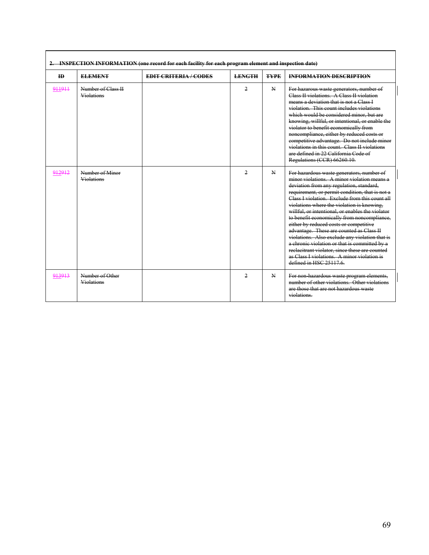| ID     | <b>ELEMENT</b>                          | <b>EDIT CRITERIA / CODES</b> | <b>LENGTH</b>  | <b>TYPE</b>  | <b>INFORMATION DESCRIPTION</b>                                                                                                                                                                                                                                                                                                                                                                                                                                                                                                                                                                                                                                                                                 |
|--------|-----------------------------------------|------------------------------|----------------|--------------|----------------------------------------------------------------------------------------------------------------------------------------------------------------------------------------------------------------------------------------------------------------------------------------------------------------------------------------------------------------------------------------------------------------------------------------------------------------------------------------------------------------------------------------------------------------------------------------------------------------------------------------------------------------------------------------------------------------|
| 911911 | Number of Class II<br><b>Violations</b> |                              | $\overline{2}$ | $\mathbf{N}$ | For hazarous waste generators, number of<br>Class II violations. A Class II violation<br>means a deviation that is not a Class I<br>violation. This count includes violations<br>which would be considered minor, but are<br>knowing, willful, or intentional, or enable the<br>violator to benefit economically from<br>noncompliance, either by reduced costs or<br>competitive advantage. Do not include minor<br>violations in this count. Class II violations<br>are defined in 22 California Code of<br>Regulations (CCR) 66260.10.                                                                                                                                                                      |
| 912912 | Number of Minor<br><b>Violations</b>    |                              | 2              | $\mathbf{N}$ | For hazardous waste generators, number of<br>minor violations. A minor violation means a<br>deviation from any regulation, standard,<br>requirement, or permit condition, that is not a<br>Class I violation. Exclude from this count all<br>violations where the violation is knowing.<br>willful, or intentional, or enables the violator<br>to benefit economically from noncompliance,<br>either by reduced costs or competitive<br>advantage. These are counted as Class II<br>violations. Also exclude any violation that is<br>a chronic violation or that is committed by a<br>reclacitrant violator, since these are counted<br>as Class Lyiolations. A minor violation is<br>defined in HSC 25117.6. |
| 913913 | Number of Other<br><b>Violations</b>    |                              | 2              | N            | For non-hazardous waste program elements,<br>number of other violations. Other violations<br>are those that are not hazardous waste<br>violations.                                                                                                                                                                                                                                                                                                                                                                                                                                                                                                                                                             |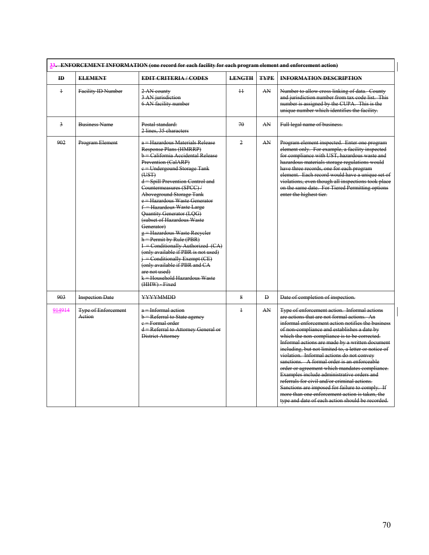| 33. ENFORCEMENT INFORMATION (one record for each facility for each program element and enforcement action) |                                      |                                                                                                                                                                                                                                                                                                                                                                                                                                                                                                                                                                                                                                                                                                 |                 |              |                                                                                                                                                                                                                                                                                                                                                                                                                                                                                                                                                                                                                                                                                                                                                                |  |  |  |
|------------------------------------------------------------------------------------------------------------|--------------------------------------|-------------------------------------------------------------------------------------------------------------------------------------------------------------------------------------------------------------------------------------------------------------------------------------------------------------------------------------------------------------------------------------------------------------------------------------------------------------------------------------------------------------------------------------------------------------------------------------------------------------------------------------------------------------------------------------------------|-----------------|--------------|----------------------------------------------------------------------------------------------------------------------------------------------------------------------------------------------------------------------------------------------------------------------------------------------------------------------------------------------------------------------------------------------------------------------------------------------------------------------------------------------------------------------------------------------------------------------------------------------------------------------------------------------------------------------------------------------------------------------------------------------------------------|--|--|--|
| ID                                                                                                         | <b>ELEMENT</b>                       | <b>EDIT CRITERIA/CODES</b>                                                                                                                                                                                                                                                                                                                                                                                                                                                                                                                                                                                                                                                                      | <b>LENGTH</b>   | <b>TYPE</b>  | <b>INFORMATION DESCRIPTION</b>                                                                                                                                                                                                                                                                                                                                                                                                                                                                                                                                                                                                                                                                                                                                 |  |  |  |
| $\ddagger$                                                                                                 | Facility ID Number                   | 2 AN county<br>3 AN jurisdiction<br>6 AN facility number                                                                                                                                                                                                                                                                                                                                                                                                                                                                                                                                                                                                                                        | $\overline{11}$ | AN           | Number to allow cross linking of data. County<br>and jurisdiction number from tax code list. This<br>number is assigned by the CUPA. This is the<br>unique number which identifies the facility.                                                                                                                                                                                                                                                                                                                                                                                                                                                                                                                                                               |  |  |  |
| $\overline{3}$                                                                                             | <b>Business Name</b>                 | Postal standard:<br>2 lines, 35 characters                                                                                                                                                                                                                                                                                                                                                                                                                                                                                                                                                                                                                                                      | 70              | AN           | Full legal name of business.                                                                                                                                                                                                                                                                                                                                                                                                                                                                                                                                                                                                                                                                                                                                   |  |  |  |
| 902                                                                                                        | Program Element                      | a = Hazardous Materials Release<br>Response Plans (HMRRP)<br>b = California Accidental Release<br>Prevention (CalARP)<br>e = Undergound Storage Tank<br>(UST)<br>$\hat{d}$ = Spill Prevention Control and<br>Countermeasures (SPCC)/<br>Aboveground Storage Tank<br>e = Hazardous Waste Generator<br>f = Hazardous Waste Large<br>Quantity Generator (LQG)<br>(subset of Hazardous Waste<br>Generator)<br>g - Hazardous Waste Recycler<br>$h =$ Permit by Rule (PBR)<br>I = Conditionally Authorized (CA)<br>(only available if PBR is not used)<br>$\frac{1}{1}$ - Conditionally Exempt (CE)<br>(only available if PBR and CA<br>are not used)<br>k = Household Hazardous Waste<br>(HHW) Fixed | $\overline{2}$  | AN           | Program element inspected. Enter one program<br>element only. For example, a facility inspected<br>for compliance with UST, hazardous waste and<br>hazardous materials storage regulations would<br>have three records, one for each program<br>element. Each record would have a unique set of<br>violations, even though all inspections took place<br>on the same date. For Tiered Permitting options<br>enter the highest tier.                                                                                                                                                                                                                                                                                                                            |  |  |  |
| 903                                                                                                        | <b>Inspection Date</b>               | <b>YYYYMMDD</b>                                                                                                                                                                                                                                                                                                                                                                                                                                                                                                                                                                                                                                                                                 | 8               | $\mathbf{D}$ | Date of completion of inspection.                                                                                                                                                                                                                                                                                                                                                                                                                                                                                                                                                                                                                                                                                                                              |  |  |  |
| 914914                                                                                                     | <b>Type of Enforcement</b><br>Action | $a$ = Informal action<br><b>b</b> = Referral to State agency<br>e = Formal order<br>d = Referral to Attorney General or<br>District Attorney                                                                                                                                                                                                                                                                                                                                                                                                                                                                                                                                                    | $\overline{1}$  | AN           | Type of enforcement action. Informal actions<br>are actions that are not formal actions. An<br>informal enforcement action notifies the business<br>of non-compliance and establishes a date by<br>which the non-compliance is to be corrected.<br>Informal actions are made by a written document<br>including, but not limited to, a letter or notice of<br>violation. Informal actions do not convey<br>sanctions. A formal order is an enforceable<br>order or agreement which mandates compliance.<br>Examples include administrative orders and<br>referrals for civil and/or criminal actions.<br>Sanctions are imposed for failure to comply. If<br>more than one enforcement action is taken, the<br>type and date of each action should be recorded. |  |  |  |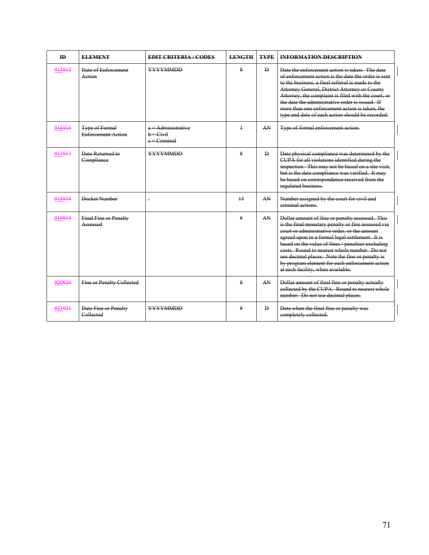| ID     | <b>ELEMENT</b>                                     | <b>EDIT CRITERIA / CODES</b>                        | <b>LENGTH</b> | <b>TYPE</b>  | <b>INFORMATION DESCRIPTION</b>                                                                                                                                                                                                                                                                                                                                                                                                                          |
|--------|----------------------------------------------------|-----------------------------------------------------|---------------|--------------|---------------------------------------------------------------------------------------------------------------------------------------------------------------------------------------------------------------------------------------------------------------------------------------------------------------------------------------------------------------------------------------------------------------------------------------------------------|
| 915915 | Date of Enforcement<br>Action                      | <b>YYYYMMDD</b>                                     | 8             | $\mathbf{D}$ | Date the enforcement action is taken. The date<br>of enforcement action is the date the order is sent<br>to the business, a final referral is made to the<br>Attorney General, District Attorney or County<br>Attorney, the complaint is filed with the court, or<br>the date the administrative order is issued. If<br>more than one enforcement action is taken, the<br>type and date of each action should be recorded.                              |
| 916916 | <b>Type of Formal</b><br><b>Enforcement Action</b> | a = Administrative<br>$b =$ Civil<br>$e =$ Criminal | $\ddagger$    | AN           | Type of formal enforcement action.                                                                                                                                                                                                                                                                                                                                                                                                                      |
| 917917 | Date Returned to<br>Compliance                     | <b>YYYYMMDD</b>                                     | 8             | $\mathbf{D}$ | Date physical compliance was determined by the<br>CUPA for all violations identified during the<br>inspection. This may not be based on a site visit,<br>but is the date compliance was verified. It may<br>be based on correspondence received from the<br>regulated business.                                                                                                                                                                         |
| 918918 | Docket Number                                      | $\overline{\mathbb{R}}$                             | 13            | AN           | Number assigned by the court for civil and<br>eriminal actions                                                                                                                                                                                                                                                                                                                                                                                          |
| 919919 | <b>Final Fine or Penalty</b><br>Assessed           |                                                     | 8             | AN           | Dollar amount of fine or penalty assessed. This<br>is the final monetary penalty or fine assessed via<br>eourt or administrative order, or the amount<br>agreed upon in a formal legal settlement. It is<br>based on the value of fines / penalties excluding<br>eosts. Round to nearest whole number. Do not<br>use decimal places. Note the fine or penalty is<br>by program element for each enforcement action<br>at each facility, when available. |
| 920920 | <b>Fine or Penalty Collected</b>                   |                                                     | 8             | AN           | Dollar amount of final fine or penalty actually<br>collected by the CUPA. Round to nearest whole<br>number. Do not use decimal places.                                                                                                                                                                                                                                                                                                                  |
| 921921 | Date Fine or Penalty<br>Collected                  | <b>YYYYMMDD</b>                                     | 8             | $\mathbf{D}$ | Date when the final fine or penalty was<br>completely collected.                                                                                                                                                                                                                                                                                                                                                                                        |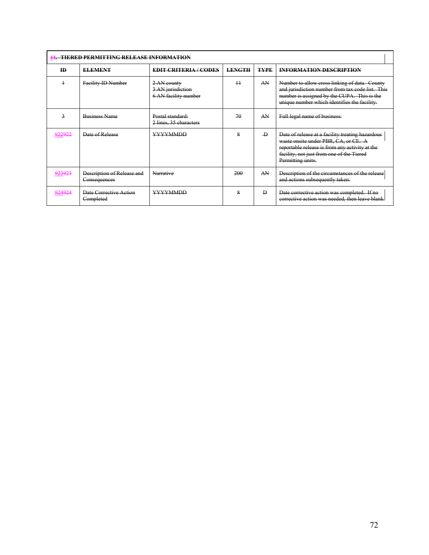|  | <i>AA</i> – TIEDEN DEDMITTING DEI EASE INFODMATION |
|--|----------------------------------------------------|
|  |                                                    |

| <b>ID</b>             | <b>ELEMENT</b>                             | <b>EDIT CRITERIA / CODES</b>                             | <b>LENGTH</b> | <b>TYPE</b>    | <b>INFORMATION DESCRIPTION</b>                                                                                                                                                                               |  |  |
|-----------------------|--------------------------------------------|----------------------------------------------------------|---------------|----------------|--------------------------------------------------------------------------------------------------------------------------------------------------------------------------------------------------------------|--|--|
|                       | Facility ID Number                         | 2 AN county<br>3 AN jurisdiction<br>6 AN facility number | $+1$          | AN             | Number to allow cross linking of data. County<br>and jurisdiction number from tax code list. This<br>number is assigned by the CUPA. This is the<br>unique number which identifies the facility.             |  |  |
| 3                     | <b>Business Name</b>                       | Postal standard:<br>2 lines, 35 characters               | 70            | A N            | Full legal name of business.                                                                                                                                                                                 |  |  |
| രാറരാറ<br>$7 - 7 - 1$ | Date of Release                            | <b>YYYYMMDD</b>                                          | 8             | $\overline{D}$ | Date of release at a facility treating hazardous<br>waste onsite under PBR, CA, or CE. A<br>reportable release is from any activity at the<br>facility, not just from one of the Tiered<br>Permitting units. |  |  |
| <u>923923</u>         | Description of Release and<br>Consequences | Narrative                                                | 200           | AN             | Description of the circumstances of the release<br>and actions subsequently taken.                                                                                                                           |  |  |
| 924924                | Date Corrective Action<br>Completed        | <b>YYYYMMDD</b>                                          | 8             | $\mathbf{D}$   | Date corrective action was completed. If no<br>corrective action was needed, then leave blank.                                                                                                               |  |  |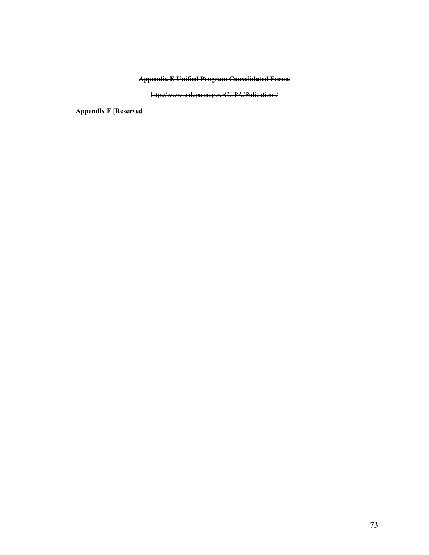## **Appendix E Unified Program Consolidated Forms**

http://www.calepa.ca.gov/CUPA/Pulications/

**Appendix F [Reserved**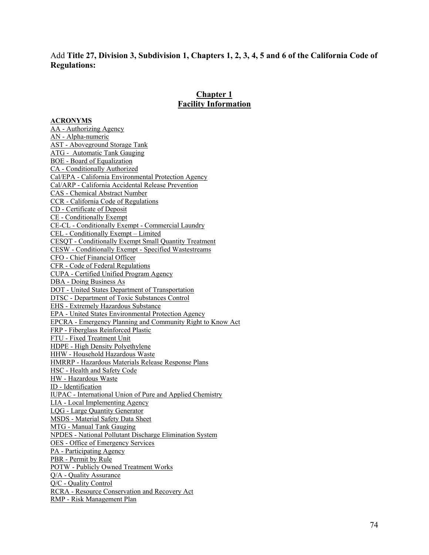## Add **Title 27, Division 3, Subdivision 1, Chapters 1, 2, 3, 4, 5 and 6 of the California Code of Regulations:**

## **Chapter 1 Facility Information**

## **ACRONYMS**

AA - Authorizing Agency AN - Alpha-numeric AST - Aboveground Storage Tank ATG - Automatic Tank Gauging BOE - Board of Equalization CA - Conditionally Authorized Cal/EPA - California Environmental Protection Agency Cal/ARP - California Accidental Release Prevention CAS - Chemical Abstract Number CCR - California Code of Regulations CD - Certificate of Deposit CE - Conditionally Exempt CE-CL - Conditionally Exempt - Commercial Laundry CEL - Conditionally Exempt – Limited CESQT - Conditionally Exempt Small Quantity Treatment CESW - Conditionally Exempt - Specified Wastestreams CFO - Chief Financial Officer CFR - Code of Federal Regulations CUPA - Certified Unified Program Agency DBA - Doing Business As DOT - United States Department of Transportation DTSC - Department of Toxic Substances Control EHS - Extremely Hazardous Substance EPA - United States Environmental Protection Agency EPCRA - Emergency Planning and Community Right to Know Act FRP - Fiberglass Reinforced Plastic FTU - Fixed Treatment Unit HDPE - High Density Polyethylene HHW - Household Hazardous Waste HMRRP - Hazardous Materials Release Response Plans HSC - Health and Safety Code HW - Hazardous Waste ID - Identification IUPAC - International Union of Pure and Applied Chemistry LIA - Local Implementing Agency LQG - Large Quantity Generator MSDS - Material Safety Data Sheet MTG - Manual Tank Gauging NPDES - National Pollutant Discharge Elimination System OES - Office of Emergency Services PA - Participating Agency PBR - Permit by Rule POTW - Publicly Owned Treatment Works Q/A - Quality Assurance Q/C - Quality Control RCRA - Resource Conservation and Recovery Act RMP - Risk Management Plan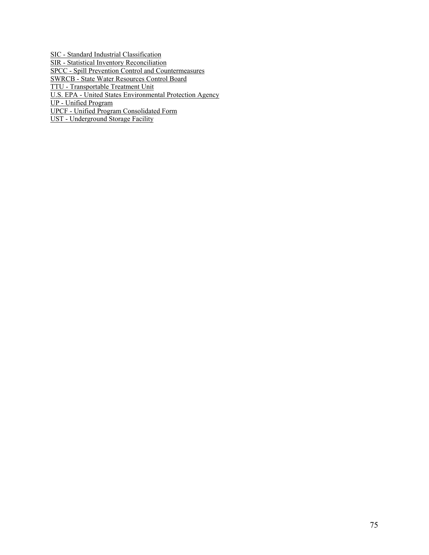SIC - Standard Industrial Classification SIR - Statistical Inventory Reconciliation SPCC - Spill Prevention Control and Countermeasures SWRCB - State Water Resources Control Board TTU - Transportable Treatment Unit U.S. EPA - United States Environmental Protection Agency UP - Unified Program UPCF - Unified Program Consolidated Form

UST - Underground Storage Facility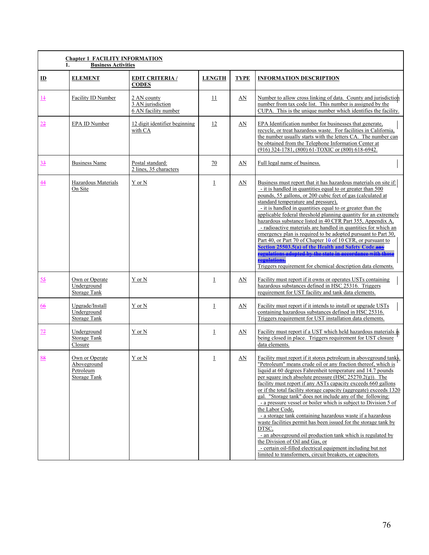| <b>Chapter 1 FACILITY INFORMATION</b><br><b>Business Activities</b><br>1. |                                                                   |                                                          |                |             |                                                                                                                                                                                                                                                                                                                                                                                                                                                                                                                                                                                                                                                                                                                                                                                                                                                                                                                                   |  |  |
|---------------------------------------------------------------------------|-------------------------------------------------------------------|----------------------------------------------------------|----------------|-------------|-----------------------------------------------------------------------------------------------------------------------------------------------------------------------------------------------------------------------------------------------------------------------------------------------------------------------------------------------------------------------------------------------------------------------------------------------------------------------------------------------------------------------------------------------------------------------------------------------------------------------------------------------------------------------------------------------------------------------------------------------------------------------------------------------------------------------------------------------------------------------------------------------------------------------------------|--|--|
| $\mathbf{D}$                                                              | <b>ELEMENT</b>                                                    | <b>EDIT CRITERIA /</b><br><b>CODES</b>                   | <b>LENGTH</b>  | <b>TYPE</b> | <b>INFORMATION DESCRIPTION</b>                                                                                                                                                                                                                                                                                                                                                                                                                                                                                                                                                                                                                                                                                                                                                                                                                                                                                                    |  |  |
| <u> 14</u>                                                                | Facility ID Number                                                | 2 AN county<br>3 AN jurisdiction<br>6 AN facility number | <u>11</u>      | AN          | Number to allow cross linking of data. County and jurisdiction<br>number from tax code list. This number is assigned by the<br>CUPA. This is the unique number which identifies the facility.                                                                                                                                                                                                                                                                                                                                                                                                                                                                                                                                                                                                                                                                                                                                     |  |  |
| 22                                                                        | EPA ID Number                                                     | 12 digit identifier beginning<br>with CA                 | 12             | AN          | EPA Identification number for businesses that generate,<br>recycle, or treat hazardous waste. For facilities in California.<br>the number usually starts with the letters CA. The number can<br>be obtained from the Telephone Information Center at<br>(916) 324-1781, (800) 61-TOXIC or (800) 618-6942.                                                                                                                                                                                                                                                                                                                                                                                                                                                                                                                                                                                                                         |  |  |
| $\frac{33}{2}$                                                            | <b>Business Name</b>                                              | Postal standard:<br>2 lines, 35 characters               | 70             | AN          | Full legal name of business.                                                                                                                                                                                                                                                                                                                                                                                                                                                                                                                                                                                                                                                                                                                                                                                                                                                                                                      |  |  |
| <u>44</u>                                                                 | Hazardous Materials<br>On Site                                    | Y or N                                                   | $\perp$        | AN          | Business must report that it has hazardous materials on site if:<br>- it is handled in quantities equal to or greater than 500<br>pounds, 55 gallons, or 200 cubic feet of gas (calculated at<br>standard temperature and pressure),<br>- it is handled in quantities equal to or greater than the<br>applicable federal threshold planning quantity for an extremely<br>hazardous substance listed in 40 CFR Part 355, Appendix A,<br>- radioactive materials are handled in quantities for which an<br>emergency plan is required to be adopted pursuant to Part 30,<br>Part 40, or Part 70 of Chapter 10 of 10 CFR, or pursuant to<br>Section 25503.5(a) of the Health and Safety Code.<br><u>reculations adopted by the state in accordance with thos</u><br>regulations.<br>Triggers requirement for chemical description data elements.                                                                                     |  |  |
| 55                                                                        | Own or Operate<br>Underground<br><b>Storage Tank</b>              | Y or N                                                   | 1              | AN          | Facility must report if it owns or operates USTs containing<br>hazardous substances defined in HSC 25316. Triggers<br>requirement for UST facility and tank data elements.                                                                                                                                                                                                                                                                                                                                                                                                                                                                                                                                                                                                                                                                                                                                                        |  |  |
| 66                                                                        | Upgrade/Install<br>Underground<br><b>Storage Tank</b>             | Y or N                                                   | $\perp$        | AN          | Facility must report if it intends to install or upgrade USTs<br>containing hazardous substances defined in HSC 25316.<br>Triggers requirement for UST installation data elements.                                                                                                                                                                                                                                                                                                                                                                                                                                                                                                                                                                                                                                                                                                                                                |  |  |
| 77                                                                        | Underground<br><b>Storage Tank</b><br>Closure                     | Y or N                                                   | $\mathbf 1$    | AN          | Facility must report if a UST which held hazardous materials is<br>being closed in place. Triggers requirement for UST closure<br>data elements.                                                                                                                                                                                                                                                                                                                                                                                                                                                                                                                                                                                                                                                                                                                                                                                  |  |  |
| 88                                                                        | Own or Operate<br>Aboveground<br>Petroleum<br><b>Storage Tank</b> | Y or N                                                   | $\overline{1}$ | AN          | Facility must report if it stores petroleum in aboveground tanks.<br>"Petroleum" means crude oil or any fraction thereof, which is<br>liquid at 60 degrees Fahrenheit temperature and 14.7 pounds<br>per square inch absolute pressure (HSC $25270.2(g)$ ). The<br>facility must report if any ASTs capacity exceeds 660 gallons<br>or if the total facility storage capacity (aggregate) exceeds 1320<br>gal. "Storage tank" does not include any of the following:<br>- a pressure vessel or boiler which is subject to Division 5 of<br>the Labor Code,<br>- a storage tank containing hazardous waste if a hazardous<br>waste facilities permit has been issued for the storage tank by<br>DTSC.<br>- an aboveground oil production tank which is regulated by<br>the Division of Oil and Gas, or<br>- certain oil-filled electrical equipment including but not<br>limited to transformers, circuit breakers, or capacitors. |  |  |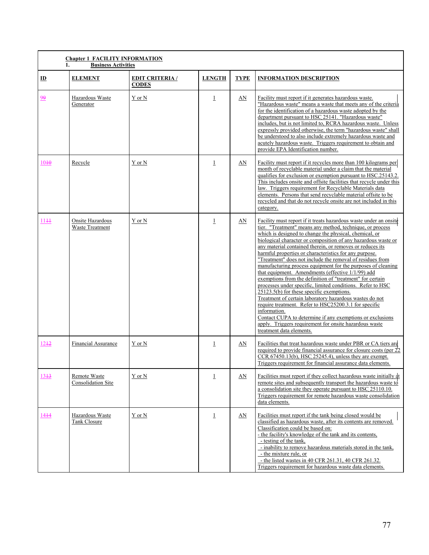| <b>Chapter 1 FACILITY INFORMATION</b> |                                     |                                       |                |             |                                                                                                                                                                                                                                                                                                                                                                                                                                                                                                                                                                                                                                                                                                                                                                                                                                                                                                                                                                                                                                   |  |  |  |  |
|---------------------------------------|-------------------------------------|---------------------------------------|----------------|-------------|-----------------------------------------------------------------------------------------------------------------------------------------------------------------------------------------------------------------------------------------------------------------------------------------------------------------------------------------------------------------------------------------------------------------------------------------------------------------------------------------------------------------------------------------------------------------------------------------------------------------------------------------------------------------------------------------------------------------------------------------------------------------------------------------------------------------------------------------------------------------------------------------------------------------------------------------------------------------------------------------------------------------------------------|--|--|--|--|
|                                       | 1.<br><b>Business Activities</b>    |                                       |                |             |                                                                                                                                                                                                                                                                                                                                                                                                                                                                                                                                                                                                                                                                                                                                                                                                                                                                                                                                                                                                                                   |  |  |  |  |
| $\mathbf{D}$                          | <b>ELEMENT</b>                      | <b>EDIT CRITERIA/</b><br><b>CODES</b> | <b>LENGTH</b>  | <b>TYPE</b> | <b>INFORMATION DESCRIPTION</b>                                                                                                                                                                                                                                                                                                                                                                                                                                                                                                                                                                                                                                                                                                                                                                                                                                                                                                                                                                                                    |  |  |  |  |
| 99                                    | Hazardous Waste<br>Generator        | Y or N                                | $\perp$        | AN          | Facility must report if it generates hazardous waste.<br>"Hazardous waste" means a waste that meets any of the criteria<br>for the identification of a hazardous waste adopted by the<br>department pursuant to HSC 25141. "Hazardous waste"<br>includes, but is not limited to, RCRA hazardous waste. Unless<br>expressly provided otherwise, the term "hazardous waste" shall<br>be understood to also include extremely hazardous waste and<br>acutely hazardous waste. Triggers requirement to obtain and<br>provide EPA Identification number.                                                                                                                                                                                                                                                                                                                                                                                                                                                                               |  |  |  |  |
| 10 <sup>40</sup>                      | Recycle                             | Y or N                                | $\perp$        | AN          | Facility must report if it recycles more than 100 kilograms per<br>month of recyclable material under a claim that the material<br>qualifies for exclusion or exemption pursuant to HSC.25143.2.<br>This includes onsite and offsite facilities that recycle under this<br>law. Triggers requirement for Recyclable Materials data<br>elements. Persons that send recyclable material offsite to be<br>recycled and that do not recycle onsite are not included in this<br>category.                                                                                                                                                                                                                                                                                                                                                                                                                                                                                                                                              |  |  |  |  |
| $11 + 1$                              | Onsite Hazardous<br>Waste Treatment | Y or N                                | $\perp$        | AN          | Facility must report if it treats hazardous waste under an onsite<br>tier. "Treatment" means any method, technique, or process<br>which is designed to change the physical, chemical, or<br>biological character or composition of any hazardous waste or<br>any material contained therein, or removes or reduces its<br>harmful properties or characteristics for any purpose.<br>"Treatment" does not include the removal of residues from<br>manufacturing process equipment for the purposes of cleaning<br>that equipment. Amendments (effective 1/1/99) add<br>exemptions from the definition of "treatment" for certain<br>processes under specific, limited conditions. Refer to HSC<br>25123.5(b) for these specific exemptions.<br>Treatment of certain laboratory hazardous wastes do not<br>require treatment. Refer to HSC25200.3.1 for specific<br>information.<br>Contact CUPA to determine if any exemptions or exclusions<br>apply. Triggers requirement for onsite hazardous waste<br>treatment data elements. |  |  |  |  |
| $12 + 2$                              | <b>Financial Assurance</b>          | Y or N                                | $\overline{1}$ | AN          | Facilities that treat hazardous waste under PBR or CA tiers are<br>required to provide financial assurance for closure costs (per 22<br>$CCR$ , 67450.13(b), HSC 25245.4), unless they are exempt.<br>Triggers requirement for financial assurance data elements.                                                                                                                                                                                                                                                                                                                                                                                                                                                                                                                                                                                                                                                                                                                                                                 |  |  |  |  |
| $13 + 3$                              | Remote Waste<br>Consolidation Site  | Y or N                                | $\perp$        | AN          | Facilities must report if they collect hazardous waste initially at<br>remote sites and subsequently transport the hazardous waste to<br>a consolidation site they operate pursuant to HSC 25110.10.<br>Triggers requirement for remote hazardous waste consolidation<br>data elements.                                                                                                                                                                                                                                                                                                                                                                                                                                                                                                                                                                                                                                                                                                                                           |  |  |  |  |
| 1444                                  | Hazardous Waste<br>Tank Closure     | Y or N                                | $\perp$        | AN          | Facilities must report if the tank being closed would be<br>classified as hazardous waste, after its contents are removed.<br>Classification could be based on:<br>- the facility's knowledge of the tank and its contents.<br>- testing of the tank,<br>- inability to remove hazardous materials stored in the tank,<br>- the mixture rule, or<br>- the listed wastes in 40 CFR 261.31, 40 CFR 261.32.<br>Triggers requirement for hazardous waste data elements.                                                                                                                                                                                                                                                                                                                                                                                                                                                                                                                                                               |  |  |  |  |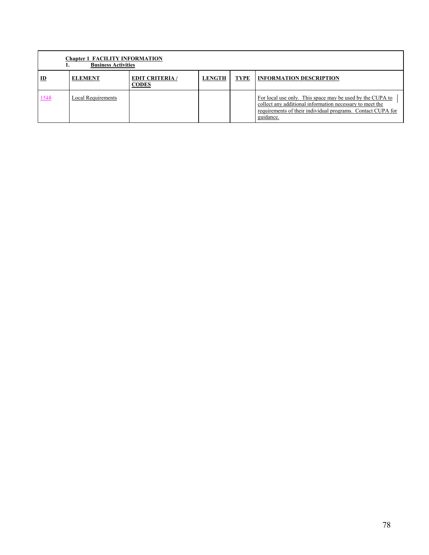|             | <b>Chapter 1 FACILITY INFORMATION</b><br><b>Business Activities</b> |                                        |               |             |                                                                                                                                                                                                   |  |  |  |  |  |
|-------------|---------------------------------------------------------------------|----------------------------------------|---------------|-------------|---------------------------------------------------------------------------------------------------------------------------------------------------------------------------------------------------|--|--|--|--|--|
| $_{\rm ID}$ | <b>ELEMENT</b>                                                      | <b>EDIT CRITERIA</b> /<br><b>CODES</b> | <b>LENGTH</b> | <b>TYPE</b> | <b>INFORMATION DESCRIPTION</b>                                                                                                                                                                    |  |  |  |  |  |
| $15 + 5$    | Local Requirements                                                  |                                        |               |             | For local use only. This space may be used by the CUPA to<br>collect any additional information necessary to meet the<br>requirements of their individual programs. Contact CUPA for<br>guidance. |  |  |  |  |  |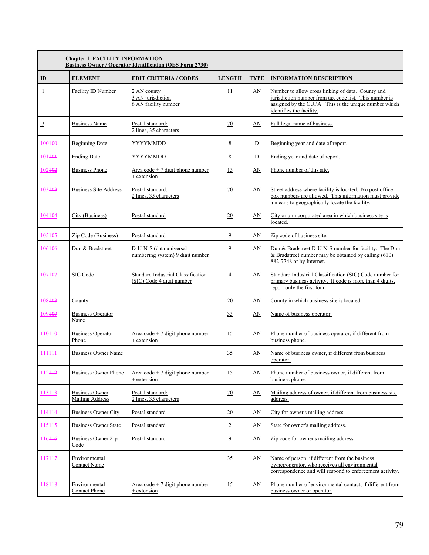|                | <b>Chapter 1 FACILITY INFORMATION</b><br><b>Business Owner / Operator Identification (OES Form 2730)</b> |                                                                 |                |                  |                                                                                                                                                                                                  |  |  |  |  |
|----------------|----------------------------------------------------------------------------------------------------------|-----------------------------------------------------------------|----------------|------------------|--------------------------------------------------------------------------------------------------------------------------------------------------------------------------------------------------|--|--|--|--|
| $\mathbf{D}$   | <b>ELEMENT</b>                                                                                           | <b>EDIT CRITERIA / CODES</b>                                    | <b>LENGTH</b>  | <b>TYPE</b>      | <b>INFORMATION DESCRIPTION</b>                                                                                                                                                                   |  |  |  |  |
| $\perp$        | Facility ID Number                                                                                       | 2 AN county<br>3 AN jurisdiction<br>6 AN facility number        | 11             | AN               | Number to allow cross linking of data. County and<br>jurisdiction number from tax code list. This number is<br>assigned by the CUPA. This is the unique number which<br>identifies the facility. |  |  |  |  |
| $\overline{3}$ | <b>Business Name</b>                                                                                     | Postal standard:<br>2 lines, 35 characters                      | 70             | AN               | Full legal name of business.                                                                                                                                                                     |  |  |  |  |
| 100400         | <b>Beginning Date</b>                                                                                    | YYYYMMDD                                                        | 8              | D                | Beginning year and date of report.                                                                                                                                                               |  |  |  |  |
| 101+0+         | <b>Ending Date</b>                                                                                       | YYYYMMDD                                                        | 8              | D                | Ending year and date of report.                                                                                                                                                                  |  |  |  |  |
| 102+02         | <b>Business Phone</b>                                                                                    | Area code $+7$ digit phone number<br>+ extension                | 15             | AN               | Phone number of this site.                                                                                                                                                                       |  |  |  |  |
| 103403         | <b>Business Site Address</b>                                                                             | Postal standard:<br>2 lines, 35 characters                      | 70             | AN               | Street address where facility is located. No post office<br>box numbers are allowed. This information must provide<br>a means to geographically locate the facility.                             |  |  |  |  |
| 104404         | City (Business)                                                                                          | Postal standard                                                 | 20             | AN               | City or unincorporated area in which business site is<br>located.                                                                                                                                |  |  |  |  |
| 105+05         | Zip Code (Business)                                                                                      | Postal standard                                                 | $\overline{9}$ | AN               | Zip code of business site.                                                                                                                                                                       |  |  |  |  |
| 106406         | Dun & Bradstreet                                                                                         | D-U-N-S (data universal<br>numbering system) 9 digit number     | $\overline{9}$ | AN               | Dun & Bradstreet D-U-N-S number for facility. The Dun<br>& Bradstreet number may be obtained by calling $(610)$<br>882-7748 or by Internet.                                                      |  |  |  |  |
| 107407         | SIC Code                                                                                                 | Standard Industrial Classification<br>(SIC) Code 4 digit number | $\overline{4}$ | AN               | Standard Industrial Classification (SIC) Code number for<br>primary business activity. If code is more than 4 digits,<br>report only the first four.                                             |  |  |  |  |
| 108408         | County                                                                                                   |                                                                 | 20             | AN               | County in which business site is located.                                                                                                                                                        |  |  |  |  |
| 109+09         | <b>Business Operator</b><br>Name                                                                         |                                                                 | 35             | AN               | Name of business operator.                                                                                                                                                                       |  |  |  |  |
| 110+10         | <b>Business Operator</b><br>Phone                                                                        | Area code + 7 digit phone number<br>+ extension                 | 15             | AN               | Phone number of business operator, if different from<br>business phone.                                                                                                                          |  |  |  |  |
| 111+++         | <b>Business Owner Name</b>                                                                               |                                                                 | 35             | AN               | Name of business owner, if different from business<br>operator.                                                                                                                                  |  |  |  |  |
| 112++2         | <b>Business Owner Phone</b>                                                                              | Area code $+7$ digit phone number<br>+ extension                | 15             | AN               | Phone number of business owner, if different from<br>business phone.                                                                                                                             |  |  |  |  |
| 113++3         | <b>Business Owner</b><br><b>Mailing Address</b>                                                          | Postal standard:<br>2 lines, 35 characters                      | <u>70</u>      | AN               | Mailing address of owner, if different from business site<br>address.                                                                                                                            |  |  |  |  |
| 114++4         | <b>Business Owner City</b>                                                                               | Postal standard                                                 | 20             | $\Delta N$       | City for owner's mailing address.                                                                                                                                                                |  |  |  |  |
| 115++5         | <b>Business Owner State</b>                                                                              | Postal standard                                                 | $\overline{2}$ | AN               | State for owner's mailing address.                                                                                                                                                               |  |  |  |  |
| 116++6         | Business Owner Zip<br>Code                                                                               | Postal standard                                                 | $\overline{9}$ | AN               | Zip code for owner's mailing address.                                                                                                                                                            |  |  |  |  |
| 117447         | Environmental<br>Contact Name                                                                            |                                                                 | 35             | AN               | Name of person, if different from the business<br>owner/operator, who receives all environmental<br>correspondence and will respond to enforcement activity.                                     |  |  |  |  |
| 118448         | Environmental<br><b>Contact Phone</b>                                                                    | Area code $+7$ digit phone number<br>+ extension                | 15             | $\underline{AN}$ | Phone number of environmental contact, if different from<br>business owner or operator.                                                                                                          |  |  |  |  |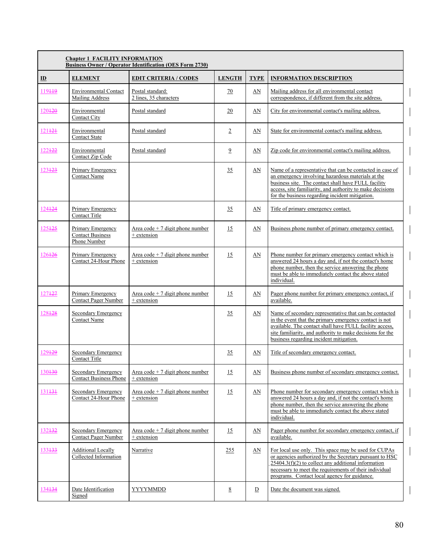|                    | <b>Chapter 1 FACILITY INFORMATION</b><br><b>Business Owner / Operator Identification (OES Form 2730)</b> |                                                  |                 |                |                                                                                                                                                                                                                                                                                       |  |  |  |  |
|--------------------|----------------------------------------------------------------------------------------------------------|--------------------------------------------------|-----------------|----------------|---------------------------------------------------------------------------------------------------------------------------------------------------------------------------------------------------------------------------------------------------------------------------------------|--|--|--|--|
| $\mathbf{D}$       | <b>ELEMENT</b>                                                                                           | <b>EDIT CRITERIA / CODES</b>                     | <b>LENGTH</b>   | <b>TYPE</b>    | <b>INFORMATION DESCRIPTION</b>                                                                                                                                                                                                                                                        |  |  |  |  |
| 119449             | <b>Environmental Contact</b><br>Mailing Address                                                          | Postal standard:<br>2 lines, 35 characters       | 70              | AN             | Mailing address for all environmental contact<br>correspondence, if different from the site address.                                                                                                                                                                                  |  |  |  |  |
| 120420             | Environmental<br><b>Contact City</b>                                                                     | Postal standard                                  | 20              | AN             | City for environmental contact's mailing address.                                                                                                                                                                                                                                     |  |  |  |  |
| 121+2+             | Environmental<br><b>Contact State</b>                                                                    | Postal standard                                  | $\overline{2}$  | AN             | State for environmental contact's mailing address.                                                                                                                                                                                                                                    |  |  |  |  |
| 122422             | Environmental<br>Contact Zip Code                                                                        | Postal standard                                  | $\overline{9}$  | AN             | Zip code for environmental contact's mailing address.                                                                                                                                                                                                                                 |  |  |  |  |
| 123423             | Primary Emergency<br><b>Contact Name</b>                                                                 |                                                  | 35              | AN             | Name of a representative that can be contacted in case of<br>an emergency involving hazardous materials at the<br>business site. The contact shall have FULL facility<br>access, site familiarity, and authority to make decisions<br>for the business regarding incident mitigation. |  |  |  |  |
| 124424             | Primary Emergency<br>Contact Title                                                                       |                                                  | 35              | AN             | Title of primary emergency contact.                                                                                                                                                                                                                                                   |  |  |  |  |
| 125425             | Primary Emergency<br><b>Contact Business</b><br>Phone Number                                             | Area code $+7$ digit phone number<br>+ extension | 15              | AN             | Business phone number of primary emergency contact.                                                                                                                                                                                                                                   |  |  |  |  |
| 126426             | Primary Emergency<br>Contact 24-Hour Phone                                                               | Area code + 7 digit phone number<br>+ extension  | 15              | AN             | Phone number for primary emergency contact which is<br>answered 24 hours a day and, if not the contact's home<br>phone number, then the service answering the phone<br>must be able to immediately contact the above stated<br>individual.                                            |  |  |  |  |
| 127427             | Primary Emergency<br><b>Contact Pager Number</b>                                                         | Area code + 7 digit phone number<br>+ extension  | 15              | AN             | Pager phone number for primary emergency contact, if<br>available.                                                                                                                                                                                                                    |  |  |  |  |
| 128428             | Secondary Emergency<br><b>Contact Name</b>                                                               |                                                  | 35              | AN             | Name of secondary representative that can be contacted<br>in the event that the primary emergency contact is not<br>available. The contact shall have FULL facility access,<br>site familiarity, and authority to make decisions for the<br>business regarding incident mitigation.   |  |  |  |  |
| 129429             | <b>Secondary Emergency</b><br>Contact Title                                                              |                                                  | 35              | AN             | Title of secondary emergency contact.                                                                                                                                                                                                                                                 |  |  |  |  |
| 130430             | Secondary Emergency<br><b>Contact Business Phone</b>                                                     | Area code $+7$ digit phone number<br>+ extension | 15              | $\Delta N$     | Business phone number of secondary emergency contact.                                                                                                                                                                                                                                 |  |  |  |  |
| 131 <del>131</del> | Secondary Emergency<br>Contact 24-Hour Phone                                                             | Area code + 7 digit phone number<br>+ extension  | 15              | AN             | Phone number for secondary emergency contact which is<br>answered 24 hours a day and, if not the contact's home<br>phone number, then the service answering the phone<br>must be able to immediately contact the above stated<br>individual.                                          |  |  |  |  |
| 132+32             | Secondary Emergency<br><b>Contact Pager Number</b>                                                       | Area code $+7$ digit phone number<br>+ extension | 15              | AN             | Pager phone number for secondary emergency contact, if<br>available.                                                                                                                                                                                                                  |  |  |  |  |
| 133433             | <b>Additional Locally</b><br>Collected Information                                                       | Narrative                                        | 255             | $\Delta N$     | For local use only. This space may be used for CUPAs<br>or agencies authorized by the Secretary pursuant to HSC<br>$25404.3(f)(2)$ to collect any additional information<br>necessary to meet the requirements of their individual<br>programs. Contact local agency for guidance.    |  |  |  |  |
| 134 <del>134</del> | Date Identification<br>Signed                                                                            | YYYYMMDD                                         | $\underline{8}$ | $\overline{D}$ | Date the document was signed.                                                                                                                                                                                                                                                         |  |  |  |  |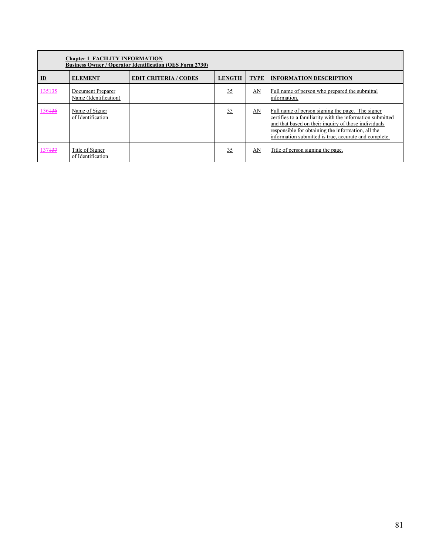|              | <b>Chapter 1 FACILITY INFORMATION</b><br><b>Business Owner / Operator Identification (OES Form 2730)</b> |                              |               |             |                                                                                                                                                                                                                                                                                      |  |  |  |  |  |  |
|--------------|----------------------------------------------------------------------------------------------------------|------------------------------|---------------|-------------|--------------------------------------------------------------------------------------------------------------------------------------------------------------------------------------------------------------------------------------------------------------------------------------|--|--|--|--|--|--|
| $\mathbf{D}$ | <b>ELEMENT</b>                                                                                           | <b>EDIT CRITERIA / CODES</b> | <b>LENGTH</b> | <b>TYPE</b> | <b>INFORMATION DESCRIPTION</b>                                                                                                                                                                                                                                                       |  |  |  |  |  |  |
| 135435       | Document Preparer<br>Name (Identification)                                                               |                              | 35            | AN          | Full name of person who prepared the submittal<br>information.                                                                                                                                                                                                                       |  |  |  |  |  |  |
| 136436       | Name of Signer<br>of Identification                                                                      |                              | 35            | AN          | Full name of person signing the page. The signer<br>certifies to a familiarity with the information submitted<br>and that based on their inquiry of those individuals<br>responsible for obtaining the information, all the<br>information submitted is true, accurate and complete. |  |  |  |  |  |  |
| 137437       | Title of Signer<br>of Identification                                                                     |                              | 35            | AN          | Title of person signing the page.                                                                                                                                                                                                                                                    |  |  |  |  |  |  |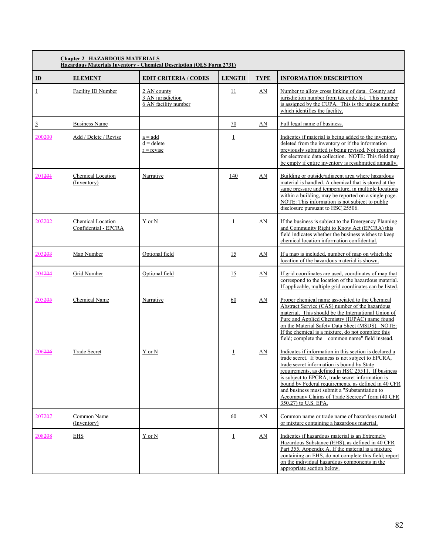|                    | <b>Chapter 2 HAZARDOUS MATERIALS</b><br><b>Hazardous Materials Inventory - Chemical Description (OES Form 2731)</b> |                                                          |                |                           |                                                                                                                                                                                                                                                                                                                                                                                                                                                         |  |  |  |  |
|--------------------|---------------------------------------------------------------------------------------------------------------------|----------------------------------------------------------|----------------|---------------------------|---------------------------------------------------------------------------------------------------------------------------------------------------------------------------------------------------------------------------------------------------------------------------------------------------------------------------------------------------------------------------------------------------------------------------------------------------------|--|--|--|--|
| $\mathbf{D}$       | <b>ELEMENT</b>                                                                                                      | <b>EDIT CRITERIA / CODES</b>                             | <b>LENGTH</b>  | <b>TYPE</b>               | <b>INFORMATION DESCRIPTION</b>                                                                                                                                                                                                                                                                                                                                                                                                                          |  |  |  |  |
| $\overline{1}$     | Facility ID Number                                                                                                  | 2 AN county<br>3 AN jurisdiction<br>6 AN facility number | 11             | $\underline{\mathbf{AN}}$ | Number to allow cross linking of data. County and<br>jurisdiction number from tax code list. This number<br>is assigned by the CUPA. This is the unique number<br>which identifies the facility.                                                                                                                                                                                                                                                        |  |  |  |  |
| $\overline{3}$     | <b>Business Name</b>                                                                                                |                                                          | 70             | AN                        | Full legal name of business.                                                                                                                                                                                                                                                                                                                                                                                                                            |  |  |  |  |
| 200 <del>200</del> | Add / Delete / Revise                                                                                               | $a = add$<br>$d =$ delete<br>$r = revise$                | $\overline{1}$ |                           | Indicates if material is being added to the inventory,<br>deleted from the inventory or if the information<br>previously submitted is being revised. Not required<br>for electronic data collection. NOTE: This field may<br>be empty if entire inventory is resubmitted annually.                                                                                                                                                                      |  |  |  |  |
| 201 <del>201</del> | Chemical Location<br>(Inventory)                                                                                    | Narrative                                                | 140            | AN                        | Building or outside/adjacent area where hazardous<br>material is handled. A chemical that is stored at the<br>same pressure and temperature, in multiple locations<br>within a building, may be reported on a single page.<br>NOTE: This information is not subject to public<br>disclosure pursuant to HSC 25506.                                                                                                                                      |  |  |  |  |
| 202 <del>202</del> | Chemical Location<br>Confidential - EPCRA                                                                           | Y or N                                                   | $\overline{1}$ | AN                        | If the business is subject to the Emergency Planning<br>and Community Right to Know Act (EPCRA) this<br>field indicates whether the business wishes to keep<br>chemical location information confidential.                                                                                                                                                                                                                                              |  |  |  |  |
| 203 <del>203</del> | Map Number                                                                                                          | Optional field                                           | 15             | AN                        | If a map is included, number of map on which the<br>location of the hazardous material is shown.                                                                                                                                                                                                                                                                                                                                                        |  |  |  |  |
| 204 <del>204</del> | Grid Number                                                                                                         | Optional field                                           | 15             | AN                        | If grid coordinates are used, coordinates of map that<br>correspond to the location of the hazardous material.<br>If applicable, multiple grid coordinates can be listed.                                                                                                                                                                                                                                                                               |  |  |  |  |
| 205205             | Chemical Name                                                                                                       | Narrative                                                | 60             | AN                        | Proper chemical name associated to the Chemical<br>Abstract Service (CAS) number of the hazardous<br>material. This should be the International Union of<br>Pure and Applied Chemistry (IUPAC) name found<br>on the Material Safety Data Sheet (MSDS). NOTE:<br>If the chemical is a mixture, do not complete this<br>field; complete the common name" field instead.                                                                                   |  |  |  |  |
| 206206             | <b>Trade Secret</b>                                                                                                 | Y or N                                                   | $\overline{1}$ | AN                        | Indicates if information in this section is declared a<br>trade secret. If business is not subject to EPCRA,<br>trade secret information is bound by State<br>requirements, as defined in HSC 25511. If business<br>is subject to EPCRA, trade secret information is<br>bound by Federal requirements, as defined in 40 CFR<br>and business must submit a "Substantiation to<br>Accompany Claims of Trade Secrecy" form (40 CFR<br>350.27) to U.S. EPA. |  |  |  |  |
| 207207             | Common Name<br>(Inventory)                                                                                          |                                                          | 60             | AN                        | Common name or trade name of hazardous material<br>or mixture containing a hazardous material.                                                                                                                                                                                                                                                                                                                                                          |  |  |  |  |
| 208208             | EHS                                                                                                                 | Y or N                                                   | $\overline{1}$ | AN                        | Indicates if hazardous material is an Extremely<br>Hazardous Substance (EHS), as defined in 40 CFR<br>Part 355, Appendix A. If the material is a mixture<br>containing an EHS, do not complete this field; report<br>on the individual hazardous components in the<br>appropriate section below.                                                                                                                                                        |  |  |  |  |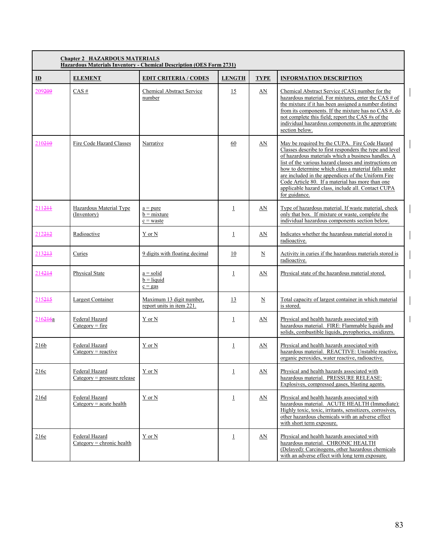|                    | <b>Chapter 2 HAZARDOUS MATERIALS</b><br>Hazardous Materials Inventory - Chemical Description (OES Form 2731) |                                                       |                |                     |                                                                                                                                                                                                                                                                                                                                                                                                                                                                  |  |  |  |  |  |
|--------------------|--------------------------------------------------------------------------------------------------------------|-------------------------------------------------------|----------------|---------------------|------------------------------------------------------------------------------------------------------------------------------------------------------------------------------------------------------------------------------------------------------------------------------------------------------------------------------------------------------------------------------------------------------------------------------------------------------------------|--|--|--|--|--|
| $\mathbf{D}$       | <b>ELEMENT</b>                                                                                               | <b>EDIT CRITERIA / CODES</b>                          | <b>LENGTH</b>  | <b>TYPE</b>         | <b>INFORMATION DESCRIPTION</b>                                                                                                                                                                                                                                                                                                                                                                                                                                   |  |  |  |  |  |
| 209209             | CAS#                                                                                                         | Chemical Abstract Service<br>number                   | 15             | AN                  | Chemical Abstract Service (CAS) number for the<br>hazardous material. For mixtures, enter the CAS $#$ of<br>the mixture if it has been assigned a number distinct<br>from its components. If the mixture has no CAS $#$ , do<br>not complete this field; report the CAS #s of the<br>individual hazardous components in the appropriate<br>section below.                                                                                                        |  |  |  |  |  |
| 210210             | Fire Code Hazard Classes                                                                                     | Narrative                                             | 60             | AN                  | May be required by the CUPA. Fire Code Hazard<br>Classes describe to first responders the type and level<br>of hazardous materials which a business handles. A<br>list of the various hazard classes and instructions on<br>how to determine which class a material falls under<br>are included in the appendices of the Uniform Fire<br>Code Article 80. If a material has more than one<br>applicable hazard class, include all. Contact CUPA<br>for guidance. |  |  |  |  |  |
| 211211             | Hazardous Material Type<br>(Inventory)                                                                       | $a = pure$<br>$b = mixture$<br>$c = waste$            | $\overline{1}$ | $\Delta N$          | Type of hazardous material. If waste material, check<br>only that box. If mixture or waste, complete the<br>individual hazardous components section below.                                                                                                                                                                                                                                                                                                       |  |  |  |  |  |
| 212212             | Radioactive                                                                                                  | Y or N                                                | $\perp$        | AN                  | Indicates whether the hazardous material stored is<br>radioactive.                                                                                                                                                                                                                                                                                                                                                                                               |  |  |  |  |  |
| 213213             | Curies                                                                                                       | 9 digits with floating decimal                        | 10             | $\underline{\rm N}$ | Activity in curies if the hazardous materials stored is<br>radioactive.                                                                                                                                                                                                                                                                                                                                                                                          |  |  |  |  |  |
| 214 <del>214</del> | Physical State                                                                                               | $a = solid$<br>$b = liquid$<br>$c = gas$              | $\overline{1}$ | AN                  | Physical state of the hazardous material stored.                                                                                                                                                                                                                                                                                                                                                                                                                 |  |  |  |  |  |
| 215245             | Largest Container                                                                                            | Maximum 13 digit number,<br>report units in item 221. | 13             | $_{\rm N}$          | Total capacity of largest container in which material<br>is stored.                                                                                                                                                                                                                                                                                                                                                                                              |  |  |  |  |  |
| 216216a            | Federal Hazard<br>$Category = fire$                                                                          | Y or N                                                | $\overline{1}$ | AN                  | Physical and health hazards associated with<br>hazardous material. FIRE: Flammable liquids and<br>solids, combustible liquids, pyrophorics, oxidizers.                                                                                                                                                                                                                                                                                                           |  |  |  |  |  |
| 216 <sub>b</sub>   | Federal Hazard<br>$Category = reactive$                                                                      | Y or N                                                | $\overline{1}$ | AN                  | Physical and health hazards associated with<br>hazardous material. REACTIVE: Unstable reactive.<br>organic peroxides, water reactive, radioactive.                                                                                                                                                                                                                                                                                                               |  |  |  |  |  |
| 216c               | Federal Hazard<br>$Categorv = pressure$ release                                                              | Y or N                                                | $\overline{1}$ | AN                  | Physical and health hazards associated with<br>hazardous material. PRESSURE RELEASE:<br>Explosives, compressed gases, blasting agents.                                                                                                                                                                                                                                                                                                                           |  |  |  |  |  |
| 216d               | Federal Hazard<br>$Category = acute health$                                                                  | Y or N                                                | $\perp$        | AN                  | Physical and health hazards associated with<br>hazardous material. ACUTE HEALTH (Immediate):<br>Highly toxic, toxic, irritants, sensitizers, corrosives,<br>other hazardous chemicals with an adverse effect<br>with short term exposure.                                                                                                                                                                                                                        |  |  |  |  |  |
| 216e               | Federal Hazard<br>$Category = chronic health$                                                                | Y or N                                                | $\perp$        | <u>AN</u>           | Physical and health hazards associated with<br>hazardous material. CHRONIC HEALTH<br>(Delayed): Carcinogens, other hazardous chemicals<br>with an adverse effect with long term exposure.                                                                                                                                                                                                                                                                        |  |  |  |  |  |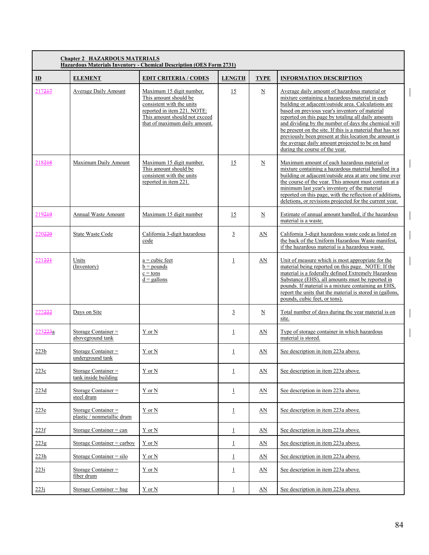| <b>Chapter 2 HAZARDOUS MATERIALS</b><br><b>Hazardous Materials Inventory - Chemical Description (OES Form 2731)</b> |                                                   |                                                                                                                                                                                 |                |                          |                                                                                                                                                                                                                                                                                                                                                                                                                                                                                                                                        |  |  |  |
|---------------------------------------------------------------------------------------------------------------------|---------------------------------------------------|---------------------------------------------------------------------------------------------------------------------------------------------------------------------------------|----------------|--------------------------|----------------------------------------------------------------------------------------------------------------------------------------------------------------------------------------------------------------------------------------------------------------------------------------------------------------------------------------------------------------------------------------------------------------------------------------------------------------------------------------------------------------------------------------|--|--|--|
| $\mathbf{D}$                                                                                                        | <b>ELEMENT</b>                                    | <b>EDIT CRITERIA / CODES</b>                                                                                                                                                    | <b>LENGTH</b>  | <b>TYPE</b>              | <b>INFORMATION DESCRIPTION</b>                                                                                                                                                                                                                                                                                                                                                                                                                                                                                                         |  |  |  |
| 217217                                                                                                              | <b>Average Daily Amount</b>                       | Maximum 15 digit number.<br>This amount should be<br>consistent with the units<br>reported in item 221. NOTE:<br>This amount should not exceed<br>that of maximum daily amount. | 15             | $\underline{N}$          | Average daily amount of hazardous material or<br>mixture containing a hazardous material in each<br>building or adiacent/outside area. Calculations are<br>based on previous year's inventory of material<br>reported on this page by totaling all daily amounts<br>and dividing by the number of days the chemical will<br>be present on the site. If this is a material that has not<br>previously been present at this location the amount is<br>the average daily amount projected to be on hand<br>during the course of the year. |  |  |  |
| 218218                                                                                                              | Maximum Daily Amount                              | Maximum 15 digit number.<br>This amount should be<br>consistent with the units<br>reported in item $221$ .                                                                      | 15             | $\underline{N}$          | Maximum amount of each hazardous material or<br>mixture containing a hazardous material handled in a<br>building or adjacent/outside area at any one time over<br>the course of the year. This amount must contain at a<br>minimum last year's inventory of the material<br>reported on this page, with the reflection of additions,<br>deletions, or revisions projected for the current year.                                                                                                                                        |  |  |  |
| 219219                                                                                                              | Annual Waste Amount                               | Maximum 15 digit number                                                                                                                                                         | 15             | $\underline{\mathbf{N}}$ | Estimate of annual amount handled, if the hazardous<br>material is a waste.                                                                                                                                                                                                                                                                                                                                                                                                                                                            |  |  |  |
| 220220                                                                                                              | <b>State Waste Code</b>                           | California 3-digit hazardous<br>code                                                                                                                                            | $\overline{3}$ | AN                       | California 3-digit hazardous waste code as listed on<br>the back of the Uniform Hazardous Waste manifest,<br>if the hazardous material is a hazardous waste.                                                                                                                                                                                                                                                                                                                                                                           |  |  |  |
| 221 <del>221</del>                                                                                                  | Units<br>(Inventory)                              | $a = cubic$ feet<br>$b =$ pounds<br>$c = tons$<br>$d =$ gallons                                                                                                                 | $\perp$        | AN                       | Unit of measure which is most appropriate for the<br>material being reported on this page. NOTE: If the<br>material is a federally defined Extremely Hazardous<br>Substance (EHS), all amounts must be reported in<br>pounds. If material is a mixture containing an EHS,<br>report the units that the material is stored in (gallons,<br>pounds, cubic feet, or tons).                                                                                                                                                                |  |  |  |
| 222 <del>222</del>                                                                                                  | Days on Site                                      |                                                                                                                                                                                 | $\overline{3}$ | $\mathbf N$              | Total number of days during the year material is on<br>site.                                                                                                                                                                                                                                                                                                                                                                                                                                                                           |  |  |  |
| 223 <del>223</del> a                                                                                                | Storage Container =<br>aboveground tank           | Y or N                                                                                                                                                                          | $\overline{1}$ | AN                       | Type of storage container in which hazardous<br>material is stored.                                                                                                                                                                                                                                                                                                                                                                                                                                                                    |  |  |  |
| 223 <sub>b</sub>                                                                                                    | Storage Container $=$<br>underground tank         | Y or N                                                                                                                                                                          | $\overline{1}$ | AN                       | See description in item 223a above.                                                                                                                                                                                                                                                                                                                                                                                                                                                                                                    |  |  |  |
| 223c                                                                                                                | Storage Container $=$<br>tank inside building     | Y or N                                                                                                                                                                          | $\overline{1}$ | AN                       | See description in item 223a above.                                                                                                                                                                                                                                                                                                                                                                                                                                                                                                    |  |  |  |
| 223d                                                                                                                | Storage Container $=$<br>steel drum               | Y or N                                                                                                                                                                          | $\perp$        | AN                       | See description in item 223a above.                                                                                                                                                                                                                                                                                                                                                                                                                                                                                                    |  |  |  |
| 223e                                                                                                                | Storage Container =<br>plastic / nonmetallic drum | Y or N                                                                                                                                                                          | $\overline{1}$ | AN                       | See description in item 223a above.                                                                                                                                                                                                                                                                                                                                                                                                                                                                                                    |  |  |  |
| 223f                                                                                                                | Storage Container $=$ can                         | Y or N                                                                                                                                                                          | $\overline{1}$ | AN                       | See description in item 223a above.                                                                                                                                                                                                                                                                                                                                                                                                                                                                                                    |  |  |  |
| 223g                                                                                                                | Storage Container $=$ carboy                      | Y or N                                                                                                                                                                          | $\overline{1}$ | AN                       | See description in item 223a above.                                                                                                                                                                                                                                                                                                                                                                                                                                                                                                    |  |  |  |
| 223h                                                                                                                | Storage Container $=$ silo                        | $Y$ or $N$                                                                                                                                                                      | $\perp$        | <u>AN</u>                | See description in item 223a above.                                                                                                                                                                                                                                                                                                                                                                                                                                                                                                    |  |  |  |
| 223i                                                                                                                | Storage Container $=$<br>fiber drum               | Y or N                                                                                                                                                                          | $\perp$        | AN                       | See description in item 223a above.                                                                                                                                                                                                                                                                                                                                                                                                                                                                                                    |  |  |  |
| 223j                                                                                                                | Storage Container $=$ bag                         | $Y$ or $N$                                                                                                                                                                      | $\overline{1}$ | AN                       | See description in item 223a above.                                                                                                                                                                                                                                                                                                                                                                                                                                                                                                    |  |  |  |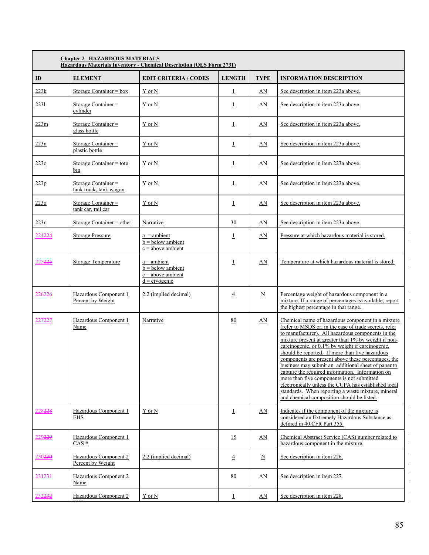|                    | <b>Chapter 2 HAZARDOUS MATERIALS</b><br><b>Hazardous Materials Inventory - Chemical Description (OES Form 2731)</b> |                                                                              |                |                          |                                                                                                                                                                                                                                                                                                                                                                                                                                                                                                                                                                                                                                                                                                             |  |  |  |  |
|--------------------|---------------------------------------------------------------------------------------------------------------------|------------------------------------------------------------------------------|----------------|--------------------------|-------------------------------------------------------------------------------------------------------------------------------------------------------------------------------------------------------------------------------------------------------------------------------------------------------------------------------------------------------------------------------------------------------------------------------------------------------------------------------------------------------------------------------------------------------------------------------------------------------------------------------------------------------------------------------------------------------------|--|--|--|--|
| $\mathbf{D}$       | <b>ELEMENT</b>                                                                                                      | <b>EDIT CRITERIA / CODES</b>                                                 | <b>LENGTH</b>  | <b>TYPE</b>              | <b>INFORMATION DESCRIPTION</b>                                                                                                                                                                                                                                                                                                                                                                                                                                                                                                                                                                                                                                                                              |  |  |  |  |
| 223k               | Storage Container = $box$                                                                                           | Y or N                                                                       | $\overline{1}$ | <u>AN</u>                | See description in item 223a above.                                                                                                                                                                                                                                                                                                                                                                                                                                                                                                                                                                                                                                                                         |  |  |  |  |
| 2231               | Storage Container =<br>cylinder                                                                                     | Y or N                                                                       | $\mathbf 1$    | <u>AN</u>                | See description in item 223a above.                                                                                                                                                                                                                                                                                                                                                                                                                                                                                                                                                                                                                                                                         |  |  |  |  |
| 223m               | Storage Container =<br>glass bottle                                                                                 | Y or N                                                                       | $\perp$        | <u>AN</u>                | See description in item 223a above.                                                                                                                                                                                                                                                                                                                                                                                                                                                                                                                                                                                                                                                                         |  |  |  |  |
| 223n               | Storage Container $=$<br>plastic bottle                                                                             | Y or N                                                                       | $\overline{1}$ | AN                       | See description in item 223a above.                                                                                                                                                                                                                                                                                                                                                                                                                                                                                                                                                                                                                                                                         |  |  |  |  |
| 2230               | Storage Container $=$ tote<br>bin                                                                                   | Y or N                                                                       | $\perp$        | AN                       | See description in item 223a above.                                                                                                                                                                                                                                                                                                                                                                                                                                                                                                                                                                                                                                                                         |  |  |  |  |
| 223p               | Storage Container $=$<br>tank truck, tank wagon                                                                     | Y or N                                                                       | $\mathbf 1$    | AN                       | See description in item 223a above.                                                                                                                                                                                                                                                                                                                                                                                                                                                                                                                                                                                                                                                                         |  |  |  |  |
| 223q               | Storage Container $=$<br>tank car, rail car                                                                         | Y or N                                                                       | $\perp$        | AN                       | See description in item 223a above.                                                                                                                                                                                                                                                                                                                                                                                                                                                                                                                                                                                                                                                                         |  |  |  |  |
| 223r               | Storage Container $=$ other                                                                                         | Narrative                                                                    | 30             | AN                       | See description in item 223a above.                                                                                                                                                                                                                                                                                                                                                                                                                                                                                                                                                                                                                                                                         |  |  |  |  |
| 224224             | Storage Pressure                                                                                                    | $a =$ ambient<br>$b =$ below ambient<br>$c =$ above ambient                  | $\perp$        | AN                       | Pressure at which hazardous material is stored.                                                                                                                                                                                                                                                                                                                                                                                                                                                                                                                                                                                                                                                             |  |  |  |  |
| 225225             | Storage Temperature                                                                                                 | a = ambient<br>$b =$ below ambient<br>$c = above$ ambient<br>$d = cryogenic$ | $\perp$        | AN                       | Temperature at which hazardous material is stored.                                                                                                                                                                                                                                                                                                                                                                                                                                                                                                                                                                                                                                                          |  |  |  |  |
| 226226             | Hazardous Component 1<br>Percent by Weight                                                                          | 2.2 (implied decimal)                                                        | $\overline{4}$ | $\underline{\text{N}}$   | Percentage weight of hazardous component in a<br>mixture. If a range of percentages is available, report<br>the highest percentage in that range.                                                                                                                                                                                                                                                                                                                                                                                                                                                                                                                                                           |  |  |  |  |
| 227227             | Hazardous Component 1<br>Name                                                                                       | Narrative                                                                    | 80             | $\Delta N$               | Chemical name of hazardous component in a mixture<br>(refer to MSDS or, in the case of trade secrets, refer<br>to manufacturer). All hazardous components in the<br>mixture present at greater than 1% by weight if non-<br>carcinogenic, or 0.1% by weight if carcinogenic,<br>should be reported. If more than five hazardous<br>components are present above these percentages, the<br>business may submit an additional sheet of paper to<br>capture the required information. Information on<br>more than five components is not submitted<br>electronically unless the CUPA has established local<br>standards. When reporting a waste mixture, mineral<br>and chemical composition should be listed. |  |  |  |  |
| 228228             | Hazardous Component 1<br><b>EHS</b>                                                                                 | Y or N                                                                       | $\overline{1}$ | <u>AN</u>                | Indicates if the component of the mixture is<br>considered an Extremely Hazardous Substance as<br>defined in 40 CFR Part 355.                                                                                                                                                                                                                                                                                                                                                                                                                                                                                                                                                                               |  |  |  |  |
| 229229             | Hazardous Component 1<br>$CAS \#$                                                                                   |                                                                              | 15             | AN                       | Chemical Abstract Service (CAS) number related to<br>hazardous component in the mixture.                                                                                                                                                                                                                                                                                                                                                                                                                                                                                                                                                                                                                    |  |  |  |  |
| 230 <del>230</del> | Hazardous Component 2<br>Percent by Weight                                                                          | 2.2 (implied decimal)                                                        | $\overline{4}$ | $\underline{\mathbf{N}}$ | See description in item 226.                                                                                                                                                                                                                                                                                                                                                                                                                                                                                                                                                                                                                                                                                |  |  |  |  |
| 231231             | Hazardous Component 2<br>Name                                                                                       |                                                                              | 80             | AN                       | See description in item 227.                                                                                                                                                                                                                                                                                                                                                                                                                                                                                                                                                                                                                                                                                |  |  |  |  |
| 232 <del>232</del> | Hazardous Component 2                                                                                               | Y or N                                                                       | $\overline{1}$ | AN                       | See description in item 228.                                                                                                                                                                                                                                                                                                                                                                                                                                                                                                                                                                                                                                                                                |  |  |  |  |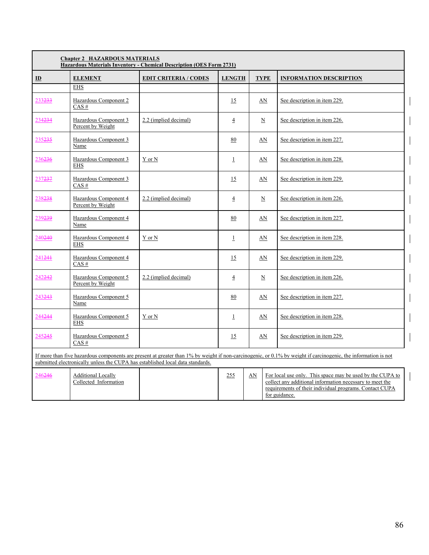|                    | <b>Chapter 2 HAZARDOUS MATERIALS</b><br><b>Hazardous Materials Inventory - Chemical Description (OES Form 2731)</b> |                                                                                |                |                     |                                                                                                                                                                   |  |  |  |
|--------------------|---------------------------------------------------------------------------------------------------------------------|--------------------------------------------------------------------------------|----------------|---------------------|-------------------------------------------------------------------------------------------------------------------------------------------------------------------|--|--|--|
| $\mathbf{I}$       | <b>ELEMENT</b>                                                                                                      | <b>EDIT CRITERIA / CODES</b>                                                   | <b>LENGTH</b>  | <b>TYPE</b>         | <b>INFORMATION DESCRIPTION</b>                                                                                                                                    |  |  |  |
|                    | <b>EHS</b>                                                                                                          |                                                                                |                |                     |                                                                                                                                                                   |  |  |  |
| 233233             | Hazardous Component 2<br>$CAS$ #                                                                                    |                                                                                | 15             | AN                  | See description in item 229.                                                                                                                                      |  |  |  |
| 234234             | Hazardous Component 3<br>Percent by Weight                                                                          | 2.2 (implied decimal)                                                          | $\overline{4}$ | $\underline{\rm N}$ | See description in item 226.                                                                                                                                      |  |  |  |
| 235235             | Hazardous Component 3<br>Name                                                                                       |                                                                                | 80             | AN                  | See description in item 227.                                                                                                                                      |  |  |  |
| 236236             | Hazardous Component 3<br><b>EHS</b>                                                                                 | Y or N                                                                         | $\perp$        | AN                  | See description in item 228.                                                                                                                                      |  |  |  |
| 237237             | Hazardous Component 3<br>$CAS$ #                                                                                    |                                                                                | 15             | AN                  | See description in item 229.                                                                                                                                      |  |  |  |
| 238238             | Hazardous Component 4<br>Percent by Weight                                                                          | 2.2 (implied decimal)                                                          | $\overline{4}$ | $\underline{\rm N}$ | See description in item 226.                                                                                                                                      |  |  |  |
| 239239             | Hazardous Component 4<br>Name                                                                                       |                                                                                | 80             | AN                  | See description in item 227.                                                                                                                                      |  |  |  |
| 240240             | Hazardous Component 4<br><b>EHS</b>                                                                                 | Y or N                                                                         | $\perp$        | AN                  | See description in item 228.                                                                                                                                      |  |  |  |
| 241241             | Hazardous Component 4<br>$CAS \#$                                                                                   |                                                                                | 15             | AN                  | See description in item 229.                                                                                                                                      |  |  |  |
| 242 <del>242</del> | Hazardous Component 5<br>Percent by Weight                                                                          | 2.2 (implied decimal)                                                          | $\overline{4}$ | $\underline{\rm N}$ | See description in item 226.                                                                                                                                      |  |  |  |
| 243243             | Hazardous Component 5<br>Name                                                                                       |                                                                                | 80             | AN                  | See description in item 227.                                                                                                                                      |  |  |  |
| 244244             | Hazardous Component 5<br><b>EHS</b>                                                                                 | Y or N                                                                         | $\perp$        | AN                  | See description in item 228.                                                                                                                                      |  |  |  |
| 245245             | Hazardous Component 5<br>CAS#                                                                                       |                                                                                | 15             | AN                  | See description in item 229.                                                                                                                                      |  |  |  |
|                    |                                                                                                                     | submitted electronically unless the CUPA has established local data standards. |                |                     | If more than five hazardous components are present at greater than $1\%$ by weight if non-carcinogenic, or 0.1% by weight if carcinogenic, the information is not |  |  |  |
| 246246             | <b>Additional Locally</b>                                                                                           |                                                                                | 255            | AN                  | For local use only. This space may be used by the CUPA to                                                                                                         |  |  |  |

| $2 + 0 = -0$ | дишнопат босан у<br>Collected Information | ت ف⊇ | <b>TIM</b> | TUE TOTAL USU OTHY. THIS SDAVE HIAV DU USUU DV THU CUT A T<br>collect any additional information necessary to meet the<br>requirements of their individual programs. Contact CUPA<br>for guidance. |
|--------------|-------------------------------------------|------|------------|----------------------------------------------------------------------------------------------------------------------------------------------------------------------------------------------------|
|              |                                           |      |            |                                                                                                                                                                                                    |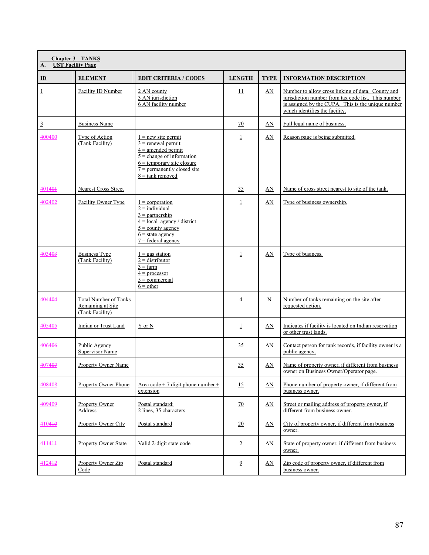| <b>Chapter 3 TANKS</b><br><b>UST Facility Page</b><br>A. |                                                                      |                                                                                                                                                                                             |                 |                          |                                                                                                                                                                                                  |  |  |
|----------------------------------------------------------|----------------------------------------------------------------------|---------------------------------------------------------------------------------------------------------------------------------------------------------------------------------------------|-----------------|--------------------------|--------------------------------------------------------------------------------------------------------------------------------------------------------------------------------------------------|--|--|
| $\mathbf{D}$                                             | <b>ELEMENT</b>                                                       | <b>EDIT CRITERIA / CODES</b>                                                                                                                                                                | <b>LENGTH</b>   | <b>TYPE</b>              | <b>INFORMATION DESCRIPTION</b>                                                                                                                                                                   |  |  |
| $\overline{1}$                                           | Facility ID Number                                                   | 2 AN county<br>3 AN jurisdiction<br>6 AN facility number                                                                                                                                    | $\overline{11}$ | AN                       | Number to allow cross linking of data. County and<br>jurisdiction number from tax code list. This number<br>is assigned by the CUPA. This is the unique number<br>which identifies the facility. |  |  |
| $\overline{3}$                                           | <b>Business Name</b>                                                 |                                                                                                                                                                                             | 70              | AN                       | Full legal name of business.                                                                                                                                                                     |  |  |
| 400400                                                   | Type of Action<br>(Tank Facility)                                    | $1 = new site permit$<br>$3$ = renewal permit<br>$4 =$ amended permit<br>$5$ = change of information<br>$6$ = temporary site closure<br>$7$ = permanently closed site<br>$8 =$ tank removed | $\mathbf 1$     | AN                       | Reason page is being submitted.                                                                                                                                                                  |  |  |
| 401401                                                   | Nearest Cross Street                                                 |                                                                                                                                                                                             | 35              | AN                       | Name of cross street nearest to site of the tank.                                                                                                                                                |  |  |
| 402402                                                   | Facility Owner Type                                                  | $1 =$ corporation<br>$2 = individual$<br>$3 =$ partnership<br>$4 = local agency / district$<br>$5 =$ county agency<br>$6 =$ state agency<br>$7 =$ federal agency                            | $\overline{1}$  | AN                       | Type of business ownership.                                                                                                                                                                      |  |  |
| 403403                                                   | <b>Business Type</b><br>(Tank Facility)                              | $1 = gas$ station<br>$2 =$ distributor<br>$3 = \text{farm}$<br>$4 = \text{processor}$<br>$5 =$ commercial<br>$6 = other$                                                                    | $\mathbf{1}$    | AN                       | Type of business.                                                                                                                                                                                |  |  |
| 404404                                                   | <b>Total Number of Tanks</b><br>Remaining at Site<br>(Tank Facility) |                                                                                                                                                                                             | $\overline{4}$  | $\underline{\mathbf{N}}$ | Number of tanks remaining on the site after<br>requested action.                                                                                                                                 |  |  |
| 405405                                                   | Indian or Trust Land                                                 | Y or N                                                                                                                                                                                      | $\mathbf 1$     | AN                       | Indicates if facility is located on Indian reservation<br>or other trust lands.                                                                                                                  |  |  |
| 406406                                                   | Public Agency<br><b>Supervisor Name</b>                              |                                                                                                                                                                                             | 35              | AN                       | Contact person for tank records, if facility owner is a<br>public agency.                                                                                                                        |  |  |
| 407407                                                   | <b>Property Owner Name</b>                                           |                                                                                                                                                                                             | 35              | AN                       | Name of property owner, if different from business<br>owner on Business Owner/Operator page.                                                                                                     |  |  |
| 408408                                                   | Property Owner Phone                                                 | Area code + 7 digit phone number +<br>extension                                                                                                                                             | 15              | AN                       | Phone number of property owner, if different from<br>business owner.                                                                                                                             |  |  |
| 409409                                                   | Property Owner<br>Address                                            | Postal standard:<br>2 lines, 35 characters                                                                                                                                                  | $\overline{10}$ | AN                       | Street or mailing address of property owner, if<br>different from business owner.                                                                                                                |  |  |
| 410410                                                   | Property Owner City                                                  | Postal standard                                                                                                                                                                             | 20              | AN                       | City of property owner, if different from business<br>owner.                                                                                                                                     |  |  |
| 411411                                                   | <b>Property Owner State</b>                                          | Valid 2-digit state code                                                                                                                                                                    | $\overline{2}$  | AN                       | State of property owner, if different from business<br>owner.                                                                                                                                    |  |  |
| 412412                                                   | Property Owner Zip<br>Code                                           | Postal standard                                                                                                                                                                             | $\overline{9}$  | AN                       | Zip code of property owner, if different from<br>business owner.                                                                                                                                 |  |  |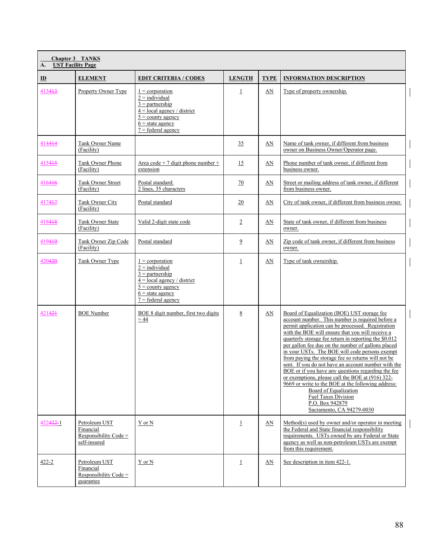| A.                   | <b>Chapter 3 TANKS</b><br><b>UST Facility Page</b>                  |                                                                                                                                                                  |                 |             |                                                                                                                                                                                                                                                                                                                                                                                                                                                                                                                                                                                                                                                                                                                                                        |  |  |  |
|----------------------|---------------------------------------------------------------------|------------------------------------------------------------------------------------------------------------------------------------------------------------------|-----------------|-------------|--------------------------------------------------------------------------------------------------------------------------------------------------------------------------------------------------------------------------------------------------------------------------------------------------------------------------------------------------------------------------------------------------------------------------------------------------------------------------------------------------------------------------------------------------------------------------------------------------------------------------------------------------------------------------------------------------------------------------------------------------------|--|--|--|
| $\mathbf{D}$         | <b>ELEMENT</b>                                                      | <b>EDIT CRITERIA / CODES</b>                                                                                                                                     | <b>LENGTH</b>   | <b>TYPE</b> | <b>INFORMATION DESCRIPTION</b>                                                                                                                                                                                                                                                                                                                                                                                                                                                                                                                                                                                                                                                                                                                         |  |  |  |
| 413413               | Property Owner Type                                                 | $1 =$ corporation<br>$2 =$ individual<br>$3 =$ partnership<br>$4 =$ local agency / district<br>$5 =$ county agency<br>$6$ = state agency<br>$7 =$ federal agency | $\mathbf{1}$    | AN          | Type of property ownership.                                                                                                                                                                                                                                                                                                                                                                                                                                                                                                                                                                                                                                                                                                                            |  |  |  |
| 414444               | Tank Owner Name<br>(Facility)                                       |                                                                                                                                                                  | 35              | AN          | Name of tank owner, if different from business<br>owner on Business Owner/Operator page.                                                                                                                                                                                                                                                                                                                                                                                                                                                                                                                                                                                                                                                               |  |  |  |
| 415445               | Tank Owner Phone<br>(Facility)                                      | Area code + 7 digit phone number +<br>extension                                                                                                                  | 15              | AN          | Phone number of tank owner, if different from<br>business owner.                                                                                                                                                                                                                                                                                                                                                                                                                                                                                                                                                                                                                                                                                       |  |  |  |
| 416416               | Tank Owner Street<br>(Facility)                                     | Postal standard:<br>2 lines, 35 characters                                                                                                                       | 70              | AN          | Street or mailing address of tank owner, if different<br>from business owner.                                                                                                                                                                                                                                                                                                                                                                                                                                                                                                                                                                                                                                                                          |  |  |  |
| 417417               | Tank Owner City<br>(Facility)                                       | Postal standard                                                                                                                                                  | $\overline{20}$ | AN          | City of tank owner, if different from business owner.                                                                                                                                                                                                                                                                                                                                                                                                                                                                                                                                                                                                                                                                                                  |  |  |  |
| 418418               | <b>Tank Owner State</b><br>(Facility)                               | Valid 2-digit state code                                                                                                                                         | $\overline{2}$  | AN          | State of tank owner, if different from business<br>owner.                                                                                                                                                                                                                                                                                                                                                                                                                                                                                                                                                                                                                                                                                              |  |  |  |
| 419419               | Tank Owner Zip Code<br>(Facility)                                   | Postal standard                                                                                                                                                  | $\overline{9}$  | AN          | Zip code of tank owner, if different from business<br>owner.                                                                                                                                                                                                                                                                                                                                                                                                                                                                                                                                                                                                                                                                                           |  |  |  |
| 420420               | Tank Owner Type                                                     | $1 =$ corporation<br>$2 =$ individual<br>$3 =$ partnership<br>$4 =$ local agency / district<br>$5 =$ county agency<br>$6$ = state agency<br>$7 =$ federal agency | $\perp$         | AN          | Type of tank ownership.                                                                                                                                                                                                                                                                                                                                                                                                                                                                                                                                                                                                                                                                                                                                |  |  |  |
| 421421               | <b>BOE Number</b>                                                   | BOE 8 digit number, first two digits<br>$= 44$                                                                                                                   | 8               | AN          | Board of Equalization (BOE) UST storage fee<br>account number. This number is required before a<br>permit application can be processed. Registration<br>with the BOE will ensure that you will receive a<br>quarterly storage fee return in reporting the \$0.012<br>per gallon fee due on the number of gallons placed<br>in your USTs. The BOE will code persons exempt<br>from paying the storage fee so returns will not be<br>sent. If you do not have an account number with the<br>BOE or if you have any questions regarding the fee<br>or exemptions, please call the BOE at (916) 322-<br>9669 or write to the BOE at the following address:<br>Board of Equalization<br>Fuel Taxes Division<br>P.O. Box 942879<br>Sacramento, CA 94279-0030 |  |  |  |
| 422 <del>422</del> 1 | Petroleum UST<br>Financial<br>Responsibility Code =<br>self-insured | Y or N                                                                                                                                                           | $\perp$         | AN          | Method(s) used by owner and/or operator in meeting<br>the Federal and State financial responsibility<br>requirements. USTs owned by any Federal or State<br>agency as well as non-petroleum USTs are exempt<br>from this requirement.                                                                                                                                                                                                                                                                                                                                                                                                                                                                                                                  |  |  |  |
| $422 - 2$            | Petroleum UST<br>Financial<br>Responsibility Code $=$<br>guarantee  | Y or N                                                                                                                                                           | $\perp$         | AN          | See description in item 422-1.                                                                                                                                                                                                                                                                                                                                                                                                                                                                                                                                                                                                                                                                                                                         |  |  |  |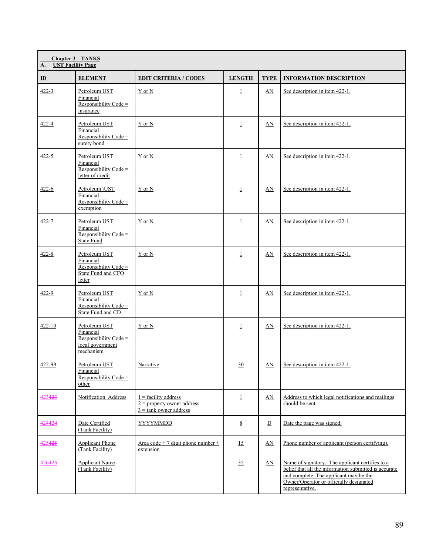| <b>Chapter 3 TANKS</b><br><b>UST Facility Page</b><br>A. |                                                                                      |                                                                                           |                 |                  |                                                                                                                                                                                                                  |  |  |
|----------------------------------------------------------|--------------------------------------------------------------------------------------|-------------------------------------------------------------------------------------------|-----------------|------------------|------------------------------------------------------------------------------------------------------------------------------------------------------------------------------------------------------------------|--|--|
| $\underline{\mathbf{ID}}$                                | <b>ELEMENT</b>                                                                       | <b>EDIT CRITERIA / CODES</b>                                                              | <b>LENGTH</b>   | <b>TYPE</b>      | <b>INFORMATION DESCRIPTION</b>                                                                                                                                                                                   |  |  |
| $422 - 3$                                                | Petroleum UST<br>Financial<br>Responsibility Code =<br>insurance                     | Y or N                                                                                    | $\overline{1}$  | AN               | See description in item 422-1.                                                                                                                                                                                   |  |  |
| 422-4                                                    | Petroleum UST<br>Financial<br>Responsibility Code $=$<br>surety bond                 | $Y$ or $N$                                                                                | $\perp$         | AN               | See description in item 422-1.                                                                                                                                                                                   |  |  |
| 422-5                                                    | Petroleum UST<br>Financial<br>Responsibility Code =<br>letter of credit              | Y or N                                                                                    | $\perp$         | AN               | See description in item 422-1.                                                                                                                                                                                   |  |  |
| $422 - 6$                                                | Petroleum \UST<br>Financial<br>Responsibility Code $=$<br>exemption                  | Y or N                                                                                    | $\perp$         | AN               | See description in item 422-1.                                                                                                                                                                                   |  |  |
| 422-7                                                    | Petroleum UST<br>Financial<br>Responsibility Code =<br><b>State Fund</b>             | Y or N                                                                                    | $\perp$         | AN               | See description in item 422-1.                                                                                                                                                                                   |  |  |
| $422 - 8$                                                | Petroleum UST<br>Financial<br>Responsibility Code =<br>State Fund and CFO<br>letter  | Y or N                                                                                    | $\overline{1}$  | AN               | See description in item 422-1.                                                                                                                                                                                   |  |  |
| 422-9                                                    | Petroleum UST<br>Financial<br>Responsibility Code =<br>State Fund and CD             | Y or N                                                                                    | $\overline{1}$  | AN               | See description in item 422-1.                                                                                                                                                                                   |  |  |
| $422 - 10$                                               | Petroleum UST<br>Financial<br>Responsibility Code =<br>local government<br>mechanism | Y or N                                                                                    | $\perp$         | AN               | See description in item 422-1.                                                                                                                                                                                   |  |  |
| 422-99                                                   | Petroleum UST<br>Financial<br>Responsibility Code $=$<br>other                       | Narrative                                                                                 | 30              | $\underline{AN}$ | See description in item 422-1.                                                                                                                                                                                   |  |  |
| 423423                                                   | Notification Address                                                                 | $1 =$ facility address<br>$2$ = property owner address<br>$3 = \text{rank}$ owner address | $\overline{1}$  | $\Delta N$       | Address to which legal notifications and mailings<br>should be sent.                                                                                                                                             |  |  |
| 424424                                                   | Date Certified<br>(Tank Facility)                                                    | <b>YYYYMMDD</b>                                                                           | $8\overline{8}$ | D                | Date the page was signed.                                                                                                                                                                                        |  |  |
| 425425                                                   | <b>Applicant Phone</b><br>(Tank Facility)                                            | Area code + 7 digit phone number +<br>extension                                           | 15              | AN               | Phone number of applicant (person certifying).                                                                                                                                                                   |  |  |
| 426426                                                   | <b>Applicant Name</b><br>(Tank Facility)                                             |                                                                                           | 35              | $\Delta N$       | Name of signatory. The applicant certifies to a<br>belief that all the information submitted is accurate<br>and complete. The applicant may be the<br>Owner/Operator or officially designated<br>representative. |  |  |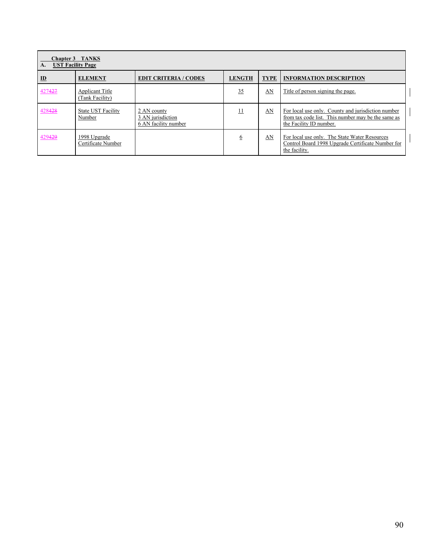| <b>Chapter 3 TANKS</b><br><b>UST Facility Page</b><br>$\mathbf{A}$ . |                                           |                                                          |               |             |                                                                                                                                     |  |  |  |
|----------------------------------------------------------------------|-------------------------------------------|----------------------------------------------------------|---------------|-------------|-------------------------------------------------------------------------------------------------------------------------------------|--|--|--|
| ID                                                                   | <b>ELEMENT</b>                            | <b>EDIT CRITERIA / CODES</b>                             | <b>LENGTH</b> | <b>TYPE</b> | <b>INFORMATION DESCRIPTION</b>                                                                                                      |  |  |  |
| 427427                                                               | <b>Applicant Title</b><br>(Tank Facility) |                                                          | 35            | AN          | Title of person signing the page.                                                                                                   |  |  |  |
| 428428                                                               | State UST Facility<br>Number              | 2 AN county<br>3 AN jurisdiction<br>6 AN facility number | 11            | AN          | For local use only. County and jurisdiction number<br>from tax code list. This number may be the same as<br>the Facility ID number. |  |  |  |
| 429429                                                               | 1998 Upgrade<br>Certificate Number        |                                                          | 6             | AN          | For local use only. The State Water Resources<br>Control Board 1998 Upgrade Certificate Number for<br>the facility.                 |  |  |  |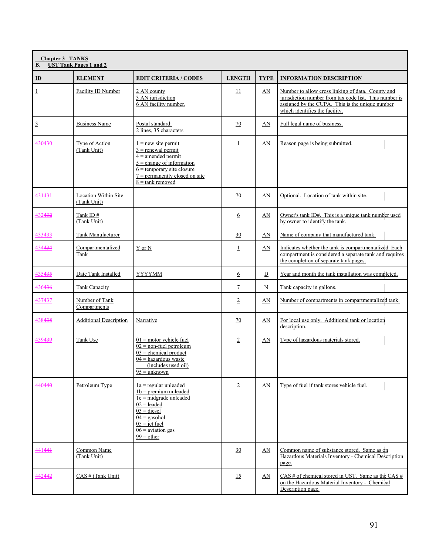| <b>Chapter 3 TANKS</b><br><b>UST Tank Pages 1 and 2</b><br><b>B.</b> |                                     |                                                                                                                                                                                                          |                  |                          |                                                                                                                                                                                                  |  |  |
|----------------------------------------------------------------------|-------------------------------------|----------------------------------------------------------------------------------------------------------------------------------------------------------------------------------------------------------|------------------|--------------------------|--------------------------------------------------------------------------------------------------------------------------------------------------------------------------------------------------|--|--|
| $\mathbf{D}$                                                         | <b>ELEMENT</b>                      | <b>EDIT CRITERIA / CODES</b>                                                                                                                                                                             | <b>LENGTH</b>    | <b>TYPE</b>              | <b>INFORMATION DESCRIPTION</b>                                                                                                                                                                   |  |  |
| $\overline{1}$                                                       | Facility ID Number                  | 2 AN county<br>3 AN jurisdiction<br>6 AN facility number.                                                                                                                                                | 11               | AN                       | Number to allow cross linking of data. County and<br>jurisdiction number from tax code list. This number is<br>assigned by the CUPA. This is the unique number<br>which identifies the facility. |  |  |
| $\overline{3}$                                                       | <b>Business Name</b>                | Postal standard:<br>2 lines, 35 characters                                                                                                                                                               | 70               | AN                       | Full legal name of business.                                                                                                                                                                     |  |  |
| 430430                                                               | Type of Action<br>(Tank Unit)       | $1 = new site permit$<br>$3$ = renewal permit<br>$\frac{4}{4}$ = amended permit<br>$5$ = change of information<br>$6$ = temporary site closure<br>$7$ = permanently closed on site<br>$8 =$ tank removed | $\perp$          | AN                       | Reason page is being submitted.                                                                                                                                                                  |  |  |
| 431434                                                               | Location Within Site<br>(Tank Unit) |                                                                                                                                                                                                          | 70               | AN                       | Optional. Location of tank within site.                                                                                                                                                          |  |  |
| 432432                                                               | Tank ID #<br>(Tank Unit)            |                                                                                                                                                                                                          | 6                | AN                       | Owner's tank ID#. This is a unique tank number used<br>by owner to identify the tank.                                                                                                            |  |  |
| 433433                                                               | Tank Manufacturer                   |                                                                                                                                                                                                          | 30               | AN                       | Name of company that manufactured tank.                                                                                                                                                          |  |  |
| 434434                                                               | Compartmentalized<br>Tank           | Y or N                                                                                                                                                                                                   | $\perp$          | AN                       | Indicates whether the tank is compartmentalized. Each<br>compartment is considered a separate tank and requires<br>the completion of separate tank pages.                                        |  |  |
| 435435                                                               | Date Tank Installed                 | <b>YYYYMM</b>                                                                                                                                                                                            | 6                | $\overline{D}$           | Year and month the tank installation was completed.                                                                                                                                              |  |  |
| 436436                                                               | Tank Capacity                       |                                                                                                                                                                                                          | $\overline{1}$   | $\underline{\mathbf{N}}$ | Tank capacity in gallons.                                                                                                                                                                        |  |  |
| 437437                                                               | Number of Tank<br>Compartments      |                                                                                                                                                                                                          | $\overline{2}$   | AN                       | Number of compartments in compartmentalized tank.                                                                                                                                                |  |  |
| 438438                                                               | <b>Additional Description</b>       | Narrative                                                                                                                                                                                                | 70               | AN                       | For local use only. Additional tank or location<br>description.                                                                                                                                  |  |  |
| 439439                                                               | Tank Use                            | $01$ = motor vehicle fuel<br>$02$ = non-fuel petroleum<br>$03$ = chemical product<br>$04$ = hazardous waste<br>(includes used oil)<br>$95 =$ unknown                                                     | $\overline{2}$   | AN                       | Type of hazardous materials stored.                                                                                                                                                              |  |  |
| 440440                                                               | Petroleum Type                      | $1a$ = regular unleaded<br>$1b =$ premium unleaded<br>$1c = midgrade$ unleaded<br>$02$ = leaded<br>$03 = diesel$<br>$04 =$ gasohol<br>$05 = jet$ fuel<br>$06$ = aviation gas<br>$99 = other$             | $\overline{2}$   | AN                       | Type of fuel if tank stores vehicle fuel.                                                                                                                                                        |  |  |
| 441444                                                               | Common Name<br>(Tank Unit)          |                                                                                                                                                                                                          | $\underline{30}$ | AN                       | Common name of substance stored. Same as on<br>Hazardous Materials Inventory - Chemical Description<br>page.                                                                                     |  |  |
| 442442                                                               | CAS # (Tank Unit)                   |                                                                                                                                                                                                          | 15               | $\Delta N$               | $\overline{CAS}$ # of chemical stored in UST. Same as the CAS #<br>on the Hazardous Material Inventory - Chemical<br>Description page.                                                           |  |  |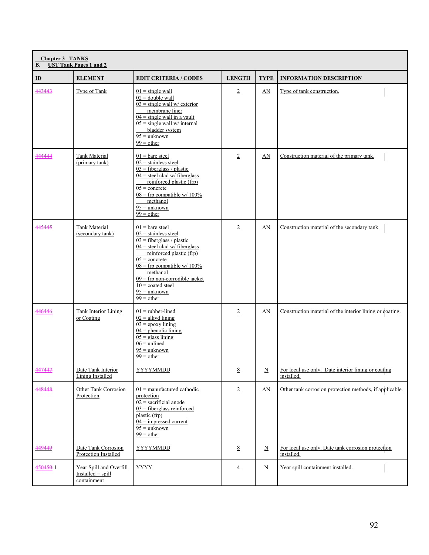| <b>B.</b>                 | <b>Chapter 3 TANKS</b><br><b>UST Tank Pages 1 and 2</b>        |                                                                                                                                                                                                                                                                                                               |                 |                          |                                                                   |  |  |  |
|---------------------------|----------------------------------------------------------------|---------------------------------------------------------------------------------------------------------------------------------------------------------------------------------------------------------------------------------------------------------------------------------------------------------------|-----------------|--------------------------|-------------------------------------------------------------------|--|--|--|
| $\underline{\mathbf{ID}}$ | <b>ELEMENT</b>                                                 | <b>EDIT CRITERIA / CODES</b>                                                                                                                                                                                                                                                                                  | <b>LENGTH</b>   | <b>TYPE</b>              | <b>INFORMATION DESCRIPTION</b>                                    |  |  |  |
| 443443                    | Type of Tank                                                   | $01 =$ single wall<br>$02 =$ double wall<br>$03$ = single wall w/ exterior<br>membrane liner<br>$04 =$ single wall in a vault<br>$05 = \text{single wall}$ w/ internal<br>bladder system<br>$95 =$ unknown<br>$99 = other$                                                                                    | $\overline{2}$  | AN                       | Type of tank construction.                                        |  |  |  |
| 444444                    | Tank Material<br>(primary tank)                                | $01$ = bare steel<br>$02$ = stainless steel<br>$03$ = fiberglass / plastic<br>$04$ = steel clad w/ fiberglass<br>reinforced plastic (frp)<br>$05 =$ concrete<br>$08 =$ frp compatible w/ 100%<br>methanol<br>$95 =$ unknown<br>$99 = other$                                                                   | $\overline{2}$  | AN                       | Construction material of the primary tank.                        |  |  |  |
| 445445                    | <b>Tank Material</b><br>(secondary tank)                       | $01$ = bare steel<br>$02$ = stainless steel<br>$03$ = fiberglass / plastic<br>$04$ = steel clad w/ fiberglass<br>reinforced plastic (frp)<br>$05 =$ concrete<br>$08 =$ frp compatible w/ 100%<br>methanol<br>$09$ = frp non-corrodible jacket<br>$10 = \text{coated steel}$<br>$95 =$ unknown<br>$99 = other$ | $\overline{2}$  | AN                       | Construction material of the secondary tank.                      |  |  |  |
| 446446                    | <b>Tank Interior Lining</b><br>or Coating                      | $01$ = rubber-lined<br>$02 =$ alkyd lining<br>$03 =$ epoxy lining<br>$04$ = phenolic lining<br>$05$ = glass lining<br>$06 =$ unlined<br>$95 =$ unknown<br>$99 = other$                                                                                                                                        | $\overline{2}$  | AN                       | Construction material of the interior lining or coating.          |  |  |  |
| 447447                    | Date Tank Interior<br><b>Lining Installed</b>                  | <b>YYYYMMDD</b>                                                                                                                                                                                                                                                                                               | $8\overline{8}$ | $\underline{\mathbf{N}}$ | For local use only. Date interior lining or coating<br>installed. |  |  |  |
| 448448                    | Other Tank Corrosion<br>Protection                             | $01$ = manufactured cathodic<br>protection<br>$02$ = sacrificial anode<br>$03$ = fiberglass reinforced<br>plastic (frp)<br>$04 =$ impressed current<br>$95 =$ unknown<br>$99 = other$                                                                                                                         | $\overline{2}$  | $\Delta N$               | Other tank corrosion protection methods, if applicable.           |  |  |  |
| 449449                    | Date Tank Corrosion<br><b>Protection Installed</b>             | <b>YYYYMMDD</b>                                                                                                                                                                                                                                                                                               | $8\overline{8}$ | $\underline{\text{N}}$   | For local use only. Date tank corrosion protection<br>installed.  |  |  |  |
| $450450 - 1$              | Year Spill and Overfill<br>$Insteadled = spill$<br>containment | <b>YYYY</b>                                                                                                                                                                                                                                                                                                   | $\overline{4}$  | $\underline{\text{N}}$   | Year spill containment installed.                                 |  |  |  |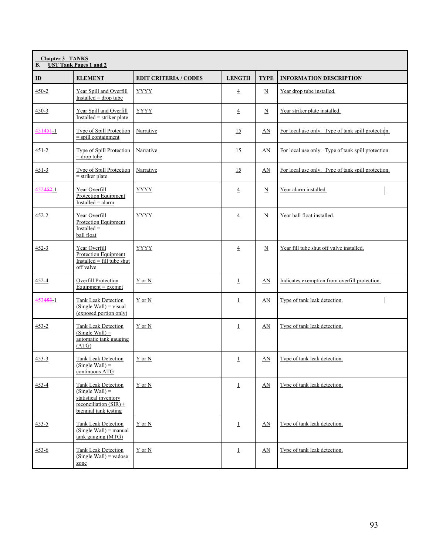| <b>Chapter 3 TANKS</b><br><b>UST Tank Pages 1 and 2</b><br><b>B.</b> |                                                                                                                        |                              |                |                          |                                                    |  |  |
|----------------------------------------------------------------------|------------------------------------------------------------------------------------------------------------------------|------------------------------|----------------|--------------------------|----------------------------------------------------|--|--|
| $\underline{\mathbf{ID}}$                                            | <b>ELEMENT</b>                                                                                                         | <b>EDIT CRITERIA / CODES</b> | <b>LENGTH</b>  | <b>TYPE</b>              | <b>INFORMATION DESCRIPTION</b>                     |  |  |
| $450 - 2$                                                            | Year Spill and Overfill<br>$Insteadled = drop tube$                                                                    | <b>YYYY</b>                  | $\overline{4}$ | $\underline{\text{N}}$   | Year drop tube installed.                          |  |  |
| $450 - 3$                                                            | Year Spill and Overfill<br>$Insteadled = strike$ plate                                                                 | <b>YYYY</b>                  | $\overline{4}$ | $\underline{\text{N}}$   | Year striker plate installed.                      |  |  |
| $45145 + 1$                                                          | Type of Spill Protection<br>$=$ spill containment                                                                      | Narrative                    | 15             | AN                       | For local use only. Type of tank spill protection. |  |  |
| $451 - 2$                                                            | Type of Spill Protection<br>$=$ drop tube                                                                              | Narrative                    | 15             | AN                       | For local use only. Type of tank spill protection. |  |  |
| $451 - 3$                                                            | Type of Spill Protection<br>$=$ striker plate                                                                          | Narrative                    | 15             | AN                       | For local use only. Type of tank spill protection. |  |  |
| 4524521                                                              | Year Overfill<br>Protection Equipment<br>$Insteadled = alarm$                                                          | <b>YYYY</b>                  | $\overline{4}$ | $\underline{\mathbf{N}}$ | Year alarm installed.                              |  |  |
| 452-2                                                                | Year Overfill<br><b>Protection Equipment</b><br>Installed $=$<br>ball float                                            | <b>YYYY</b>                  | $\overline{4}$ | $\underline{N}$          | Year ball float installed.                         |  |  |
| $452 - 3$                                                            | Year Overfill<br>Protection Equipment<br>Installed = $\overline{fill}$ tube shut<br>off valve                          | YYYY                         | $\overline{4}$ | $\underline{\text{N}}$   | Year fill tube shut off valve installed.           |  |  |
| 452-4                                                                | Overfill Protection<br>$Equipment = \text{exempt}$                                                                     | Y or N                       | $\perp$        | AN                       | Indicates exemption from overfill protection.      |  |  |
| 453453-1                                                             | Tank Leak Detection<br>$(Single Wall) = visual$<br>(exposed portion only)                                              | Y or N                       | $\perp$        | AN                       | Type of tank leak detection.                       |  |  |
| $453 - 2$                                                            | <b>Tank Leak Detection</b><br>$(Single Wall) =$<br>automatic tank gauging<br>(ATG)                                     | Y or N                       | $\perp$        | AN                       | Type of tank leak detection.                       |  |  |
| $453 - 3$                                                            | Tank Leak Detection<br>$(Single Wall) =$<br>continuous ATG                                                             | Y or N                       | $\overline{1}$ | AN                       | Type of tank leak detection.                       |  |  |
| 453-4                                                                | Tank Leak Detection<br>$(Single Wall) =$<br>statistical inventory<br>reconciliation $(SIR)$ +<br>biennial tank testing | Y or N                       | $\perp$        | $\Delta N$               | Type of tank leak detection.                       |  |  |
| $453 - 5$                                                            | Tank Leak Detection<br>$(Single Wall) = manual$<br>$tank$ gauging $(MTG)$                                              | Y or N                       | $\perp$        | AN                       | Type of tank leak detection.                       |  |  |
| 453-6                                                                | Tank Leak Detection<br>$(Single Wall) = values$<br>zone                                                                | Y or N                       | $\perp$        | AN                       | Type of tank leak detection.                       |  |  |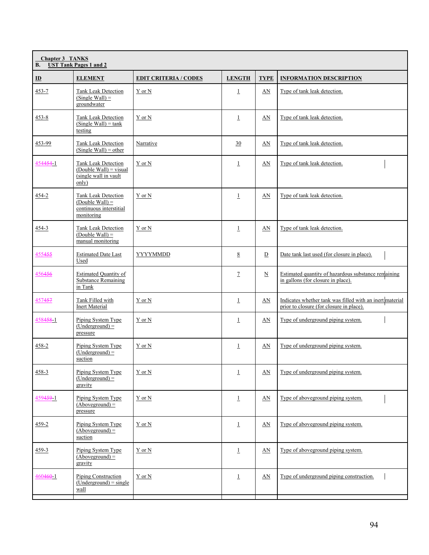| <b>Chapter 3 TANKS</b><br><b>UST Tank Pages 1 and 2</b><br><b>B.</b> |                                                                                          |                              |                |                          |                                                                                                      |  |  |
|----------------------------------------------------------------------|------------------------------------------------------------------------------------------|------------------------------|----------------|--------------------------|------------------------------------------------------------------------------------------------------|--|--|
| $\mathbf{D}$                                                         | <b>ELEMENT</b>                                                                           | <b>EDIT CRITERIA / CODES</b> | <b>LENGTH</b>  | <b>TYPE</b>              | <b>INFORMATION DESCRIPTION</b>                                                                       |  |  |
| 453-7                                                                | <b>Tank Leak Detection</b><br>$(Single Wall) =$<br>groundwater                           | Y or N                       | $\perp$        | AN                       | Type of tank leak detection.                                                                         |  |  |
| $453 - 8$                                                            | <b>Tank Leak Detection</b><br>$(Single Wall) = tank$<br>testing                          | Y or N                       | $\perp$        | AN                       | Type of tank leak detection.                                                                         |  |  |
| 453-99                                                               | <b>Tank Leak Detection</b><br>$(Single Wall) = other$                                    | Narrative                    | 30             | AN                       | Type of tank leak detection.                                                                         |  |  |
| 454454-1                                                             | <b>Tank Leak Detection</b><br>$(Double Wall) = visual$<br>(single wall in vault<br>only) | Y or N                       | $\perp$        | AN                       | Type of tank leak detection.                                                                         |  |  |
| 454-2                                                                | <b>Tank Leak Detection</b><br>$(Double Wall) =$<br>continuous interstitial<br>monitoring | Y or N                       | $\mathbf{1}$   | AN                       | Type of tank leak detection.                                                                         |  |  |
| 454-3                                                                | <b>Tank Leak Detection</b><br>$(Double Wall) =$<br>manual monitoring                     | Y or N                       | $\perp$        | AN                       | Type of tank leak detection.                                                                         |  |  |
| 455455                                                               | <b>Estimated Date Last</b><br>Used                                                       | YYYYMMDD                     | 8              | D                        | Date tank last used (for closure in place).                                                          |  |  |
| 456456                                                               | <b>Estimated Quantity of</b><br><b>Substance Remaining</b><br>in Tank                    |                              | $\overline{1}$ | $\underline{\mathbf{N}}$ | Estimated quantity of hazardous substance remaining<br>in gallons (for closure in place).            |  |  |
| 457457                                                               | Tank Filled with<br><b>Inert Material</b>                                                | Y or N                       | $\mathbf{1}$   | AN                       | Indicates whether tank was filled with an inert material<br>prior to closure (for closure in place). |  |  |
| 4584581                                                              | Piping System Type<br>$(Underground) =$<br>pressure                                      | Y or N                       | $\perp$        | $\Delta N$               | Type of underground piping system.                                                                   |  |  |
| 458-2                                                                | Piping System Type<br>$(Understanding and) =$<br>suction                                 | Y or N                       | $\perp$        | AN                       | Type of underground piping system.                                                                   |  |  |
| $458 - 3$                                                            | Piping System Type<br>$(Underground) =$<br>gravity                                       | Y or N                       | $\perp$        | AN                       | Type of underground piping system.                                                                   |  |  |
| 459459-1                                                             | Piping System Type<br>$(Aboveground) =$<br>pressure                                      | Y or N                       | $\perp$        | AN                       | Type of aboveground piping system.                                                                   |  |  |
| $459 - 2$                                                            | Piping System Type<br>$(Aboveground) =$<br>suction                                       | Y or N                       | $\overline{1}$ | $\underline{\text{AN}}$  | Type of aboveground piping system.                                                                   |  |  |
| $459 - 3$                                                            | Piping System Type<br>$(Aboveground) =$<br>gravity                                       | Y or N                       | $\overline{1}$ | AN                       | Type of aboveground piping system.                                                                   |  |  |
| $460460 - 1$                                                         | Piping Construction<br>$(Underground) = single$<br>wall                                  | Y or N                       | $\perp$        | AN                       | Type of underground piping construction.                                                             |  |  |
|                                                                      |                                                                                          |                              |                |                          |                                                                                                      |  |  |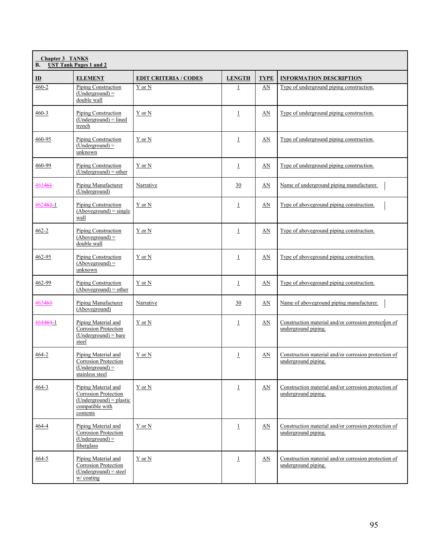| <b>Chapter 3 TANKS</b><br><b>B.</b><br><b>UST Tank Pages 1 and 2</b> |                                                                                                                |                              |                |                         |                                                                             |  |  |
|----------------------------------------------------------------------|----------------------------------------------------------------------------------------------------------------|------------------------------|----------------|-------------------------|-----------------------------------------------------------------------------|--|--|
| $\mathbf{D}$                                                         | <b>ELEMENT</b>                                                                                                 | <b>EDIT CRITERIA / CODES</b> | <b>LENGTH</b>  | <b>TYPE</b>             | <b>INFORMATION DESCRIPTION</b>                                              |  |  |
| $460 - 2$                                                            | <b>Piping Construction</b><br>$(Underground) =$<br>double wall                                                 | Y or N                       | $\mathbf 1$    | AN                      | Type of underground piping construction.                                    |  |  |
| $460 - 3$                                                            | Piping Construction<br>$(Understanding and) = lined$<br>trench                                                 | Y or N                       | $\perp$        | $\underline{\text{AN}}$ | Type of underground piping construction.                                    |  |  |
| 460-95                                                               | Piping Construction<br>$(Underground) =$<br>unknown                                                            | Y or N                       | $\perp$        | AN                      | Type of underground piping construction.                                    |  |  |
| 460-99                                                               | Piping Construction<br>$(Understanding and) = other$                                                           | Y or N                       | $\overline{1}$ | AN                      | Type of underground piping construction.                                    |  |  |
| 461461                                                               | Piping Manufacturer<br>(Underground)                                                                           | Narrative                    | 30             | AN                      | Name of underground piping manufacturer.                                    |  |  |
| 462462-1                                                             | Piping Construction<br>$(Aboveground) = single$<br>wall                                                        | Y or N                       | $\perp$        | AN                      | Type of aboveground piping construction.                                    |  |  |
| $462 - 2$                                                            | Piping Construction<br>$(Aboveground) =$<br>double wall                                                        | Y or N                       | $\overline{1}$ | AN                      | Type of aboveground piping construction.                                    |  |  |
| 462-95                                                               | Piping Construction<br>$(Aboveground) =$<br>unknown                                                            | Y or N                       | $\perp$        | AN                      | Type of aboveground piping construction.                                    |  |  |
| 462-99                                                               | Piping Construction<br>$(Aboveground) = other$                                                                 | Y or N                       | $\perp$        | AN                      | Type of aboveground piping construction.                                    |  |  |
| 463463                                                               | Piping Manufacturer<br>(Aboveground)                                                                           | Narrative                    | 30             | AN                      | Name of aboveground piping manufacturer.                                    |  |  |
| 4644641                                                              | Piping Material and<br>Corrosion Protection<br>$(Understanding and) = bare$<br>steel                           | Y or N                       | $\perp$        | $\underline{\text{AN}}$ | Construction material and/or corrosion protection of<br>underground piping. |  |  |
| 464-2                                                                | Piping Material and<br><b>Corrosion Protection</b><br>$(Understanding and) =$<br>stainless steel               | Y or N                       | 1              | AN                      | Construction material and/or corrosion protection of<br>underground piping. |  |  |
| $464 - 3$                                                            | Piping Material and<br><b>Corrosion Protection</b><br>$(Underground) = plastic$<br>compatible with<br>contents | Y or N                       | $\perp$        | AN                      | Construction material and/or corrosion protection of<br>underground piping. |  |  |
| 464-4                                                                | Piping Material and<br>Corrosion Protection<br>$(Underground) =$<br>fiberglass                                 | Y or N                       | $\perp$        | AN                      | Construction material and/or corrosion protection of<br>underground piping. |  |  |
| $464 - 5$                                                            | Piping Material and<br>Corrosion Protection<br>$(Underground) = steel$<br>$w/c$ coating                        | Y or N                       | $\overline{1}$ | $\underline{AN}$        | Construction material and/or corrosion protection of<br>underground piping. |  |  |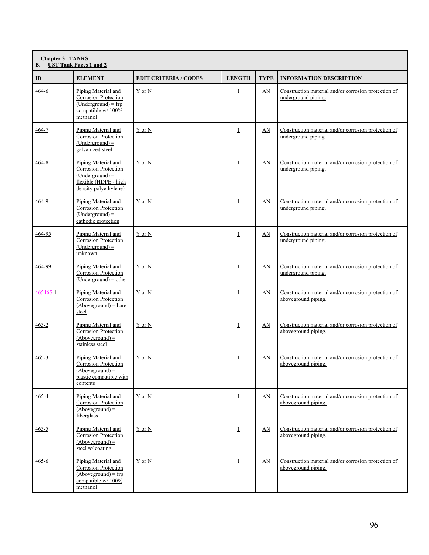| <b>Chapter 3 TANKS</b><br><b>UST Tank Pages 1 and 2</b><br><b>B.</b> |                                                                                                                          |                              |                |                         |                                                                             |  |  |
|----------------------------------------------------------------------|--------------------------------------------------------------------------------------------------------------------------|------------------------------|----------------|-------------------------|-----------------------------------------------------------------------------|--|--|
| $\mathbf{D}$                                                         | <b>ELEMENT</b>                                                                                                           | <b>EDIT CRITERIA / CODES</b> | <b>LENGTH</b>  | <b>TYPE</b>             | <b>INFORMATION DESCRIPTION</b>                                              |  |  |
| $464 - 6$                                                            | Piping Material and<br>Corrosion Protection<br>$(Understanding and) = frp$<br>compatible w/ 100%<br>methanol             | Y or N                       | $\perp$        | $\underline{\text{AN}}$ | Construction material and/or corrosion protection of<br>underground piping. |  |  |
| 464-7                                                                | Piping Material and<br><b>Corrosion Protection</b><br>$(Understanding and) =$<br>galvanized steel                        | Y or N                       | $\overline{1}$ | AN                      | Construction material and/or corrosion protection of<br>underground piping. |  |  |
| $464 - 8$                                                            | Piping Material and<br>Corrosion Protection<br>$(Understanding and) =$<br>flexible (HDPE - high<br>density polyethylene) | Y or N                       | $\mathbf{1}$   | AN                      | Construction material and/or corrosion protection of<br>underground piping. |  |  |
| 464-9                                                                | Piping Material and<br><b>Corrosion Protection</b><br>$(Underground) =$<br>cathodic protection                           | Y or N                       | $\perp$        | AN                      | Construction material and/or corrosion protection of<br>underground piping. |  |  |
| 464-95                                                               | Piping Material and<br>Corrosion Protection<br>$(Underground) =$<br>unknown                                              | Y or N                       | $\perp$        | AN                      | Construction material and/or corrosion protection of<br>underground piping. |  |  |
| 464-99                                                               | Piping Material and<br><b>Corrosion Protection</b><br>$(Underground) = other$                                            | Y or N                       | $\perp$        | AN                      | Construction material and/or corrosion protection of<br>underground piping. |  |  |
| 465465 1                                                             | Piping Material and<br><b>Corrosion Protection</b><br>$(Aboveground) = bare$<br>steel                                    | Y or N                       | $\overline{1}$ | AN                      | Construction material and/or corrosion protection of<br>aboveground piping. |  |  |
| $465 - 2$                                                            | Piping Material and<br>Corrosion Protection<br>$(Aboveground) =$<br>stainless steel                                      | $Y$ or $N$                   | $\perp$        | AN                      | Construction material and/or corrosion protection of<br>aboveground piping. |  |  |
| $465 - 3$                                                            | Piping Material and<br><b>Corrosion Protection</b><br>$(Aboveground) =$<br>plastic compatible with<br>contents           | Y or N                       | $\perp$        | AN                      | Construction material and/or corrosion protection of<br>aboveground piping. |  |  |
| 465-4                                                                | Piping Material and<br>Corrosion Protection<br>$(Aboveground) =$<br>fiberglass                                           | Y or N                       | $\perp$        | AN                      | Construction material and/or corrosion protection of<br>aboveground piping. |  |  |
| $465 - 5$                                                            | Piping Material and<br><b>Corrosion Protection</b><br>$(Aboveground) =$<br>steel w/ coating                              | Y or N                       | $\perp$        | AN                      | Construction material and/or corrosion protection of<br>aboveground piping. |  |  |
| $465 - 6$                                                            | Piping Material and<br>Corrosion Protection<br>$(Aboveground) = frp$<br>compatible w/ 100%<br>methanol                   | Y or N                       | $\perp$        | AN                      | Construction material and/or corrosion protection of<br>aboveground piping. |  |  |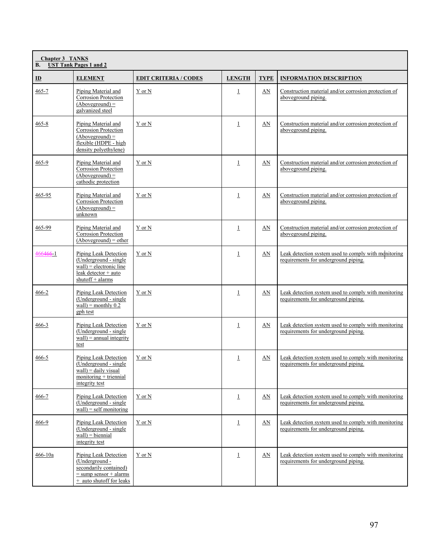| <b>Chapter 3 TANKS</b><br><b>UST Tank Pages 1 and 2</b><br>В. |                                                                                                                             |                              |               |             |                                                                                              |  |  |
|---------------------------------------------------------------|-----------------------------------------------------------------------------------------------------------------------------|------------------------------|---------------|-------------|----------------------------------------------------------------------------------------------|--|--|
| $\mathbf{D}$                                                  | <b>ELEMENT</b>                                                                                                              | <b>EDIT CRITERIA / CODES</b> | <b>LENGTH</b> | <b>TYPE</b> | <b>INFORMATION DESCRIPTION</b>                                                               |  |  |
| $465 - 7$                                                     | Piping Material and<br>Corrosion Protection<br>$(Aboveground) =$<br>galvanized steel                                        | Y or N                       | $\perp$       | $\Delta N$  | Construction material and/or corrosion protection of<br>aboveground piping.                  |  |  |
| 465-8                                                         | Piping Material and<br>Corrosion Protection<br>$(Aboveground) =$<br>flexible (HDPE - high<br>density polyethylene)          | Y or N                       | $\perp$       | $\Delta N$  | Construction material and/or corrosion protection of<br>aboveground piping.                  |  |  |
| 465-9                                                         | Piping Material and<br><b>Corrosion Protection</b><br>$(Aboveground) =$<br>cathodic protection                              | Y or N                       | $\perp$       | AN          | Construction material and/or corrosion protection of<br>aboveground piping.                  |  |  |
| 465-95                                                        | Piping Material and<br><b>Corrosion Protection</b><br>$(Aboveground) =$<br>unknown                                          | Y or N                       | $\perp$       | AN          | Construction material and/or corrosion protection of<br>aboveground piping.                  |  |  |
| 465-99                                                        | Piping Material and<br>Corrosion Protection<br>$(Aboveground) = other$                                                      | Y or N                       | $\perp$       | AN          | Construction material and/or corrosion protection of<br>aboveground piping.                  |  |  |
| 466466-1                                                      | Piping Leak Detection<br>(Underground - single<br>$wall$ = electronic line<br>leak detector + auto<br>shutoff + alarms      | Y or N                       | $\perp$       | AN          | Leak detection system used to comply with monitoring<br>requirements for underground piping. |  |  |
| 466-2                                                         | Piping Leak Detection<br>(Underground - single<br>$wall$ = monthly 0.2<br>gph test                                          | Y or N                       | $\perp$       | AN          | Leak detection system used to comply with monitoring<br>requirements for underground piping. |  |  |
| 466-3                                                         | Piping Leak Detection<br>(Underground - single<br>$wall$ = annual integrity<br>test                                         | $Y$ or $N$                   | $\perp$       | AN          | Leak detection system used to comply with monitoring<br>requirements for underground piping. |  |  |
| 466-5                                                         | Piping Leak Detection<br>(Underground - single<br>wall) = daily visual<br>$monitoring + triennial$<br>integrity test        | Y or N                       | $\perp$       | AN          | Leak detection system used to comply with monitoring<br>requirements for underground piping. |  |  |
| $466 - 7$                                                     | Piping Leak Detection<br>(Underground - single)<br>$wall$ = self monitoring                                                 | Y or N                       | $\perp$       | AN          | Leak detection system used to comply with monitoring<br>requirements for underground piping. |  |  |
| 466-9                                                         | Piping Leak Detection<br>(Underground - single<br>$wall) = biennial$<br>integrity test                                      | Y or N                       | $\perp$       | $\Delta N$  | Leak detection system used to comply with monitoring<br>requirements for underground piping. |  |  |
| 466-10a                                                       | Piping Leak Detection<br>(Underground -<br>secondarily contained)<br>$=$ sump sensor $+$ alarms<br>+ auto shutoff for leaks | Y or N                       | $\perp$       | $\Delta N$  | Leak detection system used to comply with monitoring<br>requirements for underground piping. |  |  |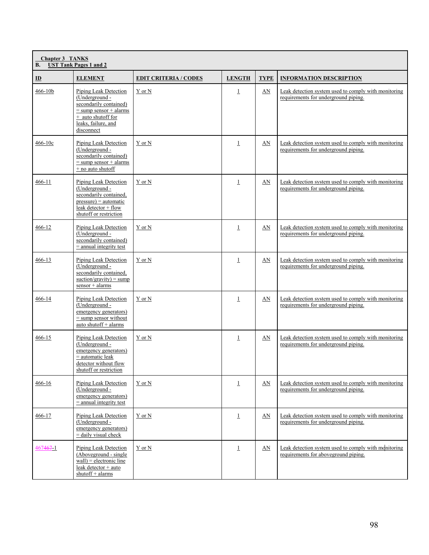| <b>Chapter 3 TANKS</b><br><b>UST Tank Pages 1 and 2</b><br><b>B.</b> |                                                                                                                                                          |                              |               |             |                                                                                              |  |  |
|----------------------------------------------------------------------|----------------------------------------------------------------------------------------------------------------------------------------------------------|------------------------------|---------------|-------------|----------------------------------------------------------------------------------------------|--|--|
| $\underline{\mathbf{ID}}$                                            | <b>ELEMENT</b>                                                                                                                                           | <b>EDIT CRITERIA / CODES</b> | <b>LENGTH</b> | <b>TYPE</b> | <b>INFORMATION DESCRIPTION</b>                                                               |  |  |
| 466-10b                                                              | Piping Leak Detection<br>(Underground -<br>secondarily contained)<br>$=$ sump sensor + alarms<br>+ auto shutoff for<br>leaks, failure, and<br>disconnect | Y or N                       | $\perp$       | $\Delta N$  | Leak detection system used to comply with monitoring<br>requirements for underground piping. |  |  |
| 466-10c                                                              | Piping Leak Detection<br>(Underground -<br>secondarily contained)<br>$=$ sump sensor $+$ alarms<br>+ no auto shutoff                                     | Y or N                       | $\perp$       | AN          | Leak detection system used to comply with monitoring<br>requirements for underground piping. |  |  |
| 466-11                                                               | Piping Leak Detection<br>(Underground -<br>secondarily contained,<br>$pressure) = automatic$<br>leak detector $+$ flow<br>shutoff or restriction         | Y or N                       | $\perp$       | AN          | Leak detection system used to comply with monitoring<br>requirements for underground piping. |  |  |
| 466-12                                                               | Piping Leak Detection<br>(Underground -<br>secondarily contained)<br>$=$ annual integrity test                                                           | Y or N                       | $\perp$       | AN          | Leak detection system used to comply with monitoring<br>requirements for underground piping. |  |  |
| 466-13                                                               | Piping Leak Detection<br>(Underground -<br>secondarily contained,<br>suction/gravity) = sump<br>sensor + alarms                                          | Y or N                       | $\perp$       | AN          | Leak detection system used to comply with monitoring<br>requirements for underground piping. |  |  |
| 466-14                                                               | Piping Leak Detection<br>(Underground -<br>emergency generators)<br>$=$ sump sensor without<br>auto shutoff + alarms                                     | Y or N                       | $\perp$       | AN          | Leak detection system used to comply with monitoring<br>requirements for underground piping. |  |  |
| 466-15                                                               | Piping Leak Detection<br>(Underground -<br>emergency generators)<br>= automatic leak<br>detector without flow<br>shutoff or restriction                  | Y or N                       | $\perp$       | AN          | Leak detection system used to comply with monitoring<br>requirements for underground piping. |  |  |
| 466-16                                                               | Piping Leak Detection<br>(Underground -<br>emergency generators)<br>$=$ annual integrity test                                                            | Y or N                       | $\perp$       | $\Delta N$  | Leak detection system used to comply with monitoring<br>requirements for underground piping. |  |  |
| 466-17                                                               | Piping Leak Detection<br>(Underground -<br>emergency generators)<br>$=$ daily visual check                                                               | Y or N                       | $\perp$       | AN          | Leak detection system used to comply with monitoring<br>requirements for underground piping. |  |  |
| 4674671                                                              | Piping Leak Detection<br>(Aboveground - single<br>$wall$ = electronic line<br>leak detector + auto<br>shutoff + alarms                                   | Y or N                       | $\perp$       | $\Delta N$  | Leak detection system used to comply with monitoring<br>requirements for aboveground piping. |  |  |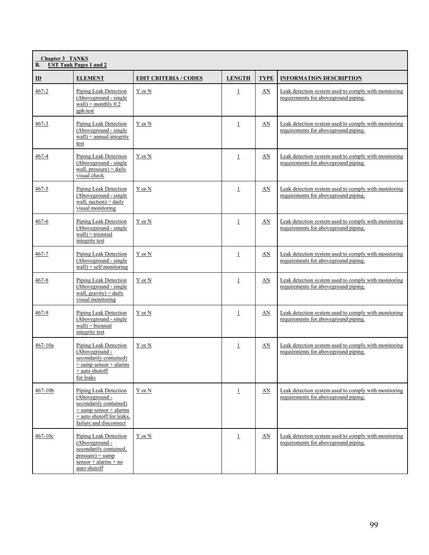| <b>Chapter 3 TANKS</b><br><b>UST Tank Pages 1 and 2</b><br><b>B.</b> |                                                                                                                                                          |                              |                |             |                                                                                               |  |
|----------------------------------------------------------------------|----------------------------------------------------------------------------------------------------------------------------------------------------------|------------------------------|----------------|-------------|-----------------------------------------------------------------------------------------------|--|
| $\mathbf{D}$                                                         | <b>ELEMENT</b>                                                                                                                                           | <b>EDIT CRITERIA / CODES</b> | <b>LENGTH</b>  | <b>TYPE</b> | <b>INFORMATION DESCRIPTION</b>                                                                |  |
| $467 - 2$                                                            | Piping Leak Detection<br>(Aboveground - single<br>wall) = monthly $0.2$<br>gph test                                                                      | Y or N                       | $\perp$        | AN          | Leak detection system used to comply with monitoring<br>requirements for aboveground piping.  |  |
| 467-3                                                                | Piping Leak Detection<br>(Aboveground - single<br>$wall$ = annual integrity<br>test                                                                      | Y or N                       | $\overline{1}$ | AN          | Leak detection system used to comply with monitoring<br>requirements for aboveground piping.  |  |
| 467-4                                                                | Piping Leak Detection<br>(Aboveground - single<br>wall, pressure) = $daily$<br>visual check                                                              | Y or N                       | $\perp$        | AN          | Leak detection system used to comply with monitoring<br>requirements for aboveground piping.  |  |
| 467-5                                                                | Piping Leak Detection<br>(Aboveground - single<br>wall, suction) = $daily$<br>visual monitoring                                                          | Y or N                       | $\perp$        | AN          | Leak detection system used to comply with monitoring<br>requirements for aboveground piping.  |  |
| 467-6                                                                | Piping Leak Detection<br>(Aboveground - single<br>$wall) = triennial$<br>integrity test                                                                  | Y or N                       | $\perp$        | AN          | Leak detection system used to comply with monitoring<br>requirements for aboveground piping.  |  |
| 467-7                                                                | Piping Leak Detection<br>(Aboveground - single)<br>$wall$ = self monitoring                                                                              | Y or N                       | $\perp$        | AN          | Leak detection system used to comply with monitoring<br>requirements for aboveground piping.  |  |
| $467 - 8$                                                            | Piping Leak Detection<br>(Aboveground - single<br>wall, $gravity$ ) = daily<br>visual monitoring                                                         | Y or N                       | $\perp$        | AN          | Leak detection system used to comply with monitoring<br>requirements for aboveground piping.  |  |
| 467-9                                                                | Piping Leak Detection<br>(Aboveground - single<br>$wall) = biennial$<br>integrity test                                                                   | Y or N                       | $\perp$        | $\Delta N$  | Leak detection system used to comply with monitoring<br>requirements for aboveground piping.  |  |
| 467-10a                                                              | Piping Leak Detection<br>(Aboveground -<br>secondarily contained)<br>$=$ sump sensor + alarms<br>+ auto shutoff<br>for leaks                             | Y or N                       | $\overline{1}$ | AN          | Leak detection system used to comply with monitoring<br>requirements for above ground piping. |  |
| 467-10b                                                              | Piping Leak Detection<br>(Aboveground -<br>secondarily contained)<br>$=$ sump sensor $+$ alarms<br>$+$ auto shutoff for leaks.<br>failure and disconnect | Y or N                       | $\overline{1}$ | AN          | Leak detection system used to comply with monitoring<br>requirements for aboveground piping.  |  |
| $467 - 10c$                                                          | Piping Leak Detection<br>(Aboveground -<br>secondarily contained,<br>$pressure) = sump$<br>$sensor + alarms + no$<br>auto shutoff                        | Y or N                       | $\overline{1}$ | AN          | Leak detection system used to comply with monitoring<br>requirements for aboveground piping.  |  |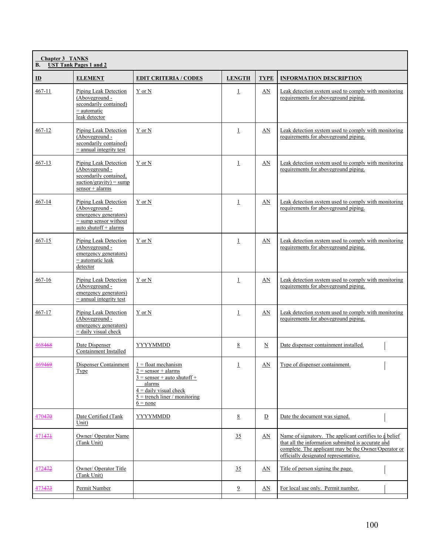| <b>Chapter 3 TANKS</b><br><b>UST Tank Pages 1 and 2</b><br><b>B.</b> |                                                                                                                      |                                                                                                                                                                        |                 |                        |                                                                                                                                                                                                               |
|----------------------------------------------------------------------|----------------------------------------------------------------------------------------------------------------------|------------------------------------------------------------------------------------------------------------------------------------------------------------------------|-----------------|------------------------|---------------------------------------------------------------------------------------------------------------------------------------------------------------------------------------------------------------|
| $\mathbf{D}$                                                         | <b>ELEMENT</b>                                                                                                       | <b>EDIT CRITERIA / CODES</b>                                                                                                                                           | <b>LENGTH</b>   | <b>TYPE</b>            | <b>INFORMATION DESCRIPTION</b>                                                                                                                                                                                |
| $467 - 11$                                                           | Piping Leak Detection<br>(Aboveground -<br>secondarily contained)<br>$=$ automatic<br>leak detector                  | Y or N                                                                                                                                                                 | $\perp$         | AN                     | Leak detection system used to comply with monitoring<br>requirements for aboveground piping.                                                                                                                  |
| 467-12                                                               | Piping Leak Detection<br>(Aboveground -<br>secondarily contained)<br>$=$ annual integrity test                       | Y or N                                                                                                                                                                 | $\perp$         | AN                     | Leak detection system used to comply with monitoring<br>requirements for aboveground piping.                                                                                                                  |
| $467 - 13$                                                           | Piping Leak Detection<br>(Aboveground -<br>secondarily contained,<br>suction/gravity) = sump<br>$sensor + alarms$    | Y or N                                                                                                                                                                 | $\perp$         | AN                     | Leak detection system used to comply with monitoring<br>requirements for above ground piping.                                                                                                                 |
| 467-14                                                               | Piping Leak Detection<br>(Aboveground -<br>emergency generators)<br>$=$ sump sensor without<br>auto shutoff + alarms | Y or N                                                                                                                                                                 | $\perp$         | AN                     | Leak detection system used to comply with monitoring<br>requirements for above ground piping.                                                                                                                 |
| 467-15                                                               | Piping Leak Detection<br>(Aboveground -<br>emergency generators)<br>$=$ automatic leak<br>detector                   | Y or N                                                                                                                                                                 | $\perp$         | AN                     | Leak detection system used to comply with monitoring<br>requirements for aboveground piping.                                                                                                                  |
| 467-16                                                               | Piping Leak Detection<br>(Aboveground -<br>emergency generators)<br>$=$ annual integrity test                        | Y or N                                                                                                                                                                 | $\perp$         | AN                     | Leak detection system used to comply with monitoring<br>requirements for aboveground piping.                                                                                                                  |
| 467-17                                                               | Piping Leak Detection<br>(Aboveground -<br>emergency generators)<br>$=$ daily visual check                           | Y or N                                                                                                                                                                 | $\perp$         | AN                     | Leak detection system used to comply with monitoring<br>requirements for aboveground piping.                                                                                                                  |
| 468468                                                               | Date Dispenser<br>Containment Installed                                                                              | <b>YYYYMMDD</b>                                                                                                                                                        | 8               | $\underline{N}$        | Date dispenser containment installed.                                                                                                                                                                         |
| 469469                                                               | Dispenser Containment<br><b>Type</b>                                                                                 | $1 =$ float mechanism<br>$2 =$ sensor + alarms<br>$3 =$ sensor + auto shutoff +<br>alarms<br>$4 =$ daily visual check<br>$5 =$ trench liner / monitoring<br>$6 = none$ | $\perp$         | $\mathbf{A}\mathbf{N}$ | Type of dispenser containment.                                                                                                                                                                                |
| 470470                                                               | Date Certified (Tank<br>Unit)                                                                                        | YYYYMMDD                                                                                                                                                               | $8\overline{8}$ | $\overline{D}$         | Date the document was signed.                                                                                                                                                                                 |
| 471471                                                               | Owner/ Operator Name<br>(Tank Unit)                                                                                  |                                                                                                                                                                        | 35              | AN                     | Name of signatory. The applicant certifies to a belief<br>that all the information submitted is accurate and<br>complete. The applicant may be the Owner/Operator or<br>officially designated representative. |
| 472472                                                               | Owner/ Operator Title<br>(Tank Unit)                                                                                 |                                                                                                                                                                        | 35              | AN                     | Title of person signing the page.                                                                                                                                                                             |
| 473473                                                               | Permit Number                                                                                                        |                                                                                                                                                                        | $\overline{9}$  | AN                     | For local use only. Permit number.                                                                                                                                                                            |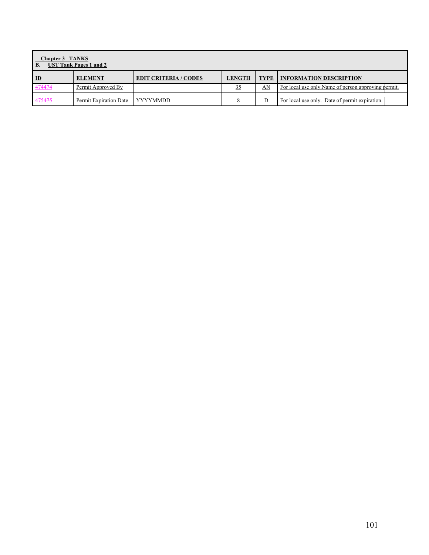| <b>Chapter 3 TANKS</b><br><b>UST Tank Pages 1 and 2</b><br><b>B.</b> |                        |                              |               |                         |                                                      |
|----------------------------------------------------------------------|------------------------|------------------------------|---------------|-------------------------|------------------------------------------------------|
| ID                                                                   | <b>ELEMENT</b>         | <b>EDIT CRITERIA / CODES</b> | <b>LENGTH</b> | <b>TYPE</b>             | <b>INFORMATION DESCRIPTION</b>                       |
| 474474                                                               | Permit Approved By     |                              |               | AN                      | For local use only. Name of person approving permit. |
| 475475                                                               | Permit Expiration Date | YYYYMMDD                     |               | $\overline{\mathsf{D}}$ | For local use only. Date of permit expiration.       |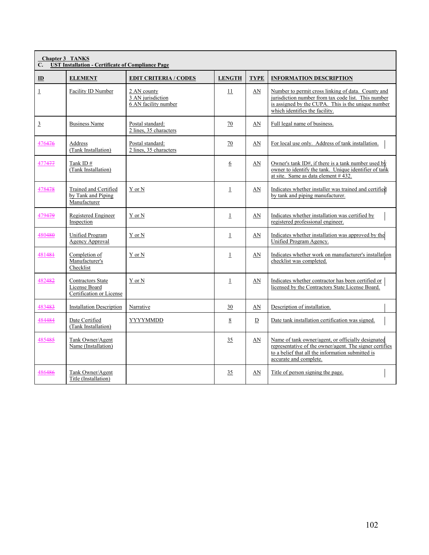| <b>Chapter 3 TANKS</b><br><b>UST Installation - Certificate of Compliance Page</b><br>C. |                                                                       |                                                          |                |             |                                                                                                                                                                                                   |  |
|------------------------------------------------------------------------------------------|-----------------------------------------------------------------------|----------------------------------------------------------|----------------|-------------|---------------------------------------------------------------------------------------------------------------------------------------------------------------------------------------------------|--|
| $\mathbf{D}$                                                                             | <b>ELEMENT</b>                                                        | <b>EDIT CRITERIA / CODES</b>                             | <b>LENGTH</b>  | <b>TYPE</b> | <b>INFORMATION DESCRIPTION</b>                                                                                                                                                                    |  |
| $\perp$                                                                                  | Facility ID Number                                                    | 2 AN county<br>3 AN jurisdiction<br>6 AN facility number | 11             | AN          | Number to permit cross linking of data. County and<br>jurisdiction number from tax code list. This number<br>is assigned by the CUPA. This is the unique number<br>which identifies the facility. |  |
| $\overline{3}$                                                                           | <b>Business Name</b>                                                  | Postal standard:<br>2 lines, 35 characters               | 70             | AN          | Full legal name of business.                                                                                                                                                                      |  |
| 476476                                                                                   | Address<br>(Tank Installation)                                        | Postal standard:<br>2 lines, 35 characters               | 70             | AN          | For local use only. Address of tank installation.                                                                                                                                                 |  |
| 477477                                                                                   | Tank ID#<br>(Tank Installation)                                       |                                                          | 6              | AN          | Owner's tank ID#, if there is a tank number used by<br>owner to identify the tank. Unique identifier of tank<br>at site. Same as data element #432.                                               |  |
| 478478                                                                                   | Trained and Certified<br>by Tank and Piping<br>Manufacturer           | Y or N                                                   | $\perp$        | AN          | Indicates whether installer was trained and certified<br>by tank and piping manufacturer.                                                                                                         |  |
| 479479                                                                                   | Registered Engineer<br>Inspection                                     | Y or N                                                   | $\perp$        | AN          | Indicates whether installation was certified by<br>registered professional engineer.                                                                                                              |  |
| 480480                                                                                   | Unified Program<br><b>Agency Approval</b>                             | Y or N                                                   | $\overline{1}$ | AN          | Indicates whether installation was approved by the<br>Unified Program Agency.                                                                                                                     |  |
| 481481                                                                                   | Completion of<br>Manufacturer's<br>Checklist                          | Y or N                                                   | $\mathbf 1$    | AN          | Indicates whether work on manufacturer's installation<br>checklist was completed.                                                                                                                 |  |
| 482482                                                                                   | <b>Contractors State</b><br>License Board<br>Certification or License | Y or N                                                   | $\perp$        | AN          | Indicates whether contractor has been certified or<br>licensed by the Contractors State License Board.                                                                                            |  |
| 483483                                                                                   | <b>Installation Description</b>                                       | Narrative                                                | 30             | AN          | Description of installation.                                                                                                                                                                      |  |
| 484484                                                                                   | Date Certified<br>(Tank Installation)                                 | <b>YYYYMMDD</b>                                          | 8              | D           | Date tank installation certification was signed.                                                                                                                                                  |  |
| 485485                                                                                   | Tank Owner/Agent<br>Name (Installation)                               |                                                          | 35             | AN          | Name of tank owner/agent, or officially designated<br>representative of the owner/agent. The signer certifies<br>to a belief that all the information submitted is<br>accurate and complete.      |  |
| 486486                                                                                   | Tank Owner/Agent<br>Title (Installation)                              |                                                          | 35             | AN          | Title of person signing the page.                                                                                                                                                                 |  |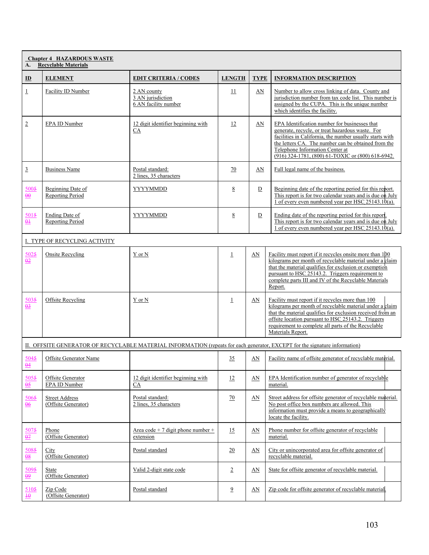| <b>Chapter 4 HAZARDOUS WASTE</b><br><b>Recyclable Materials</b><br>A. |                                              |                                                          |                 |             |                                                                                                                                                                                                                                                                                                               |
|-----------------------------------------------------------------------|----------------------------------------------|----------------------------------------------------------|-----------------|-------------|---------------------------------------------------------------------------------------------------------------------------------------------------------------------------------------------------------------------------------------------------------------------------------------------------------------|
| $\mathbf{D}$                                                          | <b>ELEMENT</b>                               | <b>EDIT CRITERIA / CODES</b>                             | <b>LENGTH</b>   | <b>TYPE</b> | <b>INFORMATION DESCRIPTION</b>                                                                                                                                                                                                                                                                                |
| $\perp$                                                               | Facility ID Number                           | 2 AN county<br>3 AN jurisdiction<br>6 AN facility number | 11              | AN          | Number to allow cross linking of data. County and<br>jurisdiction number from tax code list. This number is<br>assigned by the CUPA. This is the unique number<br>which identifies the facility.                                                                                                              |
| $\underline{2}$                                                       | EPA ID Number                                | 12 digit identifier beginning with<br>$\underline{CA}$   | 12              | AN          | EPA Identification number for businesses that<br>generate, recycle, or treat hazardous waste. For<br>facilities in California, the number usually starts with<br>the letters CA. The number can be obtained from the<br>Telephone Information Center at<br>(916) 324-1781, (800) 61-TOXIC or (800) 618-6942.  |
| $\overline{3}$                                                        | <b>Business Name</b>                         | Postal standard:<br>2 lines, 35 characters               | 70              | AN          | Full legal name of the business.                                                                                                                                                                                                                                                                              |
| 5005<br>$\frac{\theta \theta}{\theta}$                                | Beginning Date of<br>Reporting Period        | YYYYMMDD                                                 | 8               | ${\rm D}$   | Beginning date of the reporting period for this report.<br>This report is for two calendar years and is due on July<br>1 of every even numbered year per HSC $25143.10(a)$ .                                                                                                                                  |
| 5015<br>$\frac{\theta+1}{\theta}$                                     | Ending Date of<br>Reporting Period           | YYYYMMDD                                                 | 8               | ${\rm D}$   | Ending date of the reporting period for this report<br>This report is for two calendar years and is due on July<br>1 of every even numbered year per HSC 25143.10(a).                                                                                                                                         |
|                                                                       | I. TYPE OF RECYCLING ACTIVITY                |                                                          |                 |             |                                                                                                                                                                                                                                                                                                               |
| 5025<br>$\frac{0.2}{0.2}$                                             | Onsite Recycling                             | Y or N                                                   | $\perp$         | AN          | Facility must report if it recycles onsite more than 100<br>kilograms per month of recyclable material under a claim<br>that the material qualifies for exclusion or exemption<br>pursuant to HSC 25143.2. Triggers requirement to<br>complete parts III and IV of the Recyclable Materials<br>Report.        |
| 5035<br>$\underline{03}$                                              | Offsite Recycling                            | Y or N                                                   | $\mathbf{1}$    | AN          | Facility must report if it recycles more than 100<br>kilograms per month of recyclable material under a claim<br>that the material qualifies for exclusion received from an<br>offsite location pursuant to HSC 25143.2. Triggers<br>requirement to complete all parts of the Recyclable<br>Materials Report. |
|                                                                       |                                              |                                                          |                 |             | II. OFFSITE GENERATOR OF RECYCLABLE MATERIAL INFORMATION (repeats for each generator, EXCEPT for the signature information)                                                                                                                                                                                   |
| 5045<br>$\frac{04}{5}$                                                | Offsite Generator Name                       |                                                          | 35              | AN          | Facility name of offsite generator of recyclable material.                                                                                                                                                                                                                                                    |
| 5055<br>$\underline{05}$                                              | Offsite Generator<br><b>EPA ID Number</b>    | 12 digit identifier beginning with<br>СA                 | 12              | AN          | EPA Identification number of generator of recyclable<br>material.                                                                                                                                                                                                                                             |
| 5065<br>$\frac{0}{20}$                                                | <b>Street Address</b><br>(Offsite Generator) | Postal standard:<br>2 lines, 35 characters               | $\overline{20}$ | AN          | Street address for offsite generator of recyclable material.<br>No post office box numbers are allowed. This<br>information must provide a means to geographically<br>locate the facility.                                                                                                                    |
| 5075<br>$\frac{07}{10}$                                               | Phone<br>(Offsite Generator)                 | Area code + 7 digit phone number +<br>extension          | 15              | AN          | Phone number for offsite generator of recyclable<br>material.                                                                                                                                                                                                                                                 |
| 5085<br>$\frac{0.8}{0.8}$                                             | City<br>(Offsite Generator)                  | Postal standard                                          | 20              | AN          | City or unincorporated area for offsite generator of<br>recyclable material.                                                                                                                                                                                                                                  |
| 5095<br>$\frac{\theta}{2}$                                            | State<br>(Offsite Generator)                 | Valid 2-digit state code                                 | $\overline{2}$  | AN          | State for offsite generator of recyclable material.                                                                                                                                                                                                                                                           |
| 5105<br>$\overline{10}$                                               | Zip Code<br>(Offsite Generator)              | Postal standard                                          | $\overline{9}$  | AN          | Zip code for offsite generator of recyclable material.                                                                                                                                                                                                                                                        |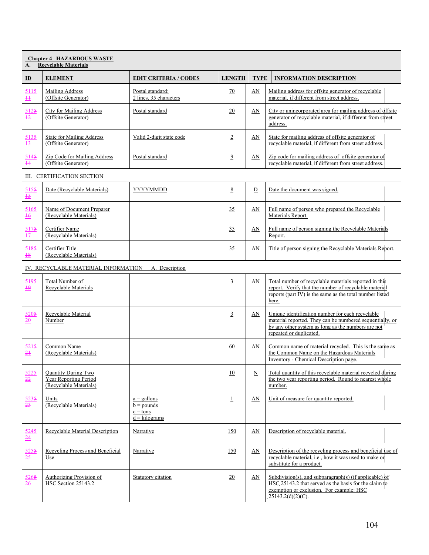| <b>Chapter 4 HAZARDOUS WASTE</b><br><b>Recyclable Materials</b><br>A. |                                                                               |                                                                |                 |                          |                                                                                                                                                                                                |
|-----------------------------------------------------------------------|-------------------------------------------------------------------------------|----------------------------------------------------------------|-----------------|--------------------------|------------------------------------------------------------------------------------------------------------------------------------------------------------------------------------------------|
| $\mathbf{D}$                                                          | <b>ELEMENT</b>                                                                | <b>EDIT CRITERIA / CODES</b>                                   | <b>LENGTH</b>   | <b>TYPE</b>              | <b>INFORMATION DESCRIPTION</b>                                                                                                                                                                 |
| 5115<br>$\pm$                                                         | Mailing Address<br>(Offsite Generator)                                        | Postal standard:<br>2 lines, 35 characters                     | 70              | AN                       | Mailing address for offsite generator of recyclable<br>material, if different from street address.                                                                                             |
| 5125<br>$\frac{12}{12}$                                               | City for Mailing Address<br>(Offsite Generator)                               | Postal standard                                                | 20              | AN                       | City or unincorporated area for mailing address of offsite<br>generator of recyclable material, if different from street<br>address.                                                           |
| 5135<br>$\frac{13}{2}$                                                | <b>State for Mailing Address</b><br>(Offsite Generator)                       | Valid 2-digit state code                                       | $\overline{2}$  | AN                       | State for mailing address of offsite generator of<br>recyclable material, if different from street address.                                                                                    |
| 5145<br>$\overline{14}$                                               | Zip Code for Mailing Address<br>(Offsite Generator)                           | Postal standard                                                | $\overline{9}$  | AN                       | Zip code for mailing address of offsite generator of<br>recyclable material, if different from street address.                                                                                 |
| Ш.                                                                    | <b>CERTIFICATION SECTION</b>                                                  |                                                                |                 |                          |                                                                                                                                                                                                |
| 5155<br>$\frac{15}{12}$                                               | Date (Recyclable Materials)                                                   | YYYYMMDD                                                       | $\underline{8}$ | D                        | Date the document was signed.                                                                                                                                                                  |
| 5165<br>$\frac{16}{10}$                                               | Name of Document Preparer<br>(Recyclable Materials)                           |                                                                | 35              | AN                       | Full name of person who prepared the Recyclable<br>Materials Report.                                                                                                                           |
| 5175<br>$\frac{17}{1}$                                                | Certifier Name<br>(Recyclable Materials)                                      |                                                                | 35              | AN                       | Full name of person signing the Recyclable Materials<br>Report.                                                                                                                                |
| 5185<br>$\frac{18}{1}$                                                | Certifier Title<br>(Recyclable Materials)                                     |                                                                | 35              | AN                       | Title of person signing the Recyclable Materials Report.                                                                                                                                       |
|                                                                       | IV. RECYCLABLE MATERIAL INFORMATION                                           | A. Description                                                 |                 |                          |                                                                                                                                                                                                |
| 5195<br>$\underline{\mathbf{\mathbf{\underline{\omega}}} }$           | Total Number of<br>Recyclable Materials                                       |                                                                | $\overline{3}$  | AN                       | Total number of recyclable materials reported in this<br>report. Verify that the number of recyclable material<br>reports (part IV) is the same as the total number listed<br>here.            |
| 5205<br>$\frac{20}{2}$                                                | Recyclable Material<br>Number                                                 |                                                                | $\overline{3}$  | AN                       | Unique identification number for each recyclable<br>material reported. They can be numbered sequentially, or<br>by any other system as long as the numbers are not<br>repeated or duplicated.  |
| 5215<br>$\frac{21}{2}$                                                | Common Name<br>(Recyclable Materials)                                         |                                                                | 60              | AN                       | Common name of material recycled. This is the same as<br>the Common Name on the Hazardous Materials<br>Inventory - Chemical Description page.                                                  |
| 5225<br>$\frac{22}{2}$                                                | <b>Quantity During Two</b><br>Year Reporting Period<br>(Recyclable Materials) |                                                                | 10              | $\underline{\mathbf{N}}$ | Total quantity of this recyclable material recycled during<br>the two year reporting period. Round to nearest whole<br>number.                                                                 |
| 5235<br>$\frac{23}{2}$                                                | Units<br>(Recyclable Materials)                                               | $a =$ gallons<br>$b =$ pounds<br>$c = tons$<br>$d = kilograms$ | $\overline{1}$  | AN                       | Unit of measure for quantity reported.                                                                                                                                                         |
| 5245<br>$\frac{24}{5}$                                                | Recyclable Material Description                                               | Narrative                                                      | 150             | AN                       | Description of recyclable material.                                                                                                                                                            |
| 5255<br>$\frac{25}{25}$                                               | Recycling Process and Beneficial<br>Use                                       | Narrative                                                      | 150             | AN                       | Description of the recycling process and beneficial use of<br>recyclable material, i.e., how it was used to make or<br>substitute for a product.                                               |
| 5265<br>$\frac{26}{5}$                                                | <b>Authorizing Provision of</b><br><b>HSC Section 25143.2</b>                 | Statutory citation                                             | 20              | AN                       | Subdivision(s), and subparagraph(s) (if applicable) $\frac{1}{2}$<br>HSC 25143.2 that served as the basis for the claim to<br>exemption or exclusion. For example: HSC<br>$25143.2(d)(2)(C)$ . |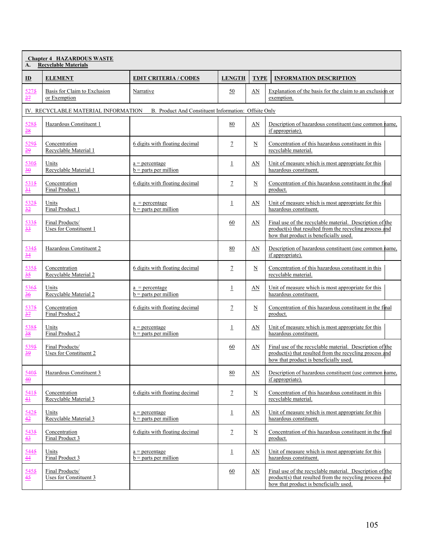| <b>Chapter 4 HAZARDOUS WASTE</b><br><b>Recyclable Materials</b><br>A. |                                              |                                                                                          |                |                          |                                                                                                                                                               |
|-----------------------------------------------------------------------|----------------------------------------------|------------------------------------------------------------------------------------------|----------------|--------------------------|---------------------------------------------------------------------------------------------------------------------------------------------------------------|
| $\mathbf{D}$                                                          | <b>ELEMENT</b>                               | <b>EDIT CRITERIA / CODES</b>                                                             | <b>LENGTH</b>  | <b>TYPE</b>              | <b>INFORMATION DESCRIPTION</b>                                                                                                                                |
| 5275<br>27                                                            | Basis for Claim to Exclusion<br>or Exemption | Narrative                                                                                | 50             | AN                       | Explanation of the basis for the claim to an exclusion or<br>exemption.                                                                                       |
|                                                                       |                                              | IV. RECYCLABLE MATERIAL INFORMATION B. Product And Constituent Information: Offsite Only |                |                          |                                                                                                                                                               |
| 5285<br>28                                                            | Hazardous Constituent 1                      |                                                                                          | 80             | AN                       | Description of hazardous constituent (use common hame,<br>if appropriate).                                                                                    |
| 5295<br>29                                                            | Concentration<br>Recyclable Material 1       | 6 digits with floating decimal                                                           | $\overline{1}$ | N                        | Concentration of this hazardous constituent in this<br>recyclable material.                                                                                   |
| 5305<br>$\frac{30}{5}$                                                | Units<br>Recyclable Material 1               | $a =$ percentage<br>$b =$ parts per million                                              | $\perp$        | AN                       | Unit of measure which is most appropriate for this<br>hazardous constituent.                                                                                  |
| 5315<br>$\frac{31}{2}$                                                | Concentration<br>Final Product 1             | 6 digits with floating decimal                                                           | $\mathcal{I}$  | $\mathbf N$              | Concentration of this hazardous constituent in the final<br>product.                                                                                          |
| 5325<br>$rac{32}{1}$                                                  | Units<br>Final Product 1                     | $a = percentage$<br>$b =$ parts per million                                              | $\perp$        | AN                       | Unit of measure which is most appropriate for this<br>hazardous constituent.                                                                                  |
| 5335<br>$\frac{33}{5}$                                                | Final Products/<br>Uses for Constituent 1    |                                                                                          | 60             | AN                       | Final use of the recyclable material. Description of the<br>product(s) that resulted from the recycling process and<br>how that product is beneficially used. |
| 5345<br>$\frac{34}{5}$                                                | Hazardous Constituent 2                      |                                                                                          | 80             | AN                       | Description of hazardous constituent (use common name,<br>if appropriate).                                                                                    |
| 5355<br>$\frac{35}{25}$                                               | Concentration<br>Recyclable Material 2       | 6 digits with floating decimal                                                           | $\mathcal{I}$  | $\underline{\mathbf{N}}$ | Concentration of this hazardous constituent in this<br>recyclable material.                                                                                   |
| 5365<br>$\frac{36}{5}$                                                | Units<br>Recyclable Material 2               | $a =$ percentage<br>$b =$ parts per million                                              | $\overline{1}$ | AN                       | Unit of measure which is most appropriate for this<br>hazardous constituent.                                                                                  |
| 5375<br>$rac{37}{1}$                                                  | Concentration<br>Final Product 2             | 6 digits with floating decimal                                                           | $\overline{1}$ | $\underline{\mathbf{N}}$ | Concentration of this hazardous constituent in the final<br>product.                                                                                          |
| 5385<br>$\frac{38}{5}$                                                | Units<br>Final Product 2                     | $a =$ percentage<br>$b =$ parts per million                                              | $\perp$        | AN                       | Unit of measure which is most appropriate for this<br>hazardous constituent.                                                                                  |
| 5395<br>$\frac{39}{2}$                                                | Final Products/<br>Uses for Constituent 2    |                                                                                          | 60             | AN                       | Final use of the recyclable material. Description of the<br>product(s) that resulted from the recycling process and<br>how that product is beneficially used. |
| 5405<br>$\overline{40}$                                               | Hazardous Constituent 3                      |                                                                                          | 80             | AN                       | Description of hazardous constituent (use common name,<br>if appropriate).                                                                                    |
| 5415<br>41                                                            | Concentration<br>Recyclable Material 3       | 6 digits with floating decimal                                                           | $\mathcal{I}$  | $\underline{\mathbf{N}}$ | Concentration of this hazardous constituent in this<br>recyclable material.                                                                                   |
| 5425<br>42                                                            | Units<br>Recyclable Material 3               | $a =$ percentage<br>$b =$ parts per million                                              | $\perp$        | AN                       | Unit of measure which is most appropriate for this<br>hazardous constituent.                                                                                  |
| 5435<br>$\frac{43}{5}$                                                | Concentration<br>Final Product 3             | 6 digits with floating decimal                                                           | $\mathcal{I}$  | $\underline{\mathbf{N}}$ | Concentration of this hazardous constituent in the final<br>product.                                                                                          |
| 5445<br>$\frac{44}{5}$                                                | Units<br>Final Product 3                     | $a =$ percentage<br>$b =$ parts per million                                              | $\perp$        | AN                       | Unit of measure which is most appropriate for this<br>hazardous constituent.                                                                                  |
| 5455<br>$\frac{45}{5}$                                                | Final Products/<br>Uses for Constituent 3    |                                                                                          | 60             | AN                       | Final use of the recyclable material. Description of the<br>product(s) that resulted from the recycling process and<br>how that product is beneficially used. |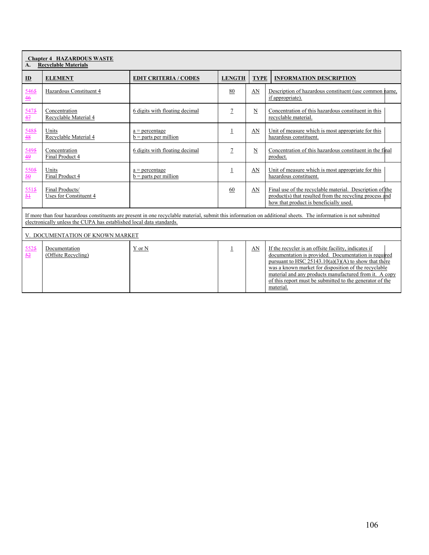| <b>Chapter 4 HAZARDOUS WASTE</b><br><b>Recyclable Materials</b><br>A.                                                                                                                                                                   |                                           |                                             |                |             |                                                                                                                                                                                                                                                                                                                                                                   |
|-----------------------------------------------------------------------------------------------------------------------------------------------------------------------------------------------------------------------------------------|-------------------------------------------|---------------------------------------------|----------------|-------------|-------------------------------------------------------------------------------------------------------------------------------------------------------------------------------------------------------------------------------------------------------------------------------------------------------------------------------------------------------------------|
| $\mathbf{D}$                                                                                                                                                                                                                            | <b>ELEMENT</b>                            | <b>EDIT CRITERIA / CODES</b>                | <b>LENGTH</b>  | <b>TYPE</b> | <b>INFORMATION DESCRIPTION</b>                                                                                                                                                                                                                                                                                                                                    |
| 5465<br>$\frac{46}{ }$                                                                                                                                                                                                                  | Hazardous Constituent 4                   |                                             | 80             | AN          | Description of hazardous constituent (use common name,<br>if appropriate).                                                                                                                                                                                                                                                                                        |
| 5475<br>47                                                                                                                                                                                                                              | Concentration<br>Recyclable Material 4    | 6 digits with floating decimal              | $\overline{1}$ | $\mathbf N$ | Concentration of this hazardous constituent in this<br>recyclable material.                                                                                                                                                                                                                                                                                       |
| 5485<br>$\frac{48}{5}$                                                                                                                                                                                                                  | Units<br>Recyclable Material 4            | $a = percentage$<br>$b =$ parts per million | $\perp$        | AN          | Unit of measure which is most appropriate for this<br>hazardous constituent.                                                                                                                                                                                                                                                                                      |
| 5495<br>49                                                                                                                                                                                                                              | Concentration<br>Final Product 4          | 6 digits with floating decimal              | 7              | $\mathbf N$ | Concentration of this hazardous constituent in the final<br>product.                                                                                                                                                                                                                                                                                              |
| 5505<br>$\frac{50}{2}$                                                                                                                                                                                                                  | Units<br>Final Product 4                  | $a = percentage$<br>$b =$ parts per million | $\perp$        | AN          | Unit of measure which is most appropriate for this<br>hazardous constituent.                                                                                                                                                                                                                                                                                      |
| 5515<br>$\frac{51}{2}$                                                                                                                                                                                                                  | Final Products/<br>Uses for Constituent 4 |                                             | 60             | AN          | Final use of the recyclable material. Description of the<br>product(s) that resulted from the recycling process and<br>how that product is beneficially used.                                                                                                                                                                                                     |
| If more than four hazardous constituents are present in one recyclable material, submit this information on additional sheets. The information is not submitted<br>electronically unless the CUPA has established local data standards. |                                           |                                             |                |             |                                                                                                                                                                                                                                                                                                                                                                   |
|                                                                                                                                                                                                                                         | V. DOCUMENTATION OF KNOWN MARKET          |                                             |                |             |                                                                                                                                                                                                                                                                                                                                                                   |
| 5525<br>52                                                                                                                                                                                                                              | Documentation<br>(Offsite Recycling)      | Y or N                                      | $\perp$        | AN          | If the recycler is an offsite facility, indicates if<br>documentation is provided. Documentation is required<br>pursuant to HSC $25143.10(a)(3)(A)$ to show that there<br>was a known market for disposition of the recyclable<br>material and any products manufactured from it. A copy<br>of this report must be submitted to the generator of the<br>material. |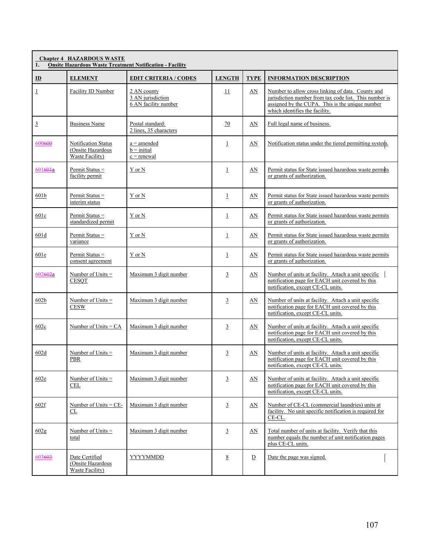| <b>Chapter 4 HAZARDOUS WASTE</b><br><b>Onsite Hazardous Waste Treatment Notification - Facility</b><br>1. |                                                             |                                                          |                 |                |                                                                                                                                                                                                  |  |
|-----------------------------------------------------------------------------------------------------------|-------------------------------------------------------------|----------------------------------------------------------|-----------------|----------------|--------------------------------------------------------------------------------------------------------------------------------------------------------------------------------------------------|--|
| $\mathbf{D}$                                                                                              | <b>ELEMENT</b>                                              | <b>EDIT CRITERIA / CODES</b>                             | <b>LENGTH</b>   | <b>TYPE</b>    | <b>INFORMATION DESCRIPTION</b>                                                                                                                                                                   |  |
| $\overline{1}$                                                                                            | Facility ID Number                                          | 2 AN county<br>3 AN jurisdiction<br>6 AN facility number | $\overline{11}$ | AN             | Number to allow cross linking of data. County and<br>jurisdiction number from tax code list. This number is<br>assigned by the CUPA. This is the unique number<br>which identifies the facility. |  |
| $\overline{3}$                                                                                            | <b>Business Name</b>                                        | Postal standard:<br>2 lines, 35 characters               | 70              | AN             | Full legal name of business.                                                                                                                                                                     |  |
| 600600                                                                                                    | Notification Status<br>(Onsite Hazardous<br>Waste Facility) | $a =$ amended<br>$b = initial$<br>$c =$ renewal          | $\overline{1}$  | AN             | Notification status under the tiered permitting system.                                                                                                                                          |  |
| 60160 <sub>1</sub> a                                                                                      | Permit Status =<br>facility permit                          | Y or N                                                   | $\overline{1}$  | AN             | Permit status for State issued hazardous waste permits<br>or grants of authorization.                                                                                                            |  |
| 601b                                                                                                      | Permit Status =<br>interim status                           | Y or N                                                   | $\overline{1}$  | AN             | Permit status for State issued hazardous waste permits<br>or grants of authorization.                                                                                                            |  |
| 601c                                                                                                      | Permit Status =<br>standardized permit                      | Y or N                                                   | $\overline{1}$  | AN             | Permit status for State issued hazardous waste permits<br>or grants of authorization.                                                                                                            |  |
| 601d                                                                                                      | Permit Status =<br>variance                                 | Y or N                                                   | $\overline{1}$  | AN             | Permit status for State issued hazardous waste permits<br>or grants of authorization.                                                                                                            |  |
| 601e                                                                                                      | Permit Status =<br>consent agreement                        | Y or N                                                   | $\overline{1}$  | AN             | Permit status for State issued hazardous waste permits<br>or grants of authorization.                                                                                                            |  |
| 602602a                                                                                                   | Number of Units $=$<br><b>CESQT</b>                         | Maximum 3 digit number                                   | 3               | AN             | Number of units at facility. Attach a unit specific<br>notification page for EACH unit covered by this<br>notification, except CE-CL units.                                                      |  |
| 602 <sub>b</sub>                                                                                          | Number of Units $=$<br><b>CESW</b>                          | Maximum 3 digit number                                   | $\overline{3}$  | $\Delta N$     | Number of units at facility. Attach a unit specific<br>notification page for EACH unit covered by this<br>notification, except CE-CL units.                                                      |  |
| 602c                                                                                                      | Number of Units $= CA$                                      | Maximum 3 digit number                                   | $\overline{3}$  | $\Delta N$     | Number of units at facility. Attach a unit specific<br>notification page for EACH unit covered by this<br>notification, except CE-CL units.                                                      |  |
| 602d                                                                                                      | Number of Units $=$<br>PBR                                  | Maximum 3 digit number                                   | $\overline{3}$  | AN             | Number of units at facility. Attach a unit specific<br>notification page for EACH unit covered by this<br>notification, except CE-CL units.                                                      |  |
| 602e                                                                                                      | Number of Units $=$<br>CEL                                  | Maximum 3 digit number                                   | $\overline{3}$  | AN             | Number of units at facility. Attach a unit specific<br>notification page for EACH unit covered by this<br>notification, except CE-CL units.                                                      |  |
| 602f                                                                                                      | Number of Units $=$ CE-<br>CL                               | Maximum 3 digit number                                   | $\overline{3}$  | $\Delta N$     | Number of CE-CL (commercial laundries) units at<br>facility. No unit specific notification is required for<br>CE-CL.                                                                             |  |
| 602g                                                                                                      | Number of Units $=$<br>total                                | Maximum 3 digit number                                   | $\overline{3}$  | $\Delta N$     | Total number of units at facility. Verify that this<br>number equals the number of unit notification pages<br>plus CE-CL units.                                                                  |  |
| 603603                                                                                                    | Date Certified<br>(Onsite Hazardous<br>Waste Facility)      | <b>YYYYMMDD</b>                                          | 8               | $\overline{D}$ | Date the page was signed.                                                                                                                                                                        |  |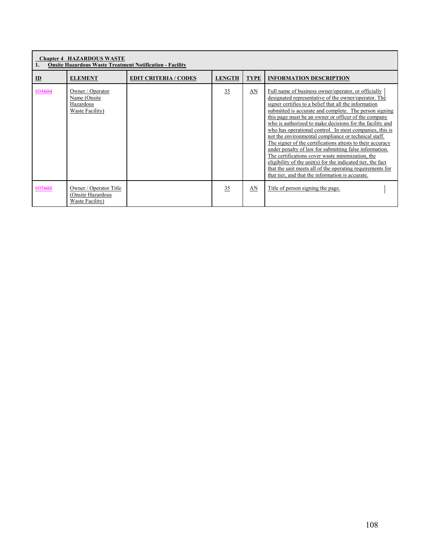| <b>Chapter 4 HAZARDOUS WASTE</b><br><b>Onsite Hazardous Waste Treatment Notification - Facility</b> |                                                                  |                              |               |             |                                                                                                                                                                                                                                                                                                                                                                                                                                                                                                                                                                                                                                                                                                                                                                                                                                   |  |  |
|-----------------------------------------------------------------------------------------------------|------------------------------------------------------------------|------------------------------|---------------|-------------|-----------------------------------------------------------------------------------------------------------------------------------------------------------------------------------------------------------------------------------------------------------------------------------------------------------------------------------------------------------------------------------------------------------------------------------------------------------------------------------------------------------------------------------------------------------------------------------------------------------------------------------------------------------------------------------------------------------------------------------------------------------------------------------------------------------------------------------|--|--|
| ID                                                                                                  | <b>ELEMENT</b>                                                   | <b>EDIT CRITERIA / CODES</b> | <b>LENGTH</b> | <b>TYPE</b> | <b>INFORMATION DESCRIPTION</b>                                                                                                                                                                                                                                                                                                                                                                                                                                                                                                                                                                                                                                                                                                                                                                                                    |  |  |
| 604604                                                                                              | Owner / Operator<br>Name (Onsite<br>Hazardous<br>Waste Facility) |                              | 35            | AN          | Full name of business owner/operator, or officially<br>designated representative of the owner/operator. The<br>signer certifies to a belief that all the information<br>submitted is accurate and complete. The person signing<br>this page must be an owner or officer of the company<br>who is authorized to make decisions for the facility and<br>who has operational control. In most companies, this is<br>not the environmental compliance or technical staff.<br>The signer of the certifications attests to their accuracy<br>under penalty of law for submitting false information.<br>The certifications cover waste minimization, the<br>eligibility of the unit(s) for the indicated tier, the fact<br>that the unit meets all of the operating requirements for<br>that tier, and that the information is accurate. |  |  |
| 605605                                                                                              | Owner / Operator Title<br>(Onsite Hazardous<br>Waste Facility)   |                              | 35            | AN          | Title of person signing the page.                                                                                                                                                                                                                                                                                                                                                                                                                                                                                                                                                                                                                                                                                                                                                                                                 |  |  |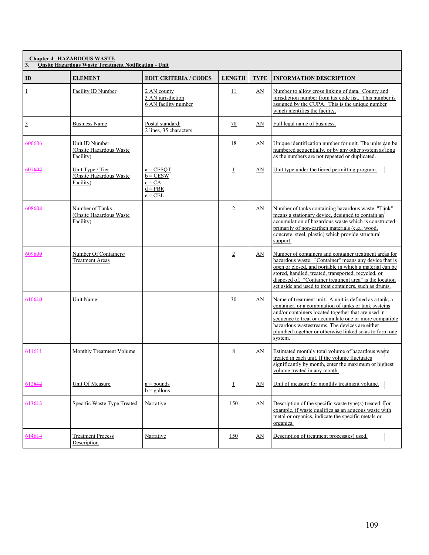| 3.             | <b>Chapter 4 HAZARDOUS WASTE</b><br><b>Onsite Hazardous Waste Treatment Notification - Unit</b> |                                                                 |                |             |                                                                                                                                                                                                                                                                                                                                                        |
|----------------|-------------------------------------------------------------------------------------------------|-----------------------------------------------------------------|----------------|-------------|--------------------------------------------------------------------------------------------------------------------------------------------------------------------------------------------------------------------------------------------------------------------------------------------------------------------------------------------------------|
| $\mathbf{D}$   | <b>ELEMENT</b>                                                                                  | <b>EDIT CRITERIA / CODES</b>                                    | <b>LENGTH</b>  | <b>TYPE</b> | <b>INFORMATION DESCRIPTION</b>                                                                                                                                                                                                                                                                                                                         |
| $\overline{1}$ | Facility ID Number                                                                              | 2 AN county<br>3 AN jurisdiction<br>6 AN facility number        | 11             | AN          | Number to allow cross linking of data. County and<br>jurisdiction number from tax code list. This number is<br>assigned by the CUPA. This is the unique number<br>which identifies the facility.                                                                                                                                                       |
| $\overline{3}$ | <b>Business Name</b>                                                                            | Postal standard:<br>2 lines, 35 characters                      | 70             | AN          | Full legal name of business.                                                                                                                                                                                                                                                                                                                           |
| 606606         | Unit ID Number<br>(Onsite Hazardous Waste<br>Facility)                                          |                                                                 | 18             | AN          | Unique identification number for unit. The units can be<br>numbered sequentially, or by any other system as long<br>as the numbers are not repeated or duplicated.                                                                                                                                                                                     |
| 607607         | Unit Type / Tier<br>(Onsite Hazardous Waste)<br>Facility)                                       | $a = CESOT$<br>$b = CESW$<br>$c = CA$<br>$d = PBR$<br>$e = CEL$ | $\overline{1}$ | AN          | Unit type under the tiered permitting program.                                                                                                                                                                                                                                                                                                         |
| 608608         | Number of Tanks<br>(Onsite Hazardous Waste<br>Facility)                                         |                                                                 | $\overline{2}$ | AN          | Number of tanks containing hazardous waste. "Tank"<br>means a stationary device, designed to contain an<br>accumulation of hazardous waste which is constructed<br>primarily of non-earthen materials (e.g., wood,<br>concrete, steel, plastic) which provide structural<br>support.                                                                   |
| 609609         | Number Of Containers/<br><b>Treatment Areas</b>                                                 |                                                                 | $\overline{2}$ | AN          | Number of containers and container treatment areas for<br>hazardous waste. "Container" means any device that is<br>open or closed, and portable in which a material can be<br>stored, handled, treated, transported, recycled, or<br>disposed of. "Container treatment area" is the location<br>set aside and used to treat containers, such as drums. |
| 610610         | Unit Name                                                                                       |                                                                 | 30             | AN          | Name of treatment unit. A unit is defined as a tank, a<br>container, or a combination of tanks or tank systems<br>and/or containers located together that are used in<br>sequence to treat or accumulate one or more compatible<br>hazardous wastestreams. The devices are either<br>plumbed together or otherwise linked so as to form one<br>system. |
| $61164+$       | Monthly Treatment Volume                                                                        |                                                                 | 8              | AN          | Estimated monthly total volume of hazardous waste<br>treated in each unit. If the volume fluctuates<br>significantly by month, enter the maximum or highest<br>volume treated in any month.                                                                                                                                                            |
| 612612         | Unit Of Measure                                                                                 | $a =$ pounds<br>$b =$ gallons                                   | $\overline{1}$ | AN          | Unit of measure for monthly treatment volume.                                                                                                                                                                                                                                                                                                          |
| 613613         | Specific Waste Type Treated                                                                     | Narrative                                                       | 150            | AN          | Description of the specific waste type(s) treated. For<br>example, if waste qualifies as an aqueous waste with<br>metal or organics, indicate the specific metals or<br>organics.                                                                                                                                                                      |
| 614614         | <b>Treatment Process</b><br>Description                                                         | Narrative                                                       | 150            | AN          | Description of treatment process(es) used.                                                                                                                                                                                                                                                                                                             |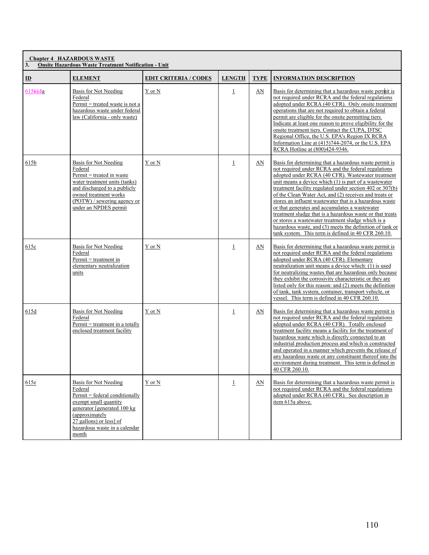| 3.                        | <b>Chapter 4 HAZARDOUS WASTE</b><br><b>Onsite Hazardous Waste Treatment Notification - Unit</b>                                                                                                                     |                              |                |             |                                                                                                                                                                                                                                                                                                                                                                                                                                                                                                                                                                                                                                                                                                        |
|---------------------------|---------------------------------------------------------------------------------------------------------------------------------------------------------------------------------------------------------------------|------------------------------|----------------|-------------|--------------------------------------------------------------------------------------------------------------------------------------------------------------------------------------------------------------------------------------------------------------------------------------------------------------------------------------------------------------------------------------------------------------------------------------------------------------------------------------------------------------------------------------------------------------------------------------------------------------------------------------------------------------------------------------------------------|
| $\underline{\mathbf{ID}}$ | <b>ELEMENT</b>                                                                                                                                                                                                      | <b>EDIT CRITERIA / CODES</b> | <b>LENGTH</b>  | <b>TYPE</b> | <b>INFORMATION DESCRIPTION</b>                                                                                                                                                                                                                                                                                                                                                                                                                                                                                                                                                                                                                                                                         |
| 615615a                   | Basis for Not Needing<br>Federal<br>$Permit = treated$ waste is not a<br>hazardous waste under federal<br>law (California - only waste)                                                                             | Y or N                       | $\perp$        | AN          | Basis for determining that a hazardous waste permit is<br>not required under RCRA and the federal regulations<br>adopted under RCRA (40 CFR). Only onsite treatment<br>operations that are not required to obtain a federal<br>permit are eligible for the onsite permitting tiers.<br>Indicate at least one reason to prove eligibility for the<br>onsite treatment tiers. Contact the CUPA, DTSC<br>Regional Office, the U.S. EPA's Region IX RCRA<br>Information Line at (415)744-2074, or the U.S. EPA<br>RCRA Hotline at (800)424-9346.                                                                                                                                                           |
| 615b                      | Basis for Not Needing<br>Federal<br>$Permit = treated in waste$<br>water treatment units (tanks)<br>and discharged to a publicly<br>owned treatment works<br>(POTW) / sewering agency or<br>under an NPDES permit   | Y or N                       | $\overline{1}$ | AN          | Basis for determining that a hazardous waste permit is<br>not required under RCRA and the federal regulations<br>adopted under RCRA (40 CFR). Wastewater treatment<br>unit means a device which $(1)$ is part of a wastewater<br>treatment facility regulated under section 402 or 307(b)<br>of the Clean Water Act, and (2) receives and treats or<br>stores an influent wastewater that is a hazardous waste<br>or that generates and accumulates a wastewater<br>treatment sludge that is a hazardous waste or that treats<br>or stores a wastewater treatment sludge which is a<br>hazardous waste, and (3) meets the definition of tank or<br>tank system. This term is defined in 40 CFR 260.10. |
| 615c                      | Basis for Not Needing<br>Federal<br>Permit = treatment in<br>elementary neutralization<br>units                                                                                                                     | Y or N                       | $\overline{1}$ | $\Delta N$  | Basis for determining that a hazardous waste permit is<br>not required under RCRA and the federal regulations<br>adopted under RCRA (40 CFR). Elementary<br>neutralization unit means a device which: (1) is used<br>for neutralizing wastes that are hazardous only because<br>they exhibit the corrosivity characteristic or they are<br>listed only for this reason: and (2) meets the definition<br>of tank, tank system, container, transport vehicle, or<br>vessel. This term is defined in 40 CFR 260.10.                                                                                                                                                                                       |
| 615d                      | Basis for Not Needing<br>Federal<br>$Permit = treatment in a totally$<br>enclosed treatment facility                                                                                                                | Y or N                       | $\perp$        | AN          | Basis for determining that a hazardous waste permit is<br>not required under RCRA and the federal regulations<br>adopted under RCRA (40 CFR). Totally enclosed<br>treatment facility means a facility for the treatment of<br>hazardous waste which is directly connected to an<br>industrial production process and which is constructed<br>and operated in a manner which prevents the release of<br>any hazardous waste or any constituent thereof into the<br>environment during treatment. This term is defined in<br>40 CFR 260.10.                                                                                                                                                              |
| 615e                      | Basis for Not Needing<br>Federal<br>$Permit = federal conditionally$<br>exempt small quantity<br>generator [generated 100 kg<br>(approximately<br>27 gallons) or less] of<br>hazardous waste in a calendar<br>month | Y or N                       | $\perp$        | AN          | Basis for determining that a hazardous waste permit is<br>not required under RCRA and the federal regulations<br>adopted under RCRA (40 CFR). See description in<br>item 615a above.                                                                                                                                                                                                                                                                                                                                                                                                                                                                                                                   |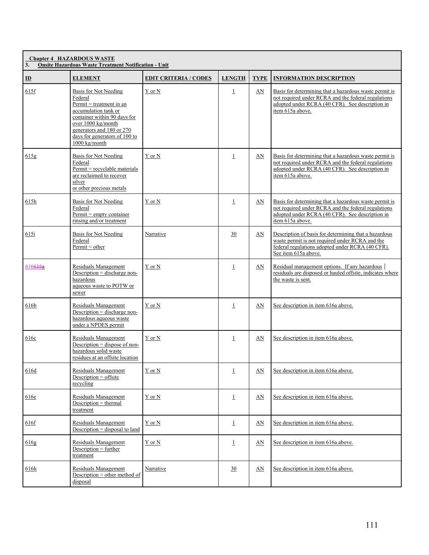| 3.           | <b>Chapter 4 HAZARDOUS WASTE</b><br><b>Onsite Hazardous Waste Treatment Notification - Unit</b>                                                                                                                             |                              |                |             |                                                                                                                                                                                      |
|--------------|-----------------------------------------------------------------------------------------------------------------------------------------------------------------------------------------------------------------------------|------------------------------|----------------|-------------|--------------------------------------------------------------------------------------------------------------------------------------------------------------------------------------|
| $\mathbf{D}$ | <b>ELEMENT</b>                                                                                                                                                                                                              | <b>EDIT CRITERIA / CODES</b> | <b>LENGTH</b>  | <b>TYPE</b> | <b>INFORMATION DESCRIPTION</b>                                                                                                                                                       |
| 615f         | Basis for Not Needing<br>Federal<br>$Permit = treatment in an$<br>accumulation tank or<br>container within 90 days for<br>over 1000 kg/month<br>generators and 180 or 270<br>days for generators of 100 to<br>1000 kg/month | Y or N                       | $\perp$        | AN          | Basis for determining that a hazardous waste permit is<br>not required under RCRA and the federal regulations<br>adopted under RCRA (40 CFR). See description in<br>item 615a above. |
| 615g         | Basis for Not Needing<br>Federal<br>$Permit = recvelable materials$<br>are reclaimed to recover<br>silver<br>or other precious metals                                                                                       | Y or N                       | $\perp$        | AN          | Basis for determining that a hazardous waste permit is<br>not required under RCRA and the federal regulations<br>adopted under RCRA (40 CFR). See description in<br>item 615a above. |
| 615h         | Basis for Not Needing<br>Federal<br>$Permit = empty container$<br>rinsing and/or treatment                                                                                                                                  | Y or N                       | $\perp$        | AN          | Basis for determining that a hazardous waste permit is<br>not required under RCRA and the federal regulations<br>adopted under RCRA (40 CFR). See description in<br>item 615a above. |
| 615i         | Basis for Not Needing<br>Federal<br>$Permit = other$                                                                                                                                                                        | Narrative                    | 30             | AN          | Description of basis for determining that a hazardous<br>waste permit is not required under RCRA and the<br>federal regulations adopted under RCRA (40 CFR).<br>See item 615a above. |
| 616616a      | Residuals Management<br>Description = discharge non-<br>hazardous<br>aqueous waste to POTW or<br>sewer                                                                                                                      | Y or N                       | $\overline{1}$ | AN          | Residual management options. If any hazardous<br>residuals are disposed or hauled offsite, indicates where<br>the waste is sent.                                                     |
| 616b         | Residuals Management<br>Description = discharge non-<br>hazardous aqueous waste<br>under a NPDES permit                                                                                                                     | Y or N                       | $\overline{1}$ | AN          | See description in item 616a above.                                                                                                                                                  |
| 616c         | Residuals Management<br>Description = dispose of non-<br>hazardous solid waste<br>residues at an offsite location                                                                                                           | Y or N                       | $\perp$        | AN          | See description in item 616a above.                                                                                                                                                  |
| 616d         | Residuals Management<br>Description = offsite<br>recycling                                                                                                                                                                  | Y or N                       | $\overline{1}$ | $\Delta N$  | See description in item 616a above.                                                                                                                                                  |
| 616e         | Residuals Management<br>$Description = thermal$<br>treatment                                                                                                                                                                | Y or N                       | $\perp$        | AN          | See description in item 616a above.                                                                                                                                                  |
| 616f         | Residuals Management<br>Description $=$ disposal to land                                                                                                                                                                    | Y or N                       | $\perp$        | $\Delta N$  | See description in item 616a above.                                                                                                                                                  |
| 616g         | Residuals Management<br>Description $=$ further<br>treatment                                                                                                                                                                | Y or N                       | $\perp$        | AN          | See description in item 616a above.                                                                                                                                                  |
| 616h         | Residuals Management<br>Description = other method of<br>disposal                                                                                                                                                           | Narrative                    | 30             | $\Delta N$  | See description in item 616a above.                                                                                                                                                  |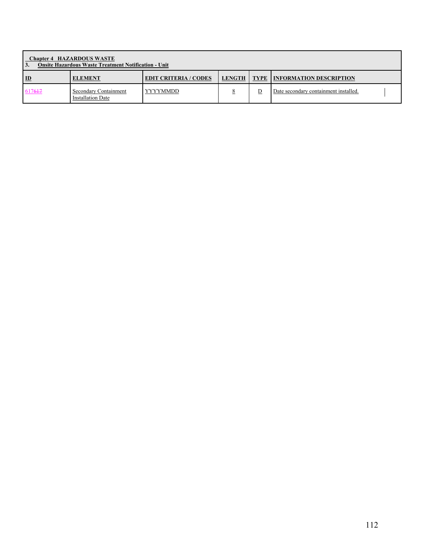| <b>Chapter 4 HAZARDOUS WASTE</b><br><b>Onsite Hazardous Waste Treatment Notification - Unit</b><br>3. |                                                   |                              |        |  |                                       |  |  |
|-------------------------------------------------------------------------------------------------------|---------------------------------------------------|------------------------------|--------|--|---------------------------------------|--|--|
| $\mathbf{D}$                                                                                          | <b>ELEMENT</b>                                    | <b>EDIT CRITERIA / CODES</b> | LENGTH |  | <b>TYPE   INFORMATION DESCRIPTION</b> |  |  |
| 617617                                                                                                | Secondary Containment<br><b>Installation Date</b> | YYYYMMDD                     |        |  | Date secondary containment installed. |  |  |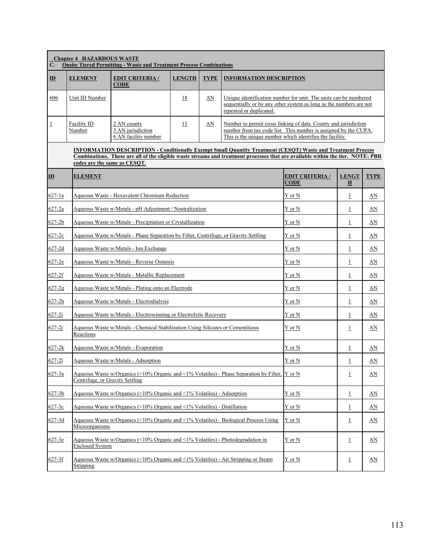| C.             | <b>Chapter 4 HAZARDOUS WASTE</b>                                                                                                                                                                                                                                                      | <b>Onsite Tiered Permitting - Waste and Treatment Process Combinations</b>                |                 |             |                                                                                                                                                                                                |                                                                                                                                        |                                         |             |  |  |
|----------------|---------------------------------------------------------------------------------------------------------------------------------------------------------------------------------------------------------------------------------------------------------------------------------------|-------------------------------------------------------------------------------------------|-----------------|-------------|------------------------------------------------------------------------------------------------------------------------------------------------------------------------------------------------|----------------------------------------------------------------------------------------------------------------------------------------|-----------------------------------------|-------------|--|--|
| $\mathbf{D}$   | <b>ELEMENT</b>                                                                                                                                                                                                                                                                        | <b>EDIT CRITERIA/</b><br><b>CODE</b>                                                      | <b>LENGTH</b>   | <b>TYPE</b> |                                                                                                                                                                                                | <b>INFORMATION DESCRIPTION</b>                                                                                                         |                                         |             |  |  |
| 606            | Unit ID Number                                                                                                                                                                                                                                                                        |                                                                                           | 18              | AN          | repeated or duplicated.                                                                                                                                                                        | Unique identification number for unit. The units can be numbered<br>sequentially or by any other system as long as the numbers are not |                                         |             |  |  |
| $\overline{1}$ | <b>Facility ID</b><br>Number                                                                                                                                                                                                                                                          | 2 AN county<br>3 AN jurisdiction<br>6 AN facility number                                  | $\overline{11}$ | AN          | Number to permit cross linking of data. County and jurisdiction<br>number from tax code list. This number is assigned by the CUPA.<br>This is the unique number which identifies the facility. |                                                                                                                                        |                                         |             |  |  |
|                | <b>INFORMATION DESCRIPTION - Conditionally Exempt Small Quantity Treatment (CESQT) Waste and Treatment Process</b><br>Combinations. These are all of the eligible waste streams and treatment processes that are available within the tier. NOTE: PBR<br>codes are the same as CESQT. |                                                                                           |                 |             |                                                                                                                                                                                                |                                                                                                                                        |                                         |             |  |  |
| $\mathbf{D}$   | <b>ELEMENT</b>                                                                                                                                                                                                                                                                        |                                                                                           |                 |             |                                                                                                                                                                                                | <b>EDIT CRITERIA /</b><br><b>CODE</b>                                                                                                  | <b>LENGT</b><br>$\overline{\mathbf{H}}$ | <b>TYPE</b> |  |  |
| $627 - 1a$     |                                                                                                                                                                                                                                                                                       | Aqueous Waste - Hexavalent Chromium Reduction                                             |                 |             |                                                                                                                                                                                                | Y or N                                                                                                                                 | $\perp$                                 | AN          |  |  |
| $627 - 2a$     |                                                                                                                                                                                                                                                                                       | Aqueous Waste w/Metals - pH Adjustment / Neutralization                                   |                 |             |                                                                                                                                                                                                | Y or N                                                                                                                                 | $\perp$                                 | AN          |  |  |
| $627 - 2b$     |                                                                                                                                                                                                                                                                                       | Aqueous Waste w/Metals - Precipitation or Crystallization                                 |                 |             |                                                                                                                                                                                                | Y or N                                                                                                                                 | $\perp$                                 | AN          |  |  |
| $627 - 2c$     |                                                                                                                                                                                                                                                                                       | Aqueous Waste w/Metals - Phase Separation by Filter, Centrifuge, or Gravity Settling      |                 |             |                                                                                                                                                                                                | Y or N                                                                                                                                 | $\perp$                                 | AN          |  |  |
| $627-2d$       |                                                                                                                                                                                                                                                                                       | Aqueous Waste w/Metals - Ion Exchange                                                     |                 |             |                                                                                                                                                                                                | Y or N                                                                                                                                 | $\perp$                                 | AN          |  |  |
| $627-2e$       |                                                                                                                                                                                                                                                                                       | Aqueous Waste w/Metals - Reverse Osmosis                                                  |                 |             |                                                                                                                                                                                                | Y or N                                                                                                                                 | $\perp$                                 | AN          |  |  |
| $627 - 2f$     |                                                                                                                                                                                                                                                                                       | Aqueous Waste w/Metals - Metallic Replacement                                             |                 |             |                                                                                                                                                                                                | Y or N                                                                                                                                 | $\overline{1}$                          | AN          |  |  |
| $627 - 2g$     |                                                                                                                                                                                                                                                                                       | Aqueous Waste w/Metals - Plating onto an Electrode                                        |                 |             |                                                                                                                                                                                                | Y or N                                                                                                                                 | $\perp$                                 | AN          |  |  |
| $627 - 2h$     |                                                                                                                                                                                                                                                                                       | Aqueous Waste w/Metals - Electrodialysis                                                  |                 |             |                                                                                                                                                                                                | Y or N                                                                                                                                 | $\perp$                                 | AN          |  |  |
| $627 - 2i$     |                                                                                                                                                                                                                                                                                       | Aqueous Waste w/Metals - Electrowinning or Electrolytic Recovery                          |                 |             |                                                                                                                                                                                                | $Y$ or $N$                                                                                                                             | $\perp$                                 | AN          |  |  |
| $627 - 2j$     | Reactions                                                                                                                                                                                                                                                                             | Aqueous Waste w/Metals - Chemical Stabilization Using Silicates or Cementitious           |                 |             |                                                                                                                                                                                                | Y or N                                                                                                                                 | $\overline{\perp}$                      | AN          |  |  |
| $627 - 2k$     |                                                                                                                                                                                                                                                                                       | Aqueous Waste w/Metals - Evaporation                                                      |                 |             |                                                                                                                                                                                                | Y or N                                                                                                                                 | $\perp$                                 | AN          |  |  |
| 627-21         |                                                                                                                                                                                                                                                                                       | Aqueous Waste w/Metals - Adsorption                                                       |                 |             |                                                                                                                                                                                                | $Y$ or $N$                                                                                                                             | $\mathbf 1$                             | AN          |  |  |
| 627-3a         | Centrifuge, or Gravity Settling                                                                                                                                                                                                                                                       |                                                                                           |                 |             | Aqueous Waste w/Organics (<10% Organic and <1% Volatiles) - Phase Separation by Filter, $\overline{Y}$ or N                                                                                    |                                                                                                                                        | $\perp$                                 | AN          |  |  |
| $627 - 3b$     |                                                                                                                                                                                                                                                                                       | Aqueous Waste w/Organics (<10% Organic and <1% Volatiles) - Adsorption                    |                 |             |                                                                                                                                                                                                | Y or N                                                                                                                                 | $\underline{1}$                         | AN          |  |  |
| $627 - 3c$     |                                                                                                                                                                                                                                                                                       | Aqueous Waste w/Organics $($ 10\% Organic and $\leq 1\%$ Volatiles) - Distillation        |                 |             |                                                                                                                                                                                                | Y or N                                                                                                                                 | $\underline{1}$                         | <u>AN</u>   |  |  |
| $627 - 3d$     | Microorganisms                                                                                                                                                                                                                                                                        | Aqueous Waste w/Organics (<10% Organic and <1% Volatiles) - Biological Process Using      |                 |             |                                                                                                                                                                                                | Y or N                                                                                                                                 | $\perp$                                 | <u>AN</u>   |  |  |
| $627 - 3e$     | <b>Enclosed System</b>                                                                                                                                                                                                                                                                | Aqueous Waste w/Organics $($ < 10% Organic and $\leq$ 1% Volatiles) - Photodegradation in |                 |             |                                                                                                                                                                                                | Y or N                                                                                                                                 | $\perp$                                 | AN          |  |  |
| $627 - 3f$     | Stripping                                                                                                                                                                                                                                                                             | Aqueous Waste w/Organics (<10% Organic and <1% Volatiles) - Air Stripping or Steam        |                 |             |                                                                                                                                                                                                | Y or N                                                                                                                                 | $\overline{1}$                          | AN          |  |  |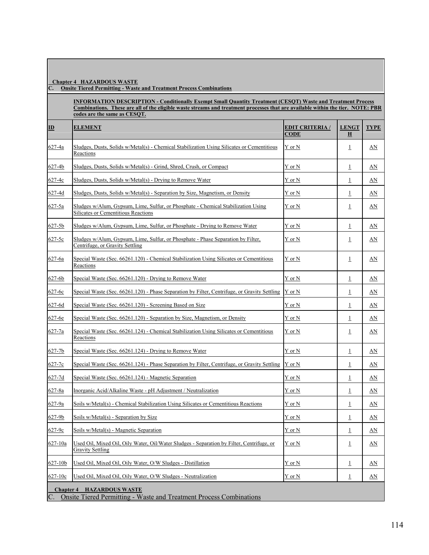**C. Onsite Tiered Permitting - Waste and Treatment Process Combinations**

**INFORMATION DESCRIPTION - Conditionally Exempt Small Quantity Treatment (CESQT) Waste and Treatment Process Combinations. These are all of the eligible waste streams and treatment processes that are available within the tier. NOTE: PBR codes are the same as CESQT.**

| ID                                 | <b>ELEMENT</b>                                                                                                           | <b>EDIT CRITERIA</b> /<br><b>CODE</b> | <b>LENGT</b><br>Н       | <b>TYPE</b> |
|------------------------------------|--------------------------------------------------------------------------------------------------------------------------|---------------------------------------|-------------------------|-------------|
| 627-4a                             | Sludges, Dusts, Solids w/Metal(s) - Chemical Stabilization Using Silicates or Cementitious<br>Reactions                  | Y or N                                | $\perp$                 | <u>AN</u>   |
| 627-4b                             | Sludges, Dusts, Solids w/Metal(s) - Grind, Shred, Crush, or Compact                                                      | Y or N                                | $\overline{\mathbf{1}}$ | AN          |
| 627-4c                             | Sludges, Dusts, Solids w/Metal(s) - Drying to Remove Water                                                               | Y or N                                | $\perp$                 | AN          |
| $627 - 4d$                         | Sludges, Dusts, Solids w/Metal(s) - Separation by Size, Magnetism, or Density                                            | $Y$ or $N$                            | $\perp$                 | AN          |
| 627-5a                             | Sludges w/Alum, Gypsum, Lime, Sulfur, or Phosphate - Chemical Stabilization Using<br>Silicates or Cementitious Reactions | Y or N                                | $\perp$                 | AN          |
| $627 - 5b$                         | Sludges w/Alum, Gypsum, Lime, Sulfur, or Phosphate - Drying to Remove Water                                              | Y or N                                | $\perp$                 | AN          |
| 627-5c                             | Sludges w/Alum, Gypsum, Lime, Sulfur, or Phosphate - Phase Separation by Filter,<br>Centrifuge, or Gravity Settling      | Y or N                                | $\perp$                 | AN          |
| $627 - 6a$                         | Special Waste (Sec. 66261.120) - Chemical Stabilization Using Silicates or Cementitious<br>Reactions                     | Y or N                                | $\perp$                 | <u>AN</u>   |
| $627 - 6b$                         | Special Waste (Sec. 66261.120) - Drying to Remove Water                                                                  | Y or N                                | $\perp$                 | AN          |
| 627-6c                             | Special Waste (Sec. 66261.120) - Phase Separation by Filter, Centrifuge, or Gravity Settling Y or N                      |                                       | $\perp$                 | AN          |
| 627-6d                             | Special Waste (Sec. 66261.120) - Screening Based on Size                                                                 | Y or N                                | $\overline{1}$          | AN          |
| 627-6e                             | Special Waste (Sec. 66261.120) - Separation by Size, Magnetism, or Density                                               | Y or N                                | $\perp$                 | AN          |
| 627-7a                             | Special Waste (Sec. 66261.124) - Chemical Stabilization Using Silicates or Cementitious<br>Reactions                     | Y or N                                | $\perp$                 | <u>AN</u>   |
| $627 - 7b$                         | Special Waste (Sec. 66261.124) - Drying to Remove Water                                                                  | Y or N                                | $\perp$                 | AN          |
| 627-7c                             | Special Waste (Sec. 66261.124) - Phase Separation by Filter, Centrifuge, or Gravity Settling                             | Y or N                                | $\perp$                 | AN          |
| $627 - 7d$                         | Special Waste (Sec. 66261.124) - Magnetic Separation                                                                     | Y or N                                | $\perp$                 | AN          |
| 627-8a                             | Inorganic Acid/Alkaline Waste - pH Adjustment / Neutralization                                                           | Y or N                                | $\overline{1}$          | AN          |
| 627-9a                             | Soils w/Metal(s) - Chemical Stabilization Using Silicates or Cementitious Reactions                                      | Y or N                                | $\perp$                 | AN          |
| $627 - 9b$                         | Soils w/Metal(s) - Separation by Size                                                                                    | Y or N                                | $\perp$                 | AN          |
| 627-9c                             | Soils w/Metal(s) - Magnetic Separation                                                                                   | Y or N                                | $\overline{1}$          | AN          |
| 627-10a                            | Used Oil, Mixed Oil, Oily Water, Oil/Water Sludges - Separation by Filter, Centrifuge, or<br><b>Gravity Settling</b>     | Y or N                                | $\perp$                 | AN          |
| 627-10b                            | Used Oil, Mixed Oil, Oily Water, O/W Sludges - Distillation                                                              | Y or N                                | $\perp$                 | AN          |
| 627-10c                            | Used Oil, Mixed Oil, Oily Water, O/W Sludges - Neutralization                                                            | Y or N                                | $\perp$                 | AN          |
| <b>Chapter 4</b><br>$\mathsf{C}$ . | <b>HAZARDOUS WASTE</b><br><b>Onsite Tiered Permitting - Waste and Treatment Process Combinations</b>                     |                                       |                         |             |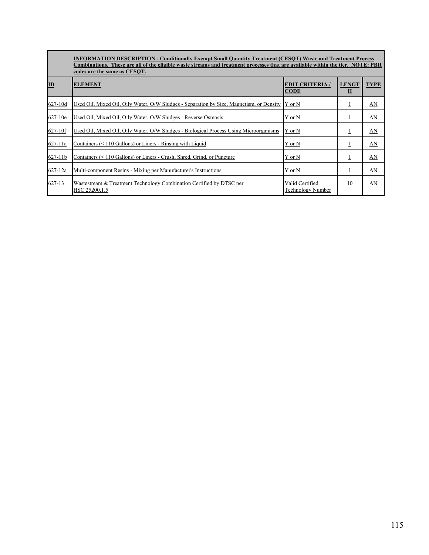|           | <b>INFORMATION DESCRIPTION - Conditionally Exempt Small Quantity Treatment (CESQT) Waste and Treatment Process</b><br>Combinations. These are all of the eligible waste streams and treatment processes that are available within the tier. NOTE: PBR<br>codes are the same as CESQT. |                                       |                                         |             |
|-----------|---------------------------------------------------------------------------------------------------------------------------------------------------------------------------------------------------------------------------------------------------------------------------------------|---------------------------------------|-----------------------------------------|-------------|
| ID        | <b>ELEMENT</b>                                                                                                                                                                                                                                                                        | <b>EDIT CRITERIA</b> /<br><b>CODE</b> | <b>LENGT</b><br>$\overline{\mathbf{H}}$ | <b>TYPE</b> |
| 627-10d   | Used Oil, Mixed Oil, Oily Water, O/W Sludges - Separation by Size, Magnetism, or Density                                                                                                                                                                                              | Y or N                                | ±                                       | AN          |
| $627-10e$ | Used Oil, Mixed Oil, Oily Water, O/W Sludges - Reverse Osmosis                                                                                                                                                                                                                        | Y or N                                | ±                                       | AN          |
| 627-10f   | Used Oil, Mixed Oil, Oily Water, O/W Sludges - Biological Process Using Microorganisms                                                                                                                                                                                                | Y or N                                | ⊥                                       | AN          |
| 627-11a   | Containers $(< 110$ Gallons) or Liners - Rinsing with Liquid                                                                                                                                                                                                                          | Y or N                                |                                         | AN          |
| 627-11b   | Containers (< 110 Gallons) or Liners - Crush, Shred, Grind, or Puncture                                                                                                                                                                                                               | Y or N                                | ⊥                                       | AN          |
| 627-12a   | Multi-component Resins - Mixing per Manufacturer's Instructions                                                                                                                                                                                                                       | Y or N                                | ⊥                                       | AN          |
| 627-13    | Wastestream & Treatment Technology Combination Certified by DTSC per<br>HSC 25200.1.5                                                                                                                                                                                                 | Valid Certified<br>Technology Number  | 10                                      | AN          |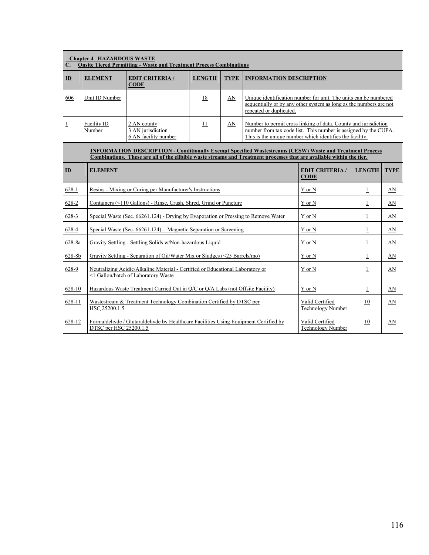| $\mathbf{C}$ . | <b>Chapter 4 HAZARDOUS WASTE</b><br><b>Onsite Tiered Permitting - Waste and Treatment Process Combinations</b>                                                                                                                           |                                                                                                                       |                                       |               |                                                                                                                                                                                                |                                                                                                                                        |                |    |  |  |  |
|----------------|------------------------------------------------------------------------------------------------------------------------------------------------------------------------------------------------------------------------------------------|-----------------------------------------------------------------------------------------------------------------------|---------------------------------------|---------------|------------------------------------------------------------------------------------------------------------------------------------------------------------------------------------------------|----------------------------------------------------------------------------------------------------------------------------------------|----------------|----|--|--|--|
| ID             | <b>ELEMENT</b>                                                                                                                                                                                                                           | <b>EDIT CRITERIA/</b><br><b>CODE</b>                                                                                  | <b>LENGTH</b>                         | <b>TYPE</b>   |                                                                                                                                                                                                | <b>INFORMATION DESCRIPTION</b>                                                                                                         |                |    |  |  |  |
| 606            | Unit ID Number                                                                                                                                                                                                                           |                                                                                                                       | 18                                    | AN            | repeated or duplicated.                                                                                                                                                                        | Unique identification number for unit. The units can be numbered<br>sequentially or by any other system as long as the numbers are not |                |    |  |  |  |
| $\perp$        | Facility ID<br>Number                                                                                                                                                                                                                    | 2 AN county<br>3 AN jurisdiction<br>6 AN facility number                                                              | 11                                    | AN            | Number to permit cross linking of data. County and jurisdiction<br>number from tax code list. This number is assigned by the CUPA.<br>This is the unique number which identifies the facility. |                                                                                                                                        |                |    |  |  |  |
|                | <b>INFORMATION DESCRIPTION - Conditionally Exempt Specified Wastestreams (CESW) Waste and Treatment Process</b><br>Combinations. These are all of the elibible waste streams and Treatment processes that are available within the tier. |                                                                                                                       |                                       |               |                                                                                                                                                                                                |                                                                                                                                        |                |    |  |  |  |
| $\mathbf{D}$   | <b>ELEMENT</b>                                                                                                                                                                                                                           |                                                                                                                       | <b>EDIT CRITERIA /</b><br><b>CODE</b> | <b>LENGTH</b> | <b>TYPE</b>                                                                                                                                                                                    |                                                                                                                                        |                |    |  |  |  |
| $628-1$        |                                                                                                                                                                                                                                          | Resins - Mixing or Curing per Manufacturer's Instructions                                                             |                                       |               |                                                                                                                                                                                                | Y or N                                                                                                                                 | $\perp$        | AN |  |  |  |
| 628-2          |                                                                                                                                                                                                                                          | Containers (<110 Gallons) - Rinse, Crush, Shred, Grind or Puncture                                                    |                                       |               |                                                                                                                                                                                                | Y or N                                                                                                                                 | $\perp$        | AN |  |  |  |
| 628-3          |                                                                                                                                                                                                                                          | Special Waste (Sec. 66261.124) - Drying by Evaporation or Pressing to Remove Water                                    |                                       |               |                                                                                                                                                                                                | Y or N                                                                                                                                 | $\perp$        | AN |  |  |  |
| 628-4          |                                                                                                                                                                                                                                          | Special Waste (Sec. 66261.124) - Magnetic Separation or Screening                                                     |                                       |               |                                                                                                                                                                                                | Y or N                                                                                                                                 | $\perp$        | AN |  |  |  |
| 628-8a         |                                                                                                                                                                                                                                          | Gravity Settling - Settling Solids w/Non-hazardous Liquid                                                             |                                       |               |                                                                                                                                                                                                | Y or N                                                                                                                                 | $\overline{1}$ | AN |  |  |  |
| 628-8b         |                                                                                                                                                                                                                                          | Gravity Settling - Separation of Oil/Water Mix or Sludges $(\leq 25$ Barrels/mo)                                      |                                       |               |                                                                                                                                                                                                | Y or N                                                                                                                                 | $\perp$        | AN |  |  |  |
| 628-9          |                                                                                                                                                                                                                                          | Neutralizing Acidic/Alkaline Material - Certified or Educational Laboratory or<br><1 Gallon/batch of Laboratory Waste |                                       |               |                                                                                                                                                                                                | Y or N                                                                                                                                 | $\perp$        | AN |  |  |  |
| 628-10         |                                                                                                                                                                                                                                          | Hazardous Waste Treatment Carried Out in O/C or O/A Labs (not Offsite Facility)                                       |                                       |               |                                                                                                                                                                                                | Y or N                                                                                                                                 | $\perp$        | AN |  |  |  |
| 628-11         | HSC 25200.1.5                                                                                                                                                                                                                            | Wastestream & Treatment Technology Combination Certified by DTSC per                                                  |                                       |               |                                                                                                                                                                                                | Valid Certified<br><b>Technology Number</b>                                                                                            | 10             | AN |  |  |  |
| 628-12         | DTSC per HSC 25200.1.5                                                                                                                                                                                                                   | Formaldehyde / Glutaraldehyde by Healthcare Facilities Using Equipment Certified by                                   |                                       |               |                                                                                                                                                                                                | Valid Certified<br><b>Technology Number</b>                                                                                            | 10             | AN |  |  |  |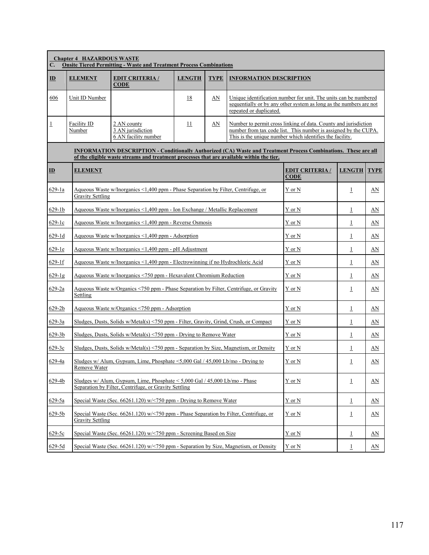| C.                        | <b>Chapter 4 HAZARDOUS WASTE</b> | <b>Onsite Tiered Permitting - Waste and Treatment Process Combinations</b>                                                                                                                                   |               |             |                                                                                                                                                                                                |                                                                                                                                        |                |                         |  |
|---------------------------|----------------------------------|--------------------------------------------------------------------------------------------------------------------------------------------------------------------------------------------------------------|---------------|-------------|------------------------------------------------------------------------------------------------------------------------------------------------------------------------------------------------|----------------------------------------------------------------------------------------------------------------------------------------|----------------|-------------------------|--|
| $\mathbf{D}$              | <b>ELEMENT</b>                   | <b>EDIT CRITERIA/</b><br>$CODE$                                                                                                                                                                              | <b>LENGTH</b> | <b>TYPE</b> | <b>INFORMATION DESCRIPTION</b>                                                                                                                                                                 |                                                                                                                                        |                |                         |  |
| 606                       | Unit ID Number                   |                                                                                                                                                                                                              | 18            | AN          | repeated or duplicated.                                                                                                                                                                        | Unique identification number for unit. The units can be numbered<br>sequentially or by any other system as long as the numbers are not |                |                         |  |
| $\overline{1}$            | Facility ID<br>Number            | 2 AN county<br>3 AN jurisdiction<br>6 AN facility number                                                                                                                                                     | 11            | AN          | Number to permit cross linking of data. County and jurisdiction<br>number from tax code list. This number is assigned by the CUPA.<br>This is the unique number which identifies the facility. |                                                                                                                                        |                |                         |  |
|                           |                                  | INFORMATION DESCRIPTION - Conditionally Authorized (CA) Waste and Treatment Process Combinations. These are all<br>of the eligible waste streams and treatment processes that are available within the tier. |               |             |                                                                                                                                                                                                |                                                                                                                                        |                |                         |  |
| $\underline{\mathbf{ID}}$ | <b>ELEMENT</b>                   |                                                                                                                                                                                                              |               |             |                                                                                                                                                                                                | <b>EDIT CRITERIA /</b><br><b>CODE</b>                                                                                                  | <b>LENGTH</b>  | TYPE                    |  |
| 629-1a                    | <b>Gravity Settling</b>          | Aqueous Waste w/Inorganics <1,400 ppm - Phase Separation by Filter, Centrifuge, or                                                                                                                           |               |             |                                                                                                                                                                                                | Y or N                                                                                                                                 | $\mathbf{1}$   | AN                      |  |
| $629-1b$                  |                                  | Aqueous Waste w/Inorganics <1,400 ppm - Ion Exchange / Metallic Replacement                                                                                                                                  |               |             |                                                                                                                                                                                                | Y or N                                                                                                                                 | $\perp$        | AN                      |  |
| 629-1c                    |                                  | Aqueous Waste w/Inorganics <1,400 ppm - Reverse Osmosis                                                                                                                                                      |               |             |                                                                                                                                                                                                | Y or N                                                                                                                                 | $\overline{1}$ | AN                      |  |
| $629 - 1d$                |                                  | Aqueous Waste w/Inorganics <1,400 ppm - Adsorption                                                                                                                                                           |               |             |                                                                                                                                                                                                | Y or N                                                                                                                                 | $\perp$        | AN                      |  |
| $629-1e$                  |                                  | Aqueous Waste w/Inorganics <1,400 ppm - pH Adjustment                                                                                                                                                        |               |             |                                                                                                                                                                                                | Y or N                                                                                                                                 | $\perp$        | AN                      |  |
| $629-1f$                  |                                  | Aqueous Waste w/Inorganics <1,400 ppm - Electrowinning if no Hydrochloric Acid                                                                                                                               |               |             |                                                                                                                                                                                                | Y or N                                                                                                                                 | $\overline{1}$ | AN                      |  |
| $629-1g$                  |                                  | Aqueous Waste w/Inorganics <750 ppm - Hexavalent Chromium Reduction                                                                                                                                          |               |             |                                                                                                                                                                                                | Y or N                                                                                                                                 | $\overline{1}$ | AN                      |  |
| $629 - 2a$                | Settling                         | Aqueous Waste w/Organics <750 ppm - Phase Separation by Filter, Centrifuge, or Gravity                                                                                                                       |               |             |                                                                                                                                                                                                | Y or N                                                                                                                                 | $\overline{1}$ | <u>AN</u>               |  |
| 629-2b                    |                                  | Aqueous Waste w/Organics <750 ppm - Adsorption                                                                                                                                                               |               |             |                                                                                                                                                                                                | Y or N                                                                                                                                 | $\overline{1}$ | AN                      |  |
| $629 - 3a$                |                                  | Sludges, Dusts, Solids w/Metal(s) <750 ppm - Filter, Gravity, Grind, Crush, or Compact                                                                                                                       |               |             |                                                                                                                                                                                                | Y or N                                                                                                                                 | $\overline{1}$ | AN                      |  |
| $629 - 3b$                |                                  | Sludges, Dusts, Solids w/Metal(s) <750 ppm - Drying to Remove Water                                                                                                                                          |               |             |                                                                                                                                                                                                | Y or N                                                                                                                                 | $\perp$        | AN                      |  |
| 629-3c                    |                                  | Sludges, Dusts, Solids w/Metal(s) <750 ppm - Separation by Size, Magnetism, or Density                                                                                                                       |               |             |                                                                                                                                                                                                | Y or N                                                                                                                                 | $\perp$        | AN                      |  |
| 629-4a                    | Remove Water                     | Sludges w/ Alum, Gypsum, Lime, Phosphate $\leq 5,000$ Gal / 45,000 Lb/mo - Drying to                                                                                                                         |               |             |                                                                                                                                                                                                | Y or N                                                                                                                                 | $\overline{1}$ | AN                      |  |
| 629-4b                    |                                  | Sludges w/ Alum, Gypsum, Lime, Phosphate $\leq 5,000$ Gal / 45,000 Lb/mo - Phase<br>Separation by Filter, Centrifuge, or Gravity Settling                                                                    |               |             |                                                                                                                                                                                                | Y or N                                                                                                                                 | $\overline{1}$ | $\underline{\text{AN}}$ |  |
| 629-5a                    |                                  | Special Waste (Sec. 66261.120) w/<750 ppm - Drying to Remove Water                                                                                                                                           |               |             |                                                                                                                                                                                                | Y or N                                                                                                                                 | $\perp$        | AN                      |  |
| $629 - 5b$                | <b>Gravity Settling</b>          | Special Waste (Sec. $66261.120$ ) w/<750 ppm - Phase Separation by Filter, Centrifuge, or                                                                                                                    |               |             |                                                                                                                                                                                                | Y or N                                                                                                                                 | $\overline{1}$ | AN                      |  |
| $629 - 5c$                |                                  | Special Waste (Sec. 66261.120) w/<750 ppm - Screening Based on Size                                                                                                                                          |               |             |                                                                                                                                                                                                | Y or N                                                                                                                                 | 1              | AN                      |  |
| $629 - 5d$                |                                  | Special Waste (Sec. 66261.120) w/<750 ppm - Separation by Size, Magnetism, or Density                                                                                                                        |               |             |                                                                                                                                                                                                | Y or N                                                                                                                                 | $\overline{1}$ | AN                      |  |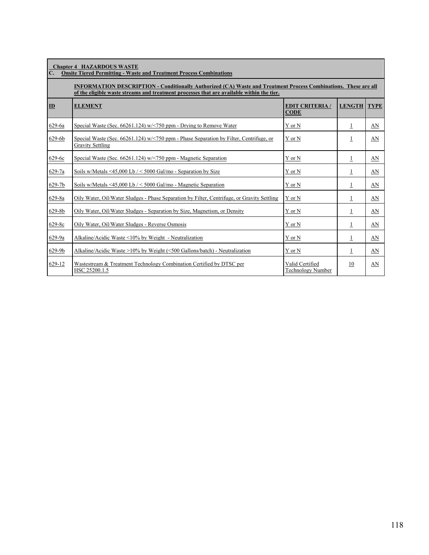| $\mathbf{C}$ . | <b>Chapter 4 HAZARDOUS WASTE</b><br><b>Onsite Tiered Permitting - Waste and Treatment Process Combinations</b>                                                                                               |                                             |                |             |  |  |  |  |  |
|----------------|--------------------------------------------------------------------------------------------------------------------------------------------------------------------------------------------------------------|---------------------------------------------|----------------|-------------|--|--|--|--|--|
|                | INFORMATION DESCRIPTION - Conditionally Authorized (CA) Waste and Treatment Process Combinations. These are all<br>of the eligible waste streams and treatment processes that are available within the tier. |                                             |                |             |  |  |  |  |  |
| ID             | <b>ELEMENT</b>                                                                                                                                                                                               | <b>EDIT CRITERIA /</b><br><b>CODE</b>       | <b>LENGTH</b>  | <b>TYPE</b> |  |  |  |  |  |
| 629-6a         | Special Waste (Sec. 66261.124) $w$ /<750 ppm - Drying to Remove Water                                                                                                                                        | Y or N                                      | $\overline{1}$ | AN          |  |  |  |  |  |
| 629-6b         | Special Waste (Sec. 66261.124) $w$ /<750 ppm - Phase Separation by Filter, Centrifuge, or<br><b>Gravity Settling</b>                                                                                         | Y or N                                      | 1              | AN          |  |  |  |  |  |
| 629-6c         | Special Waste (Sec. 66261.124) w/<750 ppm - Magnetic Separation                                                                                                                                              | Y or N                                      | 1              | AN          |  |  |  |  |  |
| 629-7a         | Soils w/Metals <45,000 Lb $/$ < 5000 Gal/mo - Separation by Size                                                                                                                                             | Y or N                                      | 1              | AN          |  |  |  |  |  |
| 629-7b         | Soils w/Metals <45,000 Lb $/$ < 5000 Gal/mo - Magnetic Separation                                                                                                                                            | Y or N                                      | 1              | AN          |  |  |  |  |  |
| 629-8a         | Oily Water, Oil/Water Sludges - Phase Separation by Filter, Centrifuge, or Gravity Settling                                                                                                                  | Y or N                                      | $\overline{1}$ | AN          |  |  |  |  |  |
| 629-8b         | Oily Water, Oil/Water Sludges - Separation by Size, Magnetism, or Density                                                                                                                                    | Y or N                                      | 1              | AN          |  |  |  |  |  |
| 629-8c         | Oily Water, Oil/Water Sludges - Reverse Osmosis                                                                                                                                                              | Y or N                                      | 1              | AN          |  |  |  |  |  |
| 629-9a         | Alkaline/Acidic Waste <10% by Weight - Neutralization                                                                                                                                                        | Y or N                                      | 1              | AN          |  |  |  |  |  |
| 629-9b         | Alkaline/Acidic Waste $>10\%$ by Weight (<500 Gallons/batch) - Neutralization                                                                                                                                | Y or N                                      | $\overline{1}$ | AN          |  |  |  |  |  |
| 629-12         | Wastestream & Treatment Technology Combination Certified by DTSC per<br>HSC 25200.1.5                                                                                                                        | Valid Certified<br><b>Technology Number</b> | 10             | AN          |  |  |  |  |  |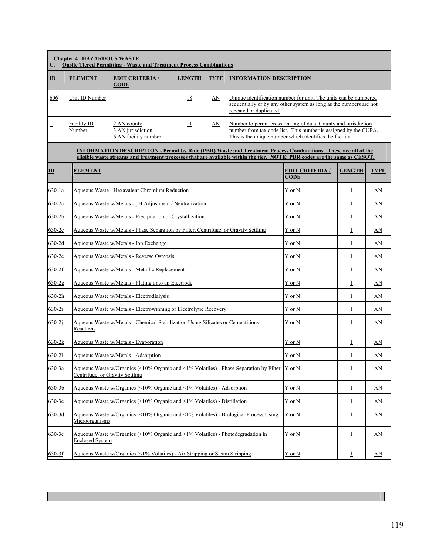| С.             | <b>Chapter 4 HAZARDOUS WASTE</b>                                                             | <b>Onsite Tiered Permitting - Waste and Treatment Process Combinations</b>                                                                                                                                                                        |               |             |                                |                                                                                                                                                                                                |                         |                  |  |  |
|----------------|----------------------------------------------------------------------------------------------|---------------------------------------------------------------------------------------------------------------------------------------------------------------------------------------------------------------------------------------------------|---------------|-------------|--------------------------------|------------------------------------------------------------------------------------------------------------------------------------------------------------------------------------------------|-------------------------|------------------|--|--|
| $\mathbf{I}$   | <b>ELEMENT</b>                                                                               | <b>EDIT CRITERIA/</b><br><b>CODE</b>                                                                                                                                                                                                              | <b>LENGTH</b> | <b>TYPE</b> | <b>INFORMATION DESCRIPTION</b> |                                                                                                                                                                                                |                         |                  |  |  |
| 606            | Unit ID Number                                                                               |                                                                                                                                                                                                                                                   | 18            | AN          | repeated or duplicated.        | Unique identification number for unit. The units can be numbered<br>sequentially or by any other system as long as the numbers are not                                                         |                         |                  |  |  |
| $\overline{1}$ | Facility ID<br>Number                                                                        | 2 AN county<br>3 AN jurisdiction<br>6 AN facility number                                                                                                                                                                                          | 11            | AN          |                                | Number to permit cross linking of data. County and jurisdiction<br>number from tax code list. This number is assigned by the CUPA.<br>This is the unique number which identifies the facility. |                         |                  |  |  |
|                |                                                                                              | <b>INFORMATION DESCRIPTION - Permit by Rule (PBR) Waste and Treatment Process Combinations. These are all of the</b><br>eligible waste streams and treatment processes that are available within the tier. NOTE: PBR codes are the same as CESOT. |               |             |                                |                                                                                                                                                                                                |                         |                  |  |  |
| ID             | <b>ELEMENT</b>                                                                               |                                                                                                                                                                                                                                                   |               |             |                                | <b>EDIT CRITERIA /</b><br><b>CODE</b>                                                                                                                                                          | <b>LENGTH</b>           | <b>TYPE</b>      |  |  |
| 630-1a         |                                                                                              | Aqueous Waste - Hexavalent Chromium Reduction                                                                                                                                                                                                     |               |             |                                | Y or N                                                                                                                                                                                         | $\perp$                 | AN               |  |  |
| 630-2a         |                                                                                              | Aqueous Waste w/Metals - pH Adjustment / Neutralization                                                                                                                                                                                           |               |             |                                | Y or N                                                                                                                                                                                         | $\perp$                 | AN               |  |  |
| $630 - 2b$     |                                                                                              | Aqueous Waste w/Metals - Precipitation or Crystallization                                                                                                                                                                                         |               |             |                                | Y or N                                                                                                                                                                                         | $\perp$                 | <u>AN</u>        |  |  |
| $630-2c$       |                                                                                              | Aqueous Waste w/Metals - Phase Separation by Filter, Centrifuge, or Gravity Settling                                                                                                                                                              |               |             |                                | Y or N                                                                                                                                                                                         | $\perp$                 | AN               |  |  |
| 630-2d         |                                                                                              | Aqueous Waste w/Metals - Ion Exchange                                                                                                                                                                                                             |               |             |                                | $\mathbf Y$ or $\mathbf N$                                                                                                                                                                     | $\overline{1}$          | AN               |  |  |
| 630-2e         |                                                                                              | Aqueous Waste w/Metals - Reverse Osmosis                                                                                                                                                                                                          |               |             |                                | Y or N                                                                                                                                                                                         | $\overline{1}$          | AN               |  |  |
| 630-2f         |                                                                                              | Aqueous Waste w/Metals - Metallic Replacement                                                                                                                                                                                                     | Y or N        | $\mathbf 1$ | AN                             |                                                                                                                                                                                                |                         |                  |  |  |
| $630 - 2g$     |                                                                                              | Aqueous Waste w/Metals - Plating onto an Electrode                                                                                                                                                                                                | Y or N        | $\perp$     | AN                             |                                                                                                                                                                                                |                         |                  |  |  |
| $630 - 2h$     |                                                                                              | Aqueous Waste w/Metals - Electrodialysis                                                                                                                                                                                                          |               |             |                                | Y or N                                                                                                                                                                                         | $\overline{\mathbf{1}}$ | AN               |  |  |
| $630-2i$       |                                                                                              | Aqueous Waste w/Metals - Electrowinning or Electrolytic Recovery                                                                                                                                                                                  |               |             |                                | Y or N                                                                                                                                                                                         | $\perp$                 | $_{\Delta N}$    |  |  |
| $630 - 2j$     | Aqueous Waste w/Metals - Chemical Stabilization Using Silicates or Cementitious<br>Reactions | Y or N                                                                                                                                                                                                                                            | $\perp$       | AN          |                                |                                                                                                                                                                                                |                         |                  |  |  |
| $630 - 2k$     |                                                                                              | Aqueous Waste w/Metals - Evaporation                                                                                                                                                                                                              |               |             |                                | Y or N                                                                                                                                                                                         | $\perp$                 | AN               |  |  |
| 630-21         |                                                                                              | Aqueous Waste w/Metals - Adsorption                                                                                                                                                                                                               |               |             |                                | Y or N                                                                                                                                                                                         | $\perp$                 | AN               |  |  |
| 630-3a         | Centrifuge, or Gravity Settling                                                              | Aqueous Waste w/Organics (<10% Organic and <1% Volatiles) - Phase Separation by Filter, $\overline{Y}$ or N                                                                                                                                       |               |             |                                |                                                                                                                                                                                                | $\underline{1}$         | AN               |  |  |
| 630-3b         |                                                                                              | Aqueous Waste w/Organics (<10% Organic and <1% Volatiles) - Adsorption                                                                                                                                                                            |               |             |                                | Y or N                                                                                                                                                                                         | $\underline{1}$         | AN               |  |  |
| 630-3c         |                                                                                              | Aqueous Waste w/Organics (<10% Organic and <1% Volatiles) - Distillation                                                                                                                                                                          |               |             |                                | Y or N                                                                                                                                                                                         | $\overline{1}$          | AN               |  |  |
| 630-3d         | Microorganisms                                                                               | Aqueous Waste w/Organics (<10% Organic and <1% Volatiles) - Biological Process Using                                                                                                                                                              |               |             |                                | Y or N                                                                                                                                                                                         | $\overline{1}$          | AN               |  |  |
| $630 - 3e$     | <b>Enclosed System</b>                                                                       | Aqueous Waste w/Organics (<10% Organic and <1% Volatiles) - Photodegradation in                                                                                                                                                                   |               |             |                                | Y or N                                                                                                                                                                                         | $\overline{1}$          | $\underline{AN}$ |  |  |
| $630-3f$       |                                                                                              | Aqueous Waste w/Organics (<1% Volatiles) - Air Stripping or Steam Stripping                                                                                                                                                                       |               |             |                                | Y or N                                                                                                                                                                                         | $\overline{1}$          | $\Delta \rm N$   |  |  |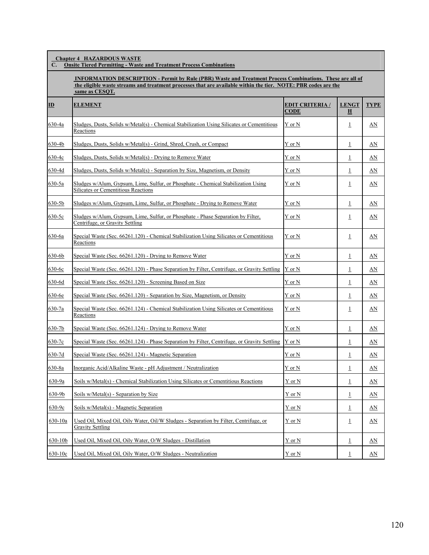**Chapter 4 HAZARDOUS WASTE**

**C. Onsite Tiered Permitting - Waste and Treatment Process Combinations**

 **INFORMATION DESCRIPTION - Permit by Rule (PBR) Waste and Treatment Process Combinations. These are all of the eligible waste streams and treatment processes that are available within the tier. NOTE: PBR codes are the same as CESQT.**

| ID          | <b>ELEMENT</b>                                                                                                                  | <b>EDIT CRITERIA /</b><br><b>CODE</b> | <b>LENGT</b><br>Н | <b>TYPE</b> |
|-------------|---------------------------------------------------------------------------------------------------------------------------------|---------------------------------------|-------------------|-------------|
| 630-4a      | Sludges, Dusts, Solids w/Metal(s) - Chemical Stabilization Using Silicates or Cementitious<br>Reactions                         | Y or N                                | $\perp$           | AN          |
| 630-4b      | Sludges, Dusts, Solids w/Metal(s) - Grind, Shred, Crush, or Compact                                                             | Y or N                                | $\perp$           | AN          |
| 630-4c      | Sludges, Dusts, Solids w/Metal(s) - Drying to Remove Water                                                                      | Y or N                                | $\perp$           | AN          |
| $630 - 4d$  | Sludges, Dusts, Solids w/Metal(s) - Separation by Size, Magnetism, or Density                                                   | Y or N                                | $\perp$           | AN          |
| 630-5a      | Sludges w/Alum, Gypsum, Lime, Sulfur, or Phosphate - Chemical Stabilization Using<br><b>Silicates or Cementitious Reactions</b> | Y or N                                | $\perp$           | AN          |
| $630 - 5b$  | Sludges w/Alum, Gypsum, Lime, Sulfur, or Phosphate - Drying to Remove Water                                                     | Y or N                                | $\perp$           | AN          |
| 630-5c      | Sludges w/Alum, Gypsum, Lime, Sulfur, or Phosphate - Phase Separation by Filter,<br>Centrifuge, or Gravity Settling             | Y or N                                | $\perp$           | AN          |
| 630-6a      | Special Waste (Sec. 66261.120) - Chemical Stabilization Using Silicates or Cementitious<br>Reactions                            | Y or N                                | $\mathbf{1}$      | AN          |
| 630-6b      | Special Waste (Sec. 66261.120) - Drying to Remove Water                                                                         | Y or N                                | 1                 | AN          |
| $630 - 6c$  | Special Waste (Sec. 66261.120) - Phase Separation by Filter, Centrifuge, or Gravity Settling $Y$ or N                           |                                       | $\mathbf{1}$      | AN          |
| 630-6d      | Special Waste (Sec. 66261.120) - Screening Based on Size                                                                        | Y or N                                | $\perp$           | AN          |
| 630-6e      | Special Waste (Sec. 66261.120) - Separation by Size, Magnetism, or Density                                                      | Y or N                                | $\overline{1}$    | AN          |
| 630-7a      | Special Waste (Sec. 66261.124) - Chemical Stabilization Using Silicates or Cementitious<br>Reactions                            | Y or N                                | $\perp$           | AN          |
| $630 - 7b$  | Special Waste (Sec. 66261.124) - Drying to Remove Water                                                                         | Y or N                                | $\overline{1}$    | AN          |
| 630-7c      | Special Waste (Sec. 66261.124) - Phase Separation by Filter, Centrifuge, or Gravity Settling                                    | Y or N                                | $\mathbf{1}$      | AN          |
| 630-7d      | Special Waste (Sec. 66261.124) - Magnetic Separation                                                                            | Y or N                                | $\perp$           | AN          |
| 630-8a      | Inorganic Acid/Alkaline Waste - pH Adjustment / Neutralization                                                                  | Y or N                                | $\mathbf 1$       | AN          |
| 630-9a      | Soils w/Metal(s) - Chemical Stabilization Using Silicates or Cementitious Reactions                                             | Y or N                                | $\mathbf{1}$      | AN          |
| 630-9b      | Soils w/Metal(s) - Separation by Size                                                                                           | Y or N                                | $\perp$           | AN          |
| 630-9c      | Soils w/Metal(s) - Magnetic Separation                                                                                          | Y or N                                | $\perp$           | AN          |
| 630-10a     | Used Oil, Mixed Oil, Oily Water, Oil/W Sludges - Separation by Filter, Centrifuge, or<br><b>Gravity Settling</b>                | Y or N                                | $\overline{1}$    | <u>AN</u>   |
| 630-10b     | Used Oil, Mixed Oil, Oily Water, O/W Sludges - Distillation                                                                     | Y or N                                | $\perp$           | AN          |
| $630 - 10c$ | Used Oil, Mixed Oil, Oily Water, O/W Sludges - Neutralization                                                                   | Y or N                                | $\mathbf 1$       | AN          |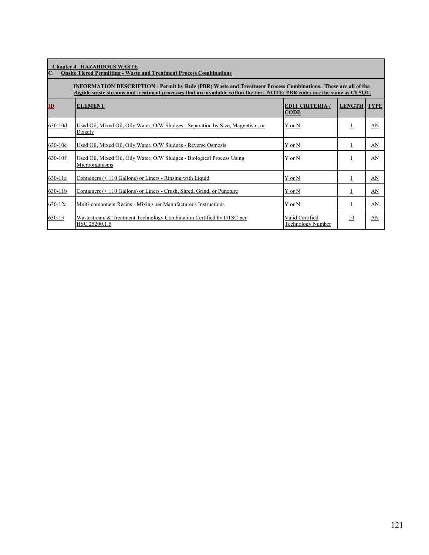| $\mathbf{C}$ . | <b>Chapter 4 HAZARDOUS WASTE</b><br><b>Onsite Tiered Permitting - Waste and Treatment Process Combinations</b>                                                                                                                                    |                                             |                |             |  |  |  |  |
|----------------|---------------------------------------------------------------------------------------------------------------------------------------------------------------------------------------------------------------------------------------------------|---------------------------------------------|----------------|-------------|--|--|--|--|
|                | <b>INFORMATION DESCRIPTION - Permit by Rule (PBR) Waste and Treatment Process Combinations. These are all of the</b><br>eligible waste streams and treatment processes that are available within the tier. NOTE: PBR codes are the same as CESQT. |                                             |                |             |  |  |  |  |
| $\mathbf{ID}$  | <b>ELEMENT</b>                                                                                                                                                                                                                                    | <b>EDIT CRITERIA /</b><br><b>CODE</b>       | <b>LENGTH</b>  | <b>TYPE</b> |  |  |  |  |
| 630-10d        | Used Oil, Mixed Oil, Oily Water, O/W Sludges - Separation by Size, Magnetism, or<br>Density                                                                                                                                                       | Y or N                                      | 1              | AN          |  |  |  |  |
| 630-10e        | Used Oil, Mixed Oil, Oily Water, O/W Sludges - Reverse Osmosis                                                                                                                                                                                    | Y or N                                      | $\mathbf{1}$   | AN          |  |  |  |  |
| 630-10f        | Used Oil, Mixed Oil, Oily Water, O/W Sludges - Biological Process Using<br>Microorganisms                                                                                                                                                         | Y or N                                      | 1              | AN          |  |  |  |  |
| 630-11a        | Containers $(< 110$ Gallons) or Liners - Rinsing with Liquid                                                                                                                                                                                      | Y or N                                      | $\overline{1}$ | AN          |  |  |  |  |
| 630-11b        | Containers (< 110 Gallons) or Liners - Crush, Shred, Grind, or Puncture                                                                                                                                                                           | Y or N                                      | 1              | AN          |  |  |  |  |
| 630-12a        | Multi-component Resins - Mixing per Manufacturer's Instructions                                                                                                                                                                                   | Y or N                                      | 1              | AN          |  |  |  |  |
| 630-13         | Wastestream & Treatment Technology Combination Certified by DTSC per<br>HSC 25200.1.5                                                                                                                                                             | Valid Certified<br><b>Technology Number</b> | 10             | AN          |  |  |  |  |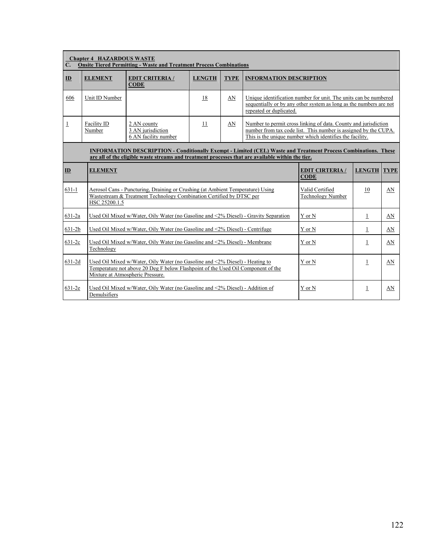| $\mathbf{C}$ . | <b>Chapter 4 HAZARDOUS WASTE</b><br><b>Onsite Tiered Permitting - Waste and Treatment Process Combinations</b>                                                                                                             |                                                                                                                                                                                                      |    |    |        |                                                                                                                                                                                                |               |             |
|----------------|----------------------------------------------------------------------------------------------------------------------------------------------------------------------------------------------------------------------------|------------------------------------------------------------------------------------------------------------------------------------------------------------------------------------------------------|----|----|--------|------------------------------------------------------------------------------------------------------------------------------------------------------------------------------------------------|---------------|-------------|
| ID             | <b>ELEMENT</b>                                                                                                                                                                                                             | <b>EDIT CRITERIA /</b><br><b>LENGTH</b><br><b>TYPE</b><br><b>INFORMATION DESCRIPTION</b><br><b>CODE</b>                                                                                              |    |    |        |                                                                                                                                                                                                |               |             |
| 606            | 18<br>Unique identification number for unit. The units can be numbered<br>Unit ID Number<br>AN<br>sequentially or by any other system as long as the numbers are not<br>repeated or duplicated.                            |                                                                                                                                                                                                      |    |    |        |                                                                                                                                                                                                |               |             |
| $\overline{1}$ | Facility ID<br>Number                                                                                                                                                                                                      | 2 AN county<br>3 AN jurisdiction<br>6 AN facility number                                                                                                                                             | 11 | AN |        | Number to permit cross linking of data. County and jurisdiction<br>number from tax code list. This number is assigned by the CUPA.<br>This is the unique number which identifies the facility. |               |             |
|                | <b>INFORMATION DESCRIPTION - Conditionally Exempt - Limited (CEL) Waste and Treatment Process Combinations. These</b><br>are all of the eligible waste streams and treatment processes that are available within the tier. |                                                                                                                                                                                                      |    |    |        |                                                                                                                                                                                                |               |             |
| ID             | <b>ELEMENT</b>                                                                                                                                                                                                             |                                                                                                                                                                                                      |    |    |        | <b>EDIT CIRTERIA/</b><br><b>CODE</b>                                                                                                                                                           | <b>LENGTH</b> | <b>TYPE</b> |
| $631 - 1$      | HSC 25200.1.5                                                                                                                                                                                                              | Aerosol Cans - Puncturing, Draining or Crushing (at Ambient Temperature) Using<br>Wastestream & Treatment Technology Combination Certified by DTSC per                                               |    |    |        | Valid Certified<br><b>Technology Number</b>                                                                                                                                                    | 10            | AN          |
| 631-2a         |                                                                                                                                                                                                                            | Used Oil Mixed w/Water, Oily Water (no Gasoline and <2% Diesel) - Gravity Separation                                                                                                                 |    |    |        | Y or N                                                                                                                                                                                         | $\mathbf 1$   | AN          |
| $631 - 2b$     |                                                                                                                                                                                                                            | Used Oil Mixed w/Water, Oily Water (no Gasoline and <2% Diesel) - Centrifuge                                                                                                                         |    |    |        | Y or N                                                                                                                                                                                         | $\perp$       | AN          |
| $631 - 2c$     | Used Oil Mixed w/Water, Oily Water (no Gasoline and <2% Diesel) - Membrane<br>Technology                                                                                                                                   |                                                                                                                                                                                                      |    |    |        | Y or N                                                                                                                                                                                         | 1             | AN          |
| $631 - 2d$     |                                                                                                                                                                                                                            | Used Oil Mixed w/Water, Oily Water (no Gasoline and <2% Diesel) - Heating to<br>Temperature not above 20 Deg F below Flashpoint of the Used Oil Component of the<br>Mixture at Atmospheric Pressure. |    |    | Y or N | 1                                                                                                                                                                                              | AN            |             |
| 631-2e         | Demulsifiers                                                                                                                                                                                                               | Used Oil Mixed w/Water, Oily Water (no Gasoline and <2% Diesel) - Addition of                                                                                                                        |    |    |        | Y or N                                                                                                                                                                                         | 1             | AN          |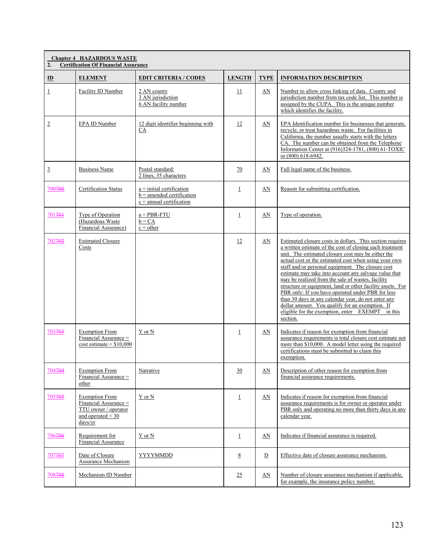| 2.             | <b>Chapter 4 HAZARDOUS WASTE</b><br><b>Certification Of Financial Assurance</b>                             |                                                                                          |                    |             |                                                                                                                                                                                                                                                                                                                                                                                                                                                                                                                                                                                                                                                                                                      |  |  |
|----------------|-------------------------------------------------------------------------------------------------------------|------------------------------------------------------------------------------------------|--------------------|-------------|------------------------------------------------------------------------------------------------------------------------------------------------------------------------------------------------------------------------------------------------------------------------------------------------------------------------------------------------------------------------------------------------------------------------------------------------------------------------------------------------------------------------------------------------------------------------------------------------------------------------------------------------------------------------------------------------------|--|--|
| $\mathbf{D}$   | <b>ELEMENT</b>                                                                                              | <b>EDIT CRITERIA / CODES</b>                                                             | <b>LENGTH</b>      | <b>TYPE</b> | <b>INFORMATION DESCRIPTION</b>                                                                                                                                                                                                                                                                                                                                                                                                                                                                                                                                                                                                                                                                       |  |  |
| $\perp$        | Facility ID Number                                                                                          | 2 AN county<br>3 AN jurisdiction<br>6 AN facility number                                 | 11                 | AN          | Number to allow cross linking of data. County and<br>jurisdiction number from tax code list. This number is<br>assigned by the CUPA. This is the unique number<br>which identifies the facility.                                                                                                                                                                                                                                                                                                                                                                                                                                                                                                     |  |  |
| $\overline{2}$ | EPA ID Number                                                                                               | 12 digit identifier beginning with<br>CA                                                 | 12                 | AN          | EPA Identification number for businesses that generate,<br>recycle, or treat hazardous waste. For facilities in<br>California, the number usually starts with the letters<br>CA. The number can be obtained from the Telephone<br>Information Center at (916)324-1781, (800) 61-TOXIC<br>or (800) 618-6942.                                                                                                                                                                                                                                                                                                                                                                                          |  |  |
| $\overline{3}$ | <b>Business Name</b>                                                                                        | Postal standard:<br>2 lines, 35 characters                                               | 70                 | AN          | Full legal name of the business.                                                                                                                                                                                                                                                                                                                                                                                                                                                                                                                                                                                                                                                                     |  |  |
| 700700         | <b>Certification Status</b>                                                                                 | $a = initial$ certification<br>$b =$ amended certification<br>$c =$ annual certification | $\overline{\perp}$ | AN          | Reason for submitting certification.                                                                                                                                                                                                                                                                                                                                                                                                                                                                                                                                                                                                                                                                 |  |  |
| 701701         | Type of Operation<br>(Hazardous Waste<br>Financial Assurance)                                               | $a = PBR-FTU$<br>$b = CA$<br>$c = other$                                                 | $\perp$            | AN          | Type of operation.                                                                                                                                                                                                                                                                                                                                                                                                                                                                                                                                                                                                                                                                                   |  |  |
| 702702         | <b>Estimated Closure</b><br>Costs                                                                           |                                                                                          | 12                 | AN          | Estimated closure costs in dollars. This section requires<br>a written estimate of the cost of closing each treatment<br>unit. The estimated closure cost may be either the<br>actual cost or the estimated cost when using your own<br>staff and/or personal equipment. The closure cost<br>estimate may take into account any salvage value that<br>may be realized from the sale of wastes, facility<br>structure or equipment, land or other facility assets. For<br>PBR only: If you have operated under PBR for less<br>than 30 days in any calendar year, do not enter any<br>dollar amount. You qualify for an exemption. If<br>eligible for the exemption, enter EXEMPT in this<br>section. |  |  |
| 703703         | <b>Exemption From</b><br>Financial Assurance =<br>$cost$ estimate $\leq$ \$10,000                           | Y or N                                                                                   | $\perp$            | AN          | Indicates if reason for exemption from financial<br>assurance requirements is total closure cost estimate not<br>more than \$10,000. A model letter using the required<br>certifications must be submitted to claim this<br>exemption.                                                                                                                                                                                                                                                                                                                                                                                                                                                               |  |  |
| 704704         | <b>Exemption From</b><br>Financial Assurance =<br>other                                                     | Narrative                                                                                | 30                 | AN          | Description of other reason for exemption from<br>financial assurance requirements.                                                                                                                                                                                                                                                                                                                                                                                                                                                                                                                                                                                                                  |  |  |
| 705705         | <b>Exemption From</b><br>Financial Assurance =<br>TTU owner / operator<br>and operated $\leq$ 30<br>days/yr | Y or N                                                                                   | $\overline{1}$     | AN          | Indicates if reason for exemption from financial<br>assurance requirements is for owner or operator under<br>PBR only and operating no more than thirty days in any<br>calendar year.                                                                                                                                                                                                                                                                                                                                                                                                                                                                                                                |  |  |
| 706706         | Requirement for<br><b>Financial Assurance</b>                                                               | Y or N                                                                                   | $\perp$            | <u>AN</u>   | Indicates if financial assurance is required.                                                                                                                                                                                                                                                                                                                                                                                                                                                                                                                                                                                                                                                        |  |  |
| 707707         | Date of Closure<br>Assurance Mechanism                                                                      | YYYYMMDD                                                                                 | 8                  | D           | Effective date of closure assurance mechanism.                                                                                                                                                                                                                                                                                                                                                                                                                                                                                                                                                                                                                                                       |  |  |
| 708708         | Mechanism ID Number                                                                                         |                                                                                          | 25                 | AN          | Number of closure assurance mechanism if applicable,<br>for example, the insurance policy number.                                                                                                                                                                                                                                                                                                                                                                                                                                                                                                                                                                                                    |  |  |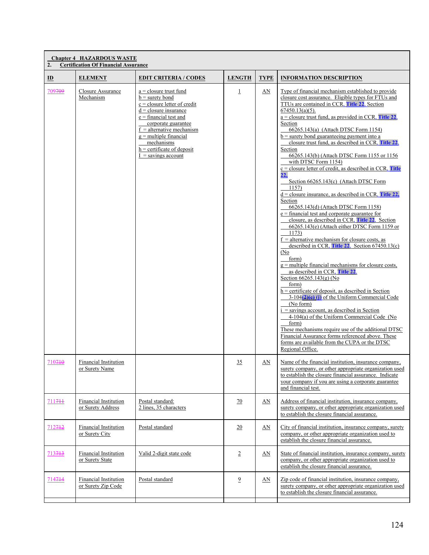| 2.                 | <b>Chapter 4 HAZARDOUS WASTE</b><br><b>Certification Of Financial Assurance</b> |                                                                                                                                                                                                                                                                                                 |                 |             |                                                                                                                                                                                                                                                                                                                                                                                                                                                                                                                                                                                                                                                                                                                                                                                                                                                                                                                                                                                                                                                                                                                                                                                                                                                                                                                                                                                                                                                                                                                                                                                        |  |  |  |
|--------------------|---------------------------------------------------------------------------------|-------------------------------------------------------------------------------------------------------------------------------------------------------------------------------------------------------------------------------------------------------------------------------------------------|-----------------|-------------|----------------------------------------------------------------------------------------------------------------------------------------------------------------------------------------------------------------------------------------------------------------------------------------------------------------------------------------------------------------------------------------------------------------------------------------------------------------------------------------------------------------------------------------------------------------------------------------------------------------------------------------------------------------------------------------------------------------------------------------------------------------------------------------------------------------------------------------------------------------------------------------------------------------------------------------------------------------------------------------------------------------------------------------------------------------------------------------------------------------------------------------------------------------------------------------------------------------------------------------------------------------------------------------------------------------------------------------------------------------------------------------------------------------------------------------------------------------------------------------------------------------------------------------------------------------------------------------|--|--|--|
| $\mathbf{D}$       | <b>ELEMENT</b>                                                                  | <b>EDIT CRITERIA / CODES</b>                                                                                                                                                                                                                                                                    | <b>LENGTH</b>   | <b>TYPE</b> | <b>INFORMATION DESCRIPTION</b>                                                                                                                                                                                                                                                                                                                                                                                                                                                                                                                                                                                                                                                                                                                                                                                                                                                                                                                                                                                                                                                                                                                                                                                                                                                                                                                                                                                                                                                                                                                                                         |  |  |  |
| 709709             | Closure Assurance<br>Mechanism                                                  | $a = closure$ trust fund<br>$b =$ surety bond<br>$c = closure$ letter of credit<br>$d = closure$ insurance<br>$e =$ financial test and<br>corporate guarantee<br>$f =$ alternative mechanism<br>$g =$ multiple financial<br>mechanisms<br>$h =$ certificate of deposit<br>$I =$ savings account | $\perp$         | AN          | Type of financial mechanism established to provide<br>closure cost assurance. Eligible types for FTUs and<br>TTUs are contained in CCR, Title 22, Section<br>$67450.13(a)(5)$ .<br>$a =$ closure trust fund, as provided in CCR, Title 22,<br>Section<br>66265.143(a) (Attach DTSC Form 1154)<br>$b$ = surety bond guaranteeing payment into a<br>closure trust fund, as described in CCR, Title 22.<br>Section<br>66265.143(b) (Attach DTSC Form 1155 or 1156<br>with DTSC Form 1154)<br>$c$ = closure letter of credit, as described in CCR, Title<br>22,<br>Section 66265.143(c) (Attach DTSC Form<br>1157)<br>$d =$ closure insurance, as described in CCR, Title 22,<br>Section<br>66265.143(d) (Attach DTSC Form 1158)<br>$e =$ financial test and corporate guarantee for<br>closure, as described in CCR, <b>Title 22</b> , Section<br>66265.143(e) (Attach either DTSC Form 1159 or<br>1173)<br>$f =$ alternative mechanism for closure costs, as<br>described in CCR, Title 22. Section 67450.13(c)<br>(No)<br>form)<br>$g =$ multiple financial mechanisms for closure costs,<br>as described in CCR, Title 22,<br>Section $66265.143(g)$ (No<br>form)<br>$h =$ certificate of deposit, as described in Section<br>$3-104(2)(e)$ (i) of the Uniform Commercial Code<br>(No form)<br>$i =$ savings account, as described in Section<br>4-104(a) of the Uniform Commercial Code (No<br>form)<br>These mechanisms require use of the additional DTSC<br>Financial Assurance forms referenced above. These<br>forms are available from the CUPA or the DTSC<br>Regional Office. |  |  |  |
| 710710             | <b>Financial Institution</b><br><u>or Surety Name</u>                           |                                                                                                                                                                                                                                                                                                 | 35              | AN          | Name of the financial institution, insurance company,<br>surety company, or other appropriate organization used<br>to establish the closure financial assurance. Indicate<br>your company if you are using a corporate guarantee<br>and financial test.                                                                                                                                                                                                                                                                                                                                                                                                                                                                                                                                                                                                                                                                                                                                                                                                                                                                                                                                                                                                                                                                                                                                                                                                                                                                                                                                |  |  |  |
| $7117 +$           | Financial Institution<br>or Surety Address                                      | Postal standard:<br>2 lines, 35 characters                                                                                                                                                                                                                                                      | $\overline{20}$ | AN          | Address of financial institution, insurance company,<br>surety company, or other appropriate organization used<br>to establish the closure financial assurance.                                                                                                                                                                                                                                                                                                                                                                                                                                                                                                                                                                                                                                                                                                                                                                                                                                                                                                                                                                                                                                                                                                                                                                                                                                                                                                                                                                                                                        |  |  |  |
| 712 <del>712</del> | Financial Institution<br>or Surety City                                         | Postal standard                                                                                                                                                                                                                                                                                 | 20              | AN          | City of financial institution, insurance company, surety<br>company, or other appropriate organization used to<br>establish the closure financial assurance.                                                                                                                                                                                                                                                                                                                                                                                                                                                                                                                                                                                                                                                                                                                                                                                                                                                                                                                                                                                                                                                                                                                                                                                                                                                                                                                                                                                                                           |  |  |  |
| 713713             | Financial Institution<br>or Surety State                                        | Valid 2-digit state code                                                                                                                                                                                                                                                                        | $\overline{2}$  | AN          | State of financial institution, insurance company, surety<br>company, or other appropriate organization used to<br>establish the closure financial assurance.                                                                                                                                                                                                                                                                                                                                                                                                                                                                                                                                                                                                                                                                                                                                                                                                                                                                                                                                                                                                                                                                                                                                                                                                                                                                                                                                                                                                                          |  |  |  |
| 714714             | <b>Financial Institution</b><br>or Surety Zip Code                              | Postal standard                                                                                                                                                                                                                                                                                 | $\overline{9}$  | AN          | Zip code of financial institution, insurance company,<br>surety company, or other appropriate organization used<br>to establish the closure financial assurance.                                                                                                                                                                                                                                                                                                                                                                                                                                                                                                                                                                                                                                                                                                                                                                                                                                                                                                                                                                                                                                                                                                                                                                                                                                                                                                                                                                                                                       |  |  |  |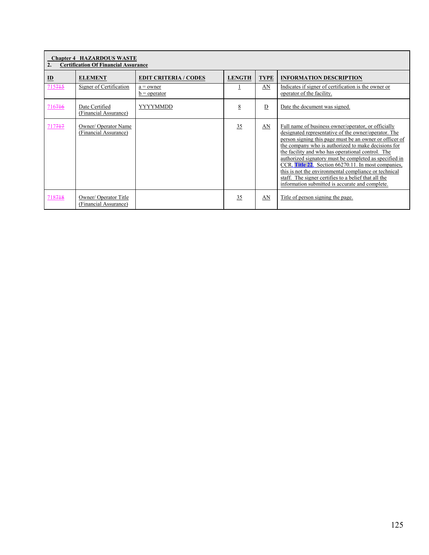| <b>Chapter 4 HAZARDOUS WASTE</b><br><b>Certification Of Financial Assurance</b><br>$\overline{2}$ . |                                               |                               |               |                |                                                                                                                                                                                                                                                                                                                                                                                                                                                                                                                                                                         |  |  |
|-----------------------------------------------------------------------------------------------------|-----------------------------------------------|-------------------------------|---------------|----------------|-------------------------------------------------------------------------------------------------------------------------------------------------------------------------------------------------------------------------------------------------------------------------------------------------------------------------------------------------------------------------------------------------------------------------------------------------------------------------------------------------------------------------------------------------------------------------|--|--|
| $\underline{\mathbf{ID}}$                                                                           | <b>ELEMENT</b>                                | <b>EDIT CRITERIA / CODES</b>  | <b>LENGTH</b> | <b>TYPE</b>    | <b>INFORMATION DESCRIPTION</b>                                                                                                                                                                                                                                                                                                                                                                                                                                                                                                                                          |  |  |
| 715715                                                                                              | Signer of Certification                       | $a =$ owner<br>$b = operator$ |               | AN             | Indicates if signer of certification is the owner or<br>operator of the facility.                                                                                                                                                                                                                                                                                                                                                                                                                                                                                       |  |  |
| 716746                                                                                              | Date Certified<br>(Financial Assurance)       | YYYYMMDD                      | 8             | $\overline{D}$ | Date the document was signed.                                                                                                                                                                                                                                                                                                                                                                                                                                                                                                                                           |  |  |
| 717717                                                                                              | Owner/ Operator Name<br>(Financial Assurance) |                               | 35            | AN             | Full name of business owner/operator, or officially<br>designated representative of the owner/operator. The<br>person signing this page must be an owner or officer of<br>the company who is authorized to make decisions for<br>the facility and who has operational control. The<br>authorized signatory must be completed as specified in<br>CCR, Title 22. Section 66270.11. In most companies.<br>this is not the environmental compliance or technical<br>staff. The signer certifies to a belief that all the<br>information submitted is accurate and complete. |  |  |
| 718718                                                                                              | Owner/Operator Title<br>(Financial Assurance) |                               | 35            | AN             | Title of person signing the page.                                                                                                                                                                                                                                                                                                                                                                                                                                                                                                                                       |  |  |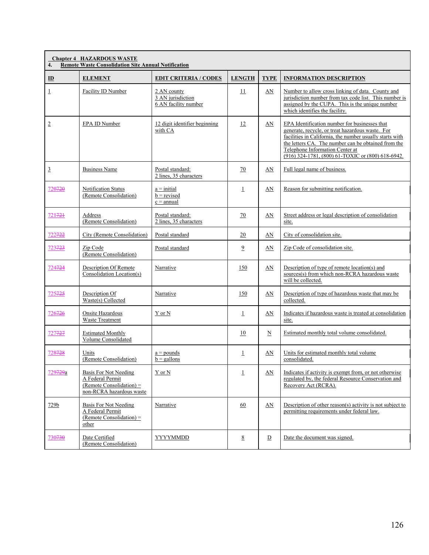| 4.                   | <b>Chapter 4 HAZARDOUS WASTE</b><br><b>Remote Waste Consolidation Site Annual Notification</b>      |                                                          |                 |                          |                                                                                                                                                                                                                                                                                                              |  |  |  |
|----------------------|-----------------------------------------------------------------------------------------------------|----------------------------------------------------------|-----------------|--------------------------|--------------------------------------------------------------------------------------------------------------------------------------------------------------------------------------------------------------------------------------------------------------------------------------------------------------|--|--|--|
| $\mathbf{D}$         | <b>ELEMENT</b>                                                                                      | <b>EDIT CRITERIA / CODES</b>                             | <b>LENGTH</b>   | <b>TYPE</b>              | <b>INFORMATION DESCRIPTION</b>                                                                                                                                                                                                                                                                               |  |  |  |
| 1                    | Facility ID Number                                                                                  | 2 AN county<br>3 AN jurisdiction<br>6 AN facility number | 11              | AN                       | Number to allow cross linking of data. County and<br>jurisdiction number from tax code list. This number is<br>assigned by the CUPA. This is the unique number<br>which identifies the facility.                                                                                                             |  |  |  |
| $\overline{2}$       | EPA ID Number                                                                                       | 12 digit identifier beginning<br>with CA                 | 12              | AN                       | EPA Identification number for businesses that<br>generate, recycle, or treat hazardous waste. For<br>facilities in California, the number usually starts with<br>the letters CA. The number can be obtained from the<br>Telephone Information Center at<br>(916) 324-1781, (800) 61-TOXIC or (800) 618-6942. |  |  |  |
| $\overline{3}$       | <b>Business Name</b>                                                                                | Postal standard:<br>2 lines, 35 characters               | $\overline{20}$ | AN                       | Full legal name of business.                                                                                                                                                                                                                                                                                 |  |  |  |
| 720720               | Notification Status<br>(Remote Consolidation)                                                       | $a = initial$<br>$b =$ revised<br>$c =$ annual           | $\perp$         | AN                       | Reason for submitting notification.                                                                                                                                                                                                                                                                          |  |  |  |
| 721721               | Address<br>(Remote Consolidation)                                                                   | Postal standard:<br>2 lines, 35 characters               | 70              | AN                       | Street address or legal description of consolidation<br>site.                                                                                                                                                                                                                                                |  |  |  |
| 722722               | City (Remote Consolidation)                                                                         | Postal standard                                          | 20              | AN                       | City of consolidation site.                                                                                                                                                                                                                                                                                  |  |  |  |
| 723723               | Zip Code<br>(Remote Consolidation)                                                                  | Postal standard                                          | $\overline{2}$  | AN                       | Zip Code of consolidation site.                                                                                                                                                                                                                                                                              |  |  |  |
| 724724               | Description Of Remote<br>Consolidation Location(s)                                                  | Narrative                                                | 150             | AN                       | Description of type of remote location(s) and<br>sources(s) from which non-RCRA hazardous waste<br>will be collected.                                                                                                                                                                                        |  |  |  |
| 725 <del>725</del>   | Description Of<br>Waste(s) Collected                                                                | Narrative                                                | 150             | AN                       | Description of type of hazardous waste that may be<br>collected.                                                                                                                                                                                                                                             |  |  |  |
| 726726               | Onsite Hazardous<br>Waste Treatment                                                                 | Y or N                                                   | $\perp$         | AN                       | Indicates if hazardous waste is treated at consolidation<br>site.                                                                                                                                                                                                                                            |  |  |  |
| 727 <del>727</del>   | <b>Estimated Monthly</b><br>Volume Consolidated                                                     |                                                          | 10              | $\underline{\mathbf{N}}$ | Estimated monthly total volume consolidated.                                                                                                                                                                                                                                                                 |  |  |  |
| 728728               | Units<br>(Remote Consolidation)                                                                     | $a =$ pounds<br>$b =$ gallons                            | $\perp$         | AN                       | Units for estimated monthly total volume<br>consolidated.                                                                                                                                                                                                                                                    |  |  |  |
| 729 <del>729</del> a | Basis For Not Needing<br>A Federal Permit<br>(Remote Consolidation) $=$<br>non-RCRA hazardous waste | Y or N                                                   | $\perp$         | AN                       | Indicates if activity is exempt from, or not otherwise<br>regulated by, the federal Resource Conservation and<br>Recovery Act (RCRA).                                                                                                                                                                        |  |  |  |
| 729b                 | Basis For Not Needing<br>A Federal Permit<br>(Remote Consolidation) $=$<br>other                    | Narrative                                                | 60              | AN                       | Description of other reason(s) activity is not subject to<br>permitting requirements under federal law.                                                                                                                                                                                                      |  |  |  |
| 730730               | Date Certified<br>(Remote Consolidation)                                                            | YYYYMMDD                                                 | 8               | $\overline{D}$           | Date the document was signed.                                                                                                                                                                                                                                                                                |  |  |  |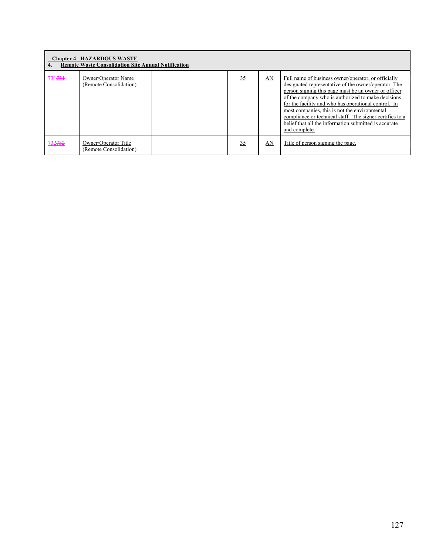| 4.     | <b>Chapter 4 HAZARDOUS WASTE</b><br><b>Remote Waste Consolidation Site Annual Notification</b> |    |    |                                                                                                                                                                                                                                                                                                                                                                                                                                                                          |
|--------|------------------------------------------------------------------------------------------------|----|----|--------------------------------------------------------------------------------------------------------------------------------------------------------------------------------------------------------------------------------------------------------------------------------------------------------------------------------------------------------------------------------------------------------------------------------------------------------------------------|
| 731731 | Owner/Operator Name<br>(Remote Consolidation)                                                  | 35 | AN | Full name of business owner/operator, or officially<br>designated representative of the owner/operator. The<br>person signing this page must be an owner or officer<br>of the company who is authorized to make decisions<br>for the facility and who has operational control. In<br>most companies, this is not the environmental<br>compliance or technical staff. The signer certifies to a<br>belief that all the information submitted is accurate<br>and complete. |
| 732732 | Owner/Operator Title<br>(Remote Consolidation)                                                 | 35 | AN | Title of person signing the page.                                                                                                                                                                                                                                                                                                                                                                                                                                        |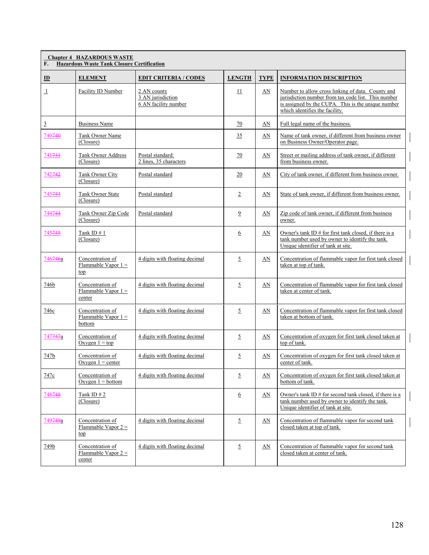| F.                        | <b>Chapter 4 HAZARDOUS WASTE</b><br><b>Hazardous Waste Tank Closure Certification</b> |                                                          |                |                         |                                                                                                                                                                                                  |  |  |  |
|---------------------------|---------------------------------------------------------------------------------------|----------------------------------------------------------|----------------|-------------------------|--------------------------------------------------------------------------------------------------------------------------------------------------------------------------------------------------|--|--|--|
| $\underline{\mathbf{ID}}$ | <b>ELEMENT</b>                                                                        | <b>EDIT CRITERIA / CODES</b>                             | <b>LENGTH</b>  | <b>TYPE</b>             | <b>INFORMATION DESCRIPTION</b>                                                                                                                                                                   |  |  |  |
| $\perp$                   | Facility ID Number                                                                    | 2 AN county<br>3 AN jurisdiction<br>6 AN facility number | 11             | AN                      | Number to allow cross linking of data. County and<br>jurisdiction number from tax code list. This number<br>is assigned by the CUPA. This is the unique number<br>which identifies the facility. |  |  |  |
| $\overline{3}$            | <b>Business Name</b>                                                                  |                                                          | 70             | AN                      | Full legal name of the business.                                                                                                                                                                 |  |  |  |
| 740740                    | Tank Owner Name<br>(Closure)                                                          |                                                          | 35             | AN                      | Name of tank owner, if different from business owner<br>on Business Owner/Operator page.                                                                                                         |  |  |  |
| 741741                    | Tank Owner Address<br>(Closure)                                                       | Postal standard:<br>2 lines, 35 characters               | 70             | AN                      | Street or mailing address of tank owner, if different<br>from business owner.                                                                                                                    |  |  |  |
| 742742                    | <b>Tank Owner City</b><br>(Closure)                                                   | Postal standard                                          | 20             | AN                      | City of tank owner, if different from business owner.                                                                                                                                            |  |  |  |
| 743743                    | Tank Owner State<br>(Closure)                                                         | Postal standard                                          | $\overline{2}$ | AN                      | State of tank owner, if different from business owner.                                                                                                                                           |  |  |  |
| 744744                    | Tank Owner Zip Code<br>(Closure)                                                      | Postal standard                                          | $\overline{9}$ | AN                      | Zip code of tank owner, if different from business<br>owner.                                                                                                                                     |  |  |  |
| 745745                    | Tank ID $#1$<br>(Closure)                                                             |                                                          | 6              | AN                      | Owner's tank ID $#$ for first tank closed, if there is a<br>tank number used by owner to identify the tank.<br>Unique identifier of tank at site.                                                |  |  |  |
| 746 <del>746</del> a      | Concentration of<br>Flammable Vapor $1 =$<br>top                                      | 4 digits with floating decimal                           | $\overline{2}$ | AN                      | Concentration of flammable vapor for first tank closed<br>taken at top of tank.                                                                                                                  |  |  |  |
| 746b                      | Concentration of<br>Flammable Vapor $1 =$<br>center                                   | 4 digits with floating decimal                           | 5              | AN                      | Concentration of flammable vapor for first tank closed<br>taken at center of tank.                                                                                                               |  |  |  |
| 746c                      | Concentration of<br>Flammable Vapor $1 =$<br>bottom                                   | 4 digits with floating decimal                           | 5              | AN                      | Concentration of flammable vapor for first tank closed<br>taken at bottom of tank.                                                                                                               |  |  |  |
| 747 <del>747</del> a      | Concentration of<br>Oxygen $1 = top$                                                  | 4 digits with floating decimal                           | $\overline{5}$ | AN                      | Concentration of oxygen for first tank closed taken at<br>top of tank.                                                                                                                           |  |  |  |
| 747b                      | Concentration of<br>Oxygen $1 =$ center                                               | 4 digits with floating decimal                           | $\overline{5}$ | AN                      | Concentration of oxygen for first tank closed taken at<br>center of tank.                                                                                                                        |  |  |  |
| 747c                      | Concentration of<br>Oxygen $1 = bottom$                                               | 4 digits with floating decimal                           | $\overline{2}$ | $\underline{\text{AN}}$ | Concentration of oxygen for first tank closed taken at<br>bottom of tank.                                                                                                                        |  |  |  |
| 748748                    | Tank ID $# 2$<br>(Closure)                                                            |                                                          | 6              | AN                      | Owner's tank ID # for second tank closed, if there is a<br>tank number used by owner to identify the tank.<br>Unique identifier of tank at site.                                                 |  |  |  |
| 749 <del>749</del> a      | Concentration of<br>Flammable Vapor $2 =$<br><u>top</u>                               | 4 digits with floating decimal                           | $\overline{5}$ | AN                      | Concentration of flammable vapor for second tank<br>closed taken at top of tank.                                                                                                                 |  |  |  |
| 749b                      | Concentration of<br>Flammable Vapor $2 =$<br>center                                   | 4 digits with floating decimal                           | $\overline{2}$ | AN                      | Concentration of flammable vapor for second tank<br>closed taken at center of tank.                                                                                                              |  |  |  |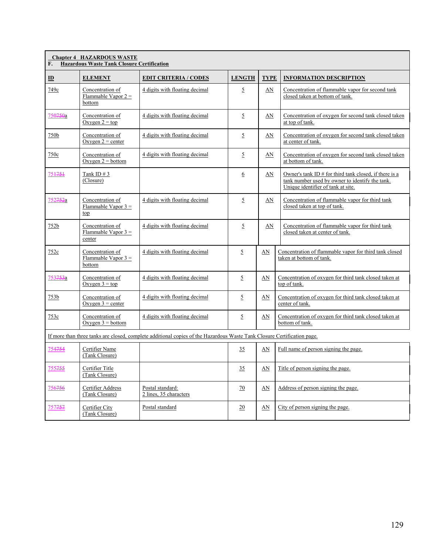| F.                   | <b>Chapter 4 HAZARDOUS WASTE</b><br><b>Hazardous Waste Tank Closure Certification</b> |                                                                                                                         |                |             |                                                                                                                                                   |  |  |
|----------------------|---------------------------------------------------------------------------------------|-------------------------------------------------------------------------------------------------------------------------|----------------|-------------|---------------------------------------------------------------------------------------------------------------------------------------------------|--|--|
| $\mathbf{D}$         | <b>ELEMENT</b>                                                                        | <b>EDIT CRITERIA / CODES</b>                                                                                            | <b>LENGTH</b>  | <b>TYPE</b> | <b>INFORMATION DESCRIPTION</b>                                                                                                                    |  |  |
| 749c                 | Concentration of<br>Flammable Vapor $2 =$<br>bottom                                   | 4 digits with floating decimal                                                                                          | $\overline{5}$ | AN          | Concentration of flammable vapor for second tank<br>closed taken at bottom of tank.                                                               |  |  |
| 750750a              | Concentration of<br>Oxygen $2 = top$                                                  | 4 digits with floating decimal                                                                                          | 5              | AN          | Concentration of oxygen for second tank closed taken<br>at top of tank.                                                                           |  |  |
| 750b                 | Concentration of<br>Oxygen $2$ = center                                               | 4 digits with floating decimal                                                                                          | 5              | AN          | Concentration of oxygen for second tank closed taken<br>at center of tank.                                                                        |  |  |
| 750c                 | Concentration of<br>Oxygen $2 =$ bottom                                               | 4 digits with floating decimal                                                                                          | $\overline{2}$ | AN          | Concentration of oxygen for second tank closed taken<br>at bottom of tank.                                                                        |  |  |
| 751751               | Tank ID $#3$<br>(Closure)                                                             |                                                                                                                         | 6              | AN          | Owner's tank ID $#$ for third tank closed, if there is a<br>tank number used by owner to identify the tank.<br>Unique identifier of tank at site. |  |  |
| 752 <del>752</del> a | Concentration of<br>Flammable Vapor $3 =$<br>top                                      | 4 digits with floating decimal                                                                                          | 5              | AN          | Concentration of flammable vapor for third tank<br>closed taken at top of tank.                                                                   |  |  |
| 752b                 | Concentration of<br>Flammable Vapor $3 =$<br>center                                   | 4 digits with floating decimal                                                                                          | $\overline{5}$ | AN          | Concentration of flammable vapor for third tank<br>closed taken at center of tank.                                                                |  |  |
| 752c                 | Concentration of<br>Flammable Vapor $3 =$<br>bottom                                   | 4 digits with floating decimal                                                                                          | 5              | AN          | Concentration of flammable vapor for third tank closed<br>taken at bottom of tank.                                                                |  |  |
| 753 <del>753</del> a | Concentration of<br>Oxygen $3 = top$                                                  | 4 digits with floating decimal                                                                                          | 5              | AN          | Concentration of oxygen for third tank closed taken at<br>top of tank.                                                                            |  |  |
| 753b                 | Concentration of<br>Oxygen $3$ = center                                               | 4 digits with floating decimal                                                                                          | $\overline{2}$ | AN          | Concentration of oxygen for third tank closed taken at<br>center of tank.                                                                         |  |  |
| 753c                 | Concentration of<br>Oxygen $3 = bottom$                                               | 4 digits with floating decimal                                                                                          | $\overline{5}$ | $\Delta N$  | Concentration of oxygen for third tank closed taken at<br>bottom of tank.                                                                         |  |  |
|                      |                                                                                       | If more than three tanks are closed, complete additional copies of the Hazardous Waste Tank Closure Certification page. |                |             |                                                                                                                                                   |  |  |
| 754754               | Certifier Name<br>(Tank Closure)                                                      |                                                                                                                         | 35             | AN          | Full name of person signing the page.                                                                                                             |  |  |
| 755755               | Certifier Title<br>(Tank Closure)                                                     |                                                                                                                         | 35             | AN          | Title of person signing the page.                                                                                                                 |  |  |
| 756 <del>756</del>   | Certifier Address<br>(Tank Closure)                                                   | Postal standard:<br>2 lines, 35 characters                                                                              | 70             | AN          | Address of person signing the page.                                                                                                               |  |  |
| 757 <del>757</del>   | Certifier City<br>(Tank Closure)                                                      | Postal standard                                                                                                         | 20             | AN          | City of person signing the page.                                                                                                                  |  |  |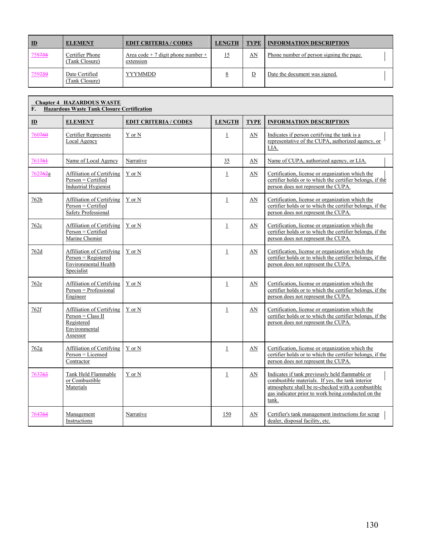| $\mathbf{D}$ | <b>ELEMENT</b>                    | <b>EDIT CRITERIA / CODES</b>                    | <b>LENGTH</b> | <b>TYPE</b> | <b>INFORMATION DESCRIPTION</b>           |  |
|--------------|-----------------------------------|-------------------------------------------------|---------------|-------------|------------------------------------------|--|
| 758758       | Certifier Phone<br>(Tank Closure) | Area code + 7 digit phone number +<br>extension |               | AN          | Phone number of person signing the page. |  |
| 759759       | Date Certified<br>(Tank Closure)  | <b>YYYMMDD</b>                                  |               |             | Date the document was signed.            |  |

| F.                        | <b>Chapter 4 HAZARDOUS WASTE</b><br><b>Hazardous Waste Tank Closure Certification</b>           |                              |               |             |                                                                                                                                                                                                                        |  |  |
|---------------------------|-------------------------------------------------------------------------------------------------|------------------------------|---------------|-------------|------------------------------------------------------------------------------------------------------------------------------------------------------------------------------------------------------------------------|--|--|
| $\underline{\mathbf{ID}}$ | <b>ELEMENT</b>                                                                                  | <b>EDIT CRITERIA / CODES</b> | <b>LENGTH</b> | <b>TYPE</b> | <b>INFORMATION DESCRIPTION</b>                                                                                                                                                                                         |  |  |
| 760760                    | Certifier Represents<br>Local Agency                                                            | Y or N                       | $\perp$       | AN          | Indicates if person certifying the tank is a<br>representative of the CUPA, authorized agency, or<br>LIA.                                                                                                              |  |  |
| 761761                    | Name of Local Agency                                                                            | Narrative                    | 35            | AN          | Name of CUPA, authorized agency, or LIA.                                                                                                                                                                               |  |  |
| 762762a                   | Affiliation of Certifying<br>Person = Certified<br><b>Industrial Hygienist</b>                  | Y or N                       | $\perp$       | AN          | Certification, license or organization which the<br>certifier holds or to which the certifier belongs, if the<br>person does not represent the CUPA.                                                                   |  |  |
| 762b                      | Affiliation of Certifying<br>$Person = \text{Certified}$<br>Safety Professional                 | Y or N                       | $\mathbf{1}$  | AN          | Certification, license or organization which the<br>certifier holds or to which the certifier belongs, if the<br>person does not represent the CUPA.                                                                   |  |  |
| 762c                      | Affiliation of Certifying<br>Person = Certified<br>Marine Chemist                               | Y or N                       | $\perp$       | AN          | Certification, license or organization which the<br>certifier holds or to which the certifier belongs, if the<br>person does not represent the CUPA.                                                                   |  |  |
| 762d                      | Affiliation of Certifying<br>$Person = Registered$<br><b>Environmental Health</b><br>Specialist | $Y$ or $N$                   | $\perp$       | AN          | Certification, license or organization which the<br>certifier holds or to which the certifier belongs, if the<br>person does not represent the CUPA.                                                                   |  |  |
| 762e                      | <b>Affiliation of Certifying</b><br>$Person = Professional$<br>Engineer                         | Y or N                       | $\perp$       | AN          | Certification, license or organization which the<br>certifier holds or to which the certifier belongs, if the<br>person does not represent the CUPA.                                                                   |  |  |
| 762f                      | Affiliation of Certifying<br>$Person = Class II$<br>Registered<br>Environmental<br>Assessor     | Y or N                       | $\perp$       | AN          | Certification, license or organization which the<br>certifier holds or to which the certifier belongs, if the<br>person does not represent the CUPA.                                                                   |  |  |
| 762g                      | Affiliation of Certifying<br>Person = Licensed<br>Contractor                                    | Y or N                       | $\perp$       | AN          | Certification, license or organization which the<br>certifier holds or to which the certifier belongs, if the<br>person does not represent the CUPA.                                                                   |  |  |
| 763763                    | Tank Held Flammable<br>or Combustible<br>Materials                                              | Y or N                       | $\perp$       | AN          | Indicates if tank previously held flammable or<br>combustible materials. If yes, the tank interior<br>atmosphere shall be re-checked with a combustible<br>gas indicator prior to work being conducted on the<br>tank. |  |  |
| 764764                    | Management<br>Instructions                                                                      | Narrative                    | 150           | AN          | Certifier's tank management instructions for scrap<br>dealer, disposal facility, etc.                                                                                                                                  |  |  |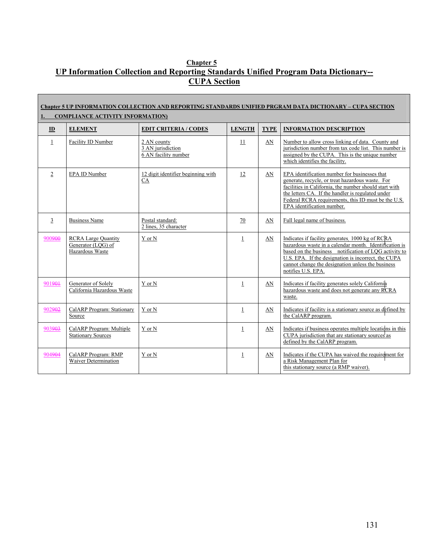## **Chapter 5 UP Information Collection and Reporting Standards Unified Program Data Dictionary-- CUPA Section**

п

|                | Chapter 5 UP INFORMATION COLLECTION AND REPORTING STANDARDS UNIFIED PRGRAM DATA DICTIONARY – CUPA SECTION<br><b>COMPLIANCE ACTIVITY INFORMATION)</b> |                                                          |                 |             |                                                                                                                                                                                                                                                                                                       |  |  |  |
|----------------|------------------------------------------------------------------------------------------------------------------------------------------------------|----------------------------------------------------------|-----------------|-------------|-------------------------------------------------------------------------------------------------------------------------------------------------------------------------------------------------------------------------------------------------------------------------------------------------------|--|--|--|
| ID             | <b>ELEMENT</b>                                                                                                                                       | <b>EDIT CRITERIA / CODES</b>                             | <b>LENGTH</b>   | <b>TYPE</b> | <b>INFORMATION DESCRIPTION</b>                                                                                                                                                                                                                                                                        |  |  |  |
| $\perp$        | Facility ID Number                                                                                                                                   | 2 AN county<br>3 AN jurisdiction<br>6 AN facility number | $\overline{11}$ | AN          | Number to allow cross linking of data. County and<br>jurisdiction number from tax code list. This number is<br>assigned by the CUPA. This is the unique number<br>which identifies the facility.                                                                                                      |  |  |  |
| $\overline{2}$ | EPA ID Number                                                                                                                                        | 12 digit identifier beginning with<br>CA                 | 12              | AN          | EPA identification number for businesses that<br>generate, recycle, or treat hazardous waste. For<br>facilities in California, the number should start with<br>the letters CA. If the handler is regulated under<br>Federal RCRA requirements, this ID must be the U.S.<br>EPA identification number. |  |  |  |
| 3              | <b>Business Name</b>                                                                                                                                 | Postal standard:<br>2 lines, 35 character                | 70              | AN          | Full legal name of business.                                                                                                                                                                                                                                                                          |  |  |  |
| 900900         | <b>RCRA Large Quantity</b><br>Generator (LQG) of<br>Hazardous Waste                                                                                  | Y or N                                                   | $\mathbf{1}$    | AN          | Indicates if facility generates 1000 kg of RCRA<br>hazardous waste in a calendar month. Identification is<br>based on the business notification of LQG activity to<br>U.S. EPA. If the designation is incorrect, the CUPA<br>cannot change the designation unless the business<br>notifies U.S. EPA.  |  |  |  |
| 901901         | Generator of Solely<br>California Hazardous Waste                                                                                                    | Y or N                                                   | $\perp$         | AN          | Indicates if facility generates solely California<br>hazardous waste and does not generate any RCRA<br>waste.                                                                                                                                                                                         |  |  |  |
| 902902         | CalARP Program: Stationary<br>Source                                                                                                                 | Y or N                                                   | $\mathbf{1}$    | AN          | Indicates if facility is a stationary source as defined by<br>the CalARP program.                                                                                                                                                                                                                     |  |  |  |
| 903903         | CalARP Program: Multiple<br><b>Stationary Sources</b>                                                                                                | Y or N                                                   | $\mathbf{1}$    | AN          | Indicates if business operates multiple locations in this<br>CUPA jurisdiction that are stationary sources as<br>defined by the CalARP program.                                                                                                                                                       |  |  |  |
| 904904         | CalARP Program: RMP<br>Waiver Determination                                                                                                          | Y or N                                                   | $\mathbf{1}$    | AN          | Indicates if the CUPA has waived the requirement for<br>a Risk Management Plan for<br>this stationary source (a RMP waiver).                                                                                                                                                                          |  |  |  |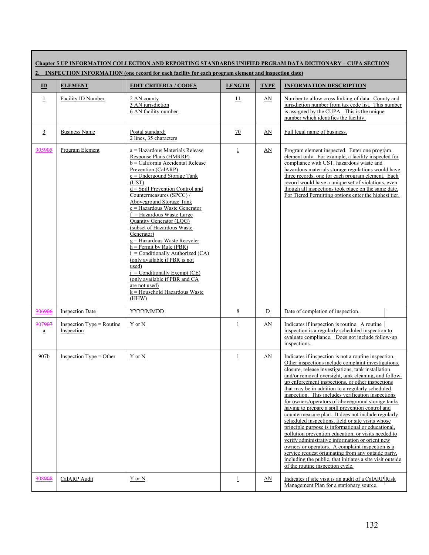| Chapter 5 UP INFORMATION COLLECTION AND REPORTING STANDARDS UNIFIED PRGRAM DATA DICTIONARY – CUPA SECTION<br>2. INSPECTION INFORMATION (one record for each facility for each program element and inspection date) |                                            |                                                                                                                                                                                                                                                                                                                                                                                                                                                                                                                                                                                                                                                                                         |                 |                |                                                                                                                                                                                                                                                                                                                                                                                                                                                                                                                                                                                                                                                                                                                                                                                                                                                                                                                                                                                         |  |
|--------------------------------------------------------------------------------------------------------------------------------------------------------------------------------------------------------------------|--------------------------------------------|-----------------------------------------------------------------------------------------------------------------------------------------------------------------------------------------------------------------------------------------------------------------------------------------------------------------------------------------------------------------------------------------------------------------------------------------------------------------------------------------------------------------------------------------------------------------------------------------------------------------------------------------------------------------------------------------|-----------------|----------------|-----------------------------------------------------------------------------------------------------------------------------------------------------------------------------------------------------------------------------------------------------------------------------------------------------------------------------------------------------------------------------------------------------------------------------------------------------------------------------------------------------------------------------------------------------------------------------------------------------------------------------------------------------------------------------------------------------------------------------------------------------------------------------------------------------------------------------------------------------------------------------------------------------------------------------------------------------------------------------------------|--|
| $\underline{\mathbf{ID}}$                                                                                                                                                                                          | <b>ELEMENT</b>                             | <b>EDIT CRITERIA / CODES</b>                                                                                                                                                                                                                                                                                                                                                                                                                                                                                                                                                                                                                                                            | <b>LENGTH</b>   | <b>TYPE</b>    | <b>INFORMATION DESCRIPTION</b>                                                                                                                                                                                                                                                                                                                                                                                                                                                                                                                                                                                                                                                                                                                                                                                                                                                                                                                                                          |  |
| $\perp$                                                                                                                                                                                                            | Facility ID Number                         | 2 AN county<br>3 AN jurisdiction<br>6 AN facility number                                                                                                                                                                                                                                                                                                                                                                                                                                                                                                                                                                                                                                | 11              | AN             | Number to allow cross linking of data. County and<br>jurisdiction number from tax code list. This number<br>is assigned by the CUPA. This is the unique<br>number which identifies the facility.                                                                                                                                                                                                                                                                                                                                                                                                                                                                                                                                                                                                                                                                                                                                                                                        |  |
| $\overline{3}$                                                                                                                                                                                                     | <b>Business Name</b>                       | Postal standard:<br>2 lines, 35 characters                                                                                                                                                                                                                                                                                                                                                                                                                                                                                                                                                                                                                                              | 70              | AN             | Full legal name of business.                                                                                                                                                                                                                                                                                                                                                                                                                                                                                                                                                                                                                                                                                                                                                                                                                                                                                                                                                            |  |
| 905905                                                                                                                                                                                                             | Program Element                            | a = Hazardous Materials Release<br>Response Plans (HMRRP)<br>b = California Accidental Release<br>Prevention (CalARP)<br>$c =$ Undergound Storage Tank<br>(UST)<br>$d =$ Spill Prevention Control and<br>Countermeasures (SPCC) /<br>Aboveground Storage Tank<br>e = Hazardous Waste Generator<br>$f =$ Hazardous Waste Large<br>Quantity Generator (LQG)<br>(subset of Hazardous Waste<br>Generator)<br>$g =$ Hazardous Waste Recycler<br>$h =$ Permit by Rule (PBR)<br>$i =$ Conditionally Authorized (CA)<br>(only available if PBR is not<br>used)<br>$i =$ Conditionally Exempt (CE)<br>(only available if PBR and CA<br>are not used)<br>$k =$ Household Hazardous Waste<br>(HHW) | $\perp$         | AN             | Program element inspected. Enter one program<br>element only. For example, a facility inspected for<br>compliance with UST, hazardous waste and<br>hazardous materials storage regulations would have<br>three records, one for each program element. Each<br>record would have a unique set of violations, even<br>though all inspections took place on the same date.<br>For Tiered Permitting options enter the highest tier.                                                                                                                                                                                                                                                                                                                                                                                                                                                                                                                                                        |  |
| 906906                                                                                                                                                                                                             | <b>Inspection Date</b>                     | <b>YYYYMMDD</b>                                                                                                                                                                                                                                                                                                                                                                                                                                                                                                                                                                                                                                                                         | $8\overline{8}$ | $\overline{D}$ | Date of completion of inspection.                                                                                                                                                                                                                                                                                                                                                                                                                                                                                                                                                                                                                                                                                                                                                                                                                                                                                                                                                       |  |
| 907907<br>$\mathbf{a}$                                                                                                                                                                                             | Inspection $Type = R$ outine<br>Inspection | Y or N                                                                                                                                                                                                                                                                                                                                                                                                                                                                                                                                                                                                                                                                                  | $\perp$         | AN             | Indicates if inspection is routine. A routine<br>inspection is a regularly scheduled inspection to<br>evaluate compliance. Does not include follow-up<br>inspections.                                                                                                                                                                                                                                                                                                                                                                                                                                                                                                                                                                                                                                                                                                                                                                                                                   |  |
| 907b                                                                                                                                                                                                               | Inspection $Type = Other$                  | Y or N                                                                                                                                                                                                                                                                                                                                                                                                                                                                                                                                                                                                                                                                                  | $\perp$         | AN             | Indicates if inspection is not a routine inspection.<br>Other inspections include complaint investigations.<br>closure, release investigations, tank installation<br>and/or removal oversight, tank cleaning, and follow-<br>up enforcement inspections, or other inspections<br>that may be in addition to a regularly scheduled<br>inspection. This includes verification inspections<br>for owners/operators of aboveground storage tanks<br>having to prepare a spill prevention control and<br>countermeasure plan. It does not include regularly<br>scheduled inspections, field or site visits whose<br>principle purpose is informational or educational,<br>pollution prevention education, or visits needed to<br>verify administrative information or orient new<br>owners or operators. A complaint inspection is a<br>service request originating from any outside party,<br>including the public, that initiates a site visit outside<br>of the routine inspection cycle. |  |
| 908908                                                                                                                                                                                                             | CalARP Audit                               | $Y$ or $N$                                                                                                                                                                                                                                                                                                                                                                                                                                                                                                                                                                                                                                                                              | $\overline{1}$  | AN             | Indicates if site visit is an audit of a CalARP Risk<br>Management Plan for a stationary source.                                                                                                                                                                                                                                                                                                                                                                                                                                                                                                                                                                                                                                                                                                                                                                                                                                                                                        |  |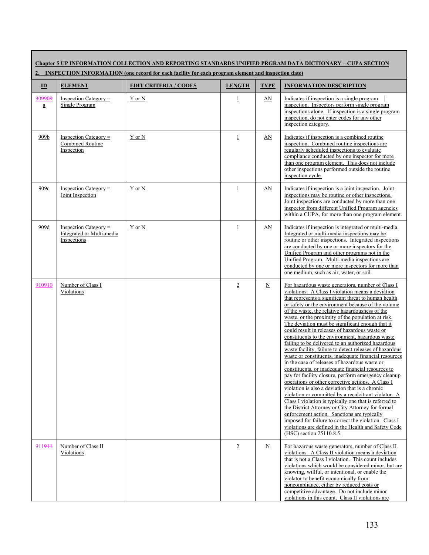**Chapter 5 UP INFORMATION COLLECTION AND REPORTING STANDARDS UNIFIED PRGRAM DATA DICTIONARY – CUPA SECTION 2. INSPECTION INFORMATION (one record for each facility for each program element and inspection date)**

| $\mathbf{D}$                          | <b>ELEMENT</b>                                                      | <b>EDIT CRITERIA / CODES</b> | <b>LENGTH</b>  | <b>TYPE</b>              | <b>INFORMATION DESCRIPTION</b>                                                                                                                                                                                                                                                                                                                                                                                                                                                                                                                                                                                                                                                                                                                                                                                                                                                                                                                                                                                                                                                                                                                                                                                                                                                                             |
|---------------------------------------|---------------------------------------------------------------------|------------------------------|----------------|--------------------------|------------------------------------------------------------------------------------------------------------------------------------------------------------------------------------------------------------------------------------------------------------------------------------------------------------------------------------------------------------------------------------------------------------------------------------------------------------------------------------------------------------------------------------------------------------------------------------------------------------------------------------------------------------------------------------------------------------------------------------------------------------------------------------------------------------------------------------------------------------------------------------------------------------------------------------------------------------------------------------------------------------------------------------------------------------------------------------------------------------------------------------------------------------------------------------------------------------------------------------------------------------------------------------------------------------|
| 909 <del>909</del><br>$\underline{a}$ | $Inspection \, Category =$<br>Single Program                        | Y or N                       | $\perp$        | AN                       | Indicates if inspection is a single program<br>inspection. Inspectors perform single program<br>inspections alone. If inspection is a single program<br>inspection, do not enter codes for any other<br>inspection category.                                                                                                                                                                                                                                                                                                                                                                                                                                                                                                                                                                                                                                                                                                                                                                                                                                                                                                                                                                                                                                                                               |
| 909b                                  | Inspection Category $=$<br>Combined Routine<br>Inspection           | Y or N                       | $\perp$        | AN                       | Indicates if inspection is a combined routine<br>inspection. Combined routine inspections are<br>regularly scheduled inspections to evaluate<br>compliance conducted by one inspector for more<br>than one program element. This does not include<br>other inspections performed outside the routine<br>inspection cycle.                                                                                                                                                                                                                                                                                                                                                                                                                                                                                                                                                                                                                                                                                                                                                                                                                                                                                                                                                                                  |
| 909c                                  | $Inspection \, Category =$<br>Joint Inspection                      | Y or N                       | $\perp$        | AN                       | Indicates if inspection is a joint inspection. Joint<br>inspections may be routine or other inspections.<br>Joint inspections are conducted by more than one<br>inspector from different Unified Program agencies<br>within a CUPA, for more than one program element.                                                                                                                                                                                                                                                                                                                                                                                                                                                                                                                                                                                                                                                                                                                                                                                                                                                                                                                                                                                                                                     |
| 909d                                  | Inspection Category $=$<br>Integrated or Multi-media<br>Inspections | Y or N                       | $\mathbf{1}$   | AN                       | Indicates if inspection is integrated or multi-media.<br>Integrated or multi-media inspections may be<br>routine or other inspections. Integrated inspections<br>are conducted by one or more inspectors for the<br>Unified Program and other programs not in the<br>Unified Program. Multi-media inspections are<br>conducted by one or more inspectors for more than<br>one medium, such as air, water, or soil.                                                                                                                                                                                                                                                                                                                                                                                                                                                                                                                                                                                                                                                                                                                                                                                                                                                                                         |
| 910910                                | Number of Class I<br>Violations                                     |                              | $\overline{2}$ | $\underline{\mathbf{N}}$ | For hazardous waste generators, number of Class I<br>violations. A Class I violation means a deviation<br>that represents a significant threat to human health<br>or safety or the environment because of the volume<br>of the waste, the relative hazardousness of the<br>waste, or the proximity of the population at risk.<br>The deviation must be significant enough that it<br>could result in releases of hazardous waste or<br>constituents to the environment, hazardous waste<br>failing to be delivered to an authorized hazardous<br>waste facility, failure to detect releases of hazardous<br>waste or constituents, inadequate financial resources<br>in the case of releases of hazardous waste or<br>constituents, or inadequate financial resources to<br>pay for facility closure, perform emergency cleanup<br>operations or other corrective actions. A Class I<br>violation is also a deviation that is a chronic<br>violation or committed by a recalcitrant violator. A<br>Class I violation is typically one that is referred to<br>the District Attorney or City Attorney for formal<br>enforcement action. Sanctions are typically<br>imposed for failure to correct the violation. Class I<br>violations are defined in the Health and Safety Code<br>(HSC) section 25110.8.5. |
| 911944                                | Number of Class II<br>Violations                                    |                              | $\overline{2}$ | N                        | For hazarous waste generators, number of Class II<br>violations. A Class II violation means a deviation<br>that is not a Class I violation. This count includes<br>violations which would be considered minor, but are<br>knowing, willful, or intentional, or enable the<br>violator to benefit economically from<br>noncompliance, either by reduced costs or<br>competitive advantage. Do not include minor<br>violations in this count. Class II violations are                                                                                                                                                                                                                                                                                                                                                                                                                                                                                                                                                                                                                                                                                                                                                                                                                                        |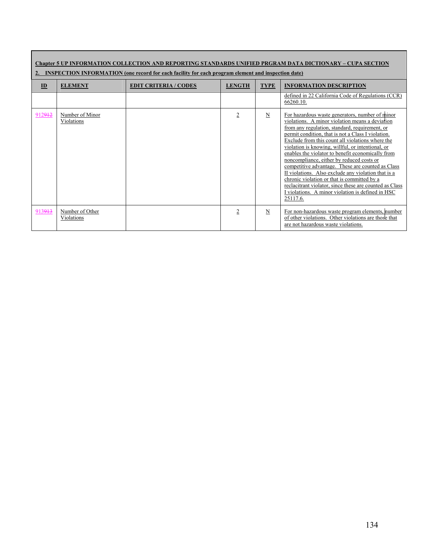| Chapter 5 UP INFORMATION COLLECTION AND REPORTING STANDARDS UNIFIED PRGRAM DATA DICTIONARY – CUPA SECTION<br><b>INSPECTION INFORMATION</b> (one record for each facility for each program element and inspection date) |                               |                              |                |                 |                                                                                                                                                                                                                                                                                                                                                                                                                                                                                                                                                                                                                                                                                                              |  |
|------------------------------------------------------------------------------------------------------------------------------------------------------------------------------------------------------------------------|-------------------------------|------------------------------|----------------|-----------------|--------------------------------------------------------------------------------------------------------------------------------------------------------------------------------------------------------------------------------------------------------------------------------------------------------------------------------------------------------------------------------------------------------------------------------------------------------------------------------------------------------------------------------------------------------------------------------------------------------------------------------------------------------------------------------------------------------------|--|
| $\mathbf{D}$                                                                                                                                                                                                           | <b>ELEMENT</b>                | <b>EDIT CRITERIA / CODES</b> | <b>LENGTH</b>  | <b>TYPE</b>     | <b>INFORMATION DESCRIPTION</b>                                                                                                                                                                                                                                                                                                                                                                                                                                                                                                                                                                                                                                                                               |  |
|                                                                                                                                                                                                                        |                               |                              |                |                 | defined in 22 California Code of Regulations (CCR)<br>66260.10.                                                                                                                                                                                                                                                                                                                                                                                                                                                                                                                                                                                                                                              |  |
| 912912                                                                                                                                                                                                                 | Number of Minor<br>Violations |                              | $\overline{2}$ | $\underline{N}$ | For hazardous waste generators, number of minor<br>violations. A minor violation means a deviation<br>from any regulation, standard, requirement, or<br>permit condition, that is not a Class I violation.<br>Exclude from this count all violations where the<br>violation is knowing, willful, or intentional, or<br>enables the violator to benefit economically from<br>noncompliance, either by reduced costs or<br>competitive advantage. These are counted as Class<br>II violations. Also exclude any violation that is a<br>chronic violation or that is committed by a<br>reclacitrant violator, since these are counted as Class<br>I violations. A minor violation is defined in HSC<br>25117.6. |  |
| 913913                                                                                                                                                                                                                 | Number of Other<br>Violations |                              | 2              | N               | For non-hazardous waste program elements, number<br>of other violations. Other violations are those that<br>are not hazardous waste violations.                                                                                                                                                                                                                                                                                                                                                                                                                                                                                                                                                              |  |

Г

## 134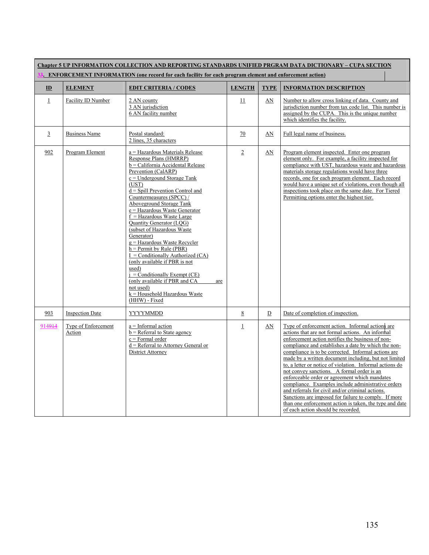| Chapter 5 UP INFORMATION COLLECTION AND REPORTING STANDARDS UNIFIED PRGRAM DATA DICTIONARY – CUPA SECTION |                               |                                                                                                                                                                                                                                                                                                                                                                                                                                                                                                                                                                                                                                                                                                   |                |             |                                                                                                                                                                                                                                                                                                                                                                                                                                                                                                                                                                                                                                                                                                                                                               |  |
|-----------------------------------------------------------------------------------------------------------|-------------------------------|---------------------------------------------------------------------------------------------------------------------------------------------------------------------------------------------------------------------------------------------------------------------------------------------------------------------------------------------------------------------------------------------------------------------------------------------------------------------------------------------------------------------------------------------------------------------------------------------------------------------------------------------------------------------------------------------------|----------------|-------------|---------------------------------------------------------------------------------------------------------------------------------------------------------------------------------------------------------------------------------------------------------------------------------------------------------------------------------------------------------------------------------------------------------------------------------------------------------------------------------------------------------------------------------------------------------------------------------------------------------------------------------------------------------------------------------------------------------------------------------------------------------------|--|
| . ENFORCEMENT INFORMATION (one record for each facility for each program element and enforcement action)  |                               |                                                                                                                                                                                                                                                                                                                                                                                                                                                                                                                                                                                                                                                                                                   |                |             |                                                                                                                                                                                                                                                                                                                                                                                                                                                                                                                                                                                                                                                                                                                                                               |  |
| ID                                                                                                        | <b>ELEMENT</b>                | <b>EDIT CRITERIA / CODES</b>                                                                                                                                                                                                                                                                                                                                                                                                                                                                                                                                                                                                                                                                      | <b>LENGTH</b>  | <b>TYPE</b> | <b>INFORMATION DESCRIPTION</b>                                                                                                                                                                                                                                                                                                                                                                                                                                                                                                                                                                                                                                                                                                                                |  |
| $\underline{1}$                                                                                           | Facility ID Number            | 2 AN county<br>3 AN jurisdiction<br>6 AN facility number                                                                                                                                                                                                                                                                                                                                                                                                                                                                                                                                                                                                                                          | 11             | AN          | Number to allow cross linking of data. County and<br>jurisdiction number from tax code list. This number is<br>assigned by the CUPA. This is the unique number<br>which identifies the facility.                                                                                                                                                                                                                                                                                                                                                                                                                                                                                                                                                              |  |
| 3                                                                                                         | <b>Business Name</b>          | Postal standard:<br>2 lines, 35 characters                                                                                                                                                                                                                                                                                                                                                                                                                                                                                                                                                                                                                                                        | 70             | AN          | Full legal name of business.                                                                                                                                                                                                                                                                                                                                                                                                                                                                                                                                                                                                                                                                                                                                  |  |
| 902                                                                                                       | Program Element               | a = Hazardous Materials Release<br>Response Plans (HMRRP)<br>b = California Accidental Release<br>Prevention (CalARP)<br>$c =$ Undergound Storage Tank<br>(UST)<br>$d =$ Spill Prevention Control and<br>Countermeasures (SPCC) /<br>Aboveground Storage Tank<br>e = Hazardous Waste Generator<br>$f =$ Hazardous Waste Large<br>Quantity Generator (LQG)<br>(subset of Hazardous Waste)<br>Generator)<br>$g =$ Hazardous Waste Recycler<br>$h =$ Permit by Rule (PBR)<br>$I =$ Conditionally Authorized (CA)<br>(only available if PBR is not<br>used)<br>$i =$ Conditionally Exempt (CE)<br>(only available if PBR and CA<br>are<br>not used)<br>k = Household Hazardous Waste<br>(HHW) - Fixed | $\overline{2}$ | AN          | Program element inspected. Enter one program<br>element only. For example, a facility inspected for<br>compliance with UST, hazardous waste and hazardous<br>materials storage regulations would have three<br>records, one for each program element. Each record<br>would have a unique set of violations, even though all<br>inspections took place on the same date. For Tiered<br>Permitting options enter the highest tier.                                                                                                                                                                                                                                                                                                                              |  |
| 903                                                                                                       | <b>Inspection Date</b>        | <b>YYYYMMDD</b>                                                                                                                                                                                                                                                                                                                                                                                                                                                                                                                                                                                                                                                                                   | 8              | D           | Date of completion of inspection.                                                                                                                                                                                                                                                                                                                                                                                                                                                                                                                                                                                                                                                                                                                             |  |
| 914914                                                                                                    | Type of Enforcement<br>Action | $a = Informal action$<br>$b =$ Referral to State agency<br>$c =$ Formal order<br>$d =$ Referral to Attorney General or<br>District Attorney                                                                                                                                                                                                                                                                                                                                                                                                                                                                                                                                                       | $\perp$        | AN          | Type of enforcement action. Informal actions are<br>actions that are not formal actions. An informal<br>enforcement action notifies the business of non-<br>compliance and establishes a date by which the non-<br>compliance is to be corrected. Informal actions are<br>made by a written document including, but not limited<br>to, a letter or notice of violation. Informal actions do<br>not convey sanctions. A formal order is an<br>enforceable order or agreement which mandates<br>compliance. Examples include administrative orders<br>and referrals for civil and/or criminal actions.<br>Sanctions are imposed for failure to comply. If more<br>than one enforcement action is taken, the type and date<br>of each action should be recorded. |  |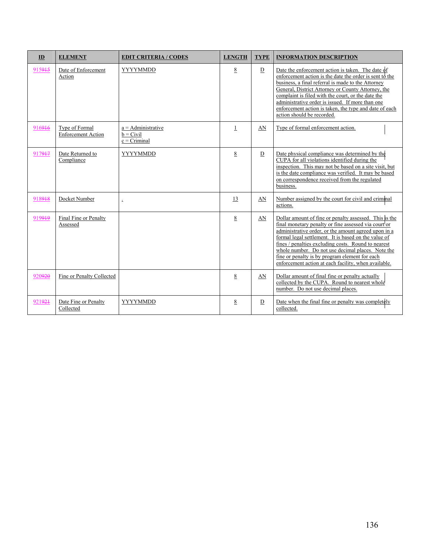| ID     | <b>ELEMENT</b>                              | <b>EDIT CRITERIA / CODES</b>                          | <b>LENGTH</b>   | <b>TYPE</b> | <b>INFORMATION DESCRIPTION</b>                                                                                                                                                                                                                                                                                                                                                                                                                       |
|--------|---------------------------------------------|-------------------------------------------------------|-----------------|-------------|------------------------------------------------------------------------------------------------------------------------------------------------------------------------------------------------------------------------------------------------------------------------------------------------------------------------------------------------------------------------------------------------------------------------------------------------------|
| 915915 | Date of Enforcement<br>Action               | <b>YYYYMMDD</b>                                       | 8               | D           | Date the enforcement action is taken. The date of<br>enforcement action is the date the order is sent to the<br>business, a final referral is made to the Attorney<br>General, District Attorney or County Attorney, the<br>complaint is filed with the court, or the date the<br>administrative order is issued. If more than one<br>enforcement action is taken, the type and date of each<br>action should be recorded.                           |
| 916946 | Type of Formal<br><b>Enforcement Action</b> | $a =$ Administrative<br>$b = Civil$<br>$c = Criminal$ | $\mathbf 1$     | AN          | Type of formal enforcement action.                                                                                                                                                                                                                                                                                                                                                                                                                   |
| 917947 | Date Returned to<br>Compliance              | <b>YYYYMMDD</b>                                       | 8               | D           | Date physical compliance was determined by the<br>CUPA for all violations identified during the<br>inspection. This may not be based on a site visit, but<br>is the date compliance was verified. It may be based<br>on correspondence received from the regulated<br>business.                                                                                                                                                                      |
| 918918 | Docket Number                               | $\overline{a}$                                        | 13              | AN          | Number assigned by the court for civil and criminal<br>actions.                                                                                                                                                                                                                                                                                                                                                                                      |
| 919919 | Final Fine or Penalty<br>Assessed           |                                                       | $8\overline{8}$ | AN          | Dollar amount of fine or penalty assessed. This is the<br>final monetary penalty or fine assessed via court or<br>administrative order, or the amount agreed upon in a<br>formal legal settlement. It is based on the value of<br>fines / penalties excluding costs. Round to nearest<br>whole number. Do not use decimal places. Note the<br>fine or penalty is by program element for each<br>enforcement action at each facility, when available. |
| 920920 | Fine or Penalty Collected                   |                                                       | 8               | AN          | Dollar amount of final fine or penalty actually<br>collected by the CUPA. Round to nearest whole<br>number. Do not use decimal places.                                                                                                                                                                                                                                                                                                               |
| 921924 | Date Fine or Penalty<br>Collected           | <b>YYYYMMDD</b>                                       | 8               | D           | Date when the final fine or penalty was completely<br>collected.                                                                                                                                                                                                                                                                                                                                                                                     |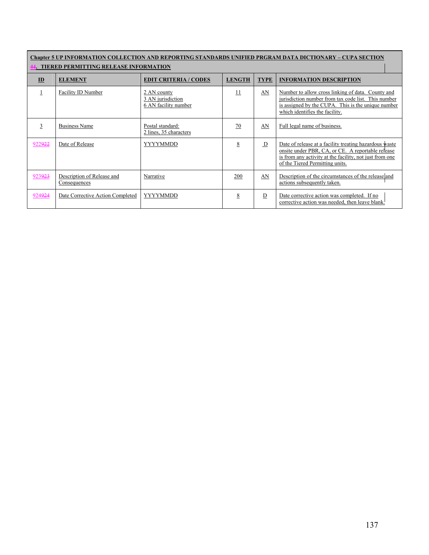| <b>Chapter 5 UP INFORMATION COLLECTION AND REPORTING STANDARDS UNIFIED PRGRAM DATA DICTIONARY – CUPA SECTION</b> |                                            |                                                          |               |                          |                                                                                                                                                                                                           |  |
|------------------------------------------------------------------------------------------------------------------|--------------------------------------------|----------------------------------------------------------|---------------|--------------------------|-----------------------------------------------------------------------------------------------------------------------------------------------------------------------------------------------------------|--|
| <b>. TIERED PERMITTING RELEASE INFORMATION</b>                                                                   |                                            |                                                          |               |                          |                                                                                                                                                                                                           |  |
| $\mathbf{D}$                                                                                                     | <b>ELEMENT</b>                             | <b>EDIT CRITERIA / CODES</b>                             | <b>LENGTH</b> | <b>TYPE</b>              | <b>INFORMATION DESCRIPTION</b>                                                                                                                                                                            |  |
|                                                                                                                  | Facility ID Number                         | 2 AN county<br>3 AN jurisdiction<br>6 AN facility number | 11            | AN                       | Number to allow cross linking of data. County and<br>jurisdiction number from tax code list. This number<br>is assigned by the CUPA. This is the unique number<br>which identifies the facility.          |  |
| 3                                                                                                                | <b>Business Name</b>                       | Postal standard:<br>2 lines, 35 characters               | 70            | AN                       | Full legal name of business.                                                                                                                                                                              |  |
| 922922                                                                                                           | Date of Release                            | <b>YYYYMMDD</b>                                          | 8             | $\underline{\mathbf{D}}$ | Date of release at a facility treating hazardous waste<br>onsite under PBR, CA, or CE. A reportable release<br>is from any activity at the facility, not just from one<br>of the Tiered Permitting units. |  |
| 923923                                                                                                           | Description of Release and<br>Consequences | Narrative                                                | 200           | AN                       | Description of the circumstances of the release and<br>actions subsequently taken.                                                                                                                        |  |
| 924924                                                                                                           | Date Corrective Action Completed           | <b>YYYYMMDD</b>                                          | 8             | $\overline{D}$           | Date corrective action was completed. If no<br>corrective action was needed, then leave blank.                                                                                                            |  |

Г